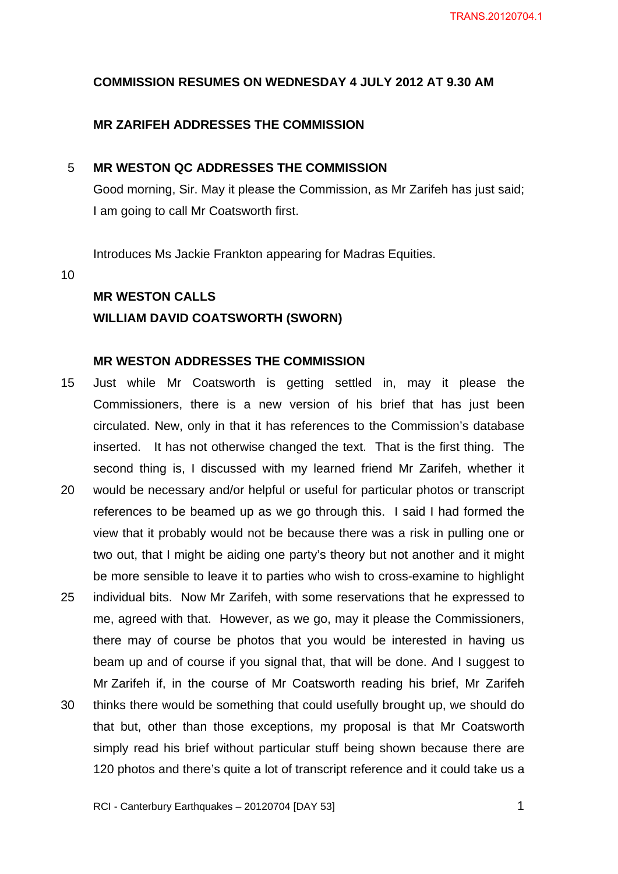#### **COMMISSION RESUMES ON WEDNESDAY 4 JULY 2012 AT 9.30 AM**

#### **MR ZARIFEH ADDRESSES THE COMMISSION**

#### 5 **MR WESTON QC ADDRESSES THE COMMISSION**

Good morning, Sir. May it please the Commission, as Mr Zarifeh has just said; I am going to call Mr Coatsworth first.

Introduces Ms Jackie Frankton appearing for Madras Equities.

10

#### **MR WESTON CALLS**

#### **WILLIAM DAVID COATSWORTH (SWORN)**

#### **MR WESTON ADDRESSES THE COMMISSION**

- 15 20 Just while Mr Coatsworth is getting settled in, may it please the Commissioners, there is a new version of his brief that has just been circulated. New, only in that it has references to the Commission's database inserted. It has not otherwise changed the text. That is the first thing. The second thing is, I discussed with my learned friend Mr Zarifeh, whether it would be necessary and/or helpful or useful for particular photos or transcript
- 25 references to be beamed up as we go through this. I said I had formed the view that it probably would not be because there was a risk in pulling one or two out, that I might be aiding one party's theory but not another and it might be more sensible to leave it to parties who wish to cross-examine to highlight individual bits. Now Mr Zarifeh, with some reservations that he expressed to
- 30 me, agreed with that. However, as we go, may it please the Commissioners, there may of course be photos that you would be interested in having us beam up and of course if you signal that, that will be done. And I suggest to Mr Zarifeh if, in the course of Mr Coatsworth reading his brief, Mr Zarifeh thinks there would be something that could usefully brought up, we should do that but, other than those exceptions, my proposal is that Mr Coatsworth simply read his brief without particular stuff being shown because there are

120 photos and there's quite a lot of transcript reference and it could take us a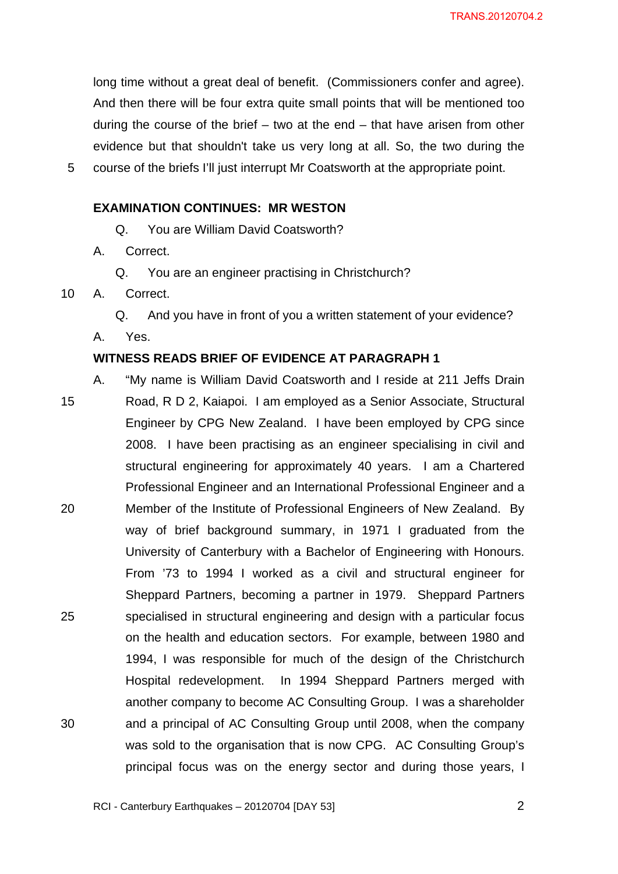long time without a great deal of benefit. (Commissioners confer and agree). And then there will be four extra quite small points that will be mentioned too during the course of the brief – two at the end – that have arisen from other evidence but that shouldn't take us very long at all. So, the two during the course of the briefs I'll just interrupt Mr Coatsworth at the appropriate point.

#### **EXAMINATION CONTINUES: MR WESTON**

Q. You are William David Coatsworth?

- A. Correct.
	- Q. You are an engineer practising in Christchurch?
- 10 A. Correct.

5

- Q. And you have in front of you a written statement of your evidence?
- A. Yes.

#### **WITNESS READS BRIEF OF EVIDENCE AT PARAGRAPH 1**

15 20 25 30 A. "My name is William David Coatsworth and I reside at 211 Jeffs Drain Road, R D 2, Kaiapoi. I am employed as a Senior Associate, Structural Engineer by CPG New Zealand. I have been employed by CPG since 2008. I have been practising as an engineer specialising in civil and structural engineering for approximately 40 years. I am a Chartered Professional Engineer and an International Professional Engineer and a Member of the Institute of Professional Engineers of New Zealand. By way of brief background summary, in 1971 I graduated from the University of Canterbury with a Bachelor of Engineering with Honours. From '73 to 1994 I worked as a civil and structural engineer for Sheppard Partners, becoming a partner in 1979. Sheppard Partners specialised in structural engineering and design with a particular focus on the health and education sectors. For example, between 1980 and 1994, I was responsible for much of the design of the Christchurch Hospital redevelopment. In 1994 Sheppard Partners merged with another company to become AC Consulting Group. I was a shareholder and a principal of AC Consulting Group until 2008, when the company was sold to the organisation that is now CPG. AC Consulting Group's principal focus was on the energy sector and during those years, I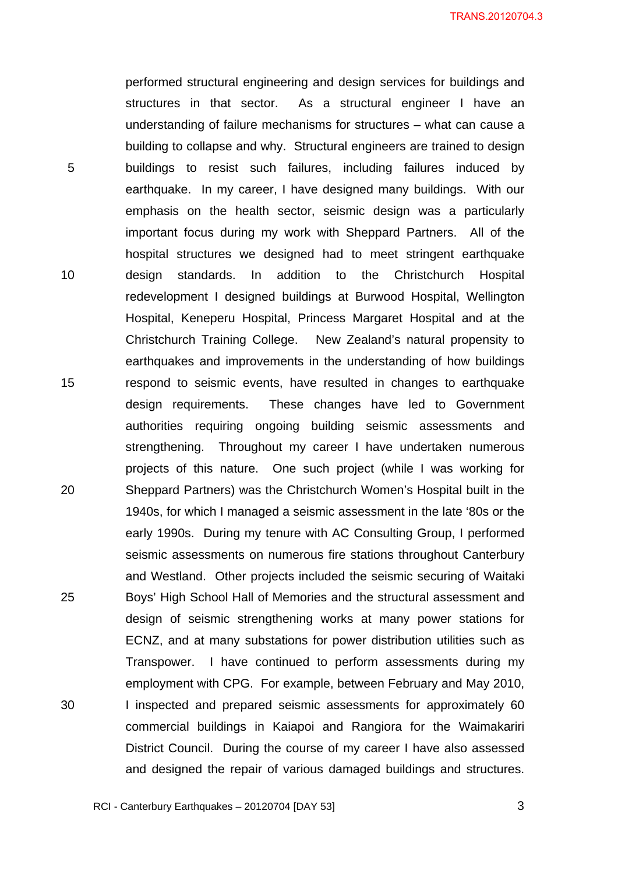performed structural engineering and design services for buildings and structures in that sector. As a structural engineer I have an understanding of failure mechanisms for structures – what can cause a building to collapse and why. Structural engineers are trained to design buildings to resist such failures, including failures induced by earthquake. In my career, I have designed many buildings. With our emphasis on the health sector, seismic design was a particularly important focus during my work with Sheppard Partners. All of the hospital structures we designed had to meet stringent earthquake design standards. In addition to the Christchurch Hospital redevelopment I designed buildings at Burwood Hospital, Wellington Hospital, Keneperu Hospital, Princess Margaret Hospital and at the Christchurch Training College. New Zealand's natural propensity to earthquakes and improvements in the understanding of how buildings respond to seismic events, have resulted in changes to earthquake design requirements. These changes have led to Government authorities requiring ongoing building seismic assessments and strengthening. Throughout my career I have undertaken numerous projects of this nature. One such project (while I was working for Sheppard Partners) was the Christchurch Women's Hospital built in the 1940s, for which I managed a seismic assessment in the late '80s or the early 1990s. During my tenure with AC Consulting Group, I performed seismic assessments on numerous fire stations throughout Canterbury and Westland. Other projects included the seismic securing of Waitaki Boys' High School Hall of Memories and the structural assessment and design of seismic strengthening works at many power stations for ECNZ, and at many substations for power distribution utilities such as Transpower. I have continued to perform assessments during my employment with CPG. For example, between February and May 2010, I inspected and prepared seismic assessments for approximately 60 commercial buildings in Kaiapoi and Rangiora for the Waimakariri District Council. During the course of my career I have also assessed and designed the repair of various damaged buildings and structures.

5

10

15

20

25

30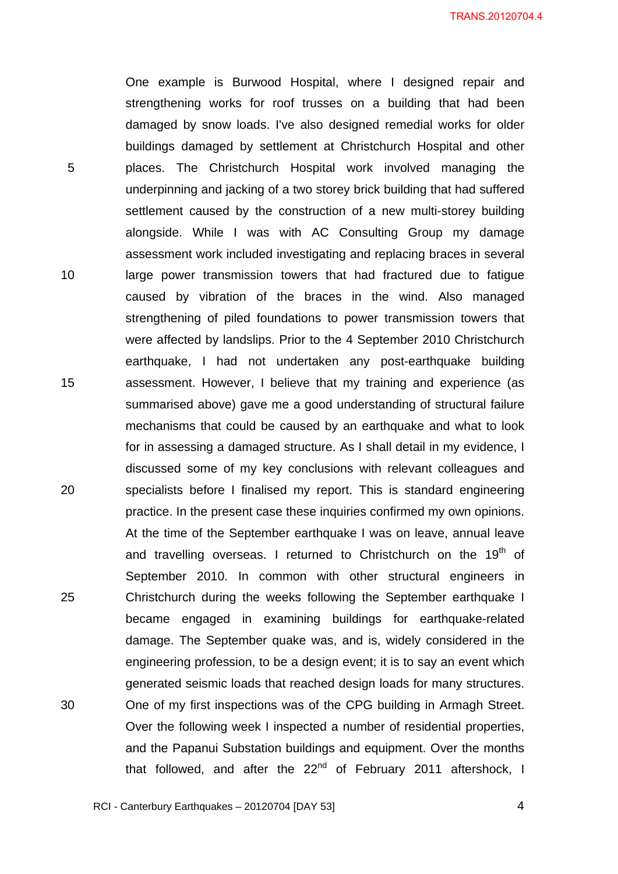5 10 15 One example is Burwood Hospital, where I designed repair and strengthening works for roof trusses on a building that had been damaged by snow loads. I've also designed remedial works for older buildings damaged by settlement at Christchurch Hospital and other places. The Christchurch Hospital work involved managing the underpinning and jacking of a two storey brick building that had suffered settlement caused by the construction of a new multi-storey building alongside. While I was with AC Consulting Group my damage assessment work included investigating and replacing braces in several large power transmission towers that had fractured due to fatigue caused by vibration of the braces in the wind. Also managed strengthening of piled foundations to power transmission towers that were affected by landslips. Prior to the 4 September 2010 Christchurch earthquake, I had not undertaken any post-earthquake building assessment. However, I believe that my training and experience (as summarised above) gave me a good understanding of structural failure mechanisms that could be caused by an earthquake and what to look for in assessing a damaged structure. As I shall detail in my evidence, I discussed some of my key conclusions with relevant colleagues and specialists before I finalised my report. This is standard engineering practice. In the present case these inquiries confirmed my own opinions. At the time of the September earthquake I was on leave, annual leave and travelling overseas. I returned to Christchurch on the  $19<sup>th</sup>$  of September 2010. In common with other structural engineers in Christchurch during the weeks following the September earthquake I became engaged in examining buildings for earthquake-related damage. The September quake was, and is, widely considered in the engineering profession, to be a design event; it is to say an event which generated seismic loads that reached design loads for many structures. One of my first inspections was of the CPG building in Armagh Street. Over the following week I inspected a number of residential properties, and the Papanui Substation buildings and equipment. Over the months that followed, and after the  $22<sup>nd</sup>$  of February 2011 aftershock, I

20

25

30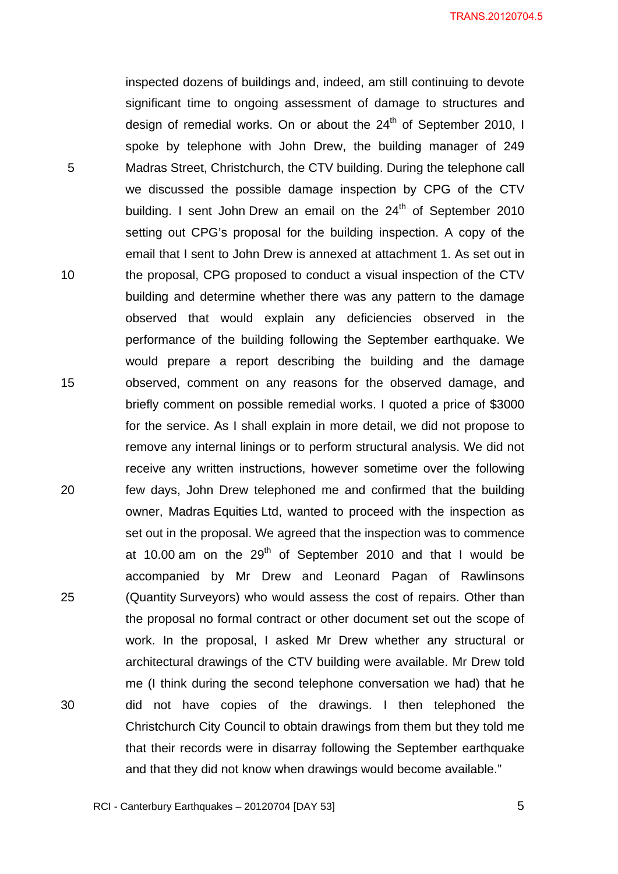inspected dozens of buildings and, indeed, am still continuing to devote significant time to ongoing assessment of damage to structures and design of remedial works. On or about the  $24<sup>th</sup>$  of September 2010, I spoke by telephone with John Drew, the building manager of 249 Madras Street, Christchurch, the CTV building. During the telephone call we discussed the possible damage inspection by CPG of the CTV building. I sent John Drew an email on the  $24<sup>th</sup>$  of September 2010 setting out CPG's proposal for the building inspection. A copy of the email that I sent to John Drew is annexed at attachment 1. As set out in the proposal, CPG proposed to conduct a visual inspection of the CTV building and determine whether there was any pattern to the damage observed that would explain any deficiencies observed in the performance of the building following the September earthquake. We would prepare a report describing the building and the damage observed, comment on any reasons for the observed damage, and briefly comment on possible remedial works. I quoted a price of \$3000 for the service. As I shall explain in more detail, we did not propose to remove any internal linings or to perform structural analysis. We did not receive any written instructions, however sometime over the following few days, John Drew telephoned me and confirmed that the building owner, Madras Equities Ltd, wanted to proceed with the inspection as set out in the proposal. We agreed that the inspection was to commence at 10.00 am on the  $29<sup>th</sup>$  of September 2010 and that I would be accompanied by Mr Drew and Leonard Pagan of Rawlinsons (Quantity Surveyors) who would assess the cost of repairs. Other than the proposal no formal contract or other document set out the scope of work. In the proposal, I asked Mr Drew whether any structural or architectural drawings of the CTV building were available. Mr Drew told me (I think during the second telephone conversation we had) that he did not have copies of the drawings. I then telephoned the Christchurch City Council to obtain drawings from them but they told me that their records were in disarray following the September earthquake and that they did not know when drawings would become available."

5

10

15

20

25

30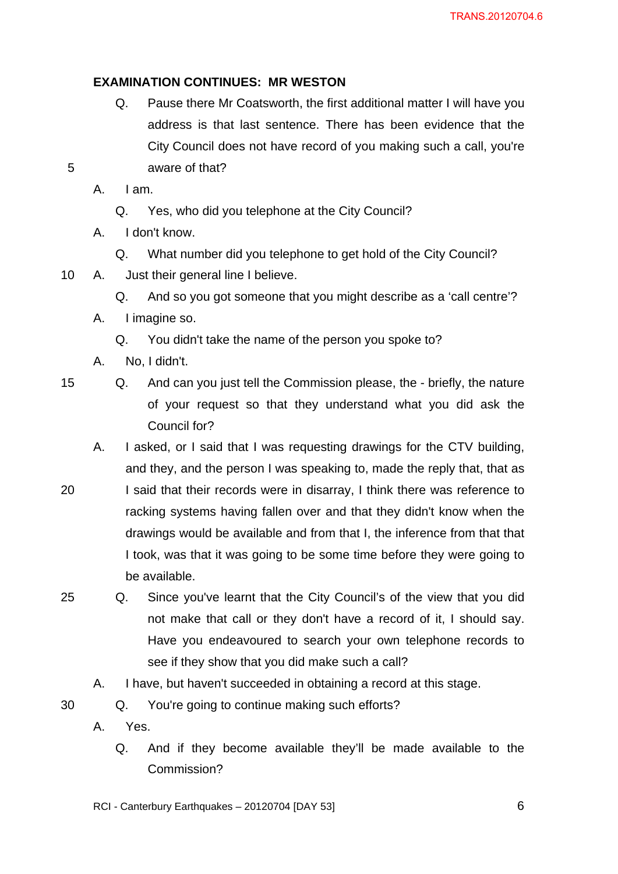#### **EXAMINATION CONTINUES: MR WESTON**

Q. Pause there Mr Coatsworth, the first additional matter I will have you address is that last sentence. There has been evidence that the City Council does not have record of you making such a call, you're aware of that?

5

A. I am.

- Q. Yes, who did you telephone at the City Council?
- A. I don't know.
	- Q. What number did you telephone to get hold of the City Council?
- 10 A. Just their general line I believe.
	- Q. And so you got someone that you might describe as a 'call centre'?
	- A. I imagine so.
		- Q. You didn't take the name of the person you spoke to?
	- A. No, I didn't.

15

- Q. And can you just tell the Commission please, the briefly, the nature of your request so that they understand what you did ask the Council for?
- A. I asked, or I said that I was requesting drawings for the CTV building, and they, and the person I was speaking to, made the reply that, that as
- 20 I said that their records were in disarray, I think there was reference to racking systems having fallen over and that they didn't know when the drawings would be available and from that I, the inference from that that I took, was that it was going to be some time before they were going to be available.
- 25 Q. Since you've learnt that the City Council's of the view that you did not make that call or they don't have a record of it, I should say. Have you endeavoured to search your own telephone records to see if they show that you did make such a call?
	- A. I have, but haven't succeeded in obtaining a record at this stage.

30 Q. You're going to continue making such efforts?

- A. Yes.
	- Q. And if they become available they'll be made available to the Commission?
- RCI Canterbury Earthquakes 20120704 [DAY 53]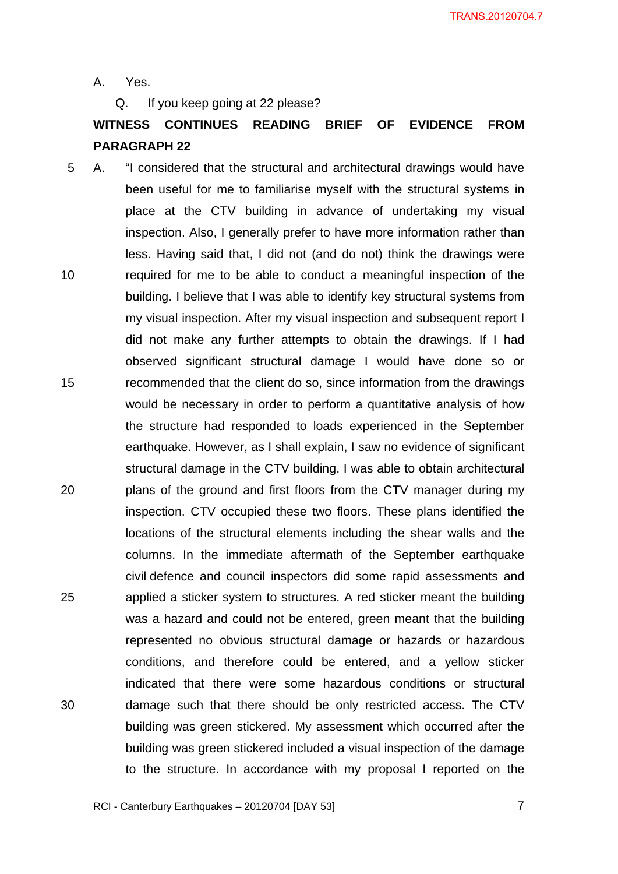A. Yes.

Q. If you keep going at 22 please?

## **WITNESS CONTINUES READING BRIEF OF EVIDENCE FROM PARAGRAPH 22**

10 15 20 25 30 5 A. "I considered that the structural and architectural drawings would have been useful for me to familiarise myself with the structural systems in place at the CTV building in advance of undertaking my visual inspection. Also, I generally prefer to have more information rather than less. Having said that, I did not (and do not) think the drawings were required for me to be able to conduct a meaningful inspection of the building. I believe that I was able to identify key structural systems from my visual inspection. After my visual inspection and subsequent report I did not make any further attempts to obtain the drawings. If I had observed significant structural damage I would have done so or recommended that the client do so, since information from the drawings would be necessary in order to perform a quantitative analysis of how the structure had responded to loads experienced in the September earthquake. However, as I shall explain, I saw no evidence of significant structural damage in the CTV building. I was able to obtain architectural plans of the ground and first floors from the CTV manager during my inspection. CTV occupied these two floors. These plans identified the locations of the structural elements including the shear walls and the columns. In the immediate aftermath of the September earthquake civil defence and council inspectors did some rapid assessments and applied a sticker system to structures. A red sticker meant the building was a hazard and could not be entered, green meant that the building represented no obvious structural damage or hazards or hazardous conditions, and therefore could be entered, and a yellow sticker indicated that there were some hazardous conditions or structural damage such that there should be only restricted access. The CTV building was green stickered. My assessment which occurred after the building was green stickered included a visual inspection of the damage to the structure. In accordance with my proposal I reported on the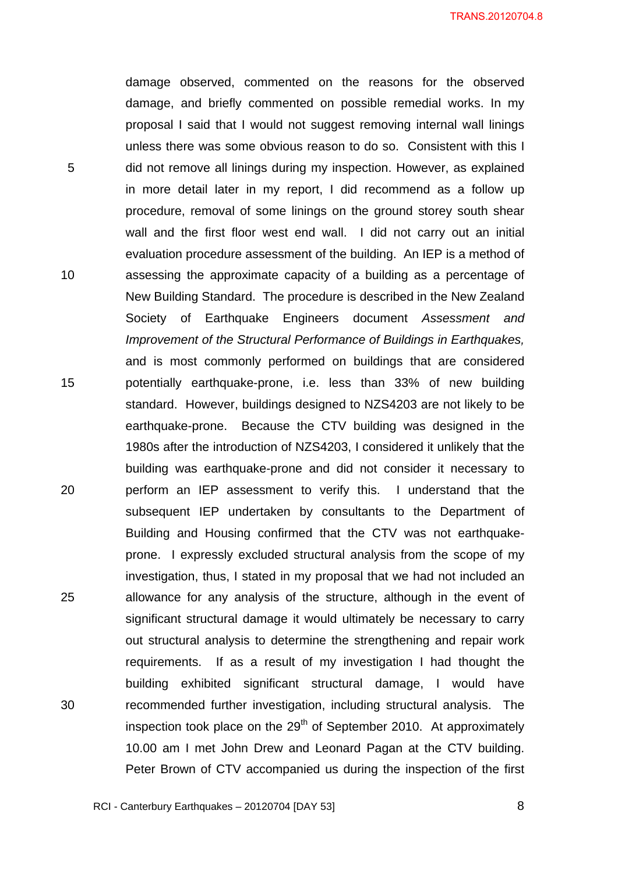5 10 15 20 25 damage observed, commented on the reasons for the observed damage, and briefly commented on possible remedial works. In my proposal I said that I would not suggest removing internal wall linings unless there was some obvious reason to do so. Consistent with this I did not remove all linings during my inspection. However, as explained in more detail later in my report, I did recommend as a follow up procedure, removal of some linings on the ground storey south shear wall and the first floor west end wall. I did not carry out an initial evaluation procedure assessment of the building. An IEP is a method of assessing the approximate capacity of a building as a percentage of New Building Standard. The procedure is described in the New Zealand Society of Earthquake Engineers document *Assessment and Improvement of the Structural Performance of Buildings in Earthquakes,* and is most commonly performed on buildings that are considered potentially earthquake-prone, i.e. less than 33% of new building standard. However, buildings designed to NZS4203 are not likely to be earthquake-prone. Because the CTV building was designed in the 1980s after the introduction of NZS4203, I considered it unlikely that the building was earthquake-prone and did not consider it necessary to perform an IEP assessment to verify this. I understand that the subsequent IEP undertaken by consultants to the Department of Building and Housing confirmed that the CTV was not earthquakeprone. I expressly excluded structural analysis from the scope of my investigation, thus, I stated in my proposal that we had not included an allowance for any analysis of the structure, although in the event of significant structural damage it would ultimately be necessary to carry out structural analysis to determine the strengthening and repair work requirements. If as a result of my investigation I had thought the building exhibited significant structural damage, I would have recommended further investigation, including structural analysis. The inspection took place on the  $29<sup>th</sup>$  of September 2010. At approximately 10.00 am I met John Drew and Leonard Pagan at the CTV building. Peter Brown of CTV accompanied us during the inspection of the first

30

 $\overline{\phantom{a}}$  8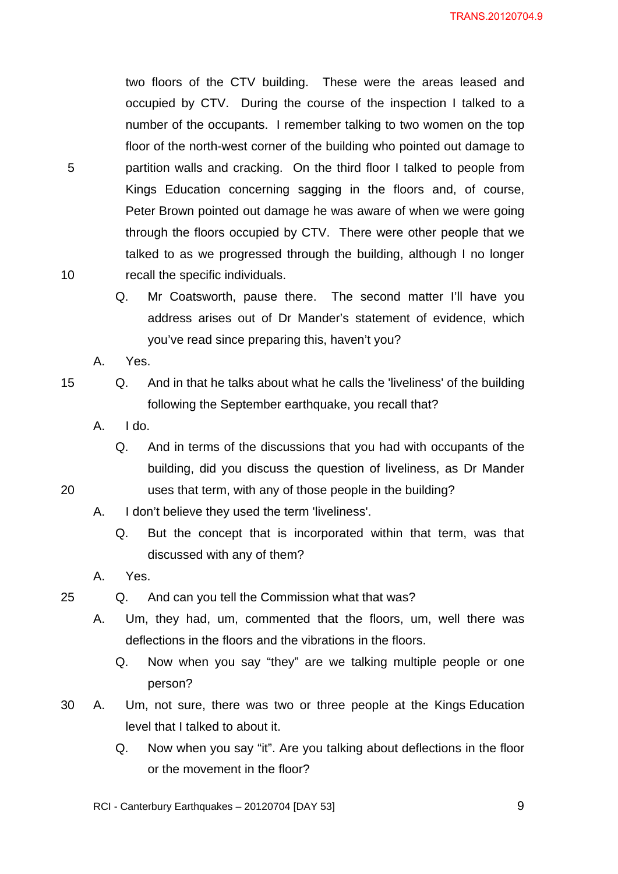two floors of the CTV building. These were the areas leased and occupied by CTV. During the course of the inspection I talked to a number of the occupants. I remember talking to two women on the top floor of the north-west corner of the building who pointed out damage to partition walls and cracking. On the third floor I talked to people from Kings Education concerning sagging in the floors and, of course, Peter Brown pointed out damage he was aware of when we were going through the floors occupied by CTV. There were other people that we talked to as we progressed through the building, although I no longer recall the specific individuals.

Q. Mr Coatsworth, pause there. The second matter I'll have you address arises out of Dr Mander's statement of evidence, which you've read since preparing this, haven't you?

Q. And in that he talks about what he calls the 'liveliness' of the building

- A. Yes.
- 15

20

25

10

5

- following the September earthquake, you recall that? A. I do.
	- Q. And in terms of the discussions that you had with occupants of the building, did you discuss the question of liveliness, as Dr Mander uses that term, with any of those people in the building?
- A. I don't believe they used the term 'liveliness'.
	- Q. But the concept that is incorporated within that term, was that discussed with any of them?
- A. Yes.
- Q. And can you tell the Commission what that was?
	- A. Um, they had, um, commented that the floors, um, well there was deflections in the floors and the vibrations in the floors.
		- Q. Now when you say "they" are we talking multiple people or one person?
- 30 A. Um, not sure, there was two or three people at the Kings Education level that I talked to about it.
	- Q. Now when you say "it". Are you talking about deflections in the floor or the movement in the floor?

RCI - Canterbury Earthquakes – 20120704 [DAY 53]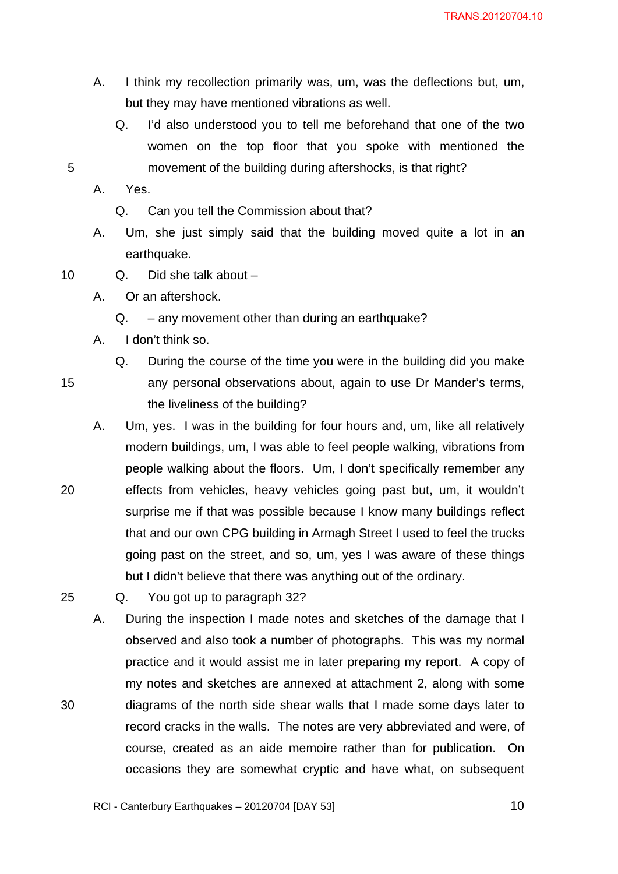- A. I think my recollection primarily was, um, was the deflections but, um, but they may have mentioned vibrations as well.
	- Q. I'd also understood you to tell me beforehand that one of the two women on the top floor that you spoke with mentioned the movement of the building during aftershocks, is that right?

A. Yes.

- Q. Can you tell the Commission about that?
- A. Um, she just simply said that the building moved quite a lot in an earthquake.
- 10 Q. Did she talk about –
	- A. Or an aftershock.
		- Q. any movement other than during an earthquake?
	- A. I don't think so.
		- Q. During the course of the time you were in the building did you make any personal observations about, again to use Dr Mander's terms, the liveliness of the building?

A. Um, yes. I was in the building for four hours and, um, like all relatively modern buildings, um, I was able to feel people walking, vibrations from people walking about the floors. Um, I don't specifically remember any effects from vehicles, heavy vehicles going past but, um, it wouldn't surprise me if that was possible because I know many buildings reflect that and our own CPG building in Armagh Street I used to feel the trucks going past on the street, and so, um, yes I was aware of these things but I didn't believe that there was anything out of the ordinary.

- Q. You got up to paragraph 32?
	- A. During the inspection I made notes and sketches of the damage that I observed and also took a number of photographs. This was my normal practice and it would assist me in later preparing my report. A copy of my notes and sketches are annexed at attachment 2, along with some diagrams of the north side shear walls that I made some days later to record cracks in the walls. The notes are very abbreviated and were, of course, created as an aide memoire rather than for publication. On occasions they are somewhat cryptic and have what, on subsequent

25

30

20

5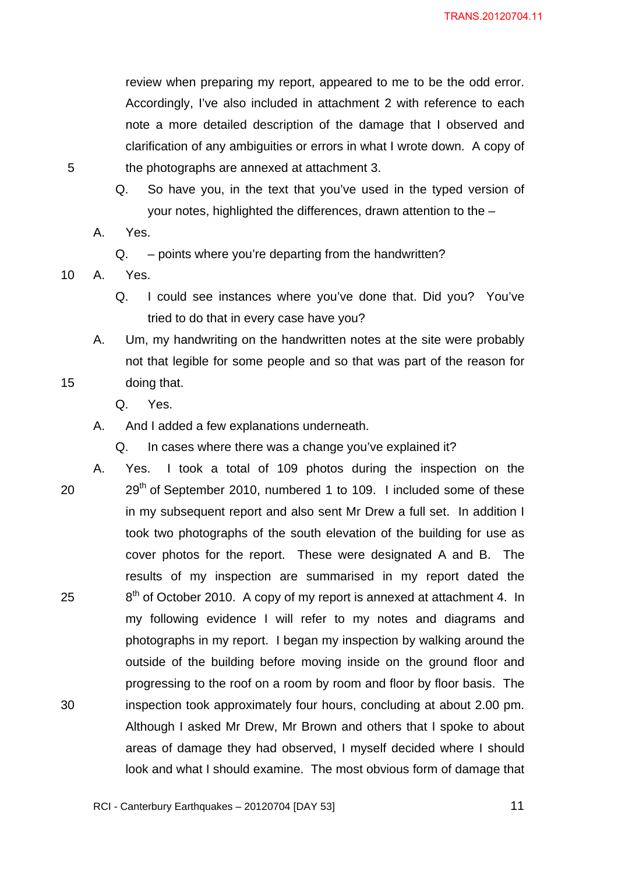review when preparing my report, appeared to me to be the odd error. Accordingly, I've also included in attachment 2 with reference to each note a more detailed description of the damage that I observed and clarification of any ambiguities or errors in what I wrote down. A copy of the photographs are annexed at attachment 3.

- Q. So have you, in the text that you've used in the typed version of your notes, highlighted the differences, drawn attention to the –
- A. Yes.

Q. – points where you're departing from the handwritten?

10 A. Yes.

5

- Q. I could see instances where you've done that. Did you? You've tried to do that in every case have you?
- A. Um, my handwriting on the handwritten notes at the site were probably not that legible for some people and so that was part of the reason for doing that.
	- Q. Yes.
- A. And I added a few explanations underneath.

Q. In cases where there was a change you've explained it?

20 25 30 A. Yes. I took a total of 109 photos during the inspection on the  $29<sup>th</sup>$  of September 2010, numbered 1 to 109. I included some of these in my subsequent report and also sent Mr Drew a full set. In addition I took two photographs of the south elevation of the building for use as cover photos for the report. These were designated A and B. The results of my inspection are summarised in my report dated the  $8<sup>th</sup>$  of October 2010. A copy of my report is annexed at attachment 4. In my following evidence I will refer to my notes and diagrams and photographs in my report. I began my inspection by walking around the outside of the building before moving inside on the ground floor and progressing to the roof on a room by room and floor by floor basis. The inspection took approximately four hours, concluding at about 2.00 pm. Although I asked Mr Drew, Mr Brown and others that I spoke to about areas of damage they had observed, I myself decided where I should look and what I should examine. The most obvious form of damage that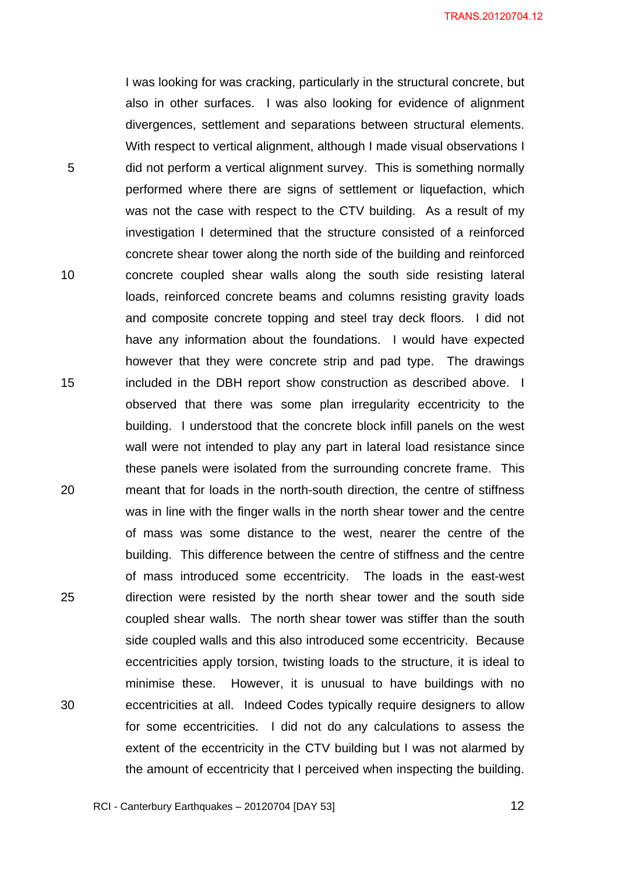I was looking for was cracking, particularly in the structural concrete, but also in other surfaces. I was also looking for evidence of alignment divergences, settlement and separations between structural elements. With respect to vertical alignment, although I made visual observations I did not perform a vertical alignment survey. This is something normally performed where there are signs of settlement or liquefaction, which was not the case with respect to the CTV building. As a result of my investigation I determined that the structure consisted of a reinforced concrete shear tower along the north side of the building and reinforced concrete coupled shear walls along the south side resisting lateral loads, reinforced concrete beams and columns resisting gravity loads and composite concrete topping and steel tray deck floors. I did not have any information about the foundations. I would have expected however that they were concrete strip and pad type. The drawings included in the DBH report show construction as described above. I observed that there was some plan irregularity eccentricity to the building. I understood that the concrete block infill panels on the west wall were not intended to play any part in lateral load resistance since these panels were isolated from the surrounding concrete frame. This meant that for loads in the north-south direction, the centre of stiffness was in line with the finger walls in the north shear tower and the centre of mass was some distance to the west, nearer the centre of the building. This difference between the centre of stiffness and the centre of mass introduced some eccentricity. The loads in the east-west direction were resisted by the north shear tower and the south side coupled shear walls. The north shear tower was stiffer than the south side coupled walls and this also introduced some eccentricity. Because eccentricities apply torsion, twisting loads to the structure, it is ideal to minimise these. However, it is unusual to have buildings with no eccentricities at all. Indeed Codes typically require designers to allow for some eccentricities. I did not do any calculations to assess the extent of the eccentricity in the CTV building but I was not alarmed by the amount of eccentricity that I perceived when inspecting the building.

5

10

15

20

25

30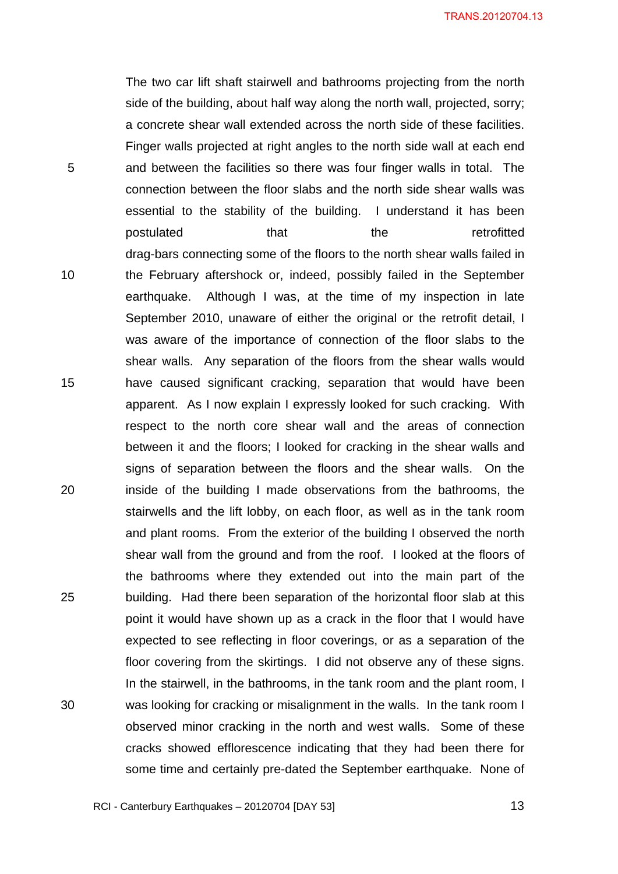The two car lift shaft stairwell and bathrooms projecting from the north side of the building, about half way along the north wall, projected, sorry; a concrete shear wall extended across the north side of these facilities. Finger walls projected at right angles to the north side wall at each end and between the facilities so there was four finger walls in total. The connection between the floor slabs and the north side shear walls was essential to the stability of the building. I understand it has been postulated that the retrofitted drag-bars connecting some of the floors to the north shear walls failed in the February aftershock or, indeed, possibly failed in the September earthquake. Although I was, at the time of my inspection in late September 2010, unaware of either the original or the retrofit detail, I was aware of the importance of connection of the floor slabs to the shear walls. Any separation of the floors from the shear walls would have caused significant cracking, separation that would have been apparent. As I now explain I expressly looked for such cracking. With respect to the north core shear wall and the areas of connection between it and the floors; I looked for cracking in the shear walls and signs of separation between the floors and the shear walls. On the inside of the building I made observations from the bathrooms, the stairwells and the lift lobby, on each floor, as well as in the tank room and plant rooms. From the exterior of the building I observed the north shear wall from the ground and from the roof. I looked at the floors of the bathrooms where they extended out into the main part of the building. Had there been separation of the horizontal floor slab at this point it would have shown up as a crack in the floor that I would have expected to see reflecting in floor coverings, or as a separation of the floor covering from the skirtings. I did not observe any of these signs. In the stairwell, in the bathrooms, in the tank room and the plant room, I was looking for cracking or misalignment in the walls. In the tank room I observed minor cracking in the north and west walls. Some of these cracks showed efflorescence indicating that they had been there for some time and certainly pre-dated the September earthquake. None of

5

10

15

20

25

30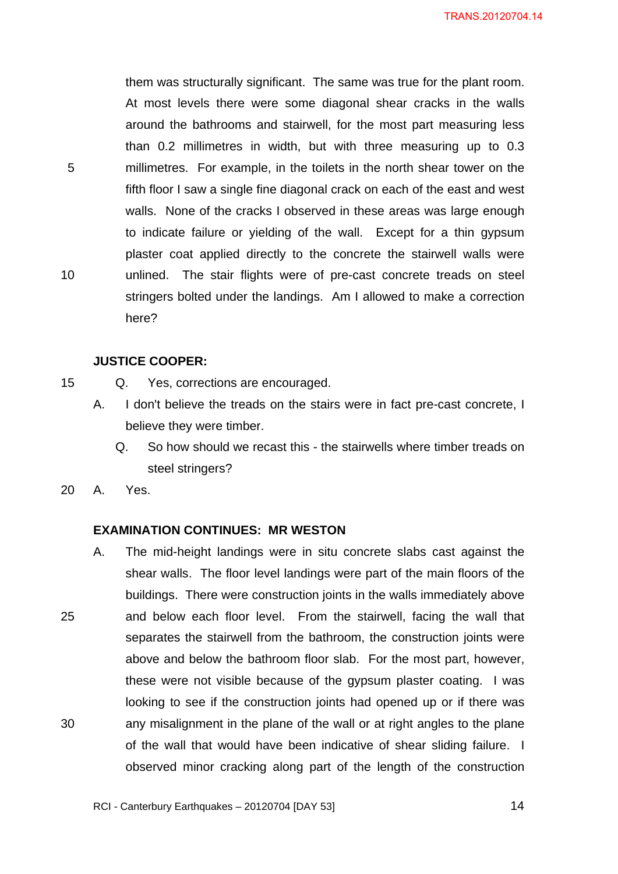them was structurally significant. The same was true for the plant room. At most levels there were some diagonal shear cracks in the walls around the bathrooms and stairwell, for the most part measuring less than 0.2 millimetres in width, but with three measuring up to 0.3 millimetres. For example, in the toilets in the north shear tower on the fifth floor I saw a single fine diagonal crack on each of the east and west walls. None of the cracks I observed in these areas was large enough to indicate failure or yielding of the wall. Except for a thin gypsum plaster coat applied directly to the concrete the stairwell walls were unlined. The stair flights were of pre-cast concrete treads on steel stringers bolted under the landings. Am I allowed to make a correction here?

#### **JUSTICE COOPER:**

- 15 Q. Yes, corrections are encouraged.
	- A. I don't believe the treads on the stairs were in fact pre-cast concrete, I believe they were timber.
		- Q. So how should we recast this the stairwells where timber treads on steel stringers?
- 20 A. Yes.

5

10

#### **EXAMINATION CONTINUES: MR WESTON**

25 30 A. The mid-height landings were in situ concrete slabs cast against the shear walls. The floor level landings were part of the main floors of the buildings. There were construction joints in the walls immediately above and below each floor level. From the stairwell, facing the wall that separates the stairwell from the bathroom, the construction joints were above and below the bathroom floor slab. For the most part, however, these were not visible because of the gypsum plaster coating. I was looking to see if the construction joints had opened up or if there was any misalignment in the plane of the wall or at right angles to the plane of the wall that would have been indicative of shear sliding failure. I observed minor cracking along part of the length of the construction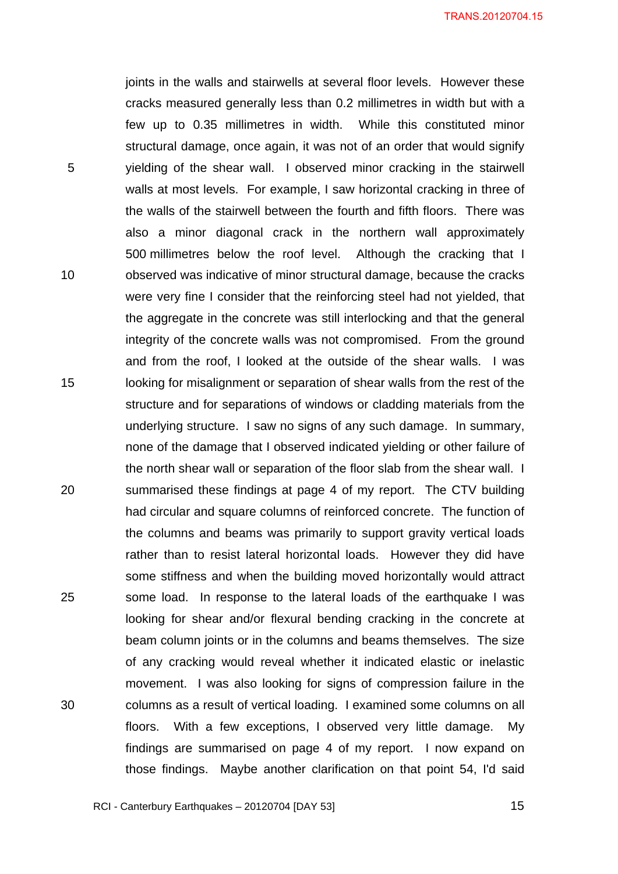joints in the walls and stairwells at several floor levels. However these cracks measured generally less than 0.2 millimetres in width but with a few up to 0.35 millimetres in width. While this constituted minor structural damage, once again, it was not of an order that would signify yielding of the shear wall. I observed minor cracking in the stairwell walls at most levels. For example, I saw horizontal cracking in three of the walls of the stairwell between the fourth and fifth floors. There was also a minor diagonal crack in the northern wall approximately 500 millimetres below the roof level. Although the cracking that I observed was indicative of minor structural damage, because the cracks were very fine I consider that the reinforcing steel had not yielded, that the aggregate in the concrete was still interlocking and that the general integrity of the concrete walls was not compromised. From the ground and from the roof, I looked at the outside of the shear walls. I was looking for misalignment or separation of shear walls from the rest of the structure and for separations of windows or cladding materials from the underlying structure. I saw no signs of any such damage. In summary, none of the damage that I observed indicated yielding or other failure of the north shear wall or separation of the floor slab from the shear wall. I summarised these findings at page 4 of my report. The CTV building had circular and square columns of reinforced concrete. The function of the columns and beams was primarily to support gravity vertical loads rather than to resist lateral horizontal loads. However they did have some stiffness and when the building moved horizontally would attract some load. In response to the lateral loads of the earthquake I was looking for shear and/or flexural bending cracking in the concrete at beam column joints or in the columns and beams themselves. The size of any cracking would reveal whether it indicated elastic or inelastic movement. I was also looking for signs of compression failure in the columns as a result of vertical loading. I examined some columns on all floors. With a few exceptions, I observed very little damage. My findings are summarised on page 4 of my report. I now expand on those findings. Maybe another clarification on that point 54, I'd said

RCI - Canterbury Earthquakes – 20120704 [DAY 53]

5

10

15

20

25

30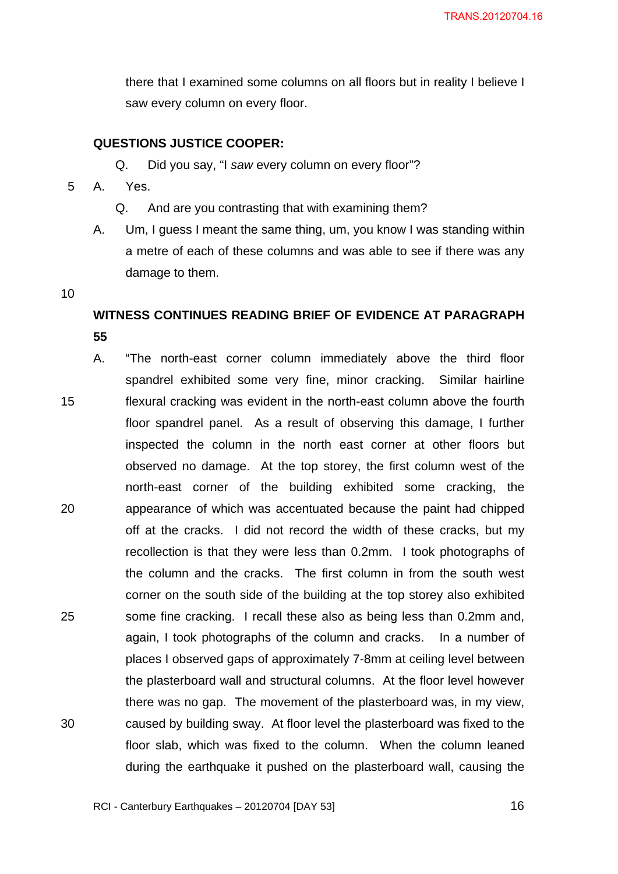there that I examined some columns on all floors but in reality I believe I saw every column on every floor.

#### **QUESTIONS JUSTICE COOPER:**

Q. Did you say, "I *saw* every column on every floor"?

- 5 A. Yes.
	- Q. And are you contrasting that with examining them?
	- A. Um, I guess I meant the same thing, um, you know I was standing within a metre of each of these columns and was able to see if there was any damage to them.
- 10

## **WITNESS CONTINUES READING BRIEF OF EVIDENCE AT PARAGRAPH 55**

15 20 25 30 A. "The north-east corner column immediately above the third floor spandrel exhibited some very fine, minor cracking. Similar hairline flexural cracking was evident in the north-east column above the fourth floor spandrel panel. As a result of observing this damage, I further inspected the column in the north east corner at other floors but observed no damage. At the top storey, the first column west of the north-east corner of the building exhibited some cracking, the appearance of which was accentuated because the paint had chipped off at the cracks. I did not record the width of these cracks, but my recollection is that they were less than 0.2mm. I took photographs of the column and the cracks. The first column in from the south west corner on the south side of the building at the top storey also exhibited some fine cracking. I recall these also as being less than 0.2mm and, again, I took photographs of the column and cracks. In a number of places I observed gaps of approximately 7-8mm at ceiling level between the plasterboard wall and structural columns. At the floor level however there was no gap. The movement of the plasterboard was, in my view, caused by building sway. At floor level the plasterboard was fixed to the floor slab, which was fixed to the column. When the column leaned during the earthquake it pushed on the plasterboard wall, causing the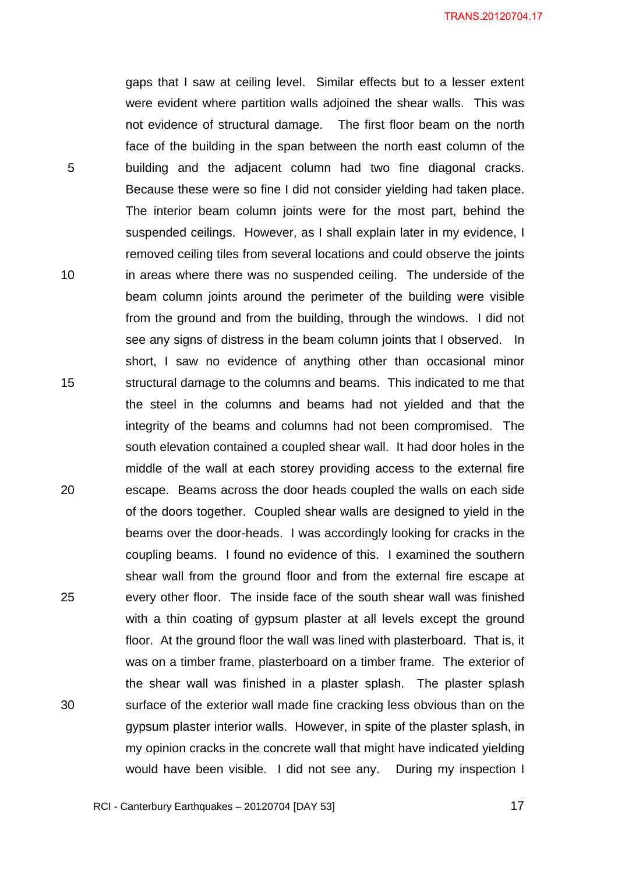gaps that I saw at ceiling level. Similar effects but to a lesser extent were evident where partition walls adjoined the shear walls. This was not evidence of structural damage. The first floor beam on the north face of the building in the span between the north east column of the building and the adjacent column had two fine diagonal cracks. Because these were so fine I did not consider yielding had taken place. The interior beam column joints were for the most part, behind the suspended ceilings. However, as I shall explain later in my evidence, I removed ceiling tiles from several locations and could observe the joints in areas where there was no suspended ceiling. The underside of the beam column joints around the perimeter of the building were visible from the ground and from the building, through the windows. I did not see any signs of distress in the beam column joints that I observed. In short, I saw no evidence of anything other than occasional minor structural damage to the columns and beams. This indicated to me that the steel in the columns and beams had not yielded and that the integrity of the beams and columns had not been compromised. The south elevation contained a coupled shear wall. It had door holes in the middle of the wall at each storey providing access to the external fire escape. Beams across the door heads coupled the walls on each side of the doors together. Coupled shear walls are designed to yield in the beams over the door-heads. I was accordingly looking for cracks in the coupling beams. I found no evidence of this. I examined the southern shear wall from the ground floor and from the external fire escape at every other floor. The inside face of the south shear wall was finished with a thin coating of gypsum plaster at all levels except the ground floor. At the ground floor the wall was lined with plasterboard. That is, it was on a timber frame, plasterboard on a timber frame. The exterior of the shear wall was finished in a plaster splash. The plaster splash surface of the exterior wall made fine cracking less obvious than on the gypsum plaster interior walls. However, in spite of the plaster splash, in my opinion cracks in the concrete wall that might have indicated yielding would have been visible. I did not see any. During my inspection I

5

10

15

20

25

30

 $\overline{\phantom{a}}$  17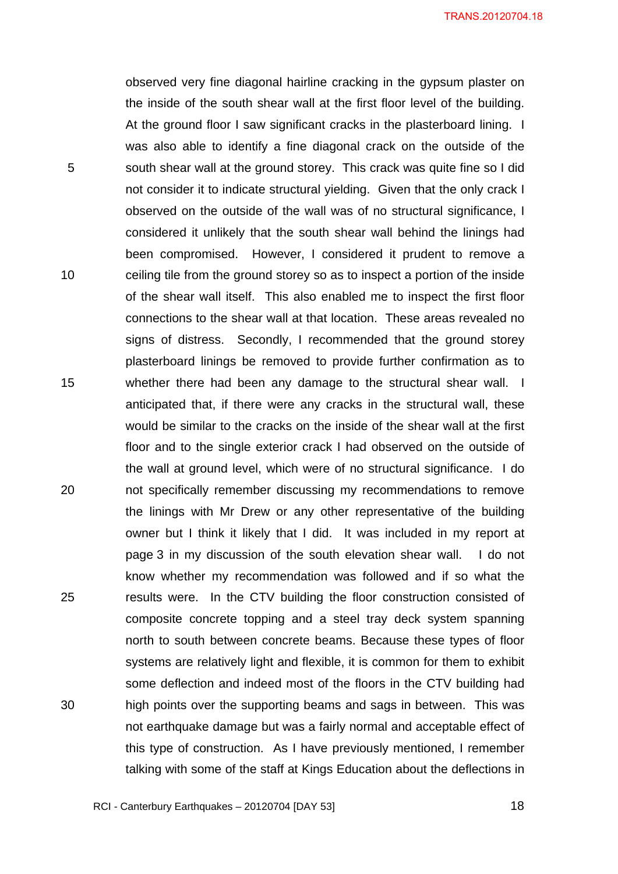observed very fine diagonal hairline cracking in the gypsum plaster on the inside of the south shear wall at the first floor level of the building. At the ground floor I saw significant cracks in the plasterboard lining. I was also able to identify a fine diagonal crack on the outside of the south shear wall at the ground storey. This crack was quite fine so I did not consider it to indicate structural yielding. Given that the only crack I observed on the outside of the wall was of no structural significance, I considered it unlikely that the south shear wall behind the linings had been compromised. However, I considered it prudent to remove a ceiling tile from the ground storey so as to inspect a portion of the inside of the shear wall itself. This also enabled me to inspect the first floor connections to the shear wall at that location. These areas revealed no signs of distress. Secondly, I recommended that the ground storey plasterboard linings be removed to provide further confirmation as to whether there had been any damage to the structural shear wall. I anticipated that, if there were any cracks in the structural wall, these would be similar to the cracks on the inside of the shear wall at the first floor and to the single exterior crack I had observed on the outside of the wall at ground level, which were of no structural significance. I do not specifically remember discussing my recommendations to remove the linings with Mr Drew or any other representative of the building owner but I think it likely that I did. It was included in my report at page 3 in my discussion of the south elevation shear wall. I do not know whether my recommendation was followed and if so what the results were. In the CTV building the floor construction consisted of composite concrete topping and a steel tray deck system spanning north to south between concrete beams. Because these types of floor systems are relatively light and flexible, it is common for them to exhibit some deflection and indeed most of the floors in the CTV building had high points over the supporting beams and sags in between. This was not earthquake damage but was a fairly normal and acceptable effect of this type of construction. As I have previously mentioned, I remember talking with some of the staff at Kings Education about the deflections in

RCI - Canterbury Earthquakes – 20120704 [DAY 53]

5

10

15

20

25

30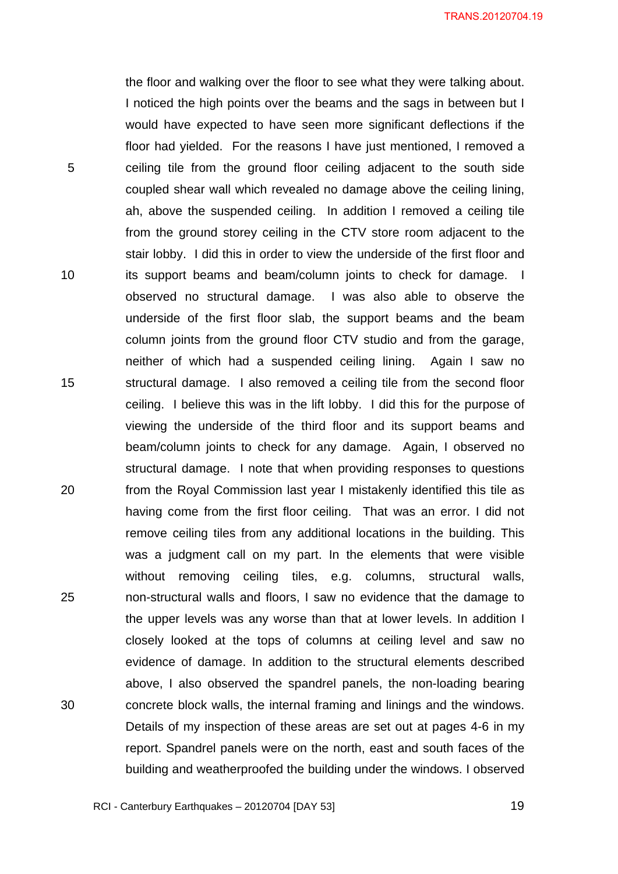the floor and walking over the floor to see what they were talking about. I noticed the high points over the beams and the sags in between but I would have expected to have seen more significant deflections if the floor had yielded. For the reasons I have just mentioned, I removed a ceiling tile from the ground floor ceiling adjacent to the south side coupled shear wall which revealed no damage above the ceiling lining, ah, above the suspended ceiling. In addition I removed a ceiling tile from the ground storey ceiling in the CTV store room adjacent to the stair lobby. I did this in order to view the underside of the first floor and its support beams and beam/column joints to check for damage. I observed no structural damage. I was also able to observe the underside of the first floor slab, the support beams and the beam column joints from the ground floor CTV studio and from the garage, neither of which had a suspended ceiling lining. Again I saw no structural damage. I also removed a ceiling tile from the second floor ceiling. I believe this was in the lift lobby. I did this for the purpose of viewing the underside of the third floor and its support beams and beam/column joints to check for any damage. Again, I observed no structural damage. I note that when providing responses to questions from the Royal Commission last year I mistakenly identified this tile as having come from the first floor ceiling. That was an error. I did not remove ceiling tiles from any additional locations in the building. This was a judgment call on my part. In the elements that were visible without removing ceiling tiles, e.g. columns, structural walls, non-structural walls and floors, I saw no evidence that the damage to the upper levels was any worse than that at lower levels. In addition I closely looked at the tops of columns at ceiling level and saw no evidence of damage. In addition to the structural elements described above, I also observed the spandrel panels, the non-loading bearing concrete block walls, the internal framing and linings and the windows. Details of my inspection of these areas are set out at pages 4-6 in my report. Spandrel panels were on the north, east and south faces of the building and weatherproofed the building under the windows. I observed

5

10

15

20

25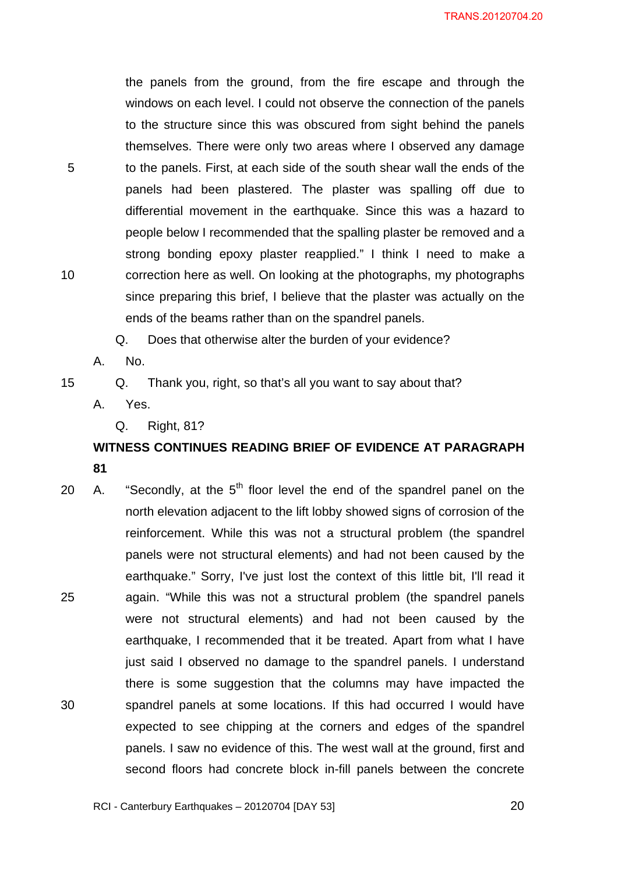the panels from the ground, from the fire escape and through the windows on each level. I could not observe the connection of the panels to the structure since this was obscured from sight behind the panels themselves. There were only two areas where I observed any damage to the panels. First, at each side of the south shear wall the ends of the panels had been plastered. The plaster was spalling off due to differential movement in the earthquake. Since this was a hazard to people below I recommended that the spalling plaster be removed and a strong bonding epoxy plaster reapplied." I think I need to make a correction here as well. On looking at the photographs, my photographs since preparing this brief, I believe that the plaster was actually on the ends of the beams rather than on the spandrel panels.

Q. Does that otherwise alter the burden of your evidence?

A. No.

5

10

15

Q. Thank you, right, so that's all you want to say about that?

- A. Yes.
	- Q. Right, 81?

## **WITNESS CONTINUES READING BRIEF OF EVIDENCE AT PARAGRAPH 81**

25 30 20 A. "Secondly, at the  $5<sup>th</sup>$  floor level the end of the spandrel panel on the north elevation adjacent to the lift lobby showed signs of corrosion of the reinforcement. While this was not a structural problem (the spandrel panels were not structural elements) and had not been caused by the earthquake." Sorry, I've just lost the context of this little bit, I'll read it again. "While this was not a structural problem (the spandrel panels were not structural elements) and had not been caused by the earthquake, I recommended that it be treated. Apart from what I have just said I observed no damage to the spandrel panels. I understand there is some suggestion that the columns may have impacted the spandrel panels at some locations. If this had occurred I would have expected to see chipping at the corners and edges of the spandrel panels. I saw no evidence of this. The west wall at the ground, first and second floors had concrete block in-fill panels between the concrete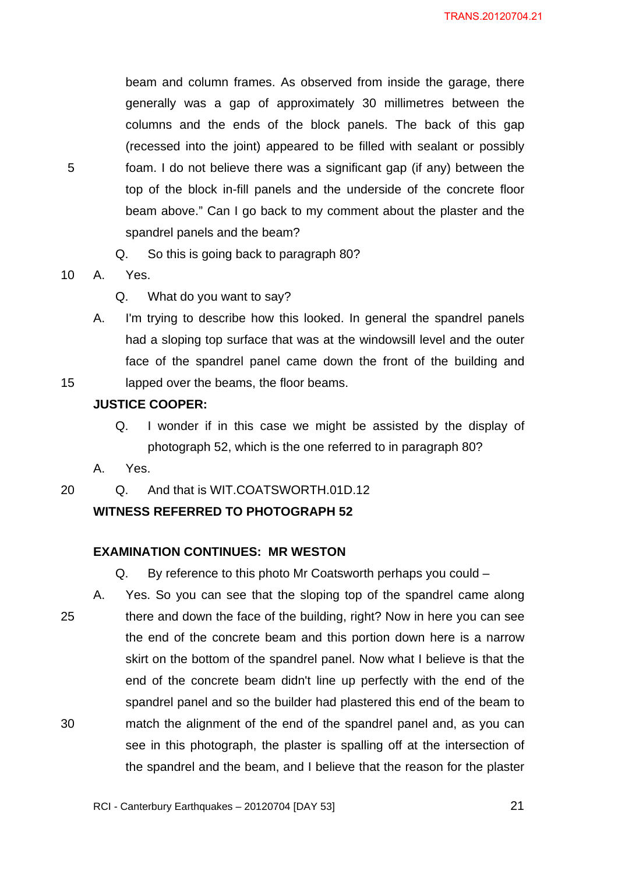beam and column frames. As observed from inside the garage, there generally was a gap of approximately 30 millimetres between the columns and the ends of the block panels. The back of this gap (recessed into the joint) appeared to be filled with sealant or possibly foam. I do not believe there was a significant gap (if any) between the top of the block in-fill panels and the underside of the concrete floor beam above." Can I go back to my comment about the plaster and the spandrel panels and the beam?

Q. So this is going back to paragraph 80?

10 A. Yes.

Q. What do you want to say?

A. I'm trying to describe how this looked. In general the spandrel panels had a sloping top surface that was at the windowsill level and the outer face of the spandrel panel came down the front of the building and lapped over the beams, the floor beams.

#### 15

5

#### **JUSTICE COOPER:**

Q. I wonder if in this case we might be assisted by the display of photograph 52, which is the one referred to in paragraph 80?

A. Yes.

20 Q. And that is WIT.COATSWORTH.01D.12

#### **WITNESS REFERRED TO PHOTOGRAPH 52**

#### **EXAMINATION CONTINUES: MR WESTON**

Q. By reference to this photo Mr Coatsworth perhaps you could –

25 30 A. Yes. So you can see that the sloping top of the spandrel came along there and down the face of the building, right? Now in here you can see the end of the concrete beam and this portion down here is a narrow skirt on the bottom of the spandrel panel. Now what I believe is that the end of the concrete beam didn't line up perfectly with the end of the spandrel panel and so the builder had plastered this end of the beam to match the alignment of the end of the spandrel panel and, as you can see in this photograph, the plaster is spalling off at the intersection of the spandrel and the beam, and I believe that the reason for the plaster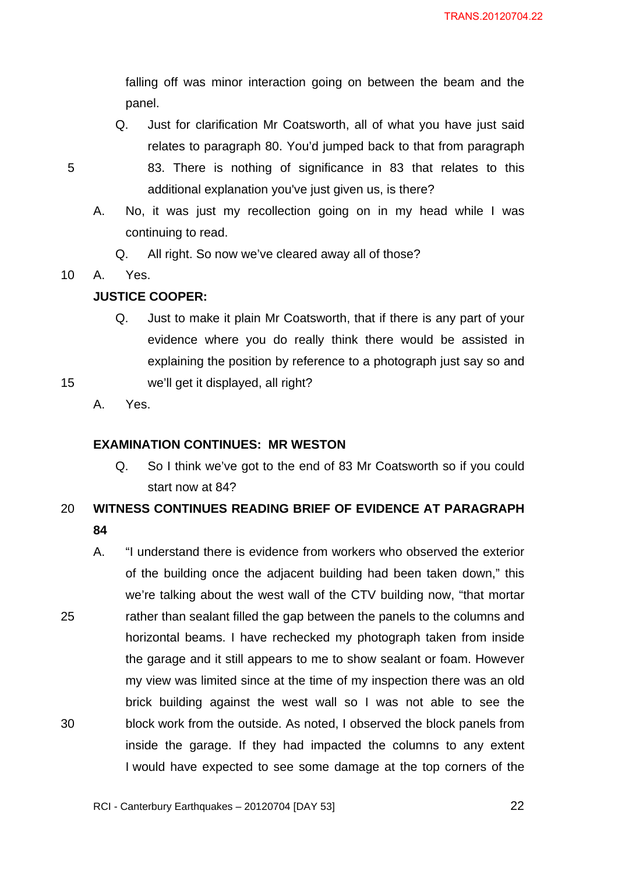falling off was minor interaction going on between the beam and the panel.

- Q. Just for clarification Mr Coatsworth, all of what you have just said relates to paragraph 80. You'd jumped back to that from paragraph 83. There is nothing of significance in 83 that relates to this additional explanation you've just given us, is there?
- A. No, it was just my recollection going on in my head while I was continuing to read.
	- Q. All right. So now we've cleared away all of those?

10 A. Yes.

### **JUSTICE COOPER:**

Q. Just to make it plain Mr Coatsworth, that if there is any part of your evidence where you do really think there would be assisted in explaining the position by reference to a photograph just say so and we'll get it displayed, all right?

15

5

A. Yes.

#### **EXAMINATION CONTINUES: MR WESTON**

Q. So I think we've got to the end of 83 Mr Coatsworth so if you could start now at 84?

#### 20 **WITNESS CONTINUES READING BRIEF OF EVIDENCE AT PARAGRAPH 84**

25 30 A. "I understand there is evidence from workers who observed the exterior of the building once the adjacent building had been taken down," this we're talking about the west wall of the CTV building now, "that mortar rather than sealant filled the gap between the panels to the columns and horizontal beams. I have rechecked my photograph taken from inside the garage and it still appears to me to show sealant or foam. However my view was limited since at the time of my inspection there was an old brick building against the west wall so I was not able to see the block work from the outside. As noted, I observed the block panels from inside the garage. If they had impacted the columns to any extent I would have expected to see some damage at the top corners of the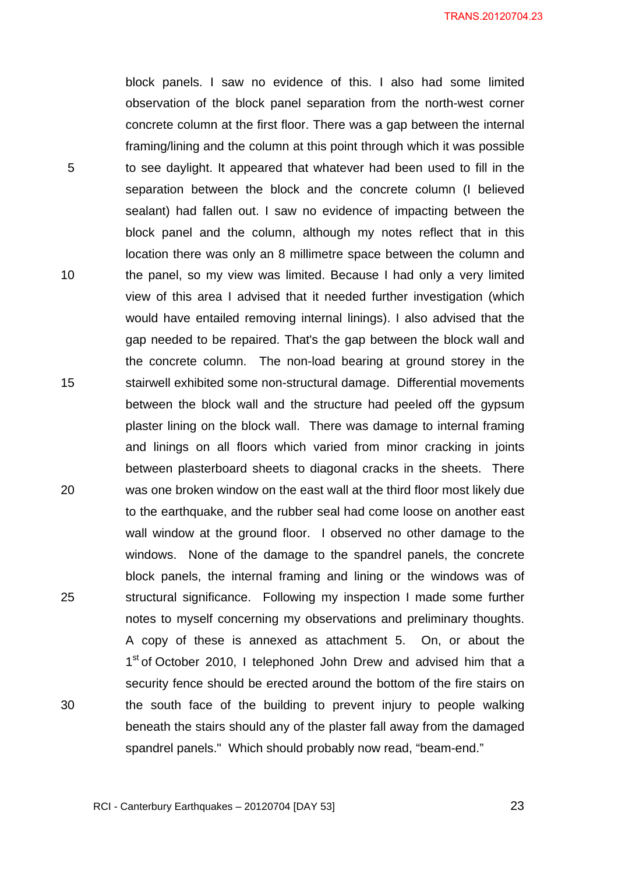block panels. I saw no evidence of this. I also had some limited observation of the block panel separation from the north-west corner concrete column at the first floor. There was a gap between the internal framing/lining and the column at this point through which it was possible to see daylight. It appeared that whatever had been used to fill in the separation between the block and the concrete column (I believed sealant) had fallen out. I saw no evidence of impacting between the block panel and the column, although my notes reflect that in this location there was only an 8 millimetre space between the column and the panel, so my view was limited. Because I had only a very limited view of this area I advised that it needed further investigation (which would have entailed removing internal linings). I also advised that the gap needed to be repaired. That's the gap between the block wall and the concrete column. The non-load bearing at ground storey in the stairwell exhibited some non-structural damage. Differential movements between the block wall and the structure had peeled off the gypsum plaster lining on the block wall. There was damage to internal framing and linings on all floors which varied from minor cracking in joints between plasterboard sheets to diagonal cracks in the sheets. There was one broken window on the east wall at the third floor most likely due to the earthquake, and the rubber seal had come loose on another east wall window at the ground floor. I observed no other damage to the windows. None of the damage to the spandrel panels, the concrete block panels, the internal framing and lining or the windows was of structural significance. Following my inspection I made some further notes to myself concerning my observations and preliminary thoughts. A copy of these is annexed as attachment 5. On, or about the 1<sup>st</sup> of October 2010, I telephoned John Drew and advised him that a security fence should be erected around the bottom of the fire stairs on the south face of the building to prevent injury to people walking beneath the stairs should any of the plaster fall away from the damaged spandrel panels." Which should probably now read, "beam-end."

5

10

15

20

25

30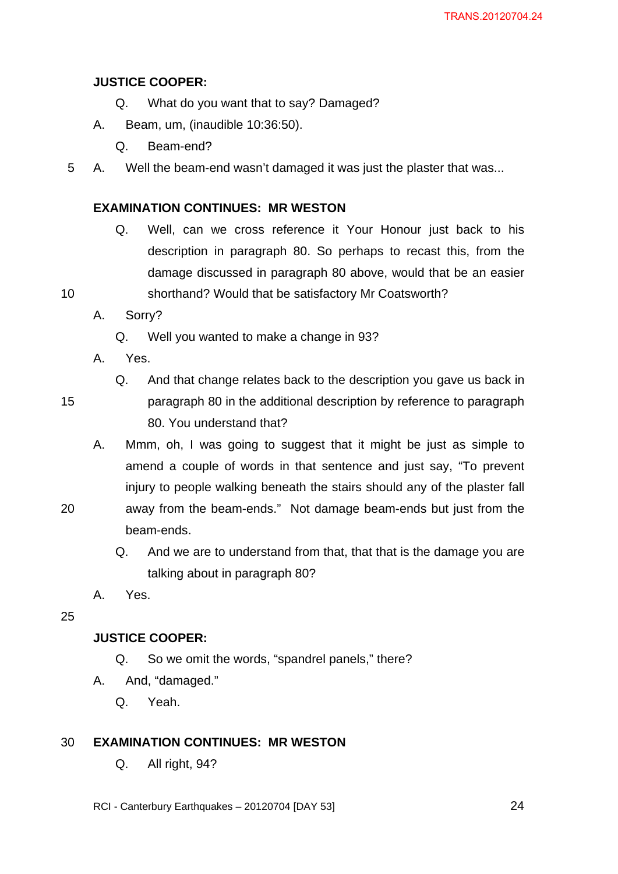### **JUSTICE COOPER:**

- Q. What do you want that to say? Damaged?
- A. Beam, um, (inaudible 10:36:50).
	- Q. Beam-end?
- 5 A. Well the beam-end wasn't damaged it was just the plaster that was...

#### **EXAMINATION CONTINUES: MR WESTON**

- Q. Well, can we cross reference it Your Honour just back to his description in paragraph 80. So perhaps to recast this, from the damage discussed in paragraph 80 above, would that be an easier
- 10 shorthand? Would that be satisfactory Mr Coatsworth?

### A. Sorry?

- Q. Well you wanted to make a change in 93?
- A. Yes.

15

- Q. And that change relates back to the description you gave us back in paragraph 80 in the additional description by reference to paragraph 80. You understand that?
- A. Mmm, oh, I was going to suggest that it might be just as simple to amend a couple of words in that sentence and just say, "To prevent injury to people walking beneath the stairs should any of the plaster fall away from the beam-ends." Not damage beam-ends but just from the
- 20
- beam-ends.
- Q. And we are to understand from that, that that is the damage you are talking about in paragraph 80?
- A. Yes.

25

#### **JUSTICE COOPER:**

- Q. So we omit the words, "spandrel panels," there?
- A. And, "damaged."
	- Q. Yeah.

#### 30 **EXAMINATION CONTINUES: MR WESTON**

- Q. All right, 94?
- RCI Canterbury Earthquakes 20120704 [DAY 53]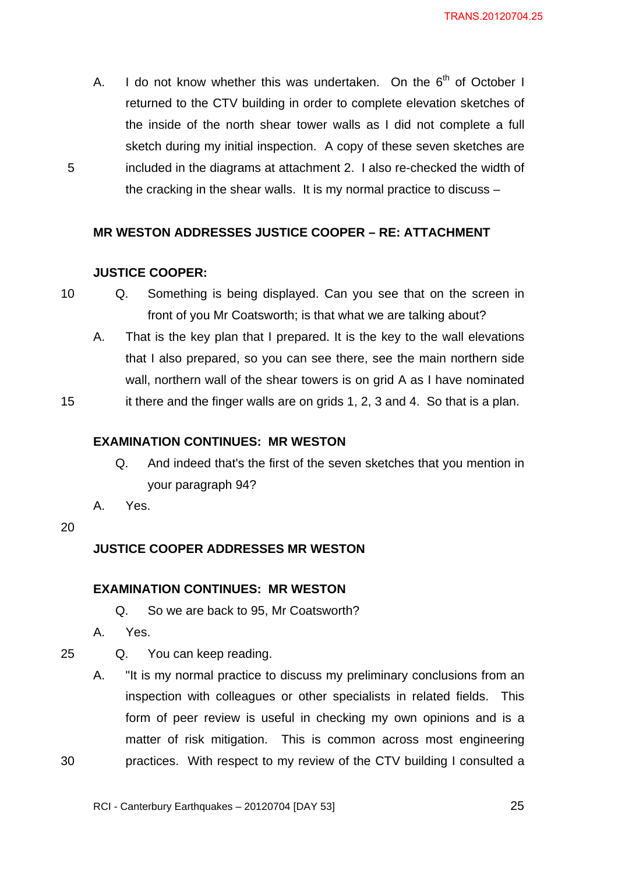A. I do not know whether this was undertaken. On the  $6<sup>th</sup>$  of October I returned to the CTV building in order to complete elevation sketches of the inside of the north shear tower walls as I did not complete a full sketch during my initial inspection. A copy of these seven sketches are included in the diagrams at attachment 2. I also re-checked the width of the cracking in the shear walls. It is my normal practice to discuss –

#### **MR WESTON ADDRESSES JUSTICE COOPER – RE: ATTACHMENT**

#### **JUSTICE COOPER:**

- 10 Q. Something is being displayed. Can you see that on the screen in front of you Mr Coatsworth; is that what we are talking about?
	- A. That is the key plan that I prepared. It is the key to the wall elevations that I also prepared, so you can see there, see the main northern side wall, northern wall of the shear towers is on grid A as I have nominated

15

5

#### **EXAMINATION CONTINUES: MR WESTON**

Q. And indeed that's the first of the seven sketches that you mention in your paragraph 94?

it there and the finger walls are on grids 1, 2, 3 and 4. So that is a plan.

- A. Yes.
- 20

#### **JUSTICE COOPER ADDRESSES MR WESTON**

#### **EXAMINATION CONTINUES: MR WESTON**

- Q. So we are back to 95, Mr Coatsworth?
- A. Yes.

25

30

- Q. You can keep reading.
- A. "It is my normal practice to discuss my preliminary conclusions from an inspection with colleagues or other specialists in related fields. This form of peer review is useful in checking my own opinions and is a matter of risk mitigation. This is common across most engineering practices. With respect to my review of the CTV building I consulted a

RCI - Canterbury Earthquakes – 20120704 [DAY 53]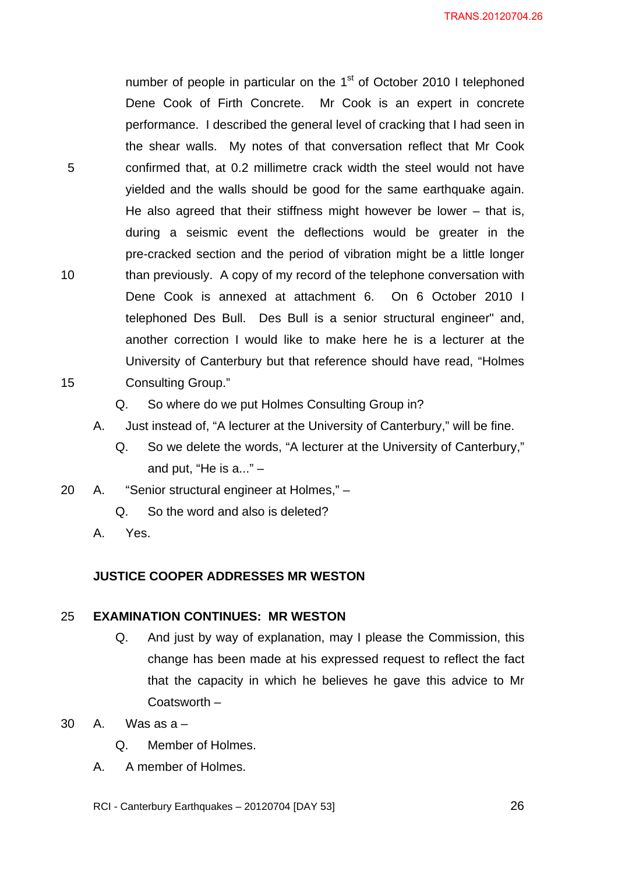number of people in particular on the  $1<sup>st</sup>$  of October 2010 I telephoned Dene Cook of Firth Concrete. Mr Cook is an expert in concrete performance. I described the general level of cracking that I had seen in the shear walls. My notes of that conversation reflect that Mr Cook confirmed that, at 0.2 millimetre crack width the steel would not have yielded and the walls should be good for the same earthquake again. He also agreed that their stiffness might however be lower  $-$  that is, during a seismic event the deflections would be greater in the pre-cracked section and the period of vibration might be a little longer than previously. A copy of my record of the telephone conversation with Dene Cook is annexed at attachment 6. On 6 October 2010 I telephoned Des Bull. Des Bull is a senior structural engineer" and, another correction I would like to make here he is a lecturer at the University of Canterbury but that reference should have read, "Holmes Consulting Group."

- Q. So where do we put Holmes Consulting Group in?
- A. Just instead of, "A lecturer at the University of Canterbury," will be fine.
	- Q. So we delete the words, "A lecturer at the University of Canterbury," and put, "He is  $a...$ "  $-$
- 20 A. "Senior structural engineer at Holmes,"
	- Q. So the word and also is deleted?
	- A. Yes.

5

10

15

#### **JUSTICE COOPER ADDRESSES MR WESTON**

#### 25 **EXAMINATION CONTINUES: MR WESTON**

- Q. And just by way of explanation, may I please the Commission, this change has been made at his expressed request to reflect the fact that the capacity in which he believes he gave this advice to Mr Coatsworth –
- $30 \quad A \quad Was as a -$ 
	- Q. Member of Holmes.
	- A. A member of Holmes.
	- RCI Canterbury Earthquakes 20120704 [DAY 53]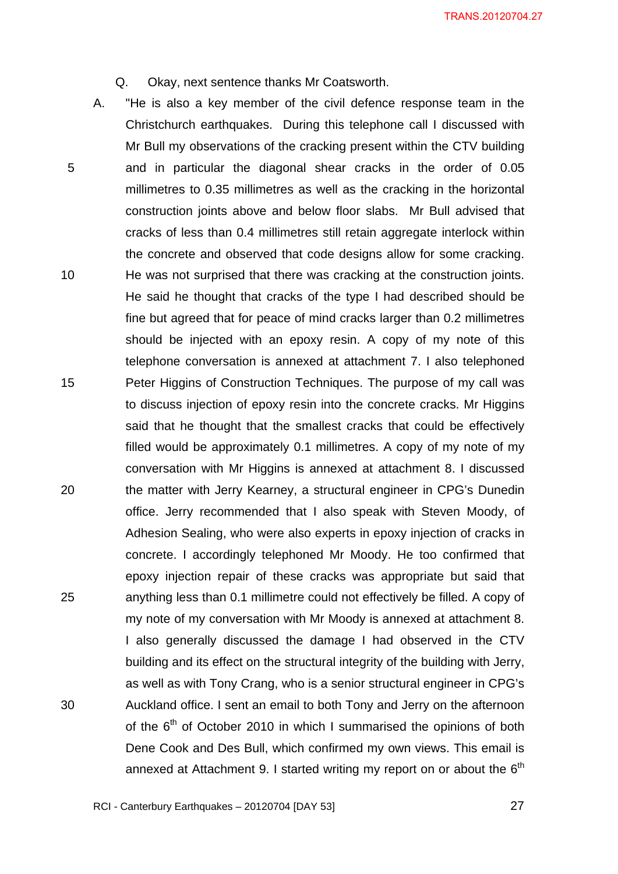- Q. Okay, next sentence thanks Mr Coatsworth.
- 5 10 15 20 25 30 A. "He is also a key member of the civil defence response team in the Christchurch earthquakes. During this telephone call I discussed with Mr Bull my observations of the cracking present within the CTV building and in particular the diagonal shear cracks in the order of 0.05 millimetres to 0.35 millimetres as well as the cracking in the horizontal construction joints above and below floor slabs. Mr Bull advised that cracks of less than 0.4 millimetres still retain aggregate interlock within the concrete and observed that code designs allow for some cracking. He was not surprised that there was cracking at the construction joints. He said he thought that cracks of the type I had described should be fine but agreed that for peace of mind cracks larger than 0.2 millimetres should be injected with an epoxy resin. A copy of my note of this telephone conversation is annexed at attachment 7. I also telephoned Peter Higgins of Construction Techniques. The purpose of my call was to discuss injection of epoxy resin into the concrete cracks. Mr Higgins said that he thought that the smallest cracks that could be effectively filled would be approximately 0.1 millimetres. A copy of my note of my conversation with Mr Higgins is annexed at attachment 8. I discussed the matter with Jerry Kearney, a structural engineer in CPG's Dunedin office. Jerry recommended that I also speak with Steven Moody, of Adhesion Sealing, who were also experts in epoxy injection of cracks in concrete. I accordingly telephoned Mr Moody. He too confirmed that epoxy injection repair of these cracks was appropriate but said that anything less than 0.1 millimetre could not effectively be filled. A copy of my note of my conversation with Mr Moody is annexed at attachment 8. I also generally discussed the damage I had observed in the CTV building and its effect on the structural integrity of the building with Jerry, as well as with Tony Crang, who is a senior structural engineer in CPG's Auckland office. I sent an email to both Tony and Jerry on the afternoon of the  $6<sup>th</sup>$  of October 2010 in which I summarised the opinions of both Dene Cook and Des Bull, which confirmed my own views. This email is annexed at Attachment 9. I started writing my report on or about the  $6<sup>th</sup>$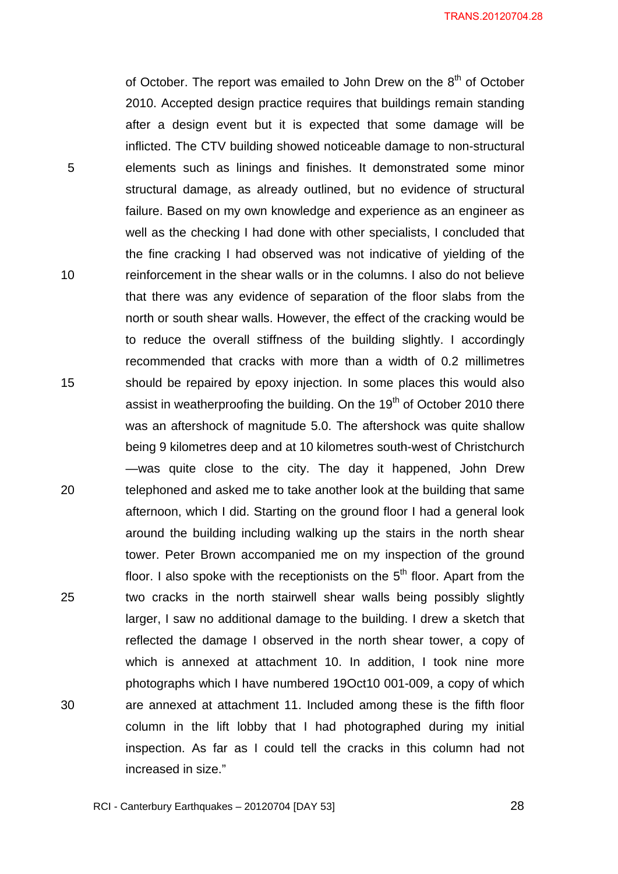of October. The report was emailed to John Drew on the  $8<sup>th</sup>$  of October 2010. Accepted design practice requires that buildings remain standing after a design event but it is expected that some damage will be inflicted. The CTV building showed noticeable damage to non-structural elements such as linings and finishes. It demonstrated some minor structural damage, as already outlined, but no evidence of structural failure. Based on my own knowledge and experience as an engineer as well as the checking I had done with other specialists, I concluded that the fine cracking I had observed was not indicative of yielding of the reinforcement in the shear walls or in the columns. I also do not believe that there was any evidence of separation of the floor slabs from the north or south shear walls. However, the effect of the cracking would be to reduce the overall stiffness of the building slightly. I accordingly recommended that cracks with more than a width of 0.2 millimetres should be repaired by epoxy injection. In some places this would also assist in weatherproofing the building. On the  $19<sup>th</sup>$  of October 2010 there was an aftershock of magnitude 5.0. The aftershock was quite shallow being 9 kilometres deep and at 10 kilometres south-west of Christchurch —was quite close to the city. The day it happened, John Drew telephoned and asked me to take another look at the building that same afternoon, which I did. Starting on the ground floor I had a general look around the building including walking up the stairs in the north shear tower. Peter Brown accompanied me on my inspection of the ground floor. I also spoke with the receptionists on the  $5<sup>th</sup>$  floor. Apart from the two cracks in the north stairwell shear walls being possibly slightly larger, I saw no additional damage to the building. I drew a sketch that reflected the damage I observed in the north shear tower, a copy of which is annexed at attachment 10. In addition, I took nine more photographs which I have numbered 19Oct10 001-009, a copy of which are annexed at attachment 11. Included among these is the fifth floor column in the lift lobby that I had photographed during my initial inspection. As far as I could tell the cracks in this column had not increased in size."

5

10

15

20

25

30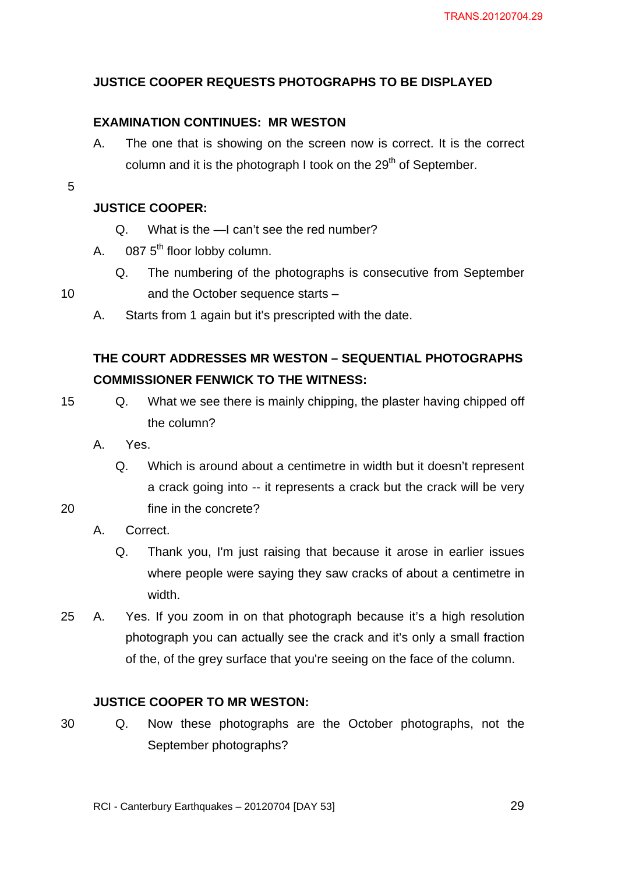### **JUSTICE COOPER REQUESTS PHOTOGRAPHS TO BE DISPLAYED**

### **EXAMINATION CONTINUES: MR WESTON**

- A. The one that is showing on the screen now is correct. It is the correct column and it is the photograph I took on the  $29<sup>th</sup>$  of September.
- 5

### **JUSTICE COOPER:**

- Q. What is the —I can't see the red number?
- A.  $0875<sup>th</sup>$  floor lobby column.
	- Q. The numbering of the photographs is consecutive from September and the October sequence starts –
- A. Starts from 1 again but it's prescripted with the date.

## **THE COURT ADDRESSES MR WESTON – SEQUENTIAL PHOTOGRAPHS COMMISSIONER FENWICK TO THE WITNESS:**

15

20

10

- Q. What we see there is mainly chipping, the plaster having chipped off the column?
- A. Yes.
	- Q. Which is around about a centimetre in width but it doesn't represent a crack going into -- it represents a crack but the crack will be very fine in the concrete?
- A. Correct.
	- Q. Thank you, I'm just raising that because it arose in earlier issues where people were saying they saw cracks of about a centimetre in width.
- 25 A. Yes. If you zoom in on that photograph because it's a high resolution photograph you can actually see the crack and it's only a small fraction of the, of the grey surface that you're seeing on the face of the column.

#### **JUSTICE COOPER TO MR WESTON:**

30

Q. Now these photographs are the October photographs, not the September photographs?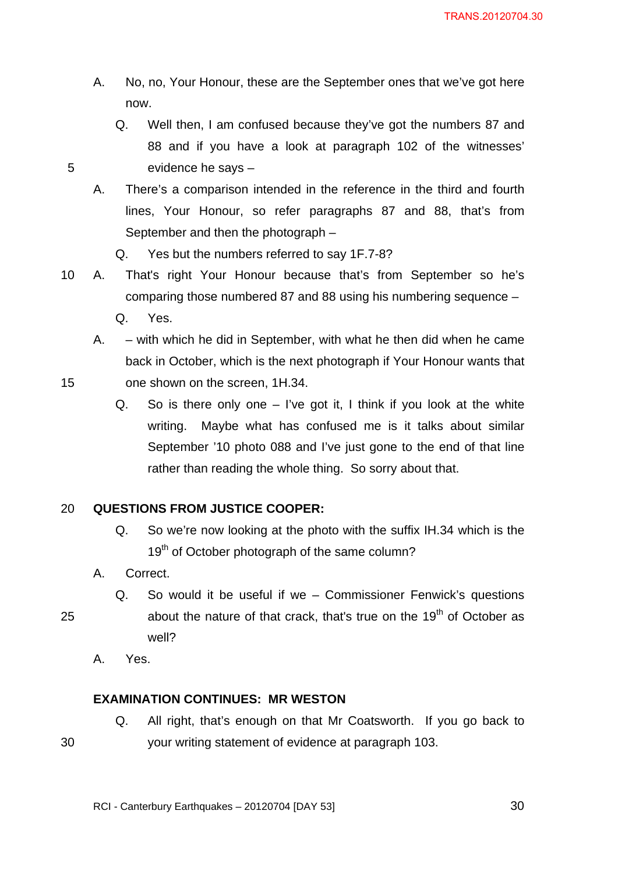- A. No, no, Your Honour, these are the September ones that we've got here now.
	- Q. Well then, I am confused because they've got the numbers 87 and 88 and if you have a look at paragraph 102 of the witnesses' evidence he says –
- A. There's a comparison intended in the reference in the third and fourth lines, Your Honour, so refer paragraphs 87 and 88, that's from September and then the photograph –
	- Q. Yes but the numbers referred to say 1F.7-8?
- 10 A. That's right Your Honour because that's from September so he's comparing those numbered 87 and 88 using his numbering sequence –
	- Q. Yes.
	- A. with which he did in September, with what he then did when he came back in October, which is the next photograph if Your Honour wants that one shown on the screen, 1H.34.
		- Q. So is there only one  $-$  I've got it, I think if you look at the white writing. Maybe what has confused me is it talks about similar September '10 photo 088 and I've just gone to the end of that line rather than reading the whole thing. So sorry about that.

#### 20 **QUESTIONS FROM JUSTICE COOPER:**

- Q. So we're now looking at the photo with the suffix IH.34 which is the 19<sup>th</sup> of October photograph of the same column?
- A. Correct.
	- Q. So would it be useful if we Commissioner Fenwick's questions about the nature of that crack, that's true on the  $19<sup>th</sup>$  of October as well?
- A. Yes.

#### **EXAMINATION CONTINUES: MR WESTON**

Q. All right, that's enough on that Mr Coatsworth. If you go back to your writing statement of evidence at paragraph 103.

15

25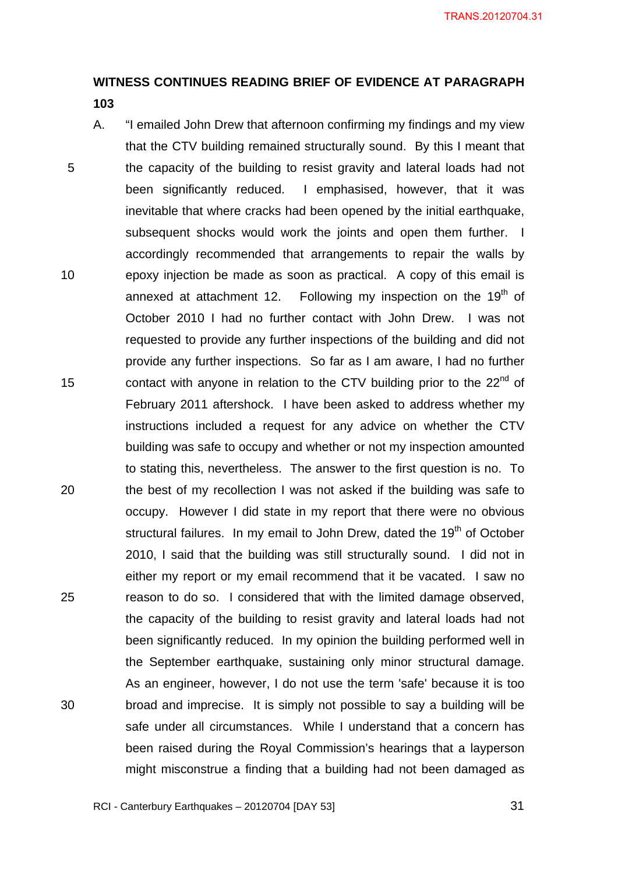# **WITNESS CONTINUES READING BRIEF OF EVIDENCE AT PARAGRAPH**

- **103**
- 5 10 15 20 25 30 A. "I emailed John Drew that afternoon confirming my findings and my view that the CTV building remained structurally sound. By this I meant that the capacity of the building to resist gravity and lateral loads had not been significantly reduced. I emphasised, however, that it was inevitable that where cracks had been opened by the initial earthquake, subsequent shocks would work the joints and open them further. I accordingly recommended that arrangements to repair the walls by epoxy injection be made as soon as practical. A copy of this email is annexed at attachment 12. Following my inspection on the  $19<sup>th</sup>$  of October 2010 I had no further contact with John Drew. I was not requested to provide any further inspections of the building and did not provide any further inspections. So far as I am aware, I had no further contact with anyone in relation to the CTV building prior to the  $22<sup>nd</sup>$  of February 2011 aftershock. I have been asked to address whether my instructions included a request for any advice on whether the CTV building was safe to occupy and whether or not my inspection amounted to stating this, nevertheless. The answer to the first question is no. To the best of my recollection I was not asked if the building was safe to occupy. However I did state in my report that there were no obvious structural failures. In my email to John Drew, dated the 19<sup>th</sup> of October 2010, I said that the building was still structurally sound. I did not in either my report or my email recommend that it be vacated. I saw no reason to do so. I considered that with the limited damage observed, the capacity of the building to resist gravity and lateral loads had not been significantly reduced. In my opinion the building performed well in the September earthquake, sustaining only minor structural damage. As an engineer, however, I do not use the term 'safe' because it is too broad and imprecise. It is simply not possible to say a building will be safe under all circumstances. While I understand that a concern has been raised during the Royal Commission's hearings that a layperson might misconstrue a finding that a building had not been damaged as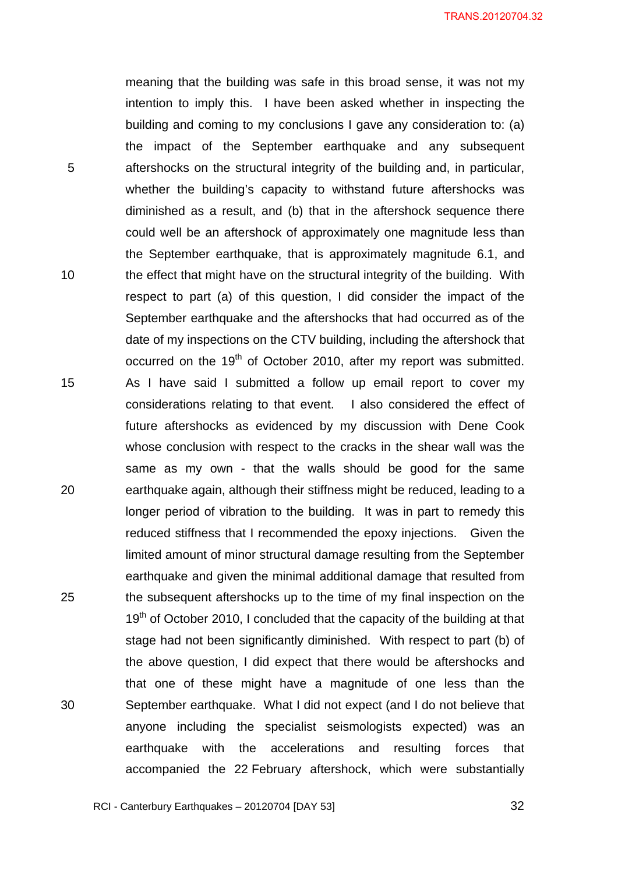meaning that the building was safe in this broad sense, it was not my intention to imply this. I have been asked whether in inspecting the building and coming to my conclusions I gave any consideration to: (a) the impact of the September earthquake and any subsequent aftershocks on the structural integrity of the building and, in particular, whether the building's capacity to withstand future aftershocks was diminished as a result, and (b) that in the aftershock sequence there could well be an aftershock of approximately one magnitude less than the September earthquake, that is approximately magnitude 6.1, and the effect that might have on the structural integrity of the building. With respect to part (a) of this question, I did consider the impact of the September earthquake and the aftershocks that had occurred as of the date of my inspections on the CTV building, including the aftershock that occurred on the 19<sup>th</sup> of October 2010, after my report was submitted. As I have said I submitted a follow up email report to cover my considerations relating to that event. I also considered the effect of future aftershocks as evidenced by my discussion with Dene Cook whose conclusion with respect to the cracks in the shear wall was the same as my own - that the walls should be good for the same earthquake again, although their stiffness might be reduced, leading to a longer period of vibration to the building. It was in part to remedy this reduced stiffness that I recommended the epoxy injections. Given the limited amount of minor structural damage resulting from the September earthquake and given the minimal additional damage that resulted from the subsequent aftershocks up to the time of my final inspection on the  $19<sup>th</sup>$  of October 2010, I concluded that the capacity of the building at that stage had not been significantly diminished. With respect to part (b) of the above question, I did expect that there would be aftershocks and that one of these might have a magnitude of one less than the September earthquake. What I did not expect (and I do not believe that anyone including the specialist seismologists expected) was an earthquake with the accelerations and resulting forces that accompanied the 22 February aftershock, which were substantially

RCI - Canterbury Earthquakes – 20120704 [DAY 53]

5

10

15

20

25

30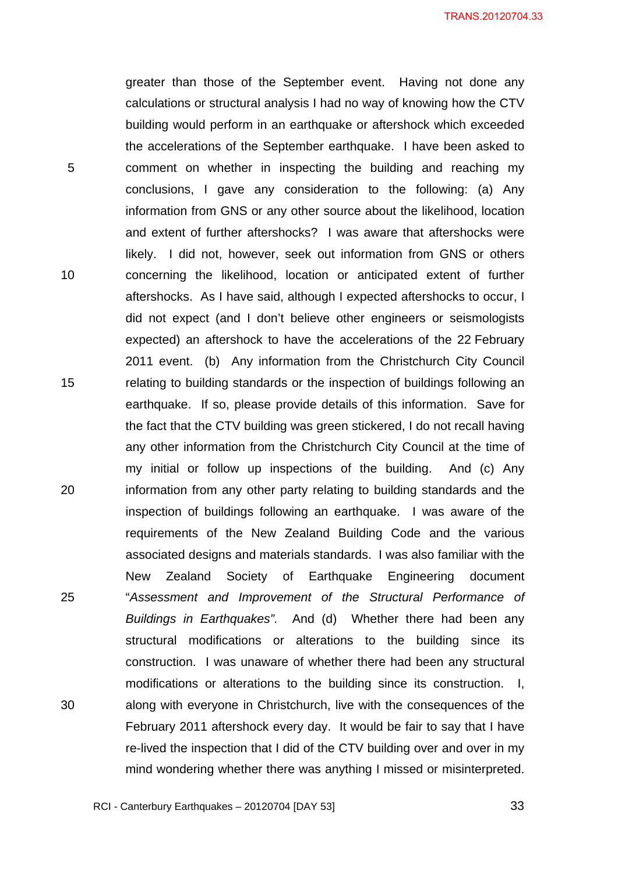greater than those of the September event. Having not done any calculations or structural analysis I had no way of knowing how the CTV building would perform in an earthquake or aftershock which exceeded the accelerations of the September earthquake. I have been asked to comment on whether in inspecting the building and reaching my conclusions, I gave any consideration to the following: (a) Any information from GNS or any other source about the likelihood, location and extent of further aftershocks? I was aware that aftershocks were likely. I did not, however, seek out information from GNS or others concerning the likelihood, location or anticipated extent of further aftershocks. As I have said, although I expected aftershocks to occur, I did not expect (and I don't believe other engineers or seismologists expected) an aftershock to have the accelerations of the 22 February 2011 event. (b) Any information from the Christchurch City Council relating to building standards or the inspection of buildings following an earthquake. If so, please provide details of this information. Save for the fact that the CTV building was green stickered, I do not recall having any other information from the Christchurch City Council at the time of my initial or follow up inspections of the building. And (c) Any information from any other party relating to building standards and the inspection of buildings following an earthquake. I was aware of the requirements of the New Zealand Building Code and the various associated designs and materials standards. I was also familiar with the New Zealand Society of Earthquake Engineering document "*Assessment and Improvement of the Structural Performance of Buildings in Earthquakes".* And (d) Whether there had been any structural modifications or alterations to the building since its construction. I was unaware of whether there had been any structural modifications or alterations to the building since its construction. I, along with everyone in Christchurch, live with the consequences of the February 2011 aftershock every day. It would be fair to say that I have re-lived the inspection that I did of the CTV building over and over in my mind wondering whether there was anything I missed or misinterpreted.

RCI - Canterbury Earthquakes – 20120704 [DAY 53]

5

10

15

20

25

30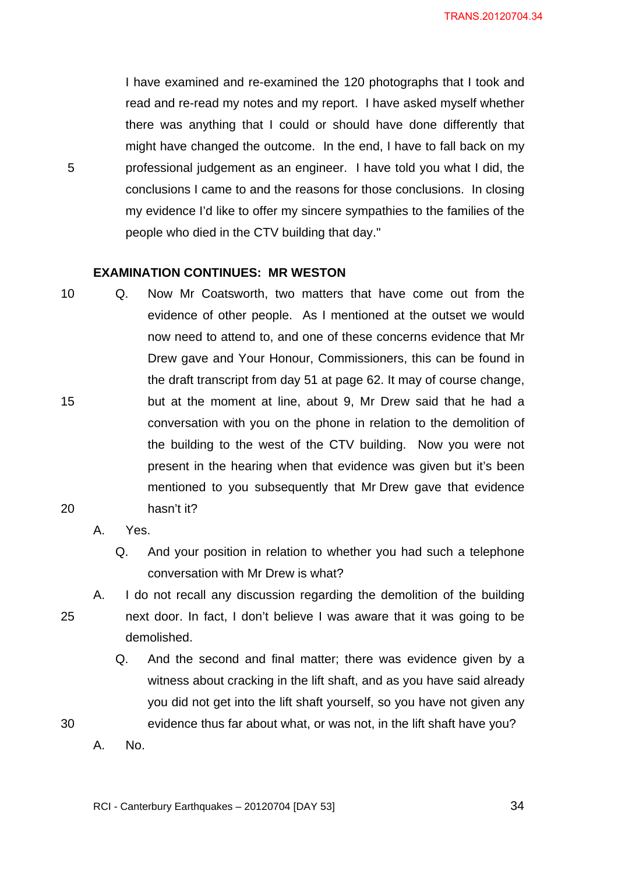I have examined and re-examined the 120 photographs that I took and read and re-read my notes and my report. I have asked myself whether there was anything that I could or should have done differently that might have changed the outcome. In the end, I have to fall back on my professional judgement as an engineer. I have told you what I did, the conclusions I came to and the reasons for those conclusions. In closing my evidence I'd like to offer my sincere sympathies to the families of the people who died in the CTV building that day."

#### **EXAMINATION CONTINUES: MR WESTON**

- 10 15 20 Q. Now Mr Coatsworth, two matters that have come out from the evidence of other people. As I mentioned at the outset we would now need to attend to, and one of these concerns evidence that Mr Drew gave and Your Honour, Commissioners, this can be found in the draft transcript from day 51 at page 62. It may of course change, but at the moment at line, about 9, Mr Drew said that he had a conversation with you on the phone in relation to the demolition of the building to the west of the CTV building. Now you were not present in the hearing when that evidence was given but it's been mentioned to you subsequently that Mr Drew gave that evidence hasn't it?
	- A. Yes.

25

30

5

- Q. And your position in relation to whether you had such a telephone conversation with Mr Drew is what?
- A. I do not recall any discussion regarding the demolition of the building next door. In fact, I don't believe I was aware that it was going to be demolished.
	- Q. And the second and final matter; there was evidence given by a witness about cracking in the lift shaft, and as you have said already you did not get into the lift shaft yourself, so you have not given any evidence thus far about what, or was not, in the lift shaft have you?
	- A. No.

<u>34</u>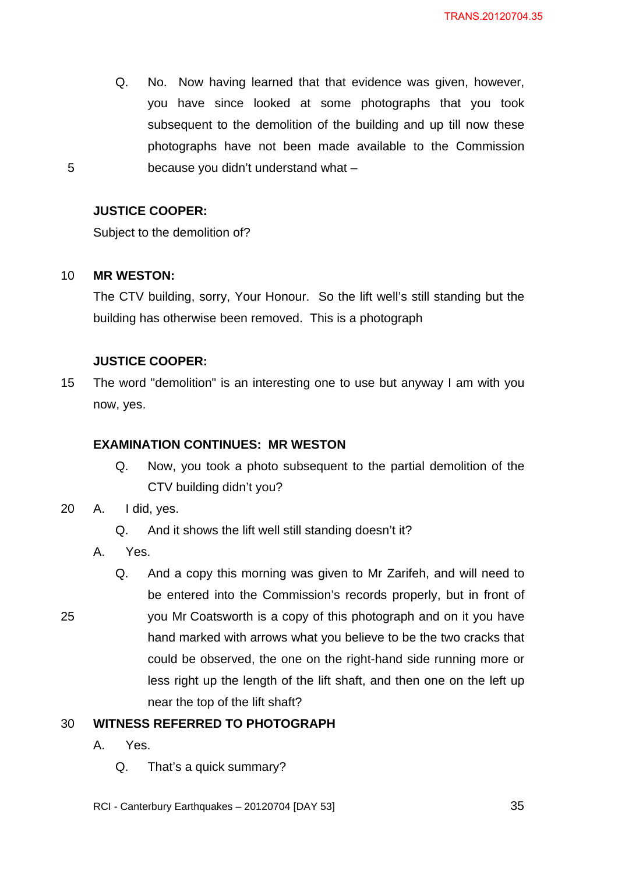Q. No. Now having learned that that evidence was given, however, you have since looked at some photographs that you took subsequent to the demolition of the building and up till now these photographs have not been made available to the Commission because you didn't understand what –

#### **JUSTICE COOPER:**

Subject to the demolition of?

#### 10 **MR WESTON:**

5

The CTV building, sorry, Your Honour. So the lift well's still standing but the building has otherwise been removed. This is a photograph

#### **JUSTICE COOPER:**

15 The word "demolition" is an interesting one to use but anyway I am with you now, yes.

#### **EXAMINATION CONTINUES: MR WESTON**

- Q. Now, you took a photo subsequent to the partial demolition of the CTV building didn't you?
- 20 A. I did, yes.
	- Q. And it shows the lift well still standing doesn't it?
	- A. Yes.

25

Q. And a copy this morning was given to Mr Zarifeh, and will need to be entered into the Commission's records properly, but in front of you Mr Coatsworth is a copy of this photograph and on it you have hand marked with arrows what you believe to be the two cracks that could be observed, the one on the right-hand side running more or less right up the length of the lift shaft, and then one on the left up near the top of the lift shaft?

#### 30 **WITNESS REFERRED TO PHOTOGRAPH**

- A. Yes.
	- Q. That's a quick summary?
- RCI Canterbury Earthquakes 20120704 [DAY 53]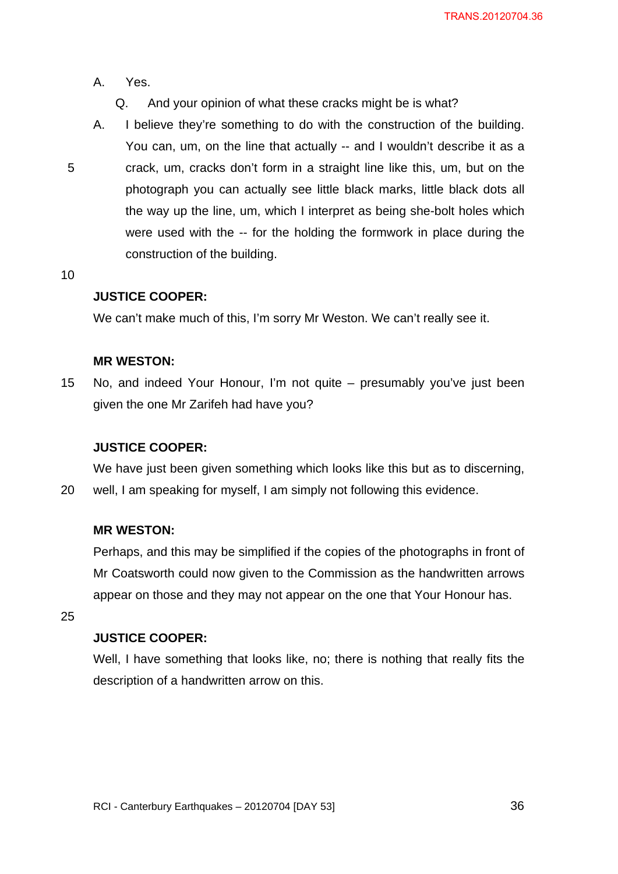- A. Yes.
	- Q. And your opinion of what these cracks might be is what?
- A. I believe they're something to do with the construction of the building. You can, um, on the line that actually -- and I wouldn't describe it as a crack, um, cracks don't form in a straight line like this, um, but on the photograph you can actually see little black marks, little black dots all the way up the line, um, which I interpret as being she-bolt holes which were used with the -- for the holding the formwork in place during the construction of the building.
- 10

5

#### **JUSTICE COOPER:**

We can't make much of this, I'm sorry Mr Weston. We can't really see it.

#### **MR WESTON:**

15 No, and indeed Your Honour, I'm not quite – presumably you've just been given the one Mr Zarifeh had have you?

#### **JUSTICE COOPER:**

20 We have just been given something which looks like this but as to discerning, well, I am speaking for myself, I am simply not following this evidence.

#### **MR WESTON:**

Perhaps, and this may be simplified if the copies of the photographs in front of Mr Coatsworth could now given to the Commission as the handwritten arrows appear on those and they may not appear on the one that Your Honour has.

25

#### **JUSTICE COOPER:**

Well, I have something that looks like, no; there is nothing that really fits the description of a handwritten arrow on this.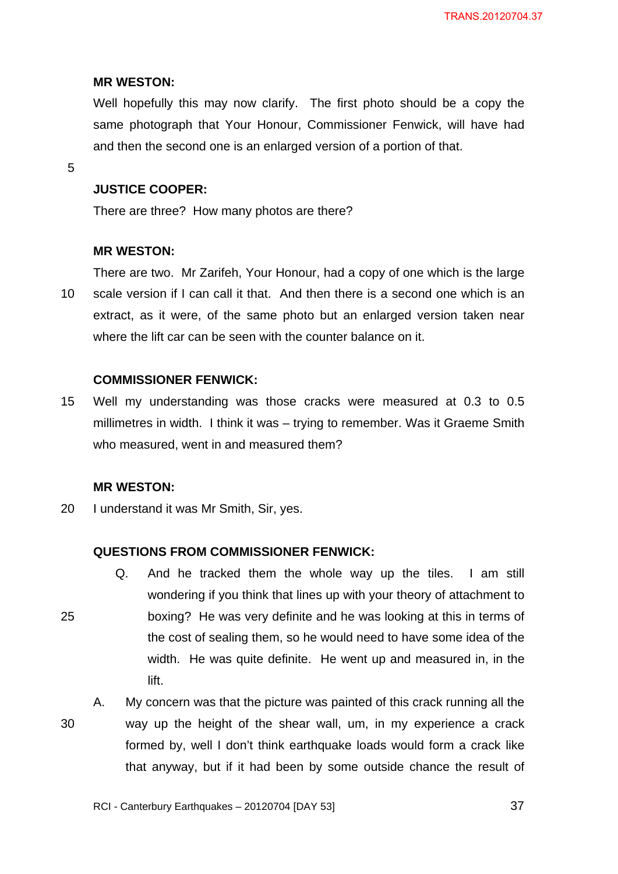#### **MR WESTON:**

Well hopefully this may now clarify. The first photo should be a copy the same photograph that Your Honour, Commissioner Fenwick, will have had and then the second one is an enlarged version of a portion of that.

5

## **JUSTICE COOPER:**

There are three? How many photos are there?

#### **MR WESTON:**

10 There are two. Mr Zarifeh, Your Honour, had a copy of one which is the large scale version if I can call it that. And then there is a second one which is an extract, as it were, of the same photo but an enlarged version taken near where the lift car can be seen with the counter balance on it.

## **COMMISSIONER FENWICK:**

15 Well my understanding was those cracks were measured at 0.3 to 0.5 millimetres in width. I think it was – trying to remember. Was it Graeme Smith who measured, went in and measured them?

## **MR WESTON:**

25

20 I understand it was Mr Smith, Sir, yes.

## **QUESTIONS FROM COMMISSIONER FENWICK:**

- Q. And he tracked them the whole way up the tiles. I am still wondering if you think that lines up with your theory of attachment to boxing? He was very definite and he was looking at this in terms of the cost of sealing them, so he would need to have some idea of the width. He was quite definite. He went up and measured in, in the lift.
- 30 A. My concern was that the picture was painted of this crack running all the way up the height of the shear wall, um, in my experience a crack formed by, well I don't think earthquake loads would form a crack like that anyway, but if it had been by some outside chance the result of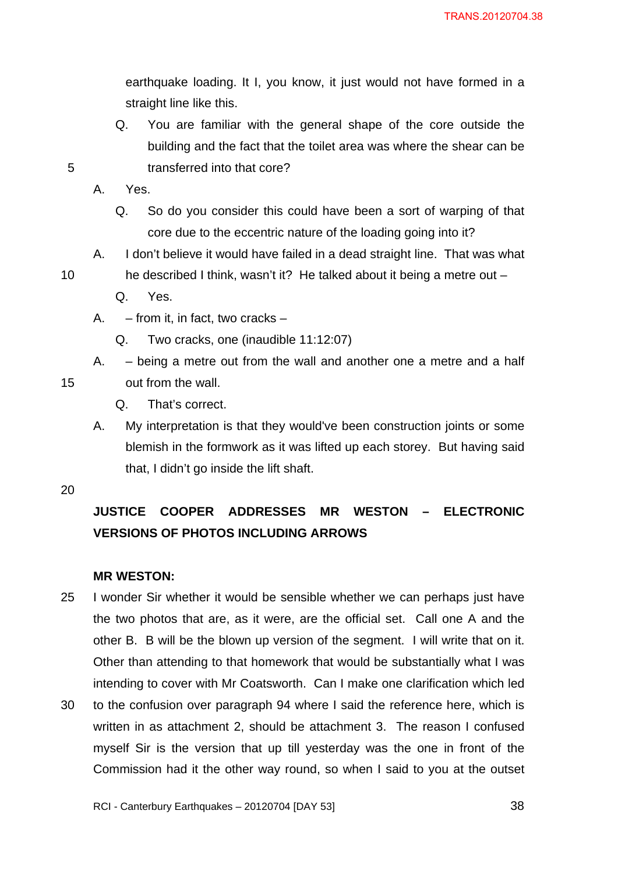earthquake loading. It I, you know, it just would not have formed in a straight line like this.

Q. You are familiar with the general shape of the core outside the building and the fact that the toilet area was where the shear can be transferred into that core?

A. Yes.

5

- Q. So do you consider this could have been a sort of warping of that core due to the eccentric nature of the loading going into it?
- 10 A. I don't believe it would have failed in a dead straight line. That was what he described I think, wasn't it? He talked about it being a metre out –
	- Q. Yes.
	- A. from it, in fact, two cracks
		- Q. Two cracks, one (inaudible 11:12:07)

A. – being a metre out from the wall and another one a metre and a half out from the wall.

- Q. That's correct.
- A. My interpretation is that they would've been construction joints or some blemish in the formwork as it was lifted up each storey. But having said that, I didn't go inside the lift shaft.

20

15

# **JUSTICE COOPER ADDRESSES MR WESTON – ELECTRONIC VERSIONS OF PHOTOS INCLUDING ARROWS**

## **MR WESTON:**

- 25 I wonder Sir whether it would be sensible whether we can perhaps just have the two photos that are, as it were, are the official set. Call one A and the other B. B will be the blown up version of the segment. I will write that on it. Other than attending to that homework that would be substantially what I was intending to cover with Mr Coatsworth. Can I make one clarification which led
- 30 to the confusion over paragraph 94 where I said the reference here, which is written in as attachment 2, should be attachment 3. The reason I confused myself Sir is the version that up till yesterday was the one in front of the Commission had it the other way round, so when I said to you at the outset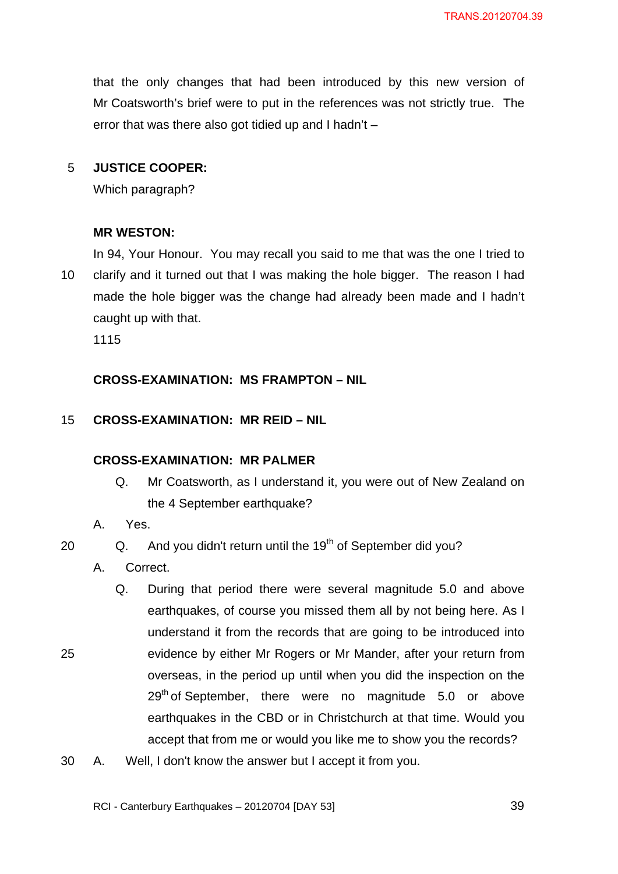that the only changes that had been introduced by this new version of Mr Coatsworth's brief were to put in the references was not strictly true. The error that was there also got tidied up and I hadn't –

#### 5 **JUSTICE COOPER:**

Which paragraph?

#### **MR WESTON:**

10 In 94, Your Honour. You may recall you said to me that was the one I tried to clarify and it turned out that I was making the hole bigger. The reason I had made the hole bigger was the change had already been made and I hadn't caught up with that.

1115

## **CROSS-EXAMINATION: MS FRAMPTON – NIL**

#### 15 **CROSS-EXAMINATION: MR REID – NIL**

## **CROSS-EXAMINATION: MR PALMER**

- Q. Mr Coatsworth, as I understand it, you were out of New Zealand on the 4 September earthquake?
- A. Yes.

25

#### 20 Q. And you didn't return until the 19<sup>th</sup> of September did you?

- A. Correct.
- Q. During that period there were several magnitude 5.0 and above earthquakes, of course you missed them all by not being here. As I understand it from the records that are going to be introduced into evidence by either Mr Rogers or Mr Mander, after your return from overseas, in the period up until when you did the inspection on the  $29<sup>th</sup>$  of September, there were no magnitude 5.0 or above earthquakes in the CBD or in Christchurch at that time. Would you accept that from me or would you like me to show you the records?
- 30 A. Well, I don't know the answer but I accept it from you.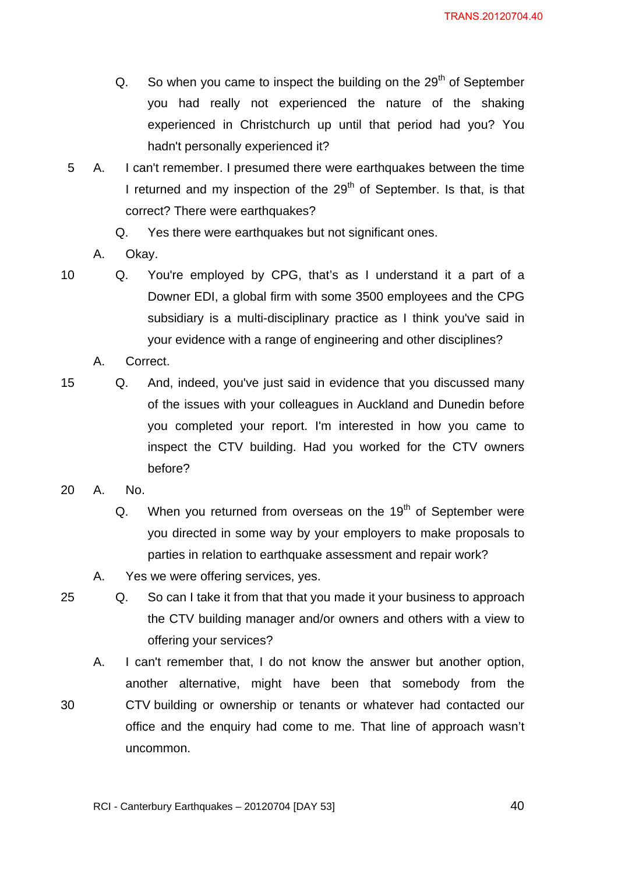- $Q.$  So when you came to inspect the building on the 29<sup>th</sup> of September you had really not experienced the nature of the shaking experienced in Christchurch up until that period had you? You hadn't personally experienced it?
- 5 A. I can't remember. I presumed there were earthquakes between the time I returned and my inspection of the  $29<sup>th</sup>$  of September. Is that, is that correct? There were earthquakes?
	- Q. Yes there were earthquakes but not significant ones.
	- A. Okay.

10 Q. You're employed by CPG, that's as I understand it a part of a Downer EDI, a global firm with some 3500 employees and the CPG subsidiary is a multi-disciplinary practice as I think you've said in your evidence with a range of engineering and other disciplines?

- A. Correct.
- 15 Q. And, indeed, you've just said in evidence that you discussed many of the issues with your colleagues in Auckland and Dunedin before you completed your report. I'm interested in how you came to inspect the CTV building. Had you worked for the CTV owners before?
- 20 A. No.
	- $Q.$  When you returned from overseas on the 19<sup>th</sup> of September were you directed in some way by your employers to make proposals to parties in relation to earthquake assessment and repair work?
	- A. Yes we were offering services, yes.

25 Q. So can I take it from that that you made it your business to approach the CTV building manager and/or owners and others with a view to offering your services?

A. I can't remember that, I do not know the answer but another option, another alternative, might have been that somebody from the

30 CTV building or ownership or tenants or whatever had contacted our office and the enquiry had come to me. That line of approach wasn't uncommon.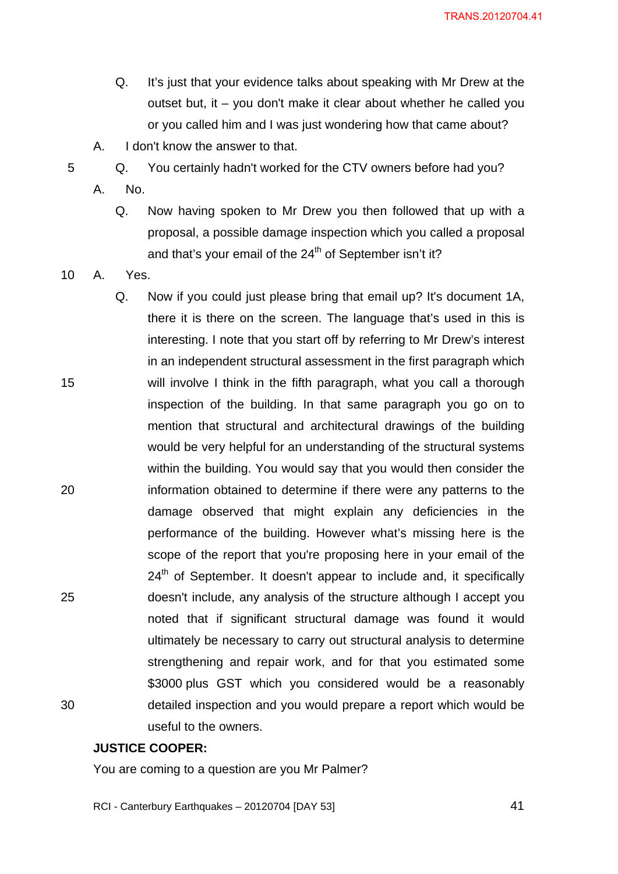TRANS.20120704.41

- Q. It's just that your evidence talks about speaking with Mr Drew at the outset but, it – you don't make it clear about whether he called you or you called him and I was just wondering how that came about?
- A. I don't know the answer to that.
- 5 Q. You certainly hadn't worked for the CTV owners before had you?
	- A. No.
		- Q. Now having spoken to Mr Drew you then followed that up with a proposal, a possible damage inspection which you called a proposal and that's your email of the 24<sup>th</sup> of September isn't it?

10 A. Yes.

15

20

25

30

Q. Now if you could just please bring that email up? It's document 1A, there it is there on the screen. The language that's used in this is interesting. I note that you start off by referring to Mr Drew's interest in an independent structural assessment in the first paragraph which will involve I think in the fifth paragraph, what you call a thorough inspection of the building. In that same paragraph you go on to mention that structural and architectural drawings of the building would be very helpful for an understanding of the structural systems within the building. You would say that you would then consider the information obtained to determine if there were any patterns to the damage observed that might explain any deficiencies in the performance of the building. However what's missing here is the scope of the report that you're proposing here in your email of the  $24<sup>th</sup>$  of September. It doesn't appear to include and, it specifically doesn't include, any analysis of the structure although I accept you noted that if significant structural damage was found it would ultimately be necessary to carry out structural analysis to determine strengthening and repair work, and for that you estimated some \$3000 plus GST which you considered would be a reasonably detailed inspection and you would prepare a report which would be useful to the owners.

## **JUSTICE COOPER:**

You are coming to a question are you Mr Palmer?

RCI - Canterbury Earthquakes – 20120704 [DAY 53]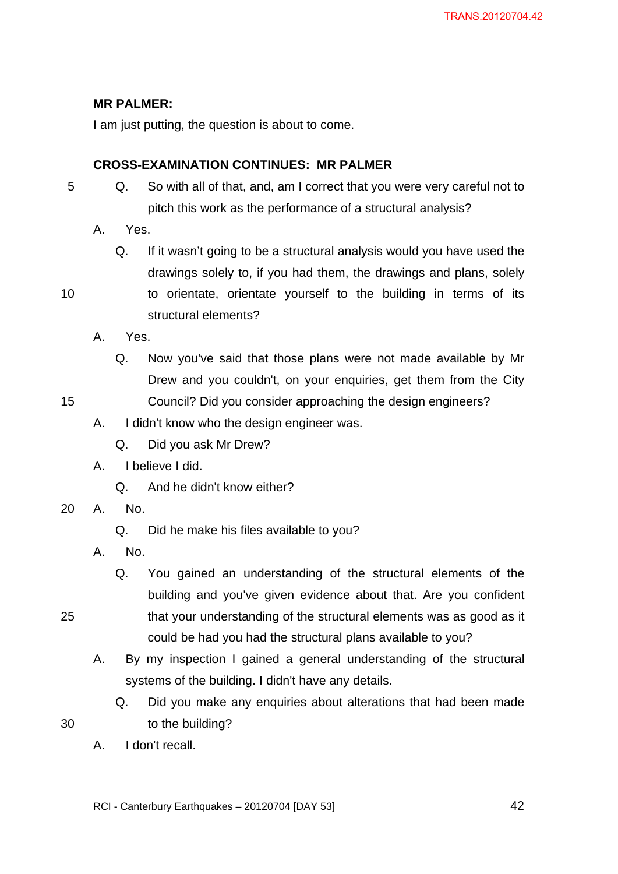## **MR PALMER:**

I am just putting, the question is about to come.

## **CROSS-EXAMINATION CONTINUES: MR PALMER**

- 5 Q. So with all of that, and, am I correct that you were very careful not to pitch this work as the performance of a structural analysis?
	- A. Yes.
		- Q. If it wasn't going to be a structural analysis would you have used the drawings solely to, if you had them, the drawings and plans, solely
	- to orientate, orientate yourself to the building in terms of its structural elements?
	- A. Yes.
		- Q. Now you've said that those plans were not made available by Mr Drew and you couldn't, on your enquiries, get them from the City Council? Did you consider approaching the design engineers?
- 15

10

- A. I didn't know who the design engineer was.
	- Q. Did you ask Mr Drew?
- A. I believe I did.
	- Q. And he didn't know either?
- 20 A. No.
	- Q. Did he make his files available to you?
	- A. No.
		- Q. You gained an understanding of the structural elements of the building and you've given evidence about that. Are you confident that your understanding of the structural elements was as good as it could be had you had the structural plans available to you?
	- A. By my inspection I gained a general understanding of the structural systems of the building. I didn't have any details.
		- Q. Did you make any enquiries about alterations that had been made to the building?
- 30

25

A. I don't recall.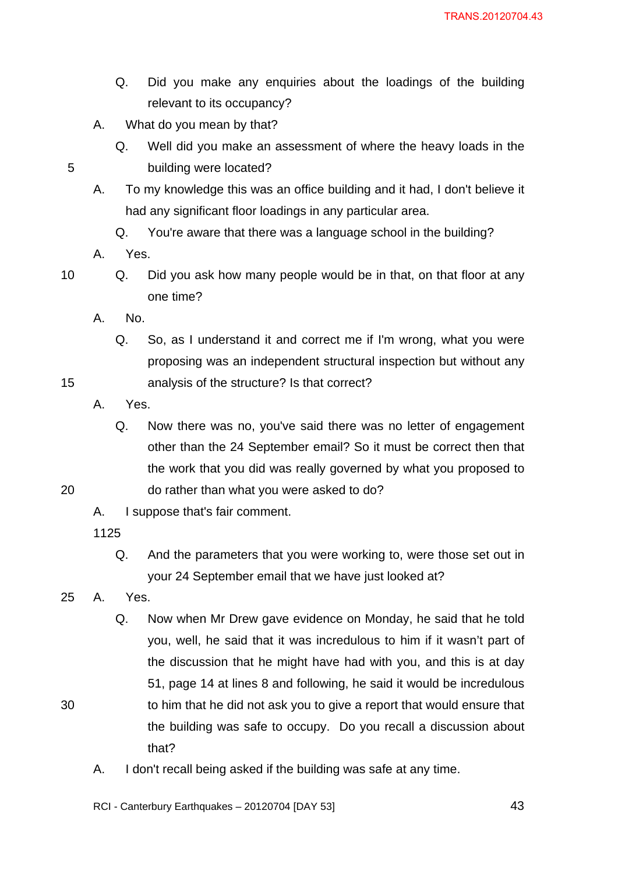- Q. Did you make any enquiries about the loadings of the building relevant to its occupancy?
- A. What do you mean by that?
	- Q. Well did you make an assessment of where the heavy loads in the building were located?
- A. To my knowledge this was an office building and it had, I don't believe it had any significant floor loadings in any particular area.
	- Q. You're aware that there was a language school in the building?
- A. Yes.

15

20

30

- 10 Q. Did you ask how many people would be in that, on that floor at any one time?
	- A. No.
		- Q. So, as I understand it and correct me if I'm wrong, what you were proposing was an independent structural inspection but without any analysis of the structure? Is that correct?
	- A. Yes.
		- Q. Now there was no, you've said there was no letter of engagement other than the 24 September email? So it must be correct then that the work that you did was really governed by what you proposed to do rather than what you were asked to do?
	- A. I suppose that's fair comment.

- Q. And the parameters that you were working to, were those set out in your 24 September email that we have just looked at?
- 25 A. Yes.
	- Q. Now when Mr Drew gave evidence on Monday, he said that he told you, well, he said that it was incredulous to him if it wasn't part of the discussion that he might have had with you, and this is at day 51, page 14 at lines 8 and following, he said it would be incredulous to him that he did not ask you to give a report that would ensure that the building was safe to occupy. Do you recall a discussion about that?
	- A. I don't recall being asked if the building was safe at any time.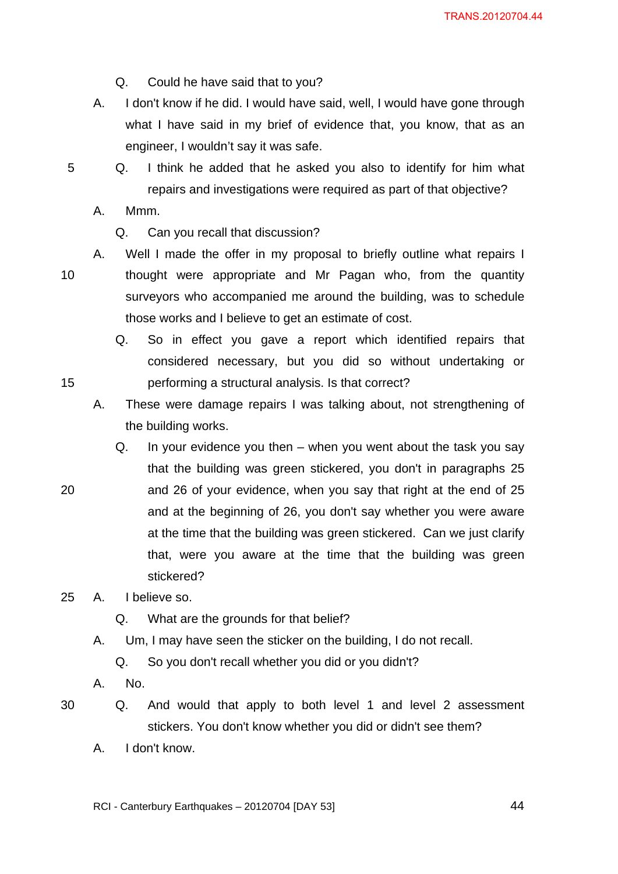Q. Could he have said that to you?

- A. I don't know if he did. I would have said, well, I would have gone through what I have said in my brief of evidence that, you know, that as an engineer, I wouldn't say it was safe.
- 5 Q. I think he added that he asked you also to identify for him what repairs and investigations were required as part of that objective?
	- A. Mmm.

Q. Can you recall that discussion?

10

15

20

- A. Well I made the offer in my proposal to briefly outline what repairs I thought were appropriate and Mr Pagan who, from the quantity surveyors who accompanied me around the building, was to schedule those works and I believe to get an estimate of cost.
	- Q. So in effect you gave a report which identified repairs that considered necessary, but you did so without undertaking or performing a structural analysis. Is that correct?
- A. These were damage repairs I was talking about, not strengthening of the building works.
- Q. In your evidence you then when you went about the task you say that the building was green stickered, you don't in paragraphs 25 and 26 of your evidence, when you say that right at the end of 25 and at the beginning of 26, you don't say whether you were aware at the time that the building was green stickered. Can we just clarify that, were you aware at the time that the building was green stickered?

## 25 A. I believe so.

- Q. What are the grounds for that belief?
- A. Um, I may have seen the sticker on the building, I do not recall.
	- Q. So you don't recall whether you did or you didn't?
- A. No.
- 30 Q. And would that apply to both level 1 and level 2 assessment stickers. You don't know whether you did or didn't see them?
	- A. I don't know.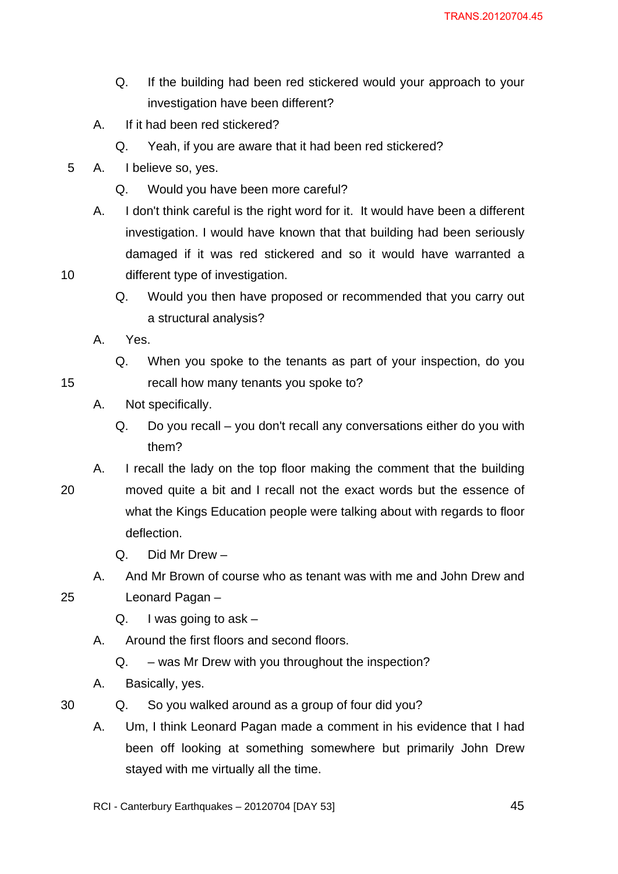- Q. If the building had been red stickered would your approach to your investigation have been different?
- A. If it had been red stickered?
	- Q. Yeah, if you are aware that it had been red stickered?
- 5 A. I believe so, yes.
	- Q. Would you have been more careful?
	- A. I don't think careful is the right word for it. It would have been a different investigation. I would have known that that building had been seriously damaged if it was red stickered and so it would have warranted a different type of investigation.
		- Q. Would you then have proposed or recommended that you carry out a structural analysis?
	- A. Yes.
		- Q. When you spoke to the tenants as part of your inspection, do you recall how many tenants you spoke to?
	- A. Not specifically.
		- Q. Do you recall you don't recall any conversations either do you with them?
- 20 A. I recall the lady on the top floor making the comment that the building moved quite a bit and I recall not the exact words but the essence of what the Kings Education people were talking about with regards to floor deflection.
	- Q. Did Mr Drew –

Leonard Pagan –

A. And Mr Brown of course who as tenant was with me and John Drew and

25

10

15

## Q. I was going to  $ask -$

A. Around the first floors and second floors.

Q. – was Mr Drew with you throughout the inspection?

A. Basically, yes.

- Q. So you walked around as a group of four did you?
- A. Um, I think Leonard Pagan made a comment in his evidence that I had been off looking at something somewhere but primarily John Drew stayed with me virtually all the time.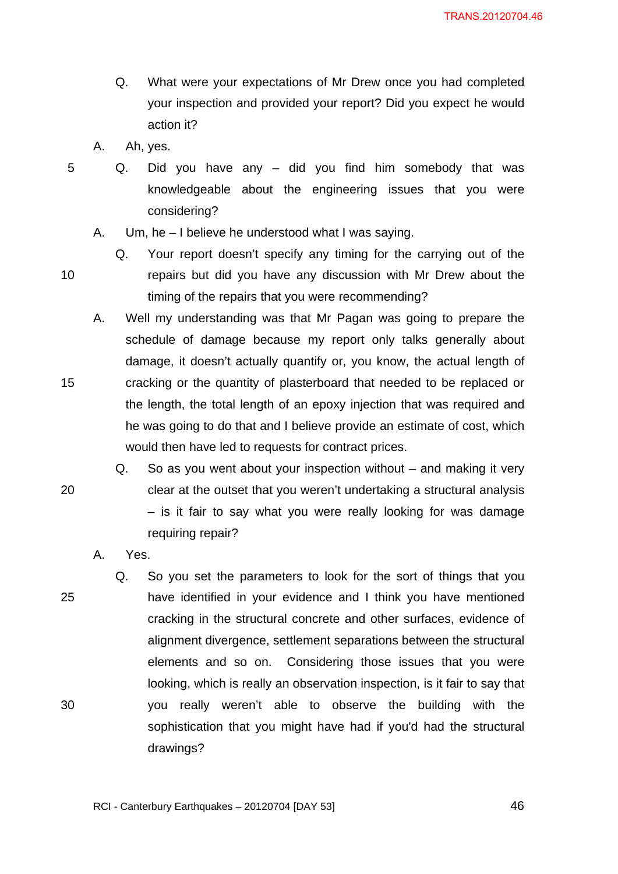- Q. What were your expectations of Mr Drew once you had completed your inspection and provided your report? Did you expect he would action it?
- A. Ah, yes.

10

15

20

- Q. Did you have any did you find him somebody that was knowledgeable about the engineering issues that you were considering?
	- A. Um, he I believe he understood what I was saying.
		- Q. Your report doesn't specify any timing for the carrying out of the repairs but did you have any discussion with Mr Drew about the timing of the repairs that you were recommending?
- A. Well my understanding was that Mr Pagan was going to prepare the schedule of damage because my report only talks generally about damage, it doesn't actually quantify or, you know, the actual length of cracking or the quantity of plasterboard that needed to be replaced or the length, the total length of an epoxy injection that was required and he was going to do that and I believe provide an estimate of cost, which would then have led to requests for contract prices.
	- Q. So as you went about your inspection without and making it very clear at the outset that you weren't undertaking a structural analysis – is it fair to say what you were really looking for was damage requiring repair?

A. Yes.

25 30 Q. So you set the parameters to look for the sort of things that you have identified in your evidence and I think you have mentioned cracking in the structural concrete and other surfaces, evidence of alignment divergence, settlement separations between the structural elements and so on. Considering those issues that you were looking, which is really an observation inspection, is it fair to say that you really weren't able to observe the building with the sophistication that you might have had if you'd had the structural drawings?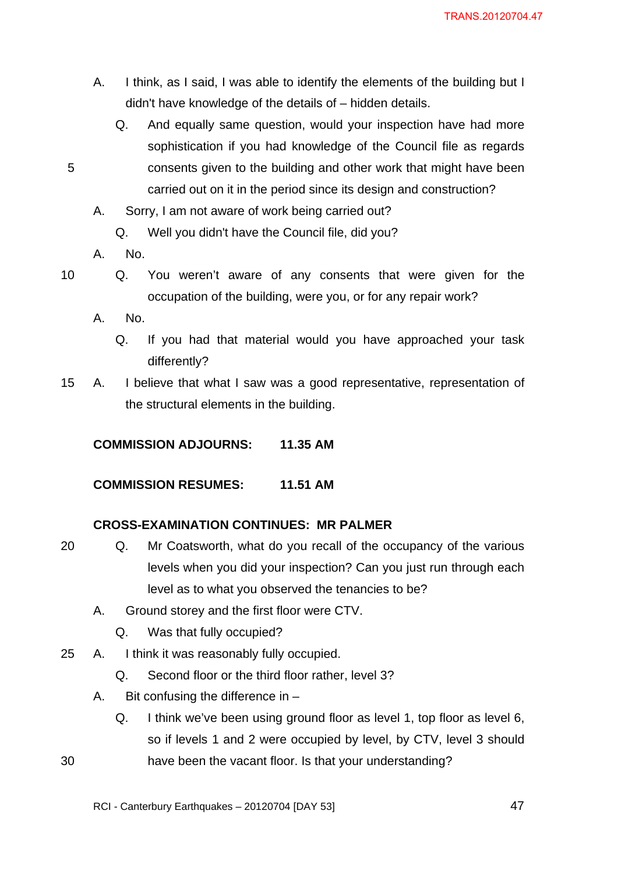- A. I think, as I said, I was able to identify the elements of the building but I didn't have knowledge of the details of – hidden details.
	- Q. And equally same question, would your inspection have had more sophistication if you had knowledge of the Council file as regards consents given to the building and other work that might have been carried out on it in the period since its design and construction?
- A. Sorry, I am not aware of work being carried out?
	- Q. Well you didn't have the Council file, did you?
- A. No.

30

- 10 Q. You weren't aware of any consents that were given for the occupation of the building, were you, or for any repair work?
	- A. No.
		- Q. If you had that material would you have approached your task differently?
- 15 A. I believe that what I saw was a good representative, representation of the structural elements in the building.

## **COMMISSION ADJOURNS: 11.35 AM**

## **COMMISSION RESUMES: 11.51 AM**

## **CROSS-EXAMINATION CONTINUES: MR PALMER**

- 20 Q. Mr Coatsworth, what do you recall of the occupancy of the various levels when you did your inspection? Can you just run through each level as to what you observed the tenancies to be?
	- A. Ground storey and the first floor were CTV.
		- Q. Was that fully occupied?
- 25 A. I think it was reasonably fully occupied.
	- Q. Second floor or the third floor rather, level 3?
	- A. Bit confusing the difference in  $-$ 
		- Q. I think we've been using ground floor as level 1, top floor as level 6, so if levels 1 and 2 were occupied by level, by CTV, level 3 should have been the vacant floor. Is that your understanding?

RCI - Canterbury Earthquakes – 20120704 [DAY 53]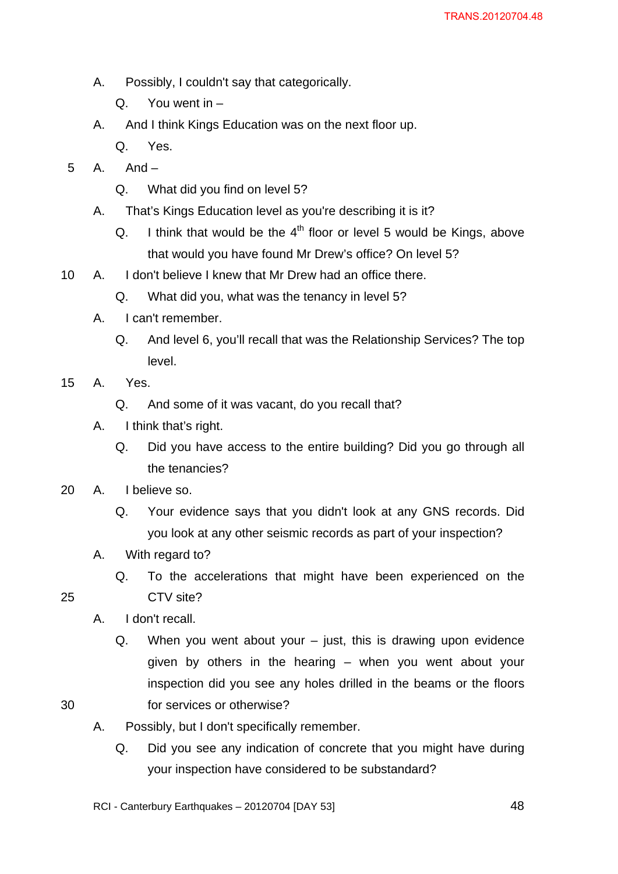- A. Possibly, I couldn't say that categorically.
	- Q. You went in –
- A. And I think Kings Education was on the next floor up.
	- Q. Yes.
- 5 A. And
	- Q. What did you find on level 5?
	- A. That's Kings Education level as you're describing it is it?
		- Q. I think that would be the  $4<sup>th</sup>$  floor or level 5 would be Kings, above that would you have found Mr Drew's office? On level 5?
- 10 A. I don't believe I knew that Mr Drew had an office there.
	- Q. What did you, what was the tenancy in level 5?
	- A. I can't remember.
		- Q. And level 6, you'll recall that was the Relationship Services? The top level.
- 15 A. Yes.
	- Q. And some of it was vacant, do you recall that?
	- A. I think that's right.
		- Q. Did you have access to the entire building? Did you go through all the tenancies?
- 20 A. I believe so.
	- Q. Your evidence says that you didn't look at any GNS records. Did you look at any other seismic records as part of your inspection?
	- A. With regard to?
		- Q. To the accelerations that might have been experienced on the CTV site?
	- A. I don't recall.
		- Q. When you went about your just, this is drawing upon evidence given by others in the hearing – when you went about your inspection did you see any holes drilled in the beams or the floors for services or otherwise?
- 30

- A. Possibly, but I don't specifically remember.
	- Q. Did you see any indication of concrete that you might have during your inspection have considered to be substandard?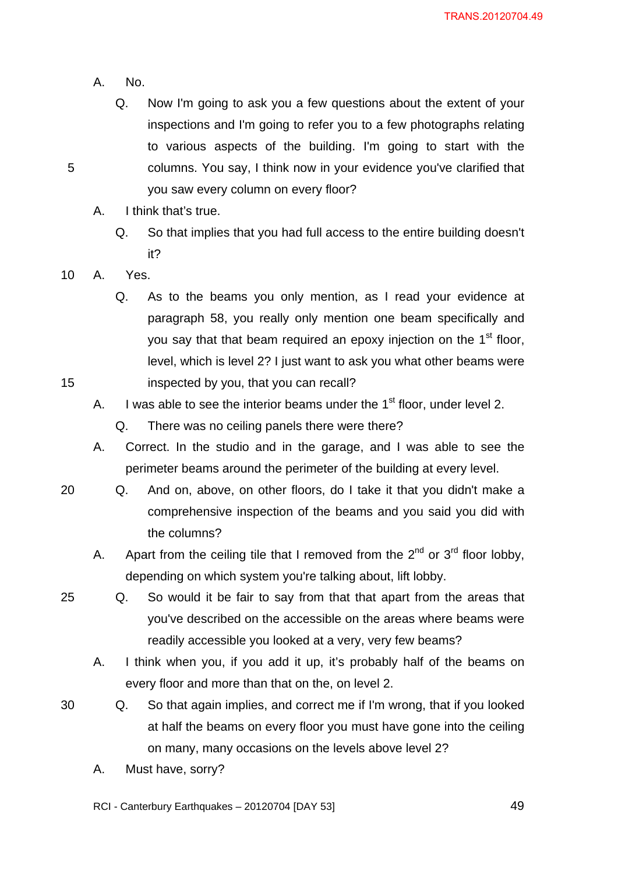A. No.

Q. Now I'm going to ask you a few questions about the extent of your inspections and I'm going to refer you to a few photographs relating to various aspects of the building. I'm going to start with the columns. You say, I think now in your evidence you've clarified that you saw every column on every floor?

- A. I think that's true.
	- Q. So that implies that you had full access to the entire building doesn't it?

10 A. Yes.

- Q. As to the beams you only mention, as I read your evidence at paragraph 58, you really only mention one beam specifically and you say that that beam required an epoxy injection on the 1<sup>st</sup> floor, level, which is level 2? I just want to ask you what other beams were inspected by you, that you can recall?
- A. I was able to see the interior beams under the  $1<sup>st</sup>$  floor, under level 2.

Q. There was no ceiling panels there were there?

A. Correct. In the studio and in the garage, and I was able to see the perimeter beams around the perimeter of the building at every level.

- 20 Q. And on, above, on other floors, do I take it that you didn't make a comprehensive inspection of the beams and you said you did with the columns?
	- A. Apart from the ceiling tile that I removed from the  $2^{nd}$  or  $3^{rd}$  floor lobby, depending on which system you're talking about, lift lobby.
	- Q. So would it be fair to say from that that apart from the areas that you've described on the accessible on the areas where beams were readily accessible you looked at a very, very few beams?
		- A. I think when you, if you add it up, it's probably half of the beams on every floor and more than that on the, on level 2.
- 30 Q. So that again implies, and correct me if I'm wrong, that if you looked at half the beams on every floor you must have gone into the ceiling on many, many occasions on the levels above level 2?
	- A. Must have, sorry?

RCI - Canterbury Earthquakes – 20120704 [DAY 53]

<u>1994 - Paris Carl Barbara, poeta e a 19</u>

25

15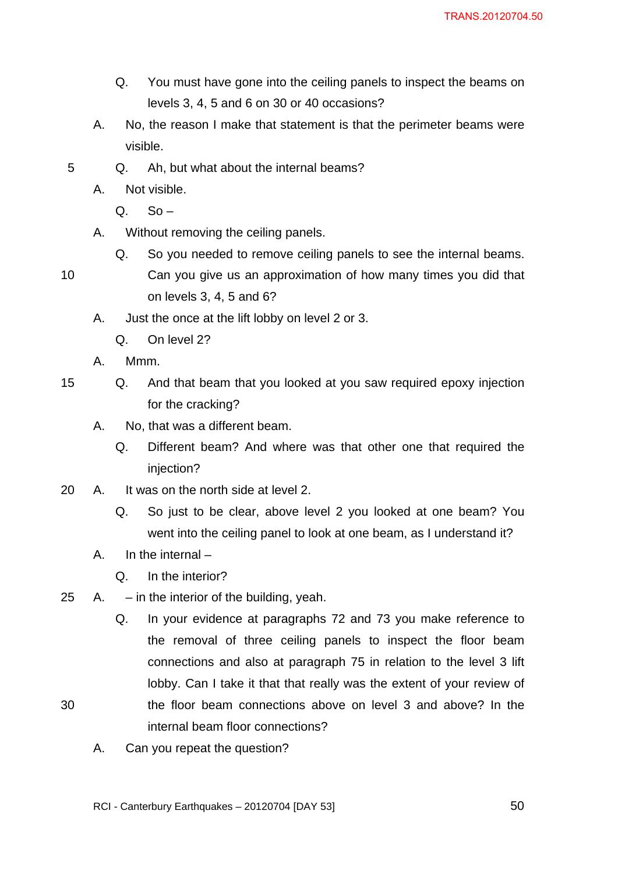- Q. You must have gone into the ceiling panels to inspect the beams on levels 3, 4, 5 and 6 on 30 or 40 occasions?
- A. No, the reason I make that statement is that the perimeter beams were visible.
- 5 Q. Ah, but what about the internal beams?
	- A. Not visible.
		- $Q.$  So –
	- A. Without removing the ceiling panels.
		- Q. So you needed to remove ceiling panels to see the internal beams.
- 10 Can you give us an approximation of how many times you did that on levels 3, 4, 5 and 6?
	- A. Just the once at the lift lobby on level 2 or 3.
		- Q. On level 2?
	- A. Mmm.
- 15 Q. And that beam that you looked at you saw required epoxy injection for the cracking?
	- A. No, that was a different beam.
		- Q. Different beam? And where was that other one that required the injection?
- 20 A. It was on the north side at level 2.
	- Q. So just to be clear, above level 2 you looked at one beam? You went into the ceiling panel to look at one beam, as I understand it?
	- A. In the internal –

- Q. In the interior?
- 25 A. in the interior of the building, yeah.
	- Q. In your evidence at paragraphs 72 and 73 you make reference to the removal of three ceiling panels to inspect the floor beam connections and also at paragraph 75 in relation to the level 3 lift lobby. Can I take it that that really was the extent of your review of the floor beam connections above on level 3 and above? In the internal beam floor connections?
	- A. Can you repeat the question?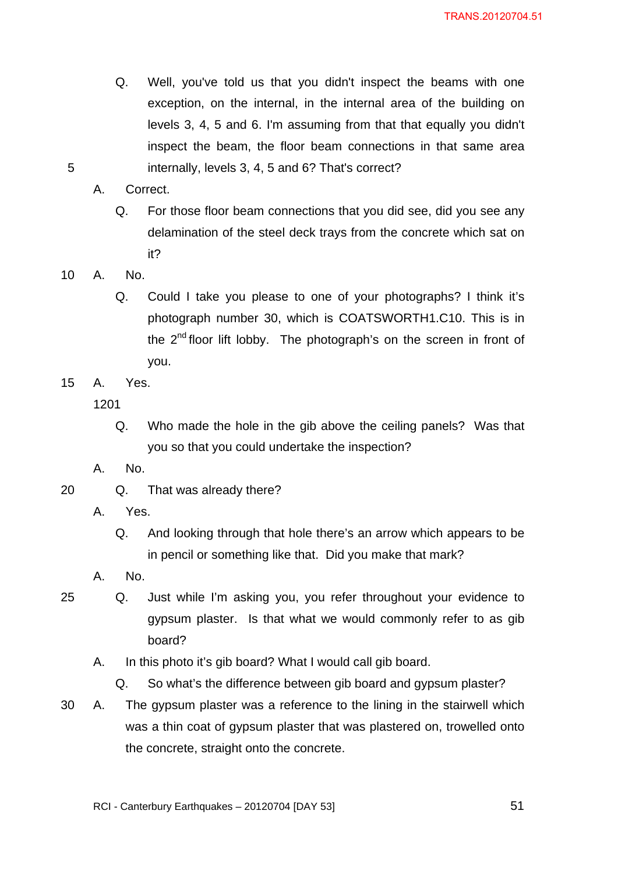Q. Well, you've told us that you didn't inspect the beams with one exception, on the internal, in the internal area of the building on levels 3, 4, 5 and 6. I'm assuming from that that equally you didn't inspect the beam, the floor beam connections in that same area internally, levels 3, 4, 5 and 6? That's correct?

5

A. Correct.

- Q. For those floor beam connections that you did see, did you see any delamination of the steel deck trays from the concrete which sat on it?
- 10 A. No.
	- Q. Could I take you please to one of your photographs? I think it's photograph number 30, which is COATSWORTH1.C10. This is in the 2<sup>nd</sup> floor lift lobby. The photograph's on the screen in front of you.
- 15 A. Yes.

1201

- Q. Who made the hole in the gib above the ceiling panels? Was that you so that you could undertake the inspection?
- A. No.
- 20 Q. That was already there?
	- A. Yes.
		- Q. And looking through that hole there's an arrow which appears to be in pencil or something like that. Did you make that mark?
	- A. No.
- 25 Q. Just while I'm asking you, you refer throughout your evidence to gypsum plaster. Is that what we would commonly refer to as gib board?
	- A. In this photo it's gib board? What I would call gib board.

Q. So what's the difference between gib board and gypsum plaster?

30 A. The gypsum plaster was a reference to the lining in the stairwell which was a thin coat of gypsum plaster that was plastered on, trowelled onto the concrete, straight onto the concrete.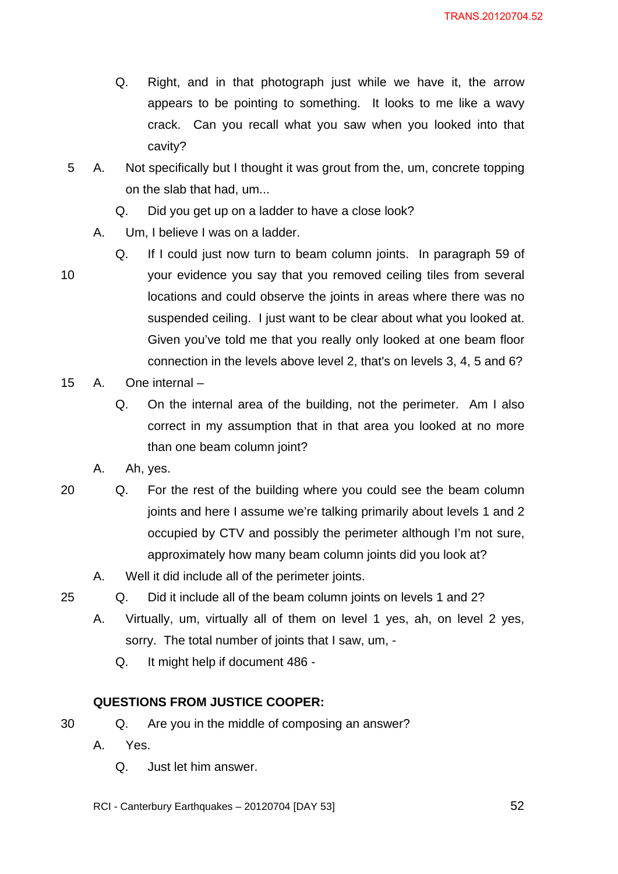- Q. Right, and in that photograph just while we have it, the arrow appears to be pointing to something. It looks to me like a wavy crack. Can you recall what you saw when you looked into that cavity?
- 5 A. Not specifically but I thought it was grout from the, um, concrete topping on the slab that had, um...
	- Q. Did you get up on a ladder to have a close look?
	- A. Um, I believe I was on a ladder.
- 10 Q. If I could just now turn to beam column joints. In paragraph 59 of your evidence you say that you removed ceiling tiles from several locations and could observe the joints in areas where there was no suspended ceiling. I just want to be clear about what you looked at. Given you've told me that you really only looked at one beam floor connection in the levels above level 2, that's on levels 3, 4, 5 and 6?
- 15 A. One internal
	- Q. On the internal area of the building, not the perimeter. Am I also correct in my assumption that in that area you looked at no more than one beam column joint?
	- A. Ah, yes.
- 20 Q. For the rest of the building where you could see the beam column joints and here I assume we're talking primarily about levels 1 and 2 occupied by CTV and possibly the perimeter although I'm not sure, approximately how many beam column joints did you look at?
	- A. Well it did include all of the perimeter joints.
- 25
- Q. Did it include all of the beam column joints on levels 1 and 2?
- A. Virtually, um, virtually all of them on level 1 yes, ah, on level 2 yes, sorry. The total number of joints that I saw, um, -
	- Q. It might help if document 486 -

## **QUESTIONS FROM JUSTICE COOPER:**

- Q. Are you in the middle of composing an answer?
- A. Yes.
	- Q. Just let him answer.
- RCI Canterbury Earthquakes 20120704 [DAY 53]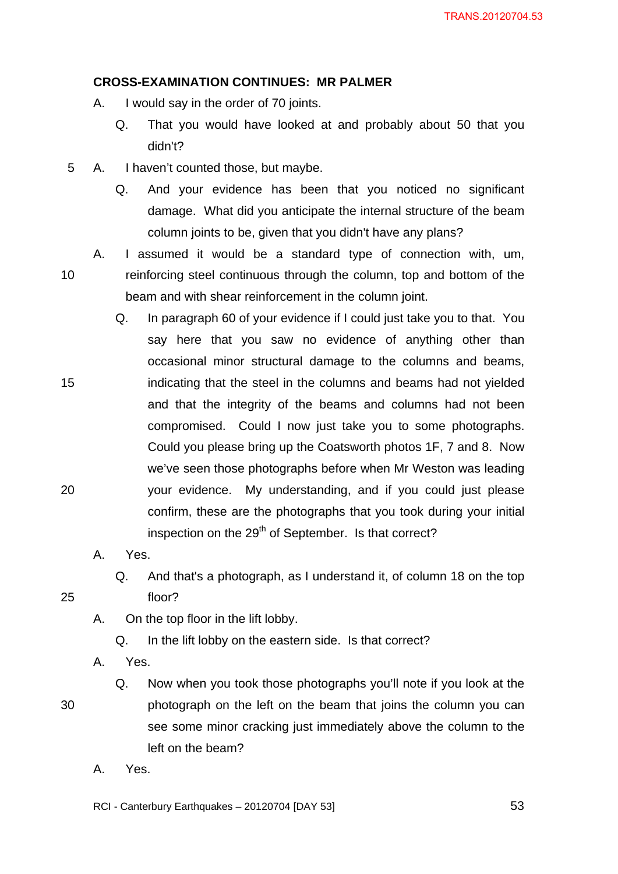#### **CROSS-EXAMINATION CONTINUES: MR PALMER**

- A. I would say in the order of 70 joints.
	- Q. That you would have looked at and probably about 50 that you didn't?
- 5 A. I haven't counted those, but maybe.
	- Q. And your evidence has been that you noticed no significant damage. What did you anticipate the internal structure of the beam column joints to be, given that you didn't have any plans?
	- A. I assumed it would be a standard type of connection with, um, reinforcing steel continuous through the column, top and bottom of the beam and with shear reinforcement in the column joint.
	- Q. In paragraph 60 of your evidence if I could just take you to that. You say here that you saw no evidence of anything other than occasional minor structural damage to the columns and beams, indicating that the steel in the columns and beams had not yielded and that the integrity of the beams and columns had not been compromised. Could I now just take you to some photographs. Could you please bring up the Coatsworth photos 1F, 7 and 8. Now we've seen those photographs before when Mr Weston was leading your evidence. My understanding, and if you could just please confirm, these are the photographs that you took during your initial inspection on the 29<sup>th</sup> of September. Is that correct?
		- A. Yes.
			- Q. And that's a photograph, as I understand it, of column 18 on the top floor?
		- A. On the top floor in the lift lobby.
			- Q. In the lift lobby on the eastern side. Is that correct?
		- A. Yes.
- 30

10

15

20

25

- Q. Now when you took those photographs you'll note if you look at the photograph on the left on the beam that joins the column you can see some minor cracking just immediately above the column to the left on the beam?
- A. Yes.

RCI - Canterbury Earthquakes – 20120704 [DAY 53]

 $\sim$  53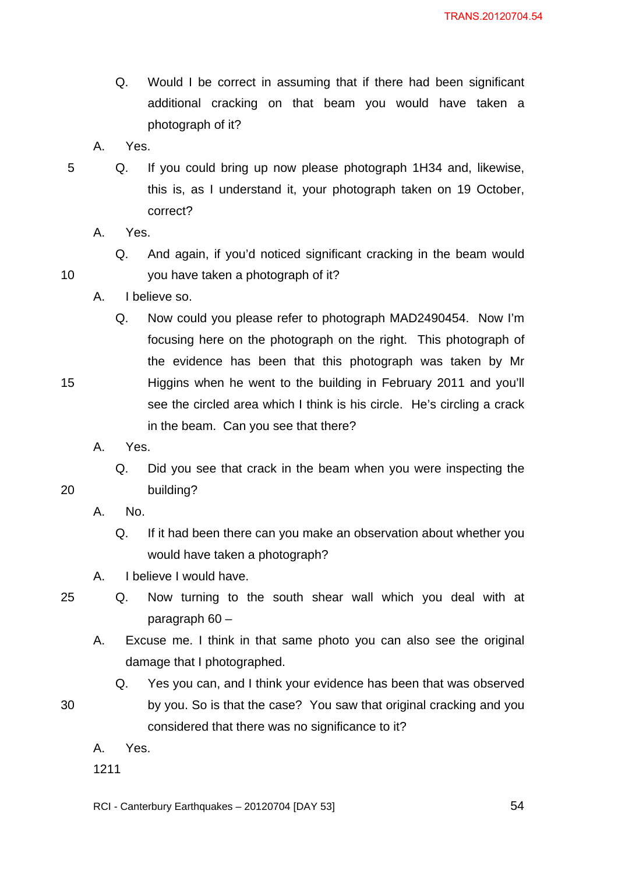- Q. Would I be correct in assuming that if there had been significant additional cracking on that beam you would have taken a photograph of it?
- A. Yes.
- 5 Q. If you could bring up now please photograph 1H34 and, likewise, this is, as I understand it, your photograph taken on 19 October, correct?
	- A. Yes.

15

20

- Q. And again, if you'd noticed significant cracking in the beam would you have taken a photograph of it?
- A. I believe so.
	- Q. Now could you please refer to photograph MAD2490454. Now I'm focusing here on the photograph on the right. This photograph of the evidence has been that this photograph was taken by Mr Higgins when he went to the building in February 2011 and you'll see the circled area which I think is his circle. He's circling a crack in the beam. Can you see that there?
- A. Yes.
	- Q. Did you see that crack in the beam when you were inspecting the building?
- A. No.
	- Q. If it had been there can you make an observation about whether you would have taken a photograph?
- A. I believe I would have.
- 25

30

- Q. Now turning to the south shear wall which you deal with at paragraph 60 –
- A. Excuse me. I think in that same photo you can also see the original damage that I photographed.
	- Q. Yes you can, and I think your evidence has been that was observed by you. So is that the case? You saw that original cracking and you considered that there was no significance to it?
- A. Yes.
- 1211

RCI - Canterbury Earthquakes – 20120704 [DAY 53]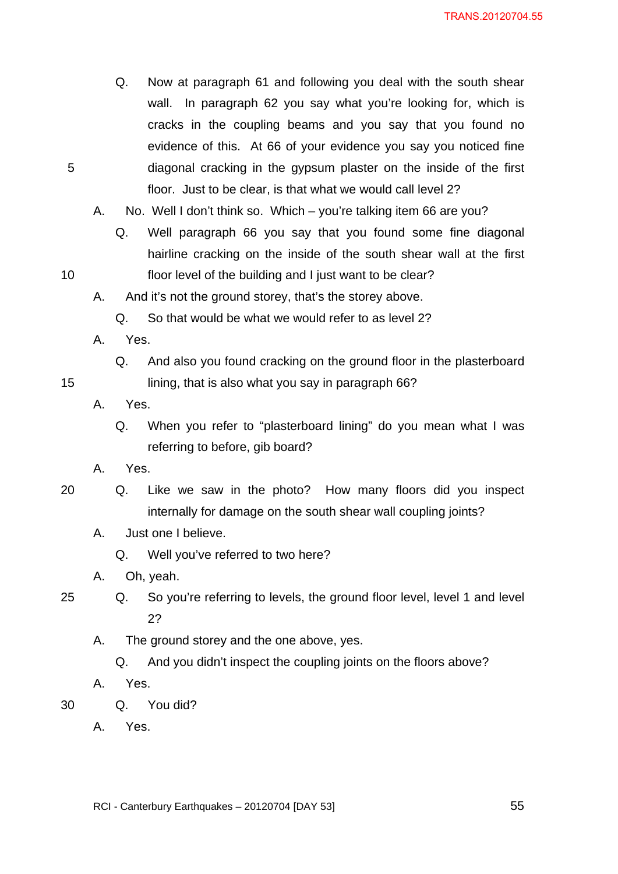- Q. Now at paragraph 61 and following you deal with the south shear wall. In paragraph 62 you say what you're looking for, which is cracks in the coupling beams and you say that you found no evidence of this. At 66 of your evidence you say you noticed fine diagonal cracking in the gypsum plaster on the inside of the first floor. Just to be clear, is that what we would call level 2?
- A. No. Well I don't think so. Which you're talking item 66 are you?
	- Q. Well paragraph 66 you say that you found some fine diagonal hairline cracking on the inside of the south shear wall at the first floor level of the building and I just want to be clear?
- A. And it's not the ground storey, that's the storey above.
	- Q. So that would be what we would refer to as level 2?
- A. Yes.
	- Q. And also you found cracking on the ground floor in the plasterboard lining, that is also what you say in paragraph 66?
- A. Yes.
	- Q. When you refer to "plasterboard lining" do you mean what I was referring to before, gib board?
- A. Yes.
- 20 Q. Like we saw in the photo? How many floors did you inspect internally for damage on the south shear wall coupling joints?
	- A. Just one I believe.
		- Q. Well you've referred to two here?
	- A. Oh, yeah.
- 25
- Q. So you're referring to levels, the ground floor level, level 1 and level 2?
	- A. The ground storey and the one above, yes.
		- Q. And you didn't inspect the coupling joints on the floors above?
	- A. Yes.

30 Q. You did?

A. Yes.

5

15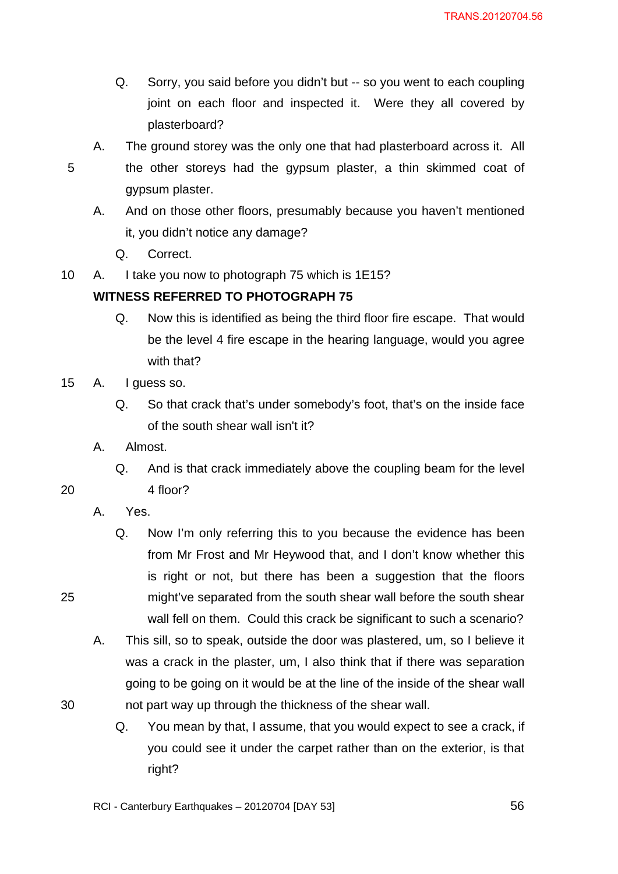- Q. Sorry, you said before you didn't but -- so you went to each coupling joint on each floor and inspected it. Were they all covered by plasterboard?
- 5
- A. The ground storey was the only one that had plasterboard across it. All the other storeys had the gypsum plaster, a thin skimmed coat of gypsum plaster.
- A. And on those other floors, presumably because you haven't mentioned it, you didn't notice any damage?
	- Q. Correct.
- 10 A. I take you now to photograph 75 which is 1E15?

## **WITNESS REFERRED TO PHOTOGRAPH 75**

- Q. Now this is identified as being the third floor fire escape. That would be the level 4 fire escape in the hearing language, would you agree with that?
- 15 A. I guess so.
	- Q. So that crack that's under somebody's foot, that's on the inside face of the south shear wall isn't it?
	- A. Almost.
		- Q. And is that crack immediately above the coupling beam for the level 4 floor?

20

25

- A. Yes.
	- Q. Now I'm only referring this to you because the evidence has been from Mr Frost and Mr Heywood that, and I don't know whether this is right or not, but there has been a suggestion that the floors might've separated from the south shear wall before the south shear wall fell on them. Could this crack be significant to such a scenario?
- A. This sill, so to speak, outside the door was plastered, um, so I believe it was a crack in the plaster, um, I also think that if there was separation going to be going on it would be at the line of the inside of the shear wall not part way up through the thickness of the shear wall.
	- Q. You mean by that, I assume, that you would expect to see a crack, if you could see it under the carpet rather than on the exterior, is that right?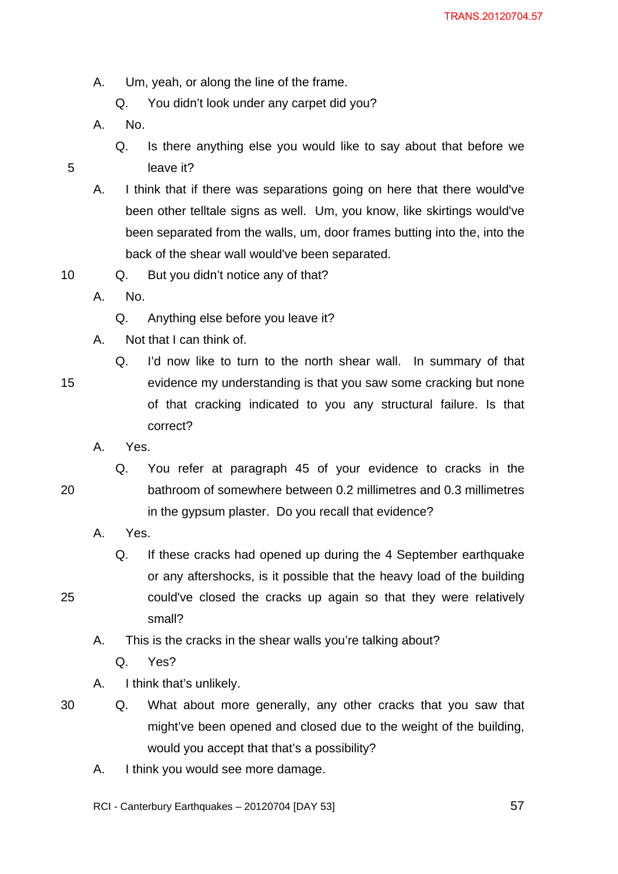A. Um, yeah, or along the line of the frame.

Q. You didn't look under any carpet did you?

- A. No.
	- Q. Is there anything else you would like to say about that before we leave it?
- A. I think that if there was separations going on here that there would've been other telltale signs as well. Um, you know, like skirtings would've been separated from the walls, um, door frames butting into the, into the back of the shear wall would've been separated.
- 10 Q. But you didn't notice any of that?
	- A. No.
		- Q. Anything else before you leave it?
	- A. Not that I can think of.
- 15

5

- Q. I'd now like to turn to the north shear wall. In summary of that evidence my understanding is that you saw some cracking but none of that cracking indicated to you any structural failure. Is that correct?
- A. Yes.
- 20
- Q. You refer at paragraph 45 of your evidence to cracks in the bathroom of somewhere between 0.2 millimetres and 0.3 millimetres in the gypsum plaster. Do you recall that evidence?
- A. Yes.
	- Q. If these cracks had opened up during the 4 September earthquake or any aftershocks, is it possible that the heavy load of the building could've closed the cracks up again so that they were relatively small?
- A. This is the cracks in the shear walls you're talking about?
	- Q. Yes?
- A. I think that's unlikely.
- 30

25

- Q. What about more generally, any other cracks that you saw that might've been opened and closed due to the weight of the building, would you accept that that's a possibility?
- A. I think you would see more damage.

RCI - Canterbury Earthquakes – 20120704 [DAY 53]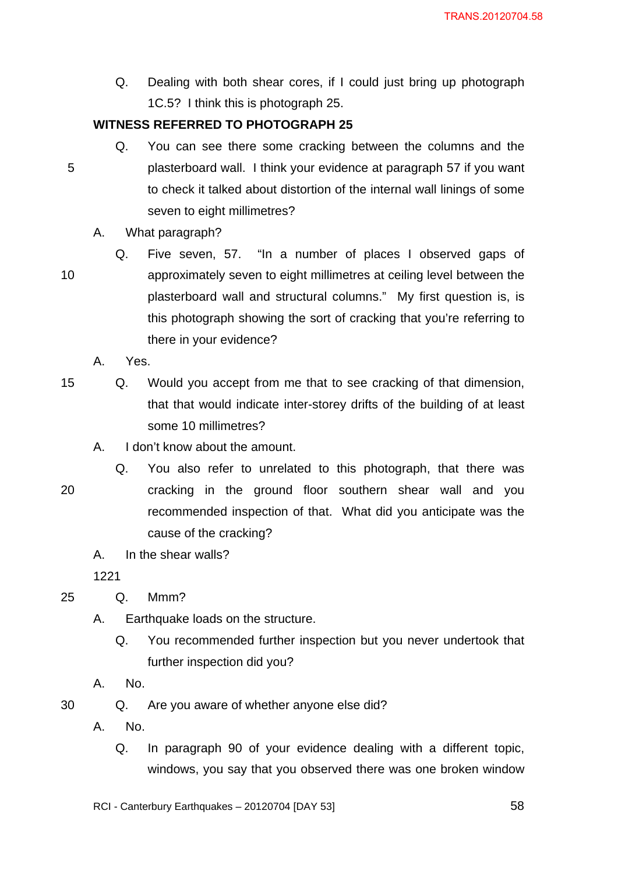Q. Dealing with both shear cores, if I could just bring up photograph 1C.5? I think this is photograph 25.

## **WITNESS REFERRED TO PHOTOGRAPH 25**

- Q. You can see there some cracking between the columns and the plasterboard wall. I think your evidence at paragraph 57 if you want to check it talked about distortion of the internal wall linings of some seven to eight millimetres?
- A. What paragraph?
- 10 Q. Five seven, 57. "In a number of places I observed gaps of approximately seven to eight millimetres at ceiling level between the plasterboard wall and structural columns." My first question is, is this photograph showing the sort of cracking that you're referring to there in your evidence?
	- A. Yes.
- 15 Q. Would you accept from me that to see cracking of that dimension, that that would indicate inter-storey drifts of the building of at least some 10 millimetres?
	- A. I don't know about the amount.

20

5

- Q. You also refer to unrelated to this photograph, that there was cracking in the ground floor southern shear wall and you recommended inspection of that. What did you anticipate was the cause of the cracking?
	- A. In the shear walls?

1221

25 Q. Mmm?

- A. Earthquake loads on the structure.
	- Q. You recommended further inspection but you never undertook that further inspection did you?
- A. No.

30 Q. Are you aware of whether anyone else did?

- A. No.
	- Q. In paragraph 90 of your evidence dealing with a different topic, windows, you say that you observed there was one broken window
- RCI Canterbury Earthquakes 20120704 [DAY 53]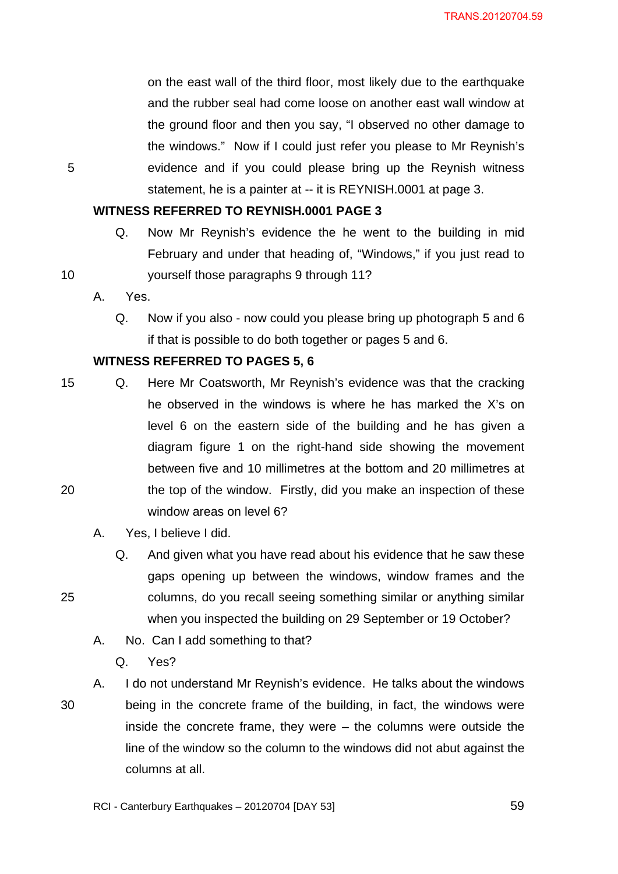on the east wall of the third floor, most likely due to the earthquake and the rubber seal had come loose on another east wall window at the ground floor and then you say, "I observed no other damage to the windows." Now if I could just refer you please to Mr Reynish's evidence and if you could please bring up the Reynish witness statement, he is a painter at -- it is REYNISH.0001 at page 3.

## **WITNESS REFERRED TO REYNISH.0001 PAGE 3**

- Q. Now Mr Reynish's evidence the he went to the building in mid February and under that heading of, "Windows," if you just read to yourself those paragraphs 9 through 11?
- A. Yes.

5

10

25

Q. Now if you also - now could you please bring up photograph 5 and 6 if that is possible to do both together or pages 5 and 6.

## **WITNESS REFERRED TO PAGES 5, 6**

- 15 20 Q. Here Mr Coatsworth, Mr Reynish's evidence was that the cracking he observed in the windows is where he has marked the X's on level 6 on the eastern side of the building and he has given a diagram figure 1 on the right-hand side showing the movement between five and 10 millimetres at the bottom and 20 millimetres at the top of the window. Firstly, did you make an inspection of these window areas on level 6?
	- A. Yes, I believe I did.
		- Q. And given what you have read about his evidence that he saw these gaps opening up between the windows, window frames and the columns, do you recall seeing something similar or anything similar when you inspected the building on 29 September or 19 October?
	- A. No. Can I add something to that?
		- Q. Yes?
- 30 A. I do not understand Mr Reynish's evidence. He talks about the windows being in the concrete frame of the building, in fact, the windows were inside the concrete frame, they were – the columns were outside the line of the window so the column to the windows did not abut against the columns at all.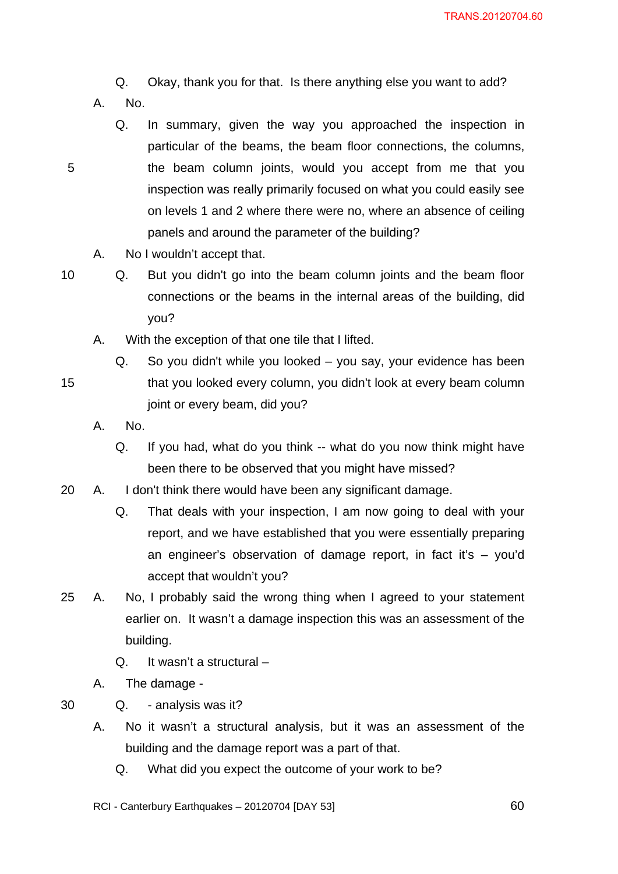## Q. Okay, thank you for that. Is there anything else you want to add?

- A. No.
- 5
- 
- particular of the beams, the beam floor connections, the columns, the beam column joints, would you accept from me that you inspection was really primarily focused on what you could easily see on levels 1 and 2 where there were no, where an absence of ceiling panels and around the parameter of the building?

Q. In summary, given the way you approached the inspection in

- A. No I wouldn't accept that.
- 10

15

Q. But you didn't go into the beam column joints and the beam floor connections or the beams in the internal areas of the building, did you?

- A. With the exception of that one tile that I lifted.
	- Q. So you didn't while you looked you say, your evidence has been that you looked every column, you didn't look at every beam column joint or every beam, did you?
- A. No.
	- Q. If you had, what do you think -- what do you now think might have been there to be observed that you might have missed?
- 20 A. I don't think there would have been any significant damage.
	- Q. That deals with your inspection, I am now going to deal with your report, and we have established that you were essentially preparing an engineer's observation of damage report, in fact it's – you'd accept that wouldn't you?
- 25 A. No, I probably said the wrong thing when I agreed to your statement earlier on. It wasn't a damage inspection this was an assessment of the building.
	- Q. It wasn't a structural –
	- A. The damage -
- 30 Q. - analysis was it?
	- A. No it wasn't a structural analysis, but it was an assessment of the building and the damage report was a part of that.
		- Q. What did you expect the outcome of your work to be?

RCI - Canterbury Earthquakes – 20120704 [DAY 53]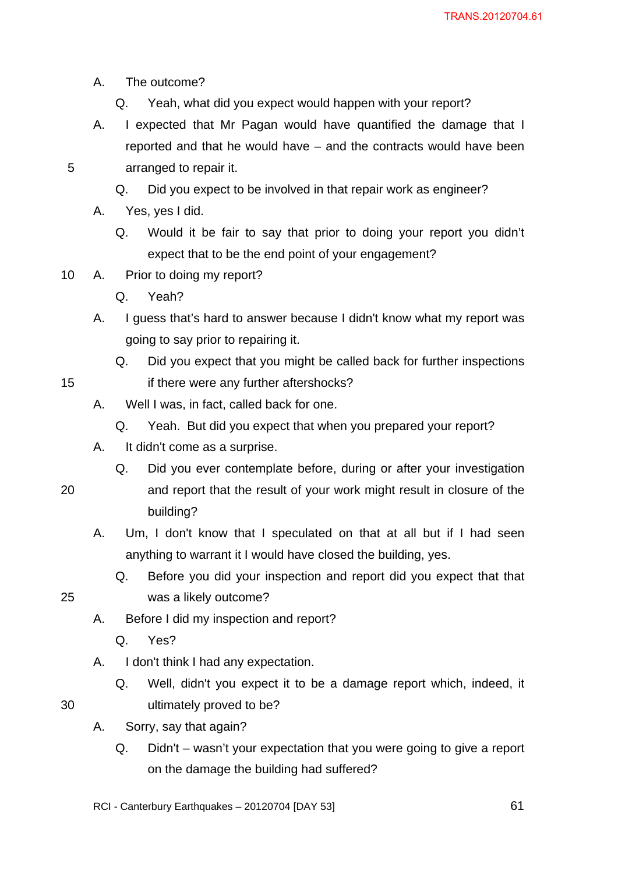- A. The outcome?
	- Q. Yeah, what did you expect would happen with your report?
- A. I expected that Mr Pagan would have quantified the damage that I reported and that he would have – and the contracts would have been arranged to repair it.
- 5
- Q. Did you expect to be involved in that repair work as engineer?
- A. Yes, yes I did.
	- Q. Would it be fair to say that prior to doing your report you didn't expect that to be the end point of your engagement?
- 10 A. Prior to doing my report?
	- Q. Yeah?
	- A. I guess that's hard to answer because I didn't know what my report was going to say prior to repairing it.
		- Q. Did you expect that you might be called back for further inspections if there were any further aftershocks?
	- A. Well I was, in fact, called back for one.
		- Q. Yeah. But did you expect that when you prepared your report?
	- A. It didn't come as a surprise.
		- Q. Did you ever contemplate before, during or after your investigation
- 20

- and report that the result of your work might result in closure of the building?
- A. Um, I don't know that I speculated on that at all but if I had seen anything to warrant it I would have closed the building, yes.
	- Q. Before you did your inspection and report did you expect that that was a likely outcome?
- 25

- A. Before I did my inspection and report?
	- Q. Yes?
- A. I don't think I had any expectation.
	- Q. Well, didn't you expect it to be a damage report which, indeed, it ultimately proved to be?
- A. Sorry, say that again?
	- Q. Didn't wasn't your expectation that you were going to give a report on the damage the building had suffered?
- RCI Canterbury Earthquakes 20120704 [DAY 53]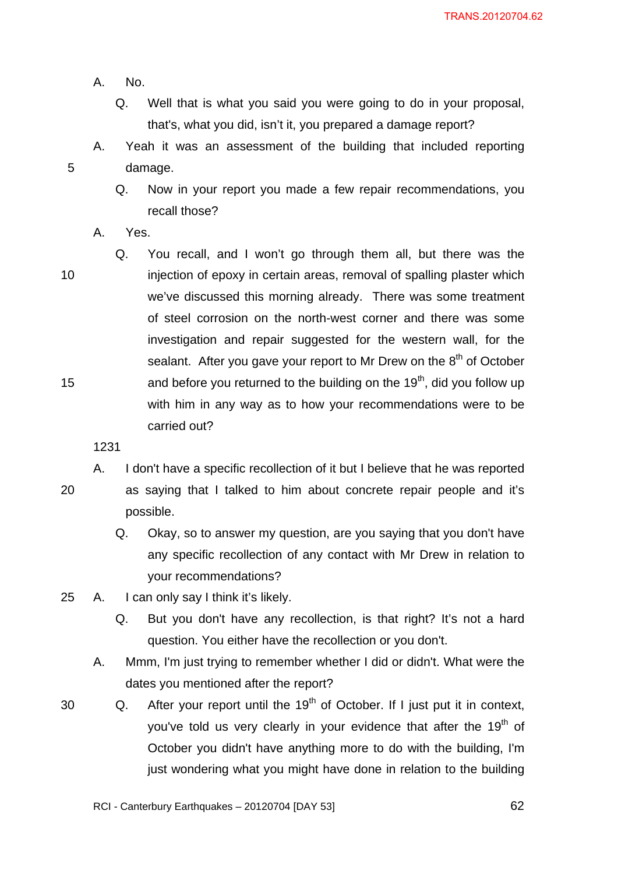- A. No.
	- Q. Well that is what you said you were going to do in your proposal, that's, what you did, isn't it, you prepared a damage report?
- 5 A. Yeah it was an assessment of the building that included reporting damage.
	- Q. Now in your report you made a few repair recommendations, you recall those?
	- A. Yes.
- 10 15 Q. You recall, and I won't go through them all, but there was the injection of epoxy in certain areas, removal of spalling plaster which we've discussed this morning already. There was some treatment of steel corrosion on the north-west corner and there was some investigation and repair suggested for the western wall, for the sealant. After you gave your report to Mr Drew on the 8<sup>th</sup> of October and before you returned to the building on the  $19<sup>th</sup>$ , did you follow up with him in any way as to how your recommendations were to be carried out?
	- 1231

20 A. I don't have a specific recollection of it but I believe that he was reported as saying that I talked to him about concrete repair people and it's possible.

- Q. Okay, so to answer my question, are you saying that you don't have any specific recollection of any contact with Mr Drew in relation to your recommendations?
- 25 A. I can only say I think it's likely.
	- Q. But you don't have any recollection, is that right? It's not a hard question. You either have the recollection or you don't.
	- A. Mmm, I'm just trying to remember whether I did or didn't. What were the dates you mentioned after the report?
- 30 Q. After your report until the  $19<sup>th</sup>$  of October. If I just put it in context, you've told us very clearly in your evidence that after the 19<sup>th</sup> of October you didn't have anything more to do with the building, I'm just wondering what you might have done in relation to the building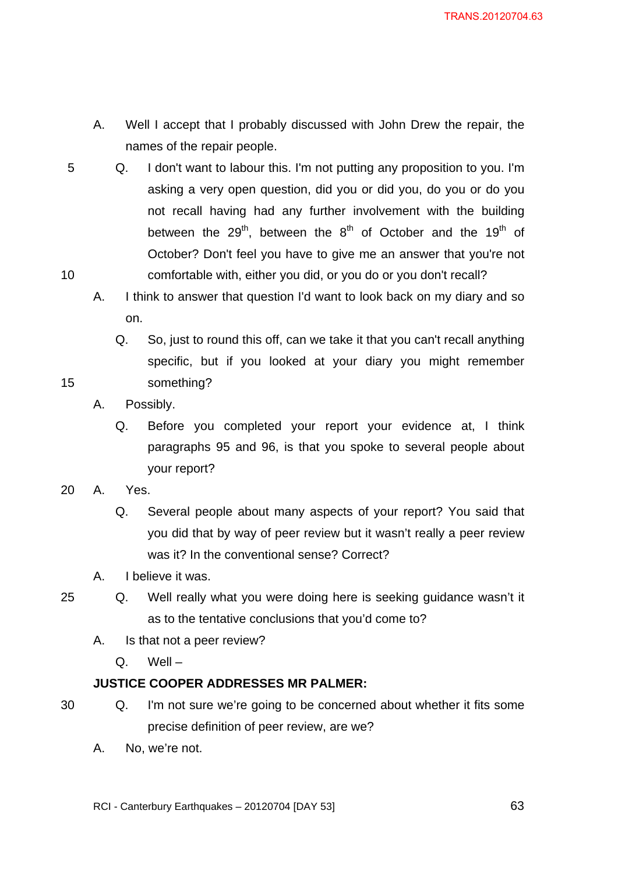- A. Well I accept that I probably discussed with John Drew the repair, the names of the repair people.
- 5 10 Q. I don't want to labour this. I'm not putting any proposition to you. I'm asking a very open question, did you or did you, do you or do you not recall having had any further involvement with the building between the 29<sup>th</sup>, between the 8<sup>th</sup> of October and the 19<sup>th</sup> of October? Don't feel you have to give me an answer that you're not comfortable with, either you did, or you do or you don't recall?
	- A. I think to answer that question I'd want to look back on my diary and so on.
		- Q. So, just to round this off, can we take it that you can't recall anything specific, but if you looked at your diary you might remember something?
	- A. Possibly.
		- Q. Before you completed your report your evidence at, I think paragraphs 95 and 96, is that you spoke to several people about your report?
- 20 A. Yes.
	- Q. Several people about many aspects of your report? You said that you did that by way of peer review but it wasn't really a peer review was it? In the conventional sense? Correct?
	- A. I believe it was.
- 25

- Q. Well really what you were doing here is seeking guidance wasn't it as to the tentative conclusions that you'd come to?
	- A. Is that not a peer review?
		- Q. Well –

## **JUSTICE COOPER ADDRESSES MR PALMER:**

- 30
- Q. I'm not sure we're going to be concerned about whether it fits some precise definition of peer review, are we?
- A. No, we're not.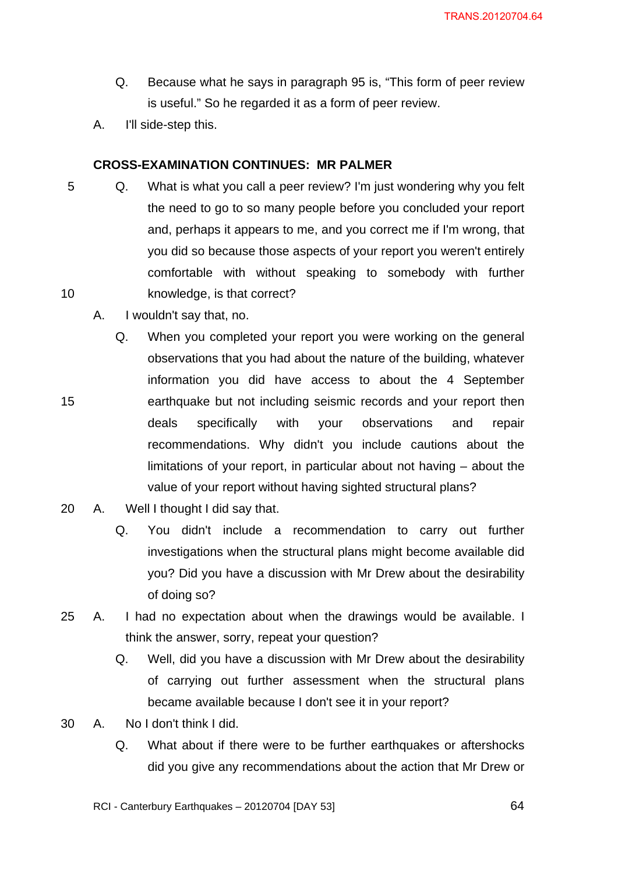- Q. Because what he says in paragraph 95 is, "This form of peer review is useful." So he regarded it as a form of peer review.
- A. I'll side-step this.

## **CROSS-EXAMINATION CONTINUES: MR PALMER**

- 5 10 Q. What is what you call a peer review? I'm just wondering why you felt the need to go to so many people before you concluded your report and, perhaps it appears to me, and you correct me if I'm wrong, that you did so because those aspects of your report you weren't entirely comfortable with without speaking to somebody with further knowledge, is that correct?
	- A. I wouldn't say that, no.

- Q. When you completed your report you were working on the general observations that you had about the nature of the building, whatever information you did have access to about the 4 September earthquake but not including seismic records and your report then deals specifically with your observations and repair recommendations. Why didn't you include cautions about the limitations of your report, in particular about not having – about the value of your report without having sighted structural plans?
- 20 A. Well I thought I did say that.
	- Q. You didn't include a recommendation to carry out further investigations when the structural plans might become available did you? Did you have a discussion with Mr Drew about the desirability of doing so?
- 25 A. I had no expectation about when the drawings would be available. I think the answer, sorry, repeat your question?
	- Q. Well, did you have a discussion with Mr Drew about the desirability of carrying out further assessment when the structural plans became available because I don't see it in your report?
- 30 A. No I don't think I did.
	- Q. What about if there were to be further earthquakes or aftershocks did you give any recommendations about the action that Mr Drew or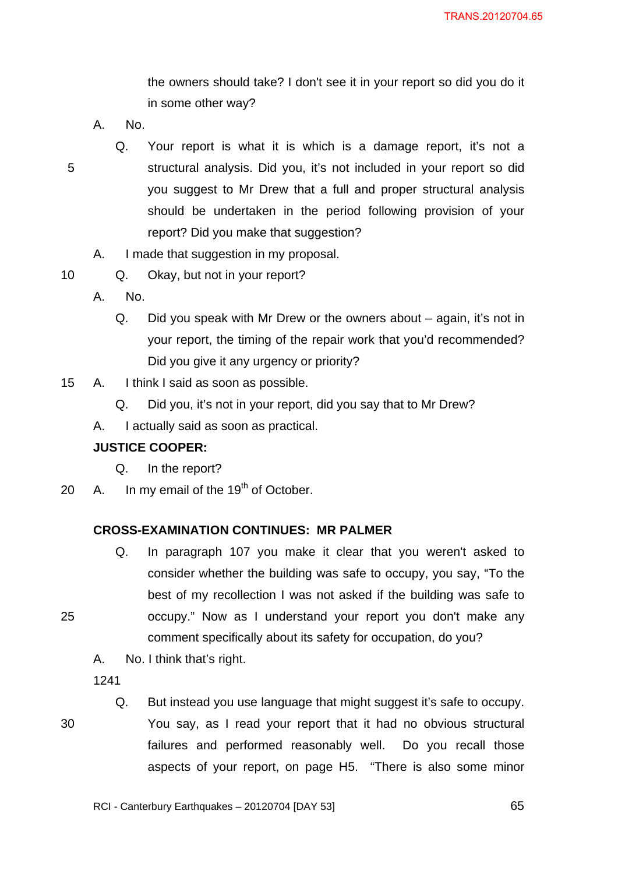the owners should take? I don't see it in your report so did you do it in some other way?

- A. No.
- 5

10

- Q. Your report is what it is which is a damage report, it's not a structural analysis. Did you, it's not included in your report so did you suggest to Mr Drew that a full and proper structural analysis should be undertaken in the period following provision of your report? Did you make that suggestion?
- A. I made that suggestion in my proposal.
- Q. Okay, but not in your report?
	- A. No.
		- Q. Did you speak with Mr Drew or the owners about again, it's not in your report, the timing of the repair work that you'd recommended? Did you give it any urgency or priority?
- 15 A. I think I said as soon as possible.
	- Q. Did you, it's not in your report, did you say that to Mr Drew?
	- A. I actually said as soon as practical.

## **JUSTICE COOPER:**

- Q. In the report?
- 20  $\,$  A. In my email of the 19<sup>th</sup> of October.

## **CROSS-EXAMINATION CONTINUES: MR PALMER**

- Q. In paragraph 107 you make it clear that you weren't asked to consider whether the building was safe to occupy, you say, "To the best of my recollection I was not asked if the building was safe to occupy." Now as I understand your report you don't make any comment specifically about its safety for occupation, do you?
- A. No. I think that's right.

1241

30

25

Q. But instead you use language that might suggest it's safe to occupy. You say, as I read your report that it had no obvious structural failures and performed reasonably well. Do you recall those aspects of your report, on page H5. "There is also some minor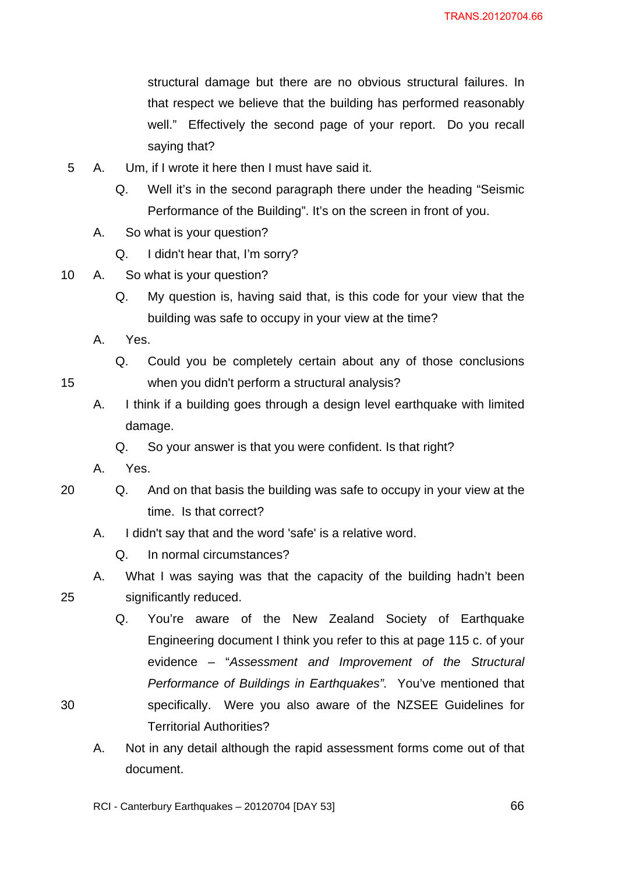structural damage but there are no obvious structural failures. In that respect we believe that the building has performed reasonably well." Effectively the second page of your report. Do you recall saying that?

- 5 A. Um, if I wrote it here then I must have said it.
	- Q. Well it's in the second paragraph there under the heading "Seismic Performance of the Building". It's on the screen in front of you.
	- A. So what is your question?
		- Q. I didn't hear that, I'm sorry?
- 10 A. So what is your question?
	- Q. My question is, having said that, is this code for your view that the building was safe to occupy in your view at the time?
	- A. Yes.

15

25

30

- Q. Could you be completely certain about any of those conclusions when you didn't perform a structural analysis?
- A. I think if a building goes through a design level earthquake with limited damage.
	- Q. So your answer is that you were confident. Is that right?
- A. Yes.
- 20 Q. And on that basis the building was safe to occupy in your view at the time. Is that correct?
	- A. I didn't say that and the word 'safe' is a relative word.
		- Q. In normal circumstances?

A. What I was saying was that the capacity of the building hadn't been significantly reduced.

- Q. You're aware of the New Zealand Society of Earthquake Engineering document I think you refer to this at page 115 c. of your evidence – "*Assessment and Improvement of the Structural Performance of Buildings in Earthquakes".* You've mentioned that specifically. Were you also aware of the NZSEE Guidelines for Territorial Authorities?
- A. Not in any detail although the rapid assessment forms come out of that document.

RCI - Canterbury Earthquakes – 20120704 [DAY 53]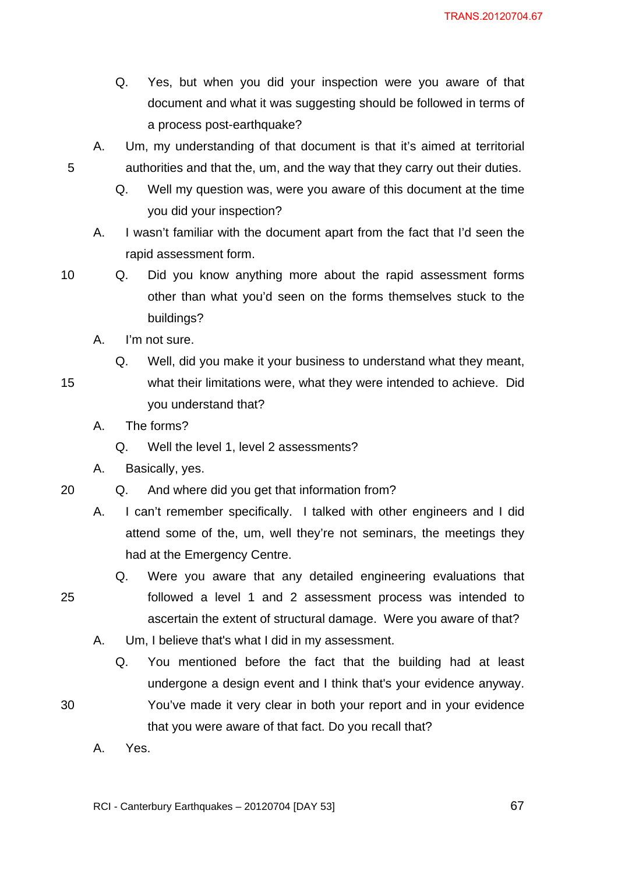- Q. Yes, but when you did your inspection were you aware of that document and what it was suggesting should be followed in terms of a process post-earthquake?
- A. Um, my understanding of that document is that it's aimed at territorial authorities and that the, um, and the way that they carry out their duties.
	- Q. Well my question was, were you aware of this document at the time you did your inspection?
- A. I wasn't familiar with the document apart from the fact that I'd seen the rapid assessment form.
- 10

15

25

30

Q. Did you know anything more about the rapid assessment forms other than what you'd seen on the forms themselves stuck to the buildings?

- A. I'm not sure.
- Q. Well, did you make it your business to understand what they meant, what their limitations were, what they were intended to achieve. Did you understand that?
- A. The forms?
	- Q. Well the level 1, level 2 assessments?
- A. Basically, yes.
- 20 Q. And where did you get that information from?
	- A. I can't remember specifically. I talked with other engineers and I did attend some of the, um, well they're not seminars, the meetings they had at the Emergency Centre.
		- Q. Were you aware that any detailed engineering evaluations that followed a level 1 and 2 assessment process was intended to ascertain the extent of structural damage. Were you aware of that?
	- A. Um, I believe that's what I did in my assessment.
		- Q. You mentioned before the fact that the building had at least undergone a design event and I think that's your evidence anyway. You've made it very clear in both your report and in your evidence that you were aware of that fact. Do you recall that?
	- A. Yes.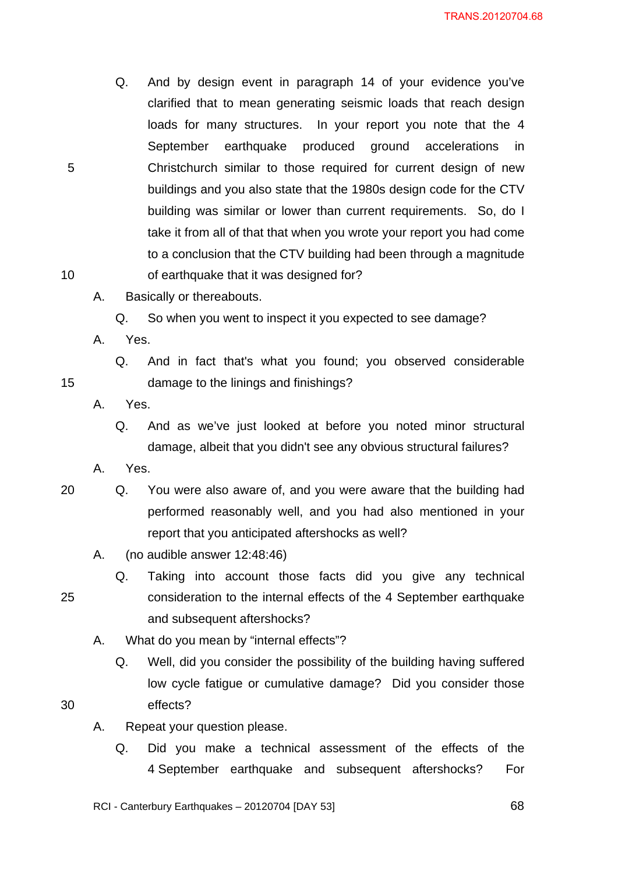- Q. And by design event in paragraph 14 of your evidence you've clarified that to mean generating seismic loads that reach design loads for many structures. In your report you note that the 4 September earthquake produced ground accelerations in Christchurch similar to those required for current design of new buildings and you also state that the 1980s design code for the CTV building was similar or lower than current requirements. So, do I take it from all of that that when you wrote your report you had come to a conclusion that the CTV building had been through a magnitude of earthquake that it was designed for?
- A. Basically or thereabouts.
	- Q. So when you went to inspect it you expected to see damage?
- A. Yes.

10

15

Q. And in fact that's what you found; you observed considerable damage to the linings and finishings?

- A. Yes.
	- Q. And as we've just looked at before you noted minor structural damage, albeit that you didn't see any obvious structural failures?

A. Yes.

- 20 Q. You were also aware of, and you were aware that the building had performed reasonably well, and you had also mentioned in your report that you anticipated aftershocks as well?
	- A. (no audible answer 12:48:46)
		- Q. Taking into account those facts did you give any technical consideration to the internal effects of the 4 September earthquake and subsequent aftershocks?
	- A. What do you mean by "internal effects"?
		- Q. Well, did you consider the possibility of the building having suffered low cycle fatigue or cumulative damage? Did you consider those effects?
- 30

- A. Repeat your question please.
	- Q. Did you make a technical assessment of the effects of the 4 September earthquake and subsequent aftershocks? For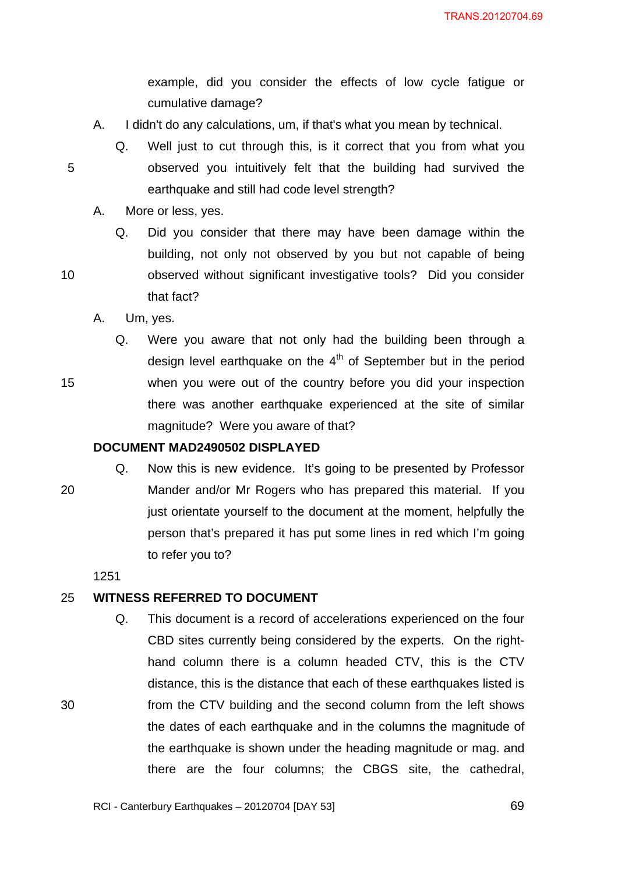example, did you consider the effects of low cycle fatigue or cumulative damage?

- A. I didn't do any calculations, um, if that's what you mean by technical.
	- Q. Well just to cut through this, is it correct that you from what you observed you intuitively felt that the building had survived the earthquake and still had code level strength?
- A. More or less, yes.
	- Q. Did you consider that there may have been damage within the building, not only not observed by you but not capable of being observed without significant investigative tools? Did you consider that fact?
- A. Um, yes.

5

10

15

Q. Were you aware that not only had the building been through a design level earthquake on the  $4<sup>th</sup>$  of September but in the period when you were out of the country before you did your inspection there was another earthquake experienced at the site of similar magnitude? Were you aware of that?

## **DOCUMENT MAD2490502 DISPLAYED**

20 Q. Now this is new evidence. It's going to be presented by Professor Mander and/or Mr Rogers who has prepared this material. If you just orientate yourself to the document at the moment, helpfully the person that's prepared it has put some lines in red which I'm going to refer you to?

1251

30

#### 25 **WITNESS REFERRED TO DOCUMENT**

Q. This document is a record of accelerations experienced on the four CBD sites currently being considered by the experts. On the righthand column there is a column headed CTV, this is the CTV distance, this is the distance that each of these earthquakes listed is from the CTV building and the second column from the left shows the dates of each earthquake and in the columns the magnitude of the earthquake is shown under the heading magnitude or mag. and there are the four columns; the CBGS site, the cathedral,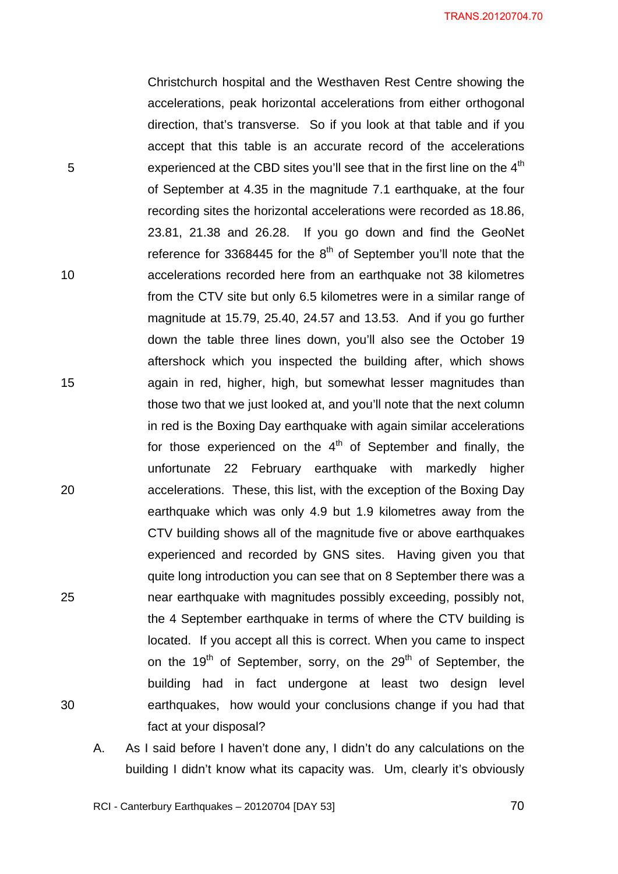TRANS.20120704.70

Christchurch hospital and the Westhaven Rest Centre showing the accelerations, peak horizontal accelerations from either orthogonal direction, that's transverse. So if you look at that table and if you accept that this table is an accurate record of the accelerations experienced at the CBD sites you'll see that in the first line on the  $4<sup>th</sup>$ of September at 4.35 in the magnitude 7.1 earthquake, at the four recording sites the horizontal accelerations were recorded as 18.86, 23.81, 21.38 and 26.28. If you go down and find the GeoNet reference for 3368445 for the  $8<sup>th</sup>$  of September you'll note that the accelerations recorded here from an earthquake not 38 kilometres from the CTV site but only 6.5 kilometres were in a similar range of magnitude at 15.79, 25.40, 24.57 and 13.53. And if you go further down the table three lines down, you'll also see the October 19 aftershock which you inspected the building after, which shows again in red, higher, high, but somewhat lesser magnitudes than those two that we just looked at, and you'll note that the next column in red is the Boxing Day earthquake with again similar accelerations for those experienced on the  $4<sup>th</sup>$  of September and finally, the unfortunate 22 February earthquake with markedly higher accelerations. These, this list, with the exception of the Boxing Day earthquake which was only 4.9 but 1.9 kilometres away from the CTV building shows all of the magnitude five or above earthquakes experienced and recorded by GNS sites. Having given you that quite long introduction you can see that on 8 September there was a near earthquake with magnitudes possibly exceeding, possibly not, the 4 September earthquake in terms of where the CTV building is located. If you accept all this is correct. When you came to inspect on the  $19<sup>th</sup>$  of September, sorry, on the  $29<sup>th</sup>$  of September, the building had in fact undergone at least two design level earthquakes, how would your conclusions change if you had that fact at your disposal?

A. As I said before I haven't done any, I didn't do any calculations on the building I didn't know what its capacity was. Um, clearly it's obviously

RCI - Canterbury Earthquakes – 20120704 [DAY 53]

5

10

15

20

25

30

<u>2014 - Paris Carl The Carl To 2014 - 2014 - 2014 - 2014 - 2014 - 2014 - 2014 - 2014 - 2014 - 2014 - 2014 - 20</u>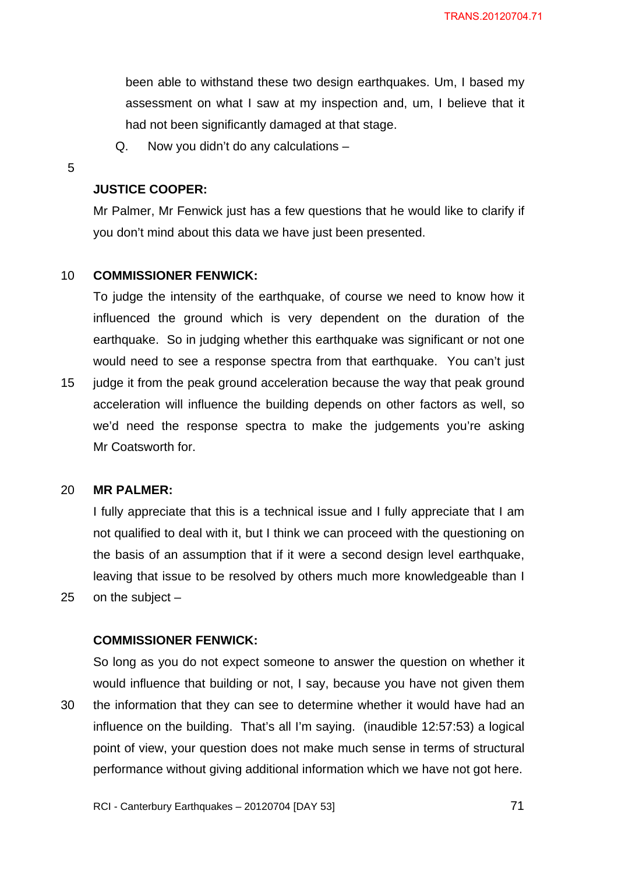been able to withstand these two design earthquakes. Um, I based my assessment on what I saw at my inspection and, um, I believe that it had not been significantly damaged at that stage.

Q. Now you didn't do any calculations –

5

### **JUSTICE COOPER:**

Mr Palmer, Mr Fenwick just has a few questions that he would like to clarify if you don't mind about this data we have just been presented.

#### 10 **COMMISSIONER FENWICK:**

To judge the intensity of the earthquake, of course we need to know how it influenced the ground which is very dependent on the duration of the earthquake. So in judging whether this earthquake was significant or not one would need to see a response spectra from that earthquake. You can't just

15 judge it from the peak ground acceleration because the way that peak ground acceleration will influence the building depends on other factors as well, so we'd need the response spectra to make the judgements you're asking Mr Coatsworth for.

#### 20 **MR PALMER:**

25

I fully appreciate that this is a technical issue and I fully appreciate that I am not qualified to deal with it, but I think we can proceed with the questioning on the basis of an assumption that if it were a second design level earthquake, leaving that issue to be resolved by others much more knowledgeable than I on the subject –

### **COMMISSIONER FENWICK:**

30 So long as you do not expect someone to answer the question on whether it would influence that building or not, I say, because you have not given them the information that they can see to determine whether it would have had an influence on the building. That's all I'm saying. (inaudible 12:57:53) a logical point of view, your question does not make much sense in terms of structural performance without giving additional information which we have not got here.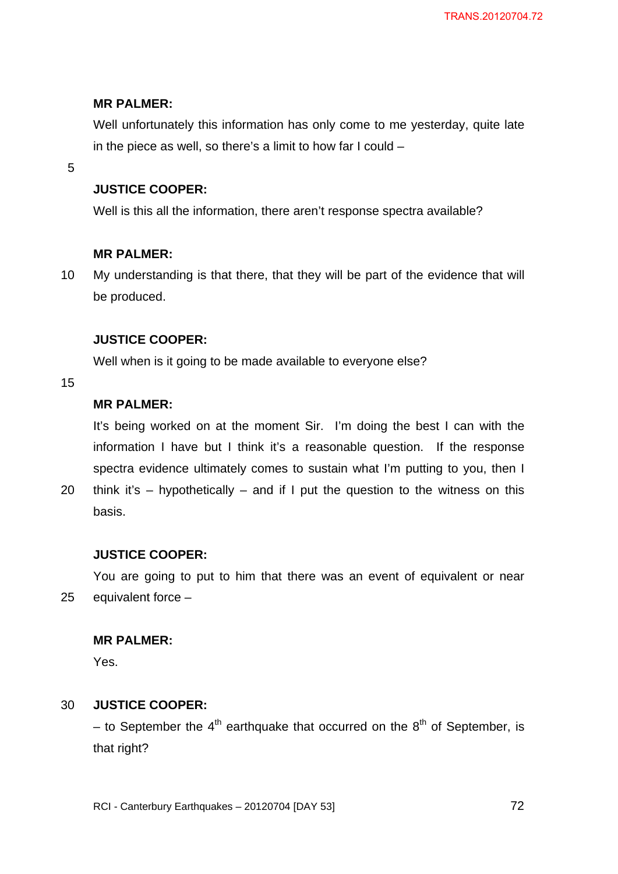## **MR PALMER:**

Well unfortunately this information has only come to me yesterday, quite late in the piece as well, so there's a limit to how far I could –

5

## **JUSTICE COOPER:**

Well is this all the information, there aren't response spectra available?

## **MR PALMER:**

10 My understanding is that there, that they will be part of the evidence that will be produced.

## **JUSTICE COOPER:**

Well when is it going to be made available to everyone else?

15

## **MR PALMER:**

It's being worked on at the moment Sir. I'm doing the best I can with the information I have but I think it's a reasonable question. If the response spectra evidence ultimately comes to sustain what I'm putting to you, then I

20 think it's  $-$  hypothetically  $-$  and if I put the question to the witness on this basis.

## **JUSTICE COOPER:**

25 You are going to put to him that there was an event of equivalent or near equivalent force  $-$ 

## **MR PALMER:**

Yes.

#### 30 **JUSTICE COOPER:**

– to September the  $4<sup>th</sup>$  earthquake that occurred on the  $8<sup>th</sup>$  of September, is that right?

RCI - Canterbury Earthquakes – 20120704 [DAY 53]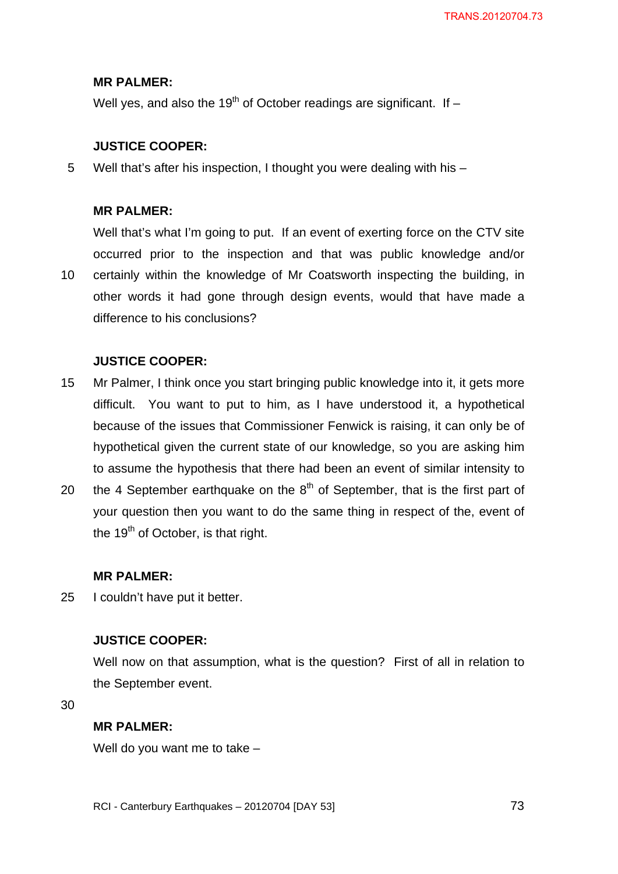## **MR PALMER:**

Well yes, and also the 19<sup>th</sup> of October readings are significant. If  $-$ 

## **JUSTICE COOPER:**

5 Well that's after his inspection. I thought you were dealing with his –

### **MR PALMER:**

10 Well that's what I'm going to put. If an event of exerting force on the CTV site occurred prior to the inspection and that was public knowledge and/or certainly within the knowledge of Mr Coatsworth inspecting the building, in other words it had gone through design events, would that have made a difference to his conclusions?

## **JUSTICE COOPER:**

- 15 Mr Palmer, I think once you start bringing public knowledge into it, it gets more difficult. You want to put to him, as I have understood it, a hypothetical because of the issues that Commissioner Fenwick is raising, it can only be of hypothetical given the current state of our knowledge, so you are asking him to assume the hypothesis that there had been an event of similar intensity to
- 20 the 4 September earthquake on the  $8<sup>th</sup>$  of September, that is the first part of your question then you want to do the same thing in respect of the, event of the  $19<sup>th</sup>$  of October, is that right.

### **MR PALMER:**

25 I couldn't have put it better.

## **JUSTICE COOPER:**

Well now on that assumption, what is the question? First of all in relation to the September event.

30

### **MR PALMER:**

Well do you want me to take –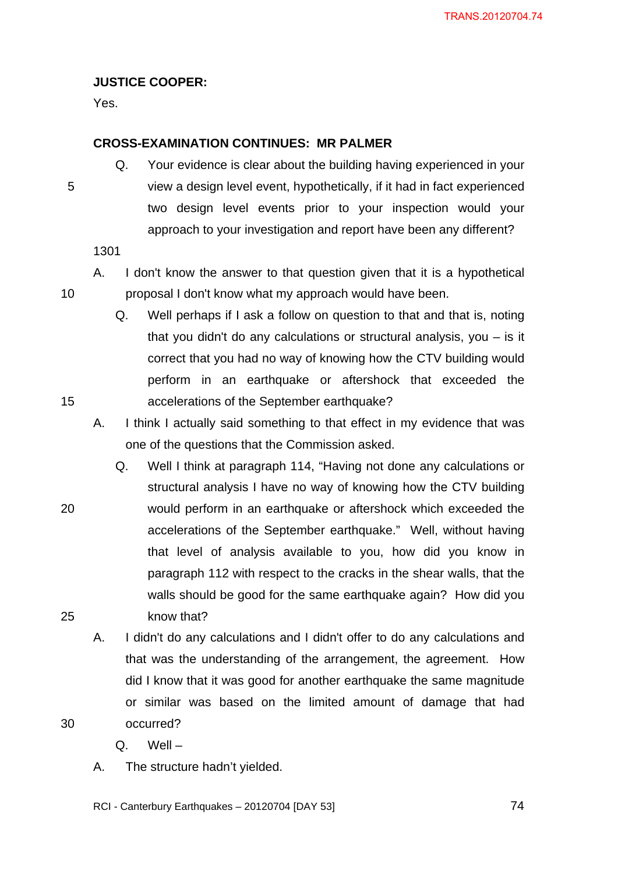## **JUSTICE COOPER:**

Yes.

### **CROSS-EXAMINATION CONTINUES: MR PALMER**

Q. Your evidence is clear about the building having experienced in your view a design level event, hypothetically, if it had in fact experienced two design level events prior to your inspection would your approach to your investigation and report have been any different?

1301

5

10

15

20

25

30

- A. I don't know the answer to that question given that it is a hypothetical proposal I don't know what my approach would have been.
	- Q. Well perhaps if I ask a follow on question to that and that is, noting that you didn't do any calculations or structural analysis, you – is it correct that you had no way of knowing how the CTV building would perform in an earthquake or aftershock that exceeded the accelerations of the September earthquake?
	- A. I think I actually said something to that effect in my evidence that was one of the questions that the Commission asked.
	- Q. Well I think at paragraph 114, "Having not done any calculations or structural analysis I have no way of knowing how the CTV building would perform in an earthquake or aftershock which exceeded the accelerations of the September earthquake." Well, without having that level of analysis available to you, how did you know in paragraph 112 with respect to the cracks in the shear walls, that the walls should be good for the same earthquake again? How did you know that?
	- A. I didn't do any calculations and I didn't offer to do any calculations and that was the understanding of the arrangement, the agreement. How did I know that it was good for another earthquake the same magnitude or similar was based on the limited amount of damage that had occurred?

Q. Well –

A. The structure hadn't yielded.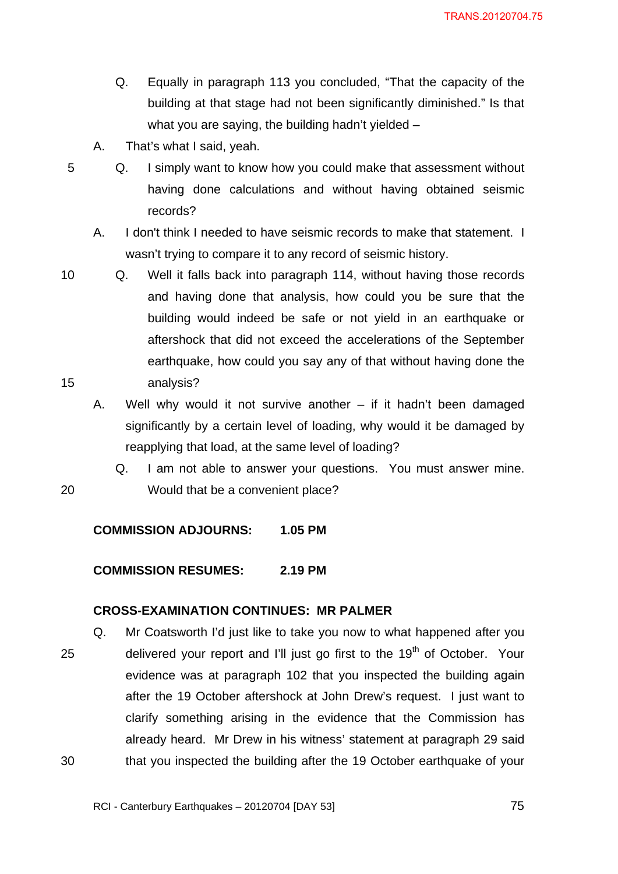- Q. Equally in paragraph 113 you concluded, "That the capacity of the building at that stage had not been significantly diminished." Is that what you are saying, the building hadn't yielded –
- A. That's what I said, yeah.

5 Q. I simply want to know how you could make that assessment without having done calculations and without having obtained seismic records?

A. I don't think I needed to have seismic records to make that statement. I wasn't trying to compare it to any record of seismic history.

10 15 Q. Well it falls back into paragraph 114, without having those records and having done that analysis, how could you be sure that the building would indeed be safe or not yield in an earthquake or aftershock that did not exceed the accelerations of the September earthquake, how could you say any of that without having done the analysis?

A. Well why would it not survive another – if it hadn't been damaged significantly by a certain level of loading, why would it be damaged by reapplying that load, at the same level of loading?

Q. I am not able to answer your questions. You must answer mine. Would that be a convenient place?

## **COMMISSION ADJOURNS: 1.05 PM**

20

**COMMISSION RESUMES: 2.19 PM** 

## **CROSS-EXAMINATION CONTINUES: MR PALMER**

25 30 Q. Mr Coatsworth I'd just like to take you now to what happened after you delivered your report and I'll just go first to the  $19<sup>th</sup>$  of October. Your evidence was at paragraph 102 that you inspected the building again after the 19 October aftershock at John Drew's request. I just want to clarify something arising in the evidence that the Commission has already heard. Mr Drew in his witness' statement at paragraph 29 said that you inspected the building after the 19 October earthquake of your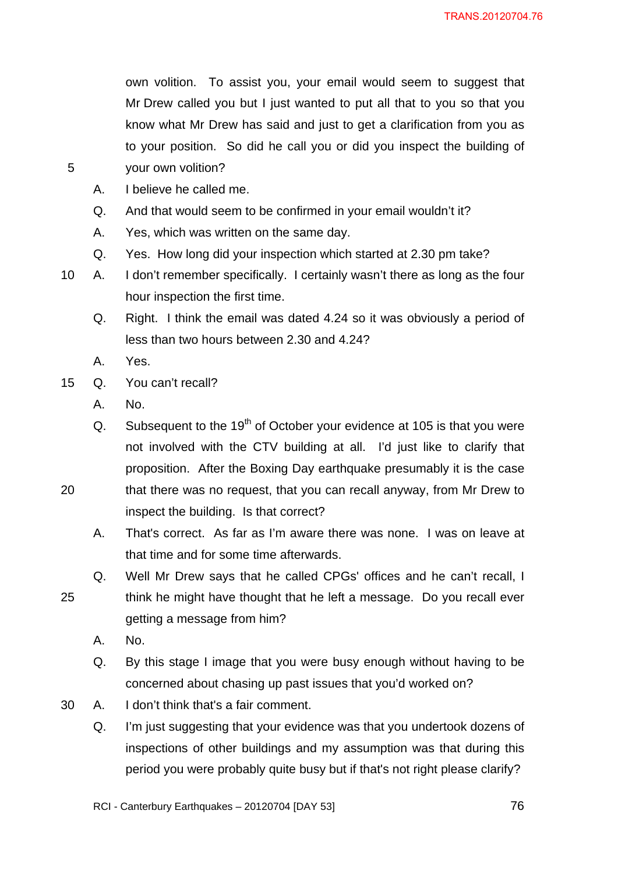own volition. To assist you, your email would seem to suggest that Mr Drew called you but I just wanted to put all that to you so that you know what Mr Drew has said and just to get a clarification from you as to your position. So did he call you or did you inspect the building of your own volition?

- A. I believe he called me.
- Q. And that would seem to be confirmed in your email wouldn't it?
- A. Yes, which was written on the same day.
- Q. Yes. How long did your inspection which started at 2.30 pm take?
- 10 A. I don't remember specifically. I certainly wasn't there as long as the four hour inspection the first time.
	- Q. Right. I think the email was dated 4.24 so it was obviously a period of less than two hours between 2.30 and 4.24?
	- A. Yes.

5

- 15 Q. You can't recall?
	- A. No.
	- Q. Subsequent to the  $19<sup>th</sup>$  of October your evidence at 105 is that you were not involved with the CTV building at all. I'd just like to clarify that proposition. After the Boxing Day earthquake presumably it is the case
- 20 that there was no request, that you can recall anyway, from Mr Drew to inspect the building. Is that correct?
	- A. That's correct. As far as I'm aware there was none. I was on leave at that time and for some time afterwards.
	- Q. Well Mr Drew says that he called CPGs' offices and he can't recall, I think he might have thought that he left a message. Do you recall ever getting a message from him?
		- A. No.

- Q. By this stage I image that you were busy enough without having to be concerned about chasing up past issues that you'd worked on?
- 30 A. I don't think that's a fair comment.
	- Q. I'm just suggesting that your evidence was that you undertook dozens of inspections of other buildings and my assumption was that during this period you were probably quite busy but if that's not right please clarify?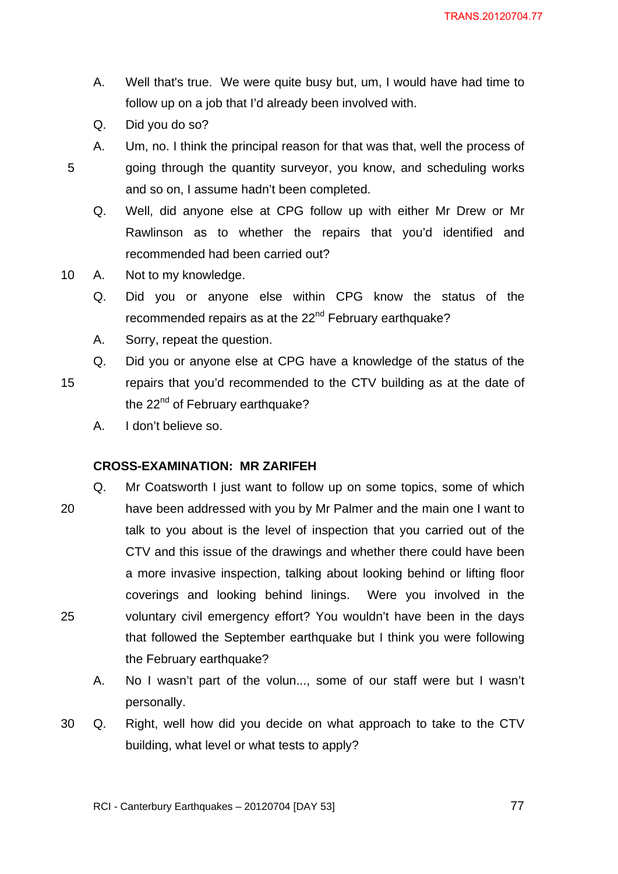- A. Well that's true. We were quite busy but, um, I would have had time to follow up on a job that I'd already been involved with.
- Q. Did you do so?

A. Um, no. I think the principal reason for that was that, well the process of going through the quantity surveyor, you know, and scheduling works and so on, I assume hadn't been completed.

Q. Well, did anyone else at CPG follow up with either Mr Drew or Mr Rawlinson as to whether the repairs that you'd identified and recommended had been carried out?

- 10 A. Not to my knowledge.
	- Q. Did you or anyone else within CPG know the status of the recommended repairs as at the 22<sup>nd</sup> February earthquake?
	- A. Sorry, repeat the question.
	- Q. Did you or anyone else at CPG have a knowledge of the status of the
- 15 repairs that you'd recommended to the CTV building as at the date of the 22<sup>nd</sup> of February earthquake?
	- A. I don't believe so.

### **CROSS-EXAMINATION: MR ZARIFEH**

- 20 25 Q. Mr Coatsworth I just want to follow up on some topics, some of which have been addressed with you by Mr Palmer and the main one I want to talk to you about is the level of inspection that you carried out of the CTV and this issue of the drawings and whether there could have been a more invasive inspection, talking about looking behind or lifting floor coverings and looking behind linings. Were you involved in the voluntary civil emergency effort? You wouldn't have been in the days that followed the September earthquake but I think you were following the February earthquake?
	- A. No I wasn't part of the volun..., some of our staff were but I wasn't personally.
- 30 Q. Right, well how did you decide on what approach to take to the CTV building, what level or what tests to apply?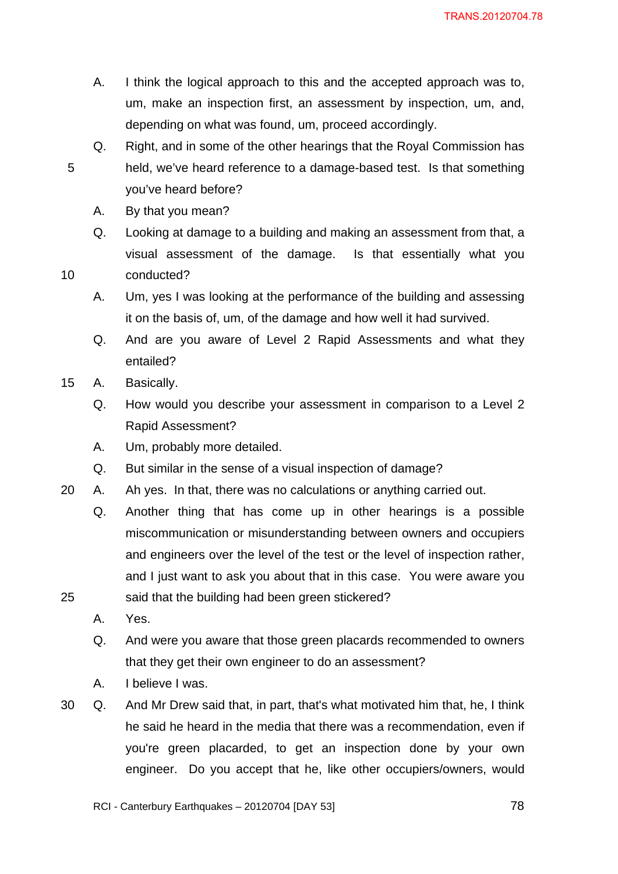- A. I think the logical approach to this and the accepted approach was to, um, make an inspection first, an assessment by inspection, um, and, depending on what was found, um, proceed accordingly.
- Q. Right, and in some of the other hearings that the Royal Commission has held, we've heard reference to a damage-based test. Is that something you've heard before?
	- A. By that you mean?
	- Q. Looking at damage to a building and making an assessment from that, a visual assessment of the damage. Is that essentially what you conducted?
	- A. Um, yes I was looking at the performance of the building and assessing it on the basis of, um, of the damage and how well it had survived.
	- Q. And are you aware of Level 2 Rapid Assessments and what they entailed?
- 15 A. Basically.

10

- Q. How would you describe your assessment in comparison to a Level 2 Rapid Assessment?
- A. Um, probably more detailed.
- Q. But similar in the sense of a visual inspection of damage?
- 20 A. Ah yes. In that, there was no calculations or anything carried out.
	- Q. Another thing that has come up in other hearings is a possible miscommunication or misunderstanding between owners and occupiers and engineers over the level of the test or the level of inspection rather, and I just want to ask you about that in this case. You were aware you said that the building had been green stickered?
	- A. Yes.

- Q. And were you aware that those green placards recommended to owners that they get their own engineer to do an assessment?
- A. I believe I was.
- 30 Q. And Mr Drew said that, in part, that's what motivated him that, he, I think he said he heard in the media that there was a recommendation, even if you're green placarded, to get an inspection done by your own engineer. Do you accept that he, like other occupiers/owners, would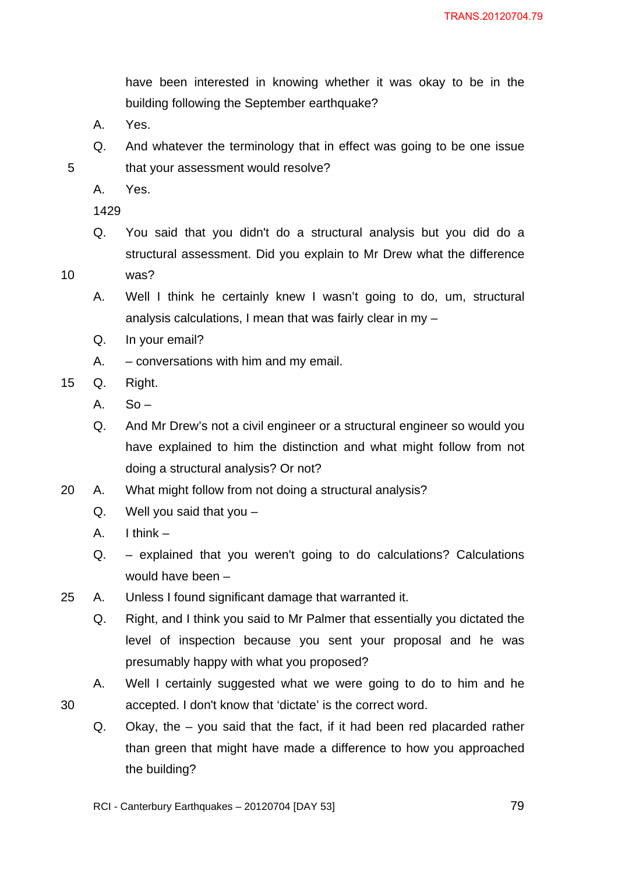have been interested in knowing whether it was okay to be in the building following the September earthquake?

- A. Yes.
- Q. And whatever the terminology that in effect was going to be one issue that your assessment would resolve?
- A. Yes.

1429

Q. You said that you didn't do a structural analysis but you did do a structural assessment. Did you explain to Mr Drew what the difference

10

30

- was?
- A. Well I think he certainly knew I wasn't going to do, um, structural analysis calculations, I mean that was fairly clear in my –
- Q. In your email?
- A. conversations with him and my email.
- 15 Q. Right.
	- $A.$  So –
	- Q. And Mr Drew's not a civil engineer or a structural engineer so would you have explained to him the distinction and what might follow from not doing a structural analysis? Or not?
- 20 A. What might follow from not doing a structural analysis?
	- Q. Well you said that you –
	- A. I think –
	- Q. explained that you weren't going to do calculations? Calculations would have been –
- 25 A. Unless I found significant damage that warranted it.
	- Q. Right, and I think you said to Mr Palmer that essentially you dictated the level of inspection because you sent your proposal and he was presumably happy with what you proposed?
	- A. Well I certainly suggested what we were going to do to him and he accepted. I don't know that 'dictate' is the correct word.
	- Q. Okay, the you said that the fact, if it had been red placarded rather than green that might have made a difference to how you approached the building?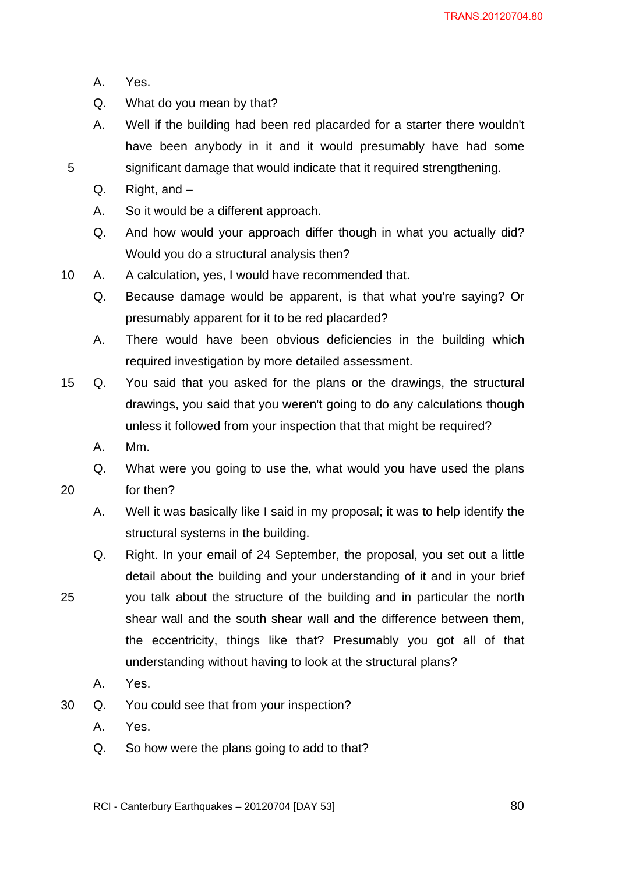- A. Yes.
- Q. What do you mean by that?
- A. Well if the building had been red placarded for a starter there wouldn't have been anybody in it and it would presumably have had some significant damage that would indicate that it required strengthening.
- Q. Right, and –
- A. So it would be a different approach.
- Q. And how would your approach differ though in what you actually did? Would you do a structural analysis then?
- 10 A. A calculation, yes, I would have recommended that.
	- Q. Because damage would be apparent, is that what you're saying? Or presumably apparent for it to be red placarded?
	- A. There would have been obvious deficiencies in the building which required investigation by more detailed assessment.
- 15 Q. You said that you asked for the plans or the drawings, the structural drawings, you said that you weren't going to do any calculations though unless it followed from your inspection that that might be required?
	- A. Mm.

for then?

- Q. What were you going to use the, what would you have used the plans
- 20

- A. Well it was basically like I said in my proposal; it was to help identify the structural systems in the building.
- Q. Right. In your email of 24 September, the proposal, you set out a little detail about the building and your understanding of it and in your brief
- 25 you talk about the structure of the building and in particular the north shear wall and the south shear wall and the difference between them, the eccentricity, things like that? Presumably you got all of that understanding without having to look at the structural plans?
	- A. Yes.
- 30 Q. You could see that from your inspection?
	- A. Yes.
	- Q. So how were the plans going to add to that?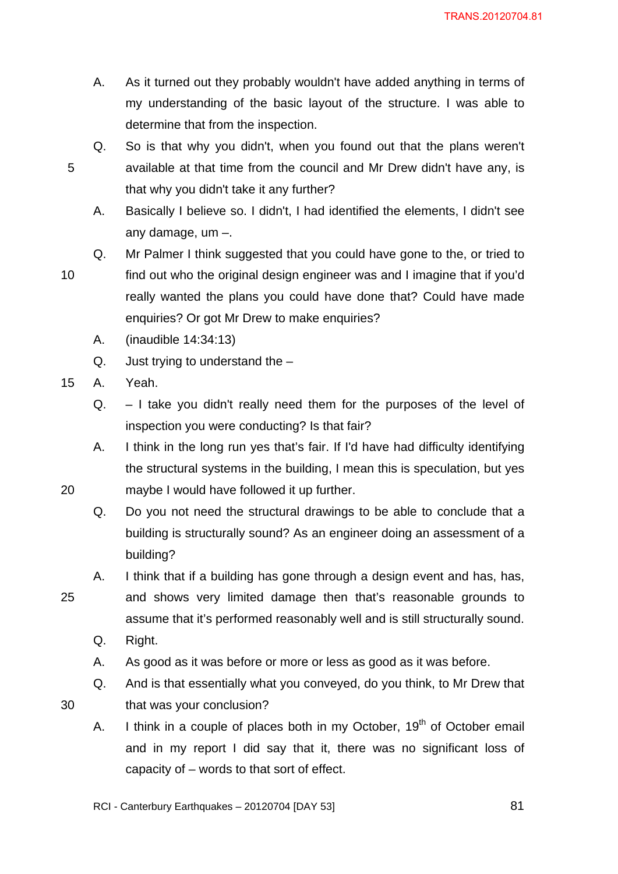- A. As it turned out they probably wouldn't have added anything in terms of my understanding of the basic layout of the structure. I was able to determine that from the inspection.
- Q. So is that why you didn't, when you found out that the plans weren't available at that time from the council and Mr Drew didn't have any, is that why you didn't take it any further?
	- A. Basically I believe so. I didn't, I had identified the elements, I didn't see any damage, um –.
	- Q. Mr Palmer I think suggested that you could have gone to the, or tried to

5

find out who the original design engineer was and I imagine that if you'd really wanted the plans you could have done that? Could have made enquiries? Or got Mr Drew to make enquiries?

- A. (inaudible 14:34:13)
- Q. Just trying to understand the –
- 15 A. Yeah.
	- Q. I take you didn't really need them for the purposes of the level of inspection you were conducting? Is that fair?
	- A. I think in the long run yes that's fair. If I'd have had difficulty identifying the structural systems in the building, I mean this is speculation, but yes maybe I would have followed it up further.
	- Q. Do you not need the structural drawings to be able to conclude that a building is structurally sound? As an engineer doing an assessment of a building?
	- A. I think that if a building has gone through a design event and has, has,
	- and shows very limited damage then that's reasonable grounds to assume that it's performed reasonably well and is still structurally sound.
		- Q. Right.
		- A. As good as it was before or more or less as good as it was before.
		- Q. And is that essentially what you conveyed, do you think, to Mr Drew that that was your conclusion?
		- A. I think in a couple of places both in my October,  $19<sup>th</sup>$  of October email and in my report I did say that it, there was no significant loss of capacity of – words to that sort of effect.

25

30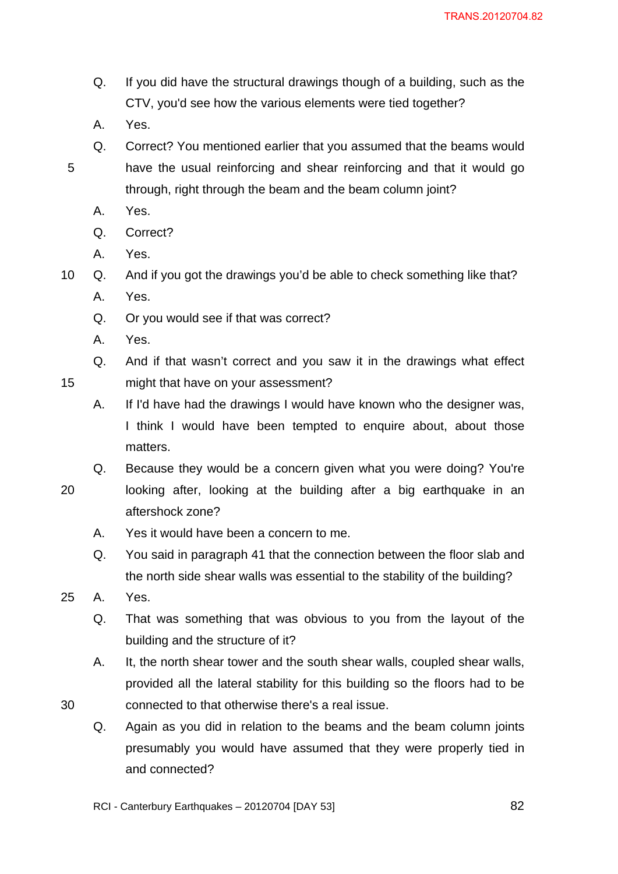- Q. If you did have the structural drawings though of a building, such as the CTV, you'd see how the various elements were tied together?
- A. Yes.

- Q. Correct? You mentioned earlier that you assumed that the beams would have the usual reinforcing and shear reinforcing and that it would go through, right through the beam and the beam column joint?
	- A. Yes.
	- Q. Correct?
	- A. Yes.

10 Q. And if you got the drawings you'd be able to check something like that?

- A. Yes.
- Q. Or you would see if that was correct?
- A. Yes.

Q. And if that wasn't correct and you saw it in the drawings what effect might that have on your assessment?

- A. If I'd have had the drawings I would have known who the designer was, I think I would have been tempted to enquire about, about those matters.
- Q. Because they would be a concern given what you were doing? You're
- 20

30

- looking after, looking at the building after a big earthquake in an aftershock zone?
- A. Yes it would have been a concern to me.
- Q. You said in paragraph 41 that the connection between the floor slab and the north side shear walls was essential to the stability of the building?
- 25 A. Yes.
	- Q. That was something that was obvious to you from the layout of the building and the structure of it?
	- A. It, the north shear tower and the south shear walls, coupled shear walls, provided all the lateral stability for this building so the floors had to be connected to that otherwise there's a real issue.
	- Q. Again as you did in relation to the beams and the beam column joints presumably you would have assumed that they were properly tied in and connected?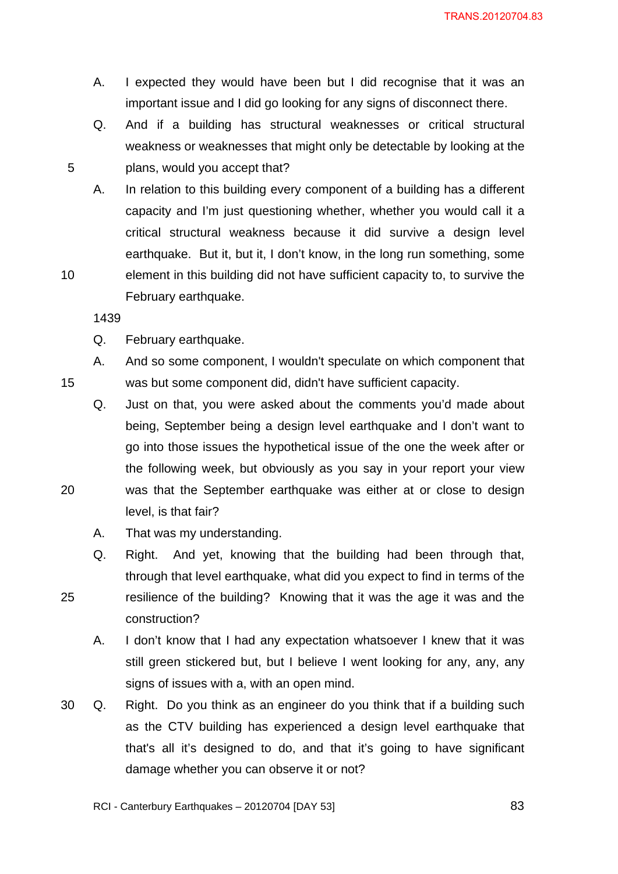- A. I expected they would have been but I did recognise that it was an important issue and I did go looking for any signs of disconnect there.
- Q. And if a building has structural weaknesses or critical structural weakness or weaknesses that might only be detectable by looking at the plans, would you accept that?
- A. In relation to this building every component of a building has a different capacity and I'm just questioning whether, whether you would call it a critical structural weakness because it did survive a design level earthquake. But it, but it, I don't know, in the long run something, some element in this building did not have sufficient capacity to, to survive the February earthquake.

- Q. February earthquake.
- A. And so some component, I wouldn't speculate on which component that was but some component did, didn't have sufficient capacity.
- Q. Just on that, you were asked about the comments you'd made about being, September being a design level earthquake and I don't want to go into those issues the hypothetical issue of the one the week after or the following week, but obviously as you say in your report your view was that the September earthquake was either at or close to design level, is that fair?
- A. That was my understanding.
- Q. Right. And yet, knowing that the building had been through that, through that level earthquake, what did you expect to find in terms of the resilience of the building? Knowing that it was the age it was and the construction?
	- A. I don't know that I had any expectation whatsoever I knew that it was still green stickered but, but I believe I went looking for any, any, any signs of issues with a, with an open mind.
- 30 Q. Right. Do you think as an engineer do you think that if a building such as the CTV building has experienced a design level earthquake that that's all it's designed to do, and that it's going to have significant damage whether you can observe it or not?

20

15

5

10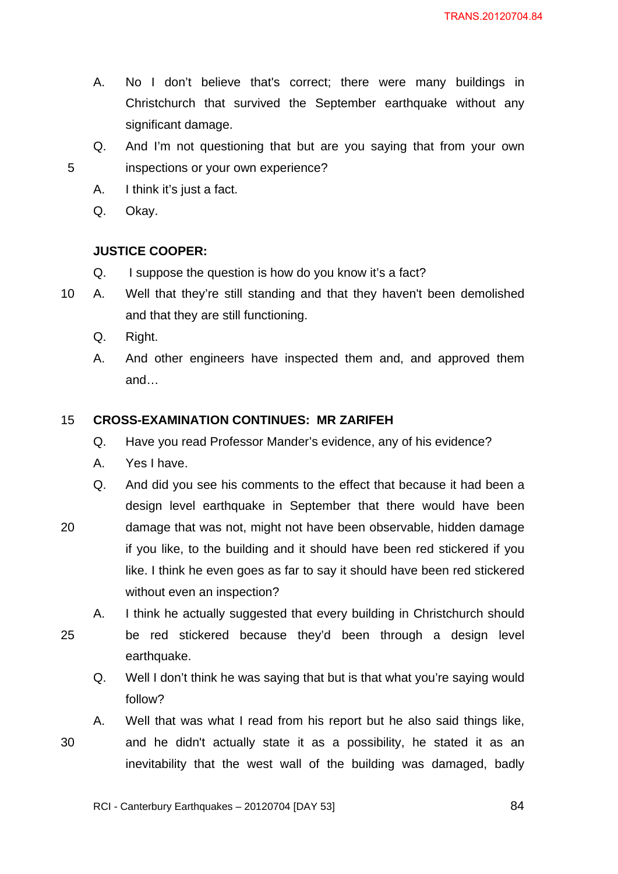- A. No I don't believe that's correct; there were many buildings in Christchurch that survived the September earthquake without any significant damage.
- Q. And I'm not questioning that but are you saying that from your own inspections or your own experience?
- A. I think it's just a fact.
- Q. Okay.

20

25

30

# **JUSTICE COOPER:**

- Q. I suppose the question is how do you know it's a fact?
- 10 A. Well that they're still standing and that they haven't been demolished and that they are still functioning.
	- Q. Right.
	- A. And other engineers have inspected them and, and approved them and…

#### 15 **CROSS-EXAMINATION CONTINUES: MR ZARIFEH**

- Q. Have you read Professor Mander's evidence, any of his evidence?
- A. Yes I have.
- Q. And did you see his comments to the effect that because it had been a design level earthquake in September that there would have been damage that was not, might not have been observable, hidden damage if you like, to the building and it should have been red stickered if you like. I think he even goes as far to say it should have been red stickered without even an inspection?
- A. I think he actually suggested that every building in Christchurch should be red stickered because they'd been through a design level earthquake.
	- Q. Well I don't think he was saying that but is that what you're saying would follow?
- A. Well that was what I read from his report but he also said things like, and he didn't actually state it as a possibility, he stated it as an inevitability that the west wall of the building was damaged, badly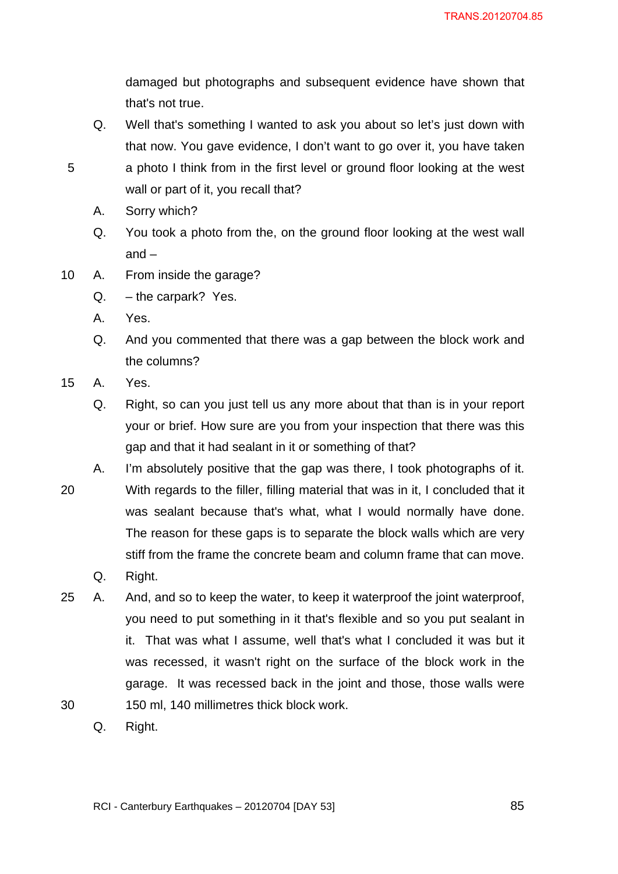damaged but photographs and subsequent evidence have shown that that's not true.

- Q. Well that's something I wanted to ask you about so let's just down with that now. You gave evidence, I don't want to go over it, you have taken a photo I think from in the first level or ground floor looking at the west wall or part of it, you recall that?
- A. Sorry which?
- Q. You took a photo from the, on the ground floor looking at the west wall and –
- 10 A. From inside the garage?
	- Q. the carpark? Yes.
	- A. Yes.
	- Q. And you commented that there was a gap between the block work and the columns?
- 15 A. Yes.

- Q. Right, so can you just tell us any more about that than is in your report your or brief. How sure are you from your inspection that there was this gap and that it had sealant in it or something of that?
- 20 A. I'm absolutely positive that the gap was there, I took photographs of it. With regards to the filler, filling material that was in it, I concluded that it was sealant because that's what, what I would normally have done. The reason for these gaps is to separate the block walls which are very stiff from the frame the concrete beam and column frame that can move.
	- Q. Right.
- 30 25 A. And, and so to keep the water, to keep it waterproof the joint waterproof, you need to put something in it that's flexible and so you put sealant in it. That was what I assume, well that's what I concluded it was but it was recessed, it wasn't right on the surface of the block work in the garage. It was recessed back in the joint and those, those walls were 150 ml, 140 millimetres thick block work.
	- Q. Right.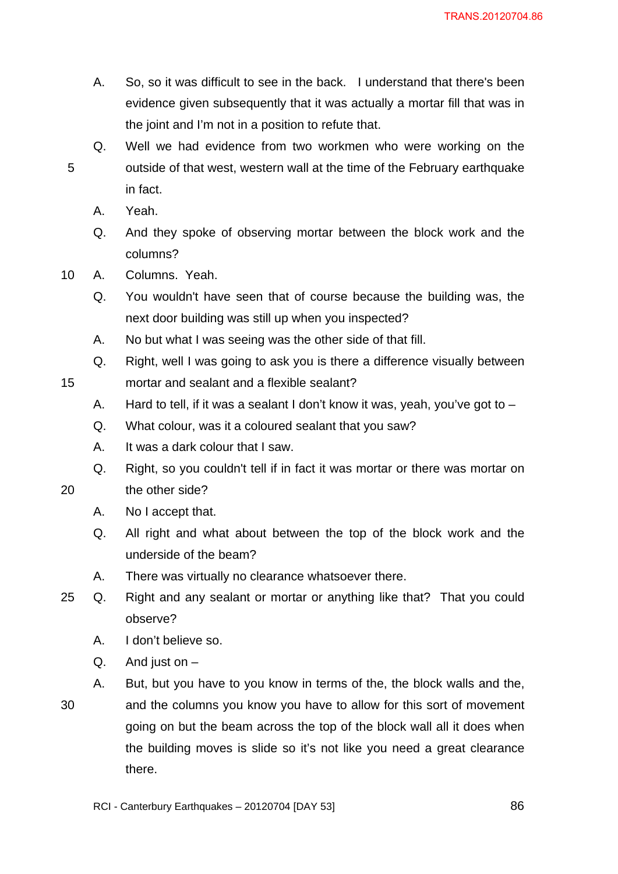- A. So, so it was difficult to see in the back. I understand that there's been evidence given subsequently that it was actually a mortar fill that was in the joint and I'm not in a position to refute that.
- Q. Well we had evidence from two workmen who were working on the outside of that west, western wall at the time of the February earthquake in fact.
	- A. Yeah.

15

- Q. And they spoke of observing mortar between the block work and the columns?
- 10 A. Columns. Yeah.
	- Q. You wouldn't have seen that of course because the building was, the next door building was still up when you inspected?
	- A. No but what I was seeing was the other side of that fill.
	- Q. Right, well I was going to ask you is there a difference visually between mortar and sealant and a flexible sealant?
	- A. Hard to tell, if it was a sealant I don't know it was, yeah, you've got to  $-$
	- Q. What colour, was it a coloured sealant that you saw?
	- A. It was a dark colour that I saw.
	- Q. Right, so you couldn't tell if in fact it was mortar or there was mortar on
- 20 the other side?
	- A. No I accept that.
	- Q. All right and what about between the top of the block work and the underside of the beam?
	- A. There was virtually no clearance whatsoever there.
- 25 Q. Right and any sealant or mortar or anything like that? That you could observe?
	- A. I don't believe so.
	- $Q.$  And just on  $-$
	- A. But, but you have to you know in terms of the, the block walls and the,
	- and the columns you know you have to allow for this sort of movement going on but the beam across the top of the block wall all it does when the building moves is slide so it's not like you need a great clearance there.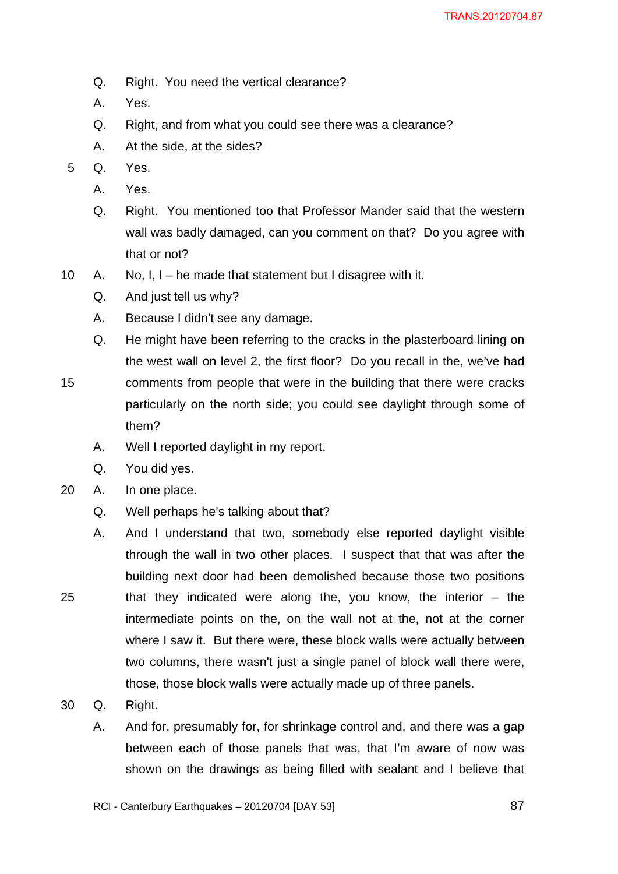- Q. Right. You need the vertical clearance?
- A. Yes.
- Q. Right, and from what you could see there was a clearance?
- A. At the side, at the sides?
- 5 Q. Yes.
	- A. Yes.
	- Q. Right. You mentioned too that Professor Mander said that the western wall was badly damaged, can you comment on that? Do you agree with that or not?
- 10 A. No, I, I he made that statement but I disagree with it.
	- Q. And just tell us why?
	- A. Because I didn't see any damage.
	- Q. He might have been referring to the cracks in the plasterboard lining on the west wall on level 2, the first floor? Do you recall in the, we've had comments from people that were in the building that there were cracks particularly on the north side; you could see daylight through some of them?
		- A. Well I reported daylight in my report.
		- Q. You did yes.
- 20 A. In one place.

- Q. Well perhaps he's talking about that?
- A. And I understand that two, somebody else reported daylight visible through the wall in two other places. I suspect that that was after the building next door had been demolished because those two positions that they indicated were along the, you know, the interior  $-$  the intermediate points on the, on the wall not at the, not at the corner where I saw it. But there were, these block walls were actually between two columns, there wasn't just a single panel of block wall there were, those, those block walls were actually made up of three panels.
- 30 Q. Right.
	- A. And for, presumably for, for shrinkage control and, and there was a gap between each of those panels that was, that I'm aware of now was shown on the drawings as being filled with sealant and I believe that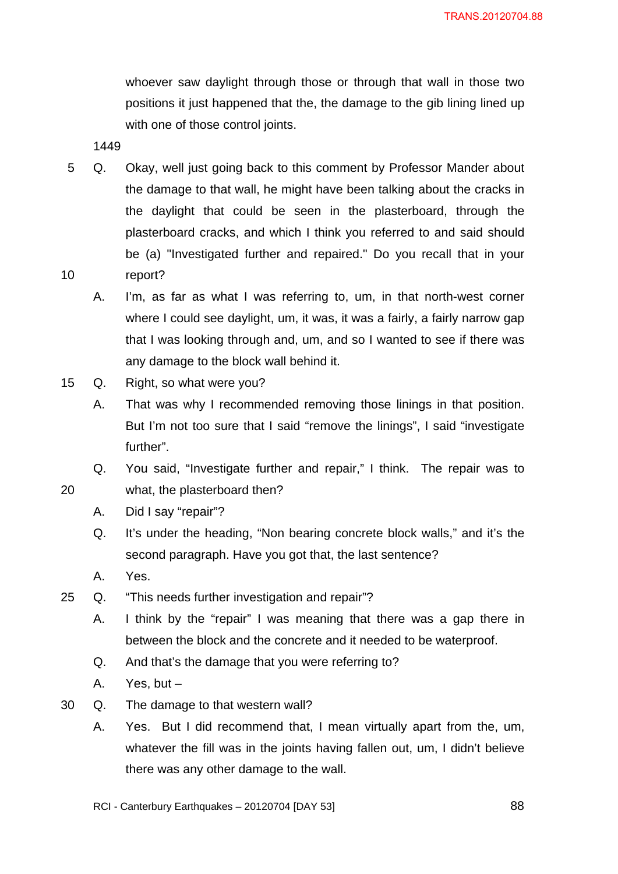whoever saw daylight through those or through that wall in those two positions it just happened that the, the damage to the gib lining lined up with one of those control joints.

1449

- 10 5 Q. Okay, well just going back to this comment by Professor Mander about the damage to that wall, he might have been talking about the cracks in the daylight that could be seen in the plasterboard, through the plasterboard cracks, and which I think you referred to and said should be (a) "Investigated further and repaired." Do you recall that in your report?
	- A. I'm, as far as what I was referring to, um, in that north-west corner where I could see daylight, um, it was, it was a fairly, a fairly narrow gap that I was looking through and, um, and so I wanted to see if there was any damage to the block wall behind it.
- 15 Q. Right, so what were you?
	- A. That was why I recommended removing those linings in that position. But I'm not too sure that I said "remove the linings", I said "investigate further".
	- Q. You said, "Investigate further and repair," I think. The repair was to what, the plasterboard then?
		- A. Did I say "repair"?
		- Q. It's under the heading, "Non bearing concrete block walls," and it's the second paragraph. Have you got that, the last sentence?
		- A. Yes.

- 25 Q. "This needs further investigation and repair"?
	- A. I think by the "repair" I was meaning that there was a gap there in between the block and the concrete and it needed to be waterproof.
	- Q. And that's the damage that you were referring to?
	- A. Yes, but –
- 30 Q. The damage to that western wall?
	- A. Yes. But I did recommend that, I mean virtually apart from the, um, whatever the fill was in the joints having fallen out, um, I didn't believe there was any other damage to the wall.
	- RCI Canterbury Earthquakes 20120704 [DAY 53]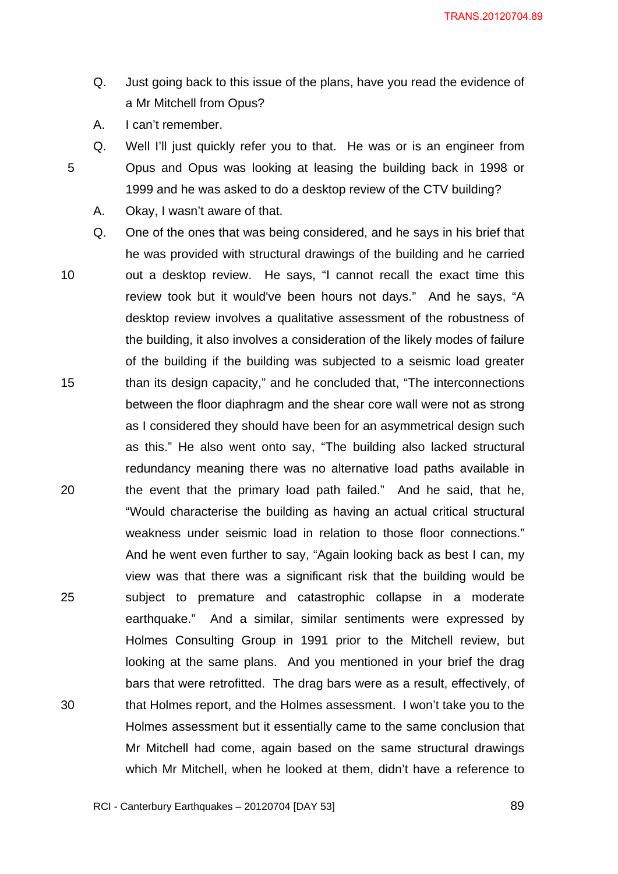- Q. Just going back to this issue of the plans, have you read the evidence of a Mr Mitchell from Opus?
- A. I can't remember.

- Q. Well I'll just quickly refer you to that. He was or is an engineer from Opus and Opus was looking at leasing the building back in 1998 or 1999 and he was asked to do a desktop review of the CTV building?
	- A. Okay, I wasn't aware of that.
- 10 15 20 25 30 Q. One of the ones that was being considered, and he says in his brief that he was provided with structural drawings of the building and he carried out a desktop review. He says, "I cannot recall the exact time this review took but it would've been hours not days." And he says, "A desktop review involves a qualitative assessment of the robustness of the building, it also involves a consideration of the likely modes of failure of the building if the building was subjected to a seismic load greater than its design capacity," and he concluded that, "The interconnections between the floor diaphragm and the shear core wall were not as strong as I considered they should have been for an asymmetrical design such as this." He also went onto say, "The building also lacked structural redundancy meaning there was no alternative load paths available in the event that the primary load path failed." And he said, that he, "Would characterise the building as having an actual critical structural weakness under seismic load in relation to those floor connections." And he went even further to say, "Again looking back as best I can, my view was that there was a significant risk that the building would be subject to premature and catastrophic collapse in a moderate earthquake." And a similar, similar sentiments were expressed by Holmes Consulting Group in 1991 prior to the Mitchell review, but looking at the same plans. And you mentioned in your brief the drag bars that were retrofitted. The drag bars were as a result, effectively, of that Holmes report, and the Holmes assessment. I won't take you to the Holmes assessment but it essentially came to the same conclusion that Mr Mitchell had come, again based on the same structural drawings which Mr Mitchell, when he looked at them, didn't have a reference to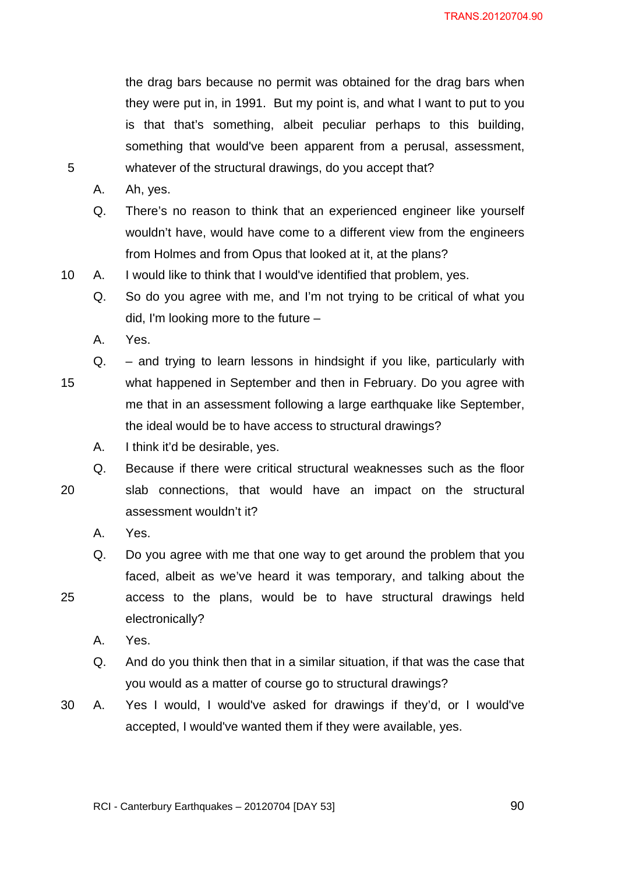the drag bars because no permit was obtained for the drag bars when they were put in, in 1991. But my point is, and what I want to put to you is that that's something, albeit peculiar perhaps to this building, something that would've been apparent from a perusal, assessment, whatever of the structural drawings, do you accept that?

A. Ah, yes.

5

- Q. There's no reason to think that an experienced engineer like yourself wouldn't have, would have come to a different view from the engineers from Holmes and from Opus that looked at it, at the plans?
- 10 A. I would like to think that I would've identified that problem, yes.
	- Q. So do you agree with me, and I'm not trying to be critical of what you did, I'm looking more to the future –
	- A. Yes.

15 Q. – and trying to learn lessons in hindsight if you like, particularly with what happened in September and then in February. Do you agree with me that in an assessment following a large earthquake like September, the ideal would be to have access to structural drawings?

- A. I think it'd be desirable, yes.
- 20 Q. Because if there were critical structural weaknesses such as the floor slab connections, that would have an impact on the structural assessment wouldn't it?
	- A. Yes.
	- Q. Do you agree with me that one way to get around the problem that you faced, albeit as we've heard it was temporary, and talking about the access to the plans, would be to have structural drawings held electronically?
		- A. Yes.

- Q. And do you think then that in a similar situation, if that was the case that you would as a matter of course go to structural drawings?
- 30 A. Yes I would, I would've asked for drawings if they'd, or I would've accepted, I would've wanted them if they were available, yes.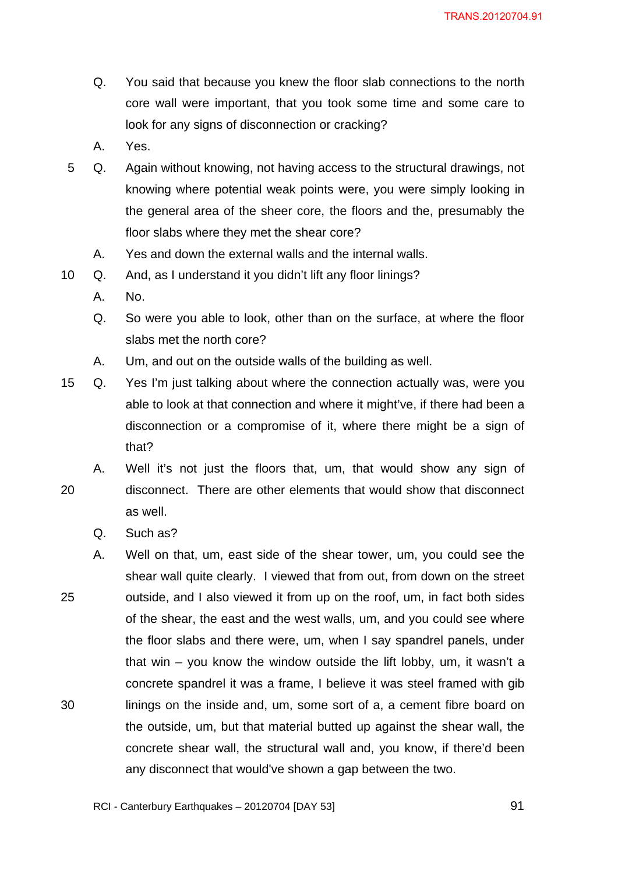- Q. You said that because you knew the floor slab connections to the north core wall were important, that you took some time and some care to look for any signs of disconnection or cracking?
- A. Yes.
- 5 Q. Again without knowing, not having access to the structural drawings, not knowing where potential weak points were, you were simply looking in the general area of the sheer core, the floors and the, presumably the floor slabs where they met the shear core?
	- A. Yes and down the external walls and the internal walls.
- 10 Q. And, as I understand it you didn't lift any floor linings?
	- A. No.
	- Q. So were you able to look, other than on the surface, at where the floor slabs met the north core?
	- A. Um, and out on the outside walls of the building as well.
- 15 Q. Yes I'm just talking about where the connection actually was, were you able to look at that connection and where it might've, if there had been a disconnection or a compromise of it, where there might be a sign of that?

20 A. Well it's not just the floors that, um, that would show any sign of disconnect. There are other elements that would show that disconnect as well.

- Q. Such as?
- 25 30 A. Well on that, um, east side of the shear tower, um, you could see the shear wall quite clearly. I viewed that from out, from down on the street outside, and I also viewed it from up on the roof, um, in fact both sides of the shear, the east and the west walls, um, and you could see where the floor slabs and there were, um, when I say spandrel panels, under that win – you know the window outside the lift lobby, um, it wasn't a concrete spandrel it was a frame, I believe it was steel framed with gib linings on the inside and, um, some sort of a, a cement fibre board on the outside, um, but that material butted up against the shear wall, the concrete shear wall, the structural wall and, you know, if there'd been any disconnect that would've shown a gap between the two.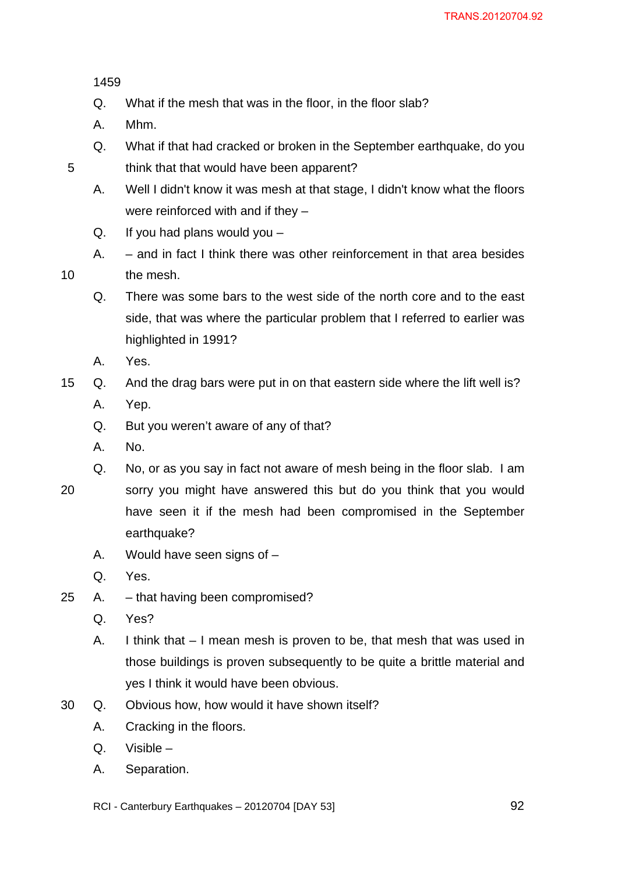5

- Q. What if the mesh that was in the floor, in the floor slab?
- A. Mhm.
- Q. What if that had cracked or broken in the September earthquake, do you think that that would have been apparent?
- A. Well I didn't know it was mesh at that stage, I didn't know what the floors were reinforced with and if they –
- Q. If you had plans would you  $-$
- A. and in fact I think there was other reinforcement in that area besides the mesh.
- Q. There was some bars to the west side of the north core and to the east side, that was where the particular problem that I referred to earlier was highlighted in 1991?
- A. Yes.
- 15 Q. And the drag bars were put in on that eastern side where the lift well is?
	- A. Yep.
	- Q. But you weren't aware of any of that?
	- A. No.
	- Q. No, or as you say in fact not aware of mesh being in the floor slab. I am
- 20 sorry you might have answered this but do you think that you would have seen it if the mesh had been compromised in the September earthquake?
	- A. Would have seen signs of –
	- Q. Yes.
- 25 A. that having been compromised?
	- Q. Yes?
	- A. I think that I mean mesh is proven to be, that mesh that was used in those buildings is proven subsequently to be quite a brittle material and yes I think it would have been obvious.
- 30 Q. Obvious how, how would it have shown itself?
	- A. Cracking in the floors.
	- Q. Visible –
	- A. Separation.
	- RCI Canterbury Earthquakes 20120704 [DAY 53]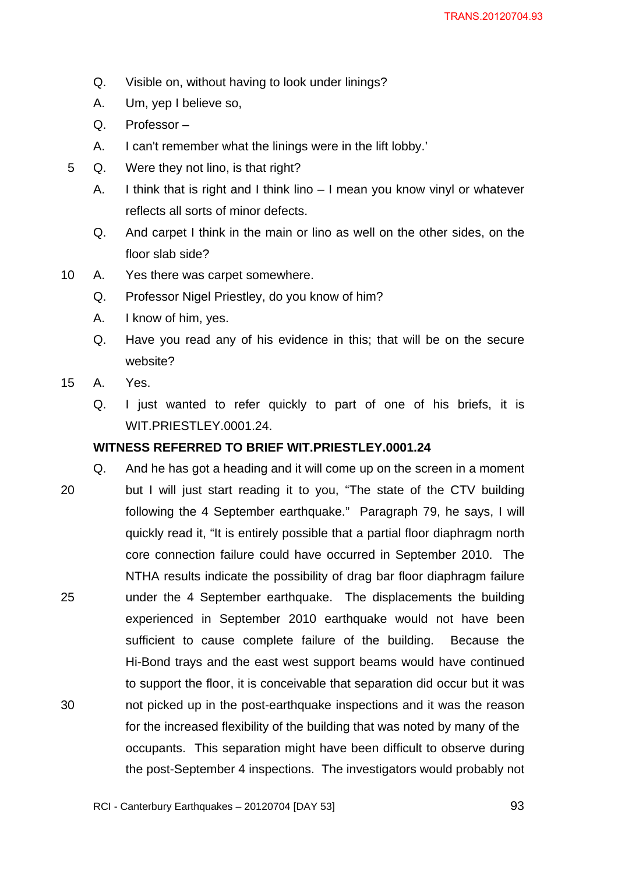- Q. Visible on, without having to look under linings?
- A. Um, yep I believe so,
- Q. Professor –
- A. I can't remember what the linings were in the lift lobby.'
- 5 Q. Were they not lino, is that right?
	- A. I think that is right and I think lino I mean you know vinyl or whatever reflects all sorts of minor defects.
	- Q. And carpet I think in the main or lino as well on the other sides, on the floor slab side?
- 10 A. Yes there was carpet somewhere.
	- Q. Professor Nigel Priestley, do you know of him?
	- A. I know of him, yes.
	- Q. Have you read any of his evidence in this; that will be on the secure website?
- 15 A. Yes.
	- Q. I just wanted to refer quickly to part of one of his briefs, it is WIT.PRIESTLEY.0001.24.

### **WITNESS REFERRED TO BRIEF WIT.PRIESTLEY.0001.24**

20 25 30 Q. And he has got a heading and it will come up on the screen in a moment but I will just start reading it to you, "The state of the CTV building following the 4 September earthquake." Paragraph 79, he says, I will quickly read it, "It is entirely possible that a partial floor diaphragm north core connection failure could have occurred in September 2010. The NTHA results indicate the possibility of drag bar floor diaphragm failure under the 4 September earthquake. The displacements the building experienced in September 2010 earthquake would not have been sufficient to cause complete failure of the building. Because the Hi-Bond trays and the east west support beams would have continued to support the floor, it is conceivable that separation did occur but it was not picked up in the post-earthquake inspections and it was the reason for the increased flexibility of the building that was noted by many of the occupants. This separation might have been difficult to observe during the post-September 4 inspections. The investigators would probably not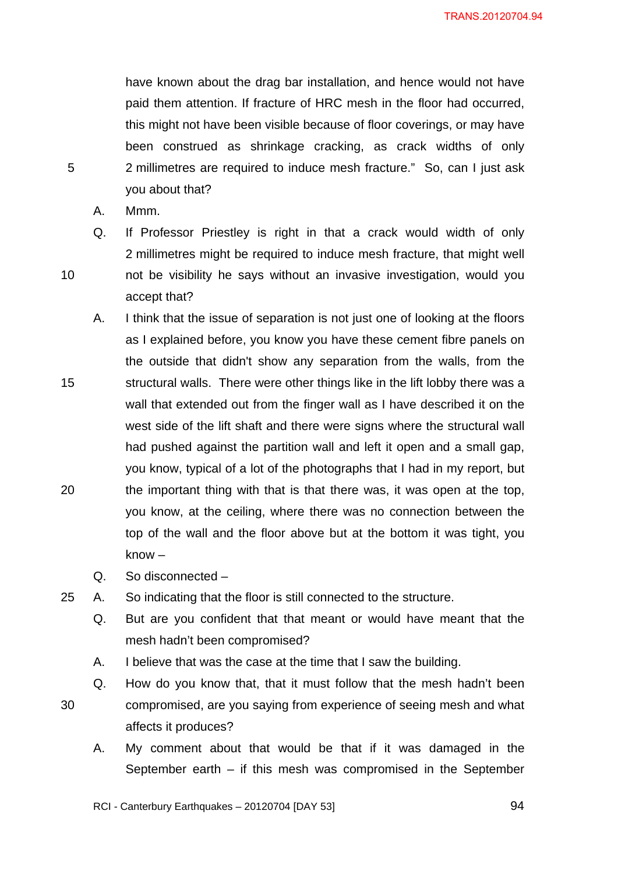have known about the drag bar installation, and hence would not have paid them attention. If fracture of HRC mesh in the floor had occurred, this might not have been visible because of floor coverings, or may have been construed as shrinkage cracking, as crack widths of only 2 millimetres are required to induce mesh fracture." So, can I just ask you about that?

A. Mmm.

5

10

- Q. If Professor Priestley is right in that a crack would width of only 2 millimetres might be required to induce mesh fracture, that might well not be visibility he says without an invasive investigation, would you accept that?
- 15 20 A. I think that the issue of separation is not just one of looking at the floors as I explained before, you know you have these cement fibre panels on the outside that didn't show any separation from the walls, from the structural walls. There were other things like in the lift lobby there was a wall that extended out from the finger wall as I have described it on the west side of the lift shaft and there were signs where the structural wall had pushed against the partition wall and left it open and a small gap, you know, typical of a lot of the photographs that I had in my report, but the important thing with that is that there was, it was open at the top, you know, at the ceiling, where there was no connection between the top of the wall and the floor above but at the bottom it was tight, you know –
	- Q. So disconnected –
- 25 A. So indicating that the floor is still connected to the structure.
	- Q. But are you confident that that meant or would have meant that the mesh hadn't been compromised?
	- A. I believe that was the case at the time that I saw the building.
	- Q. How do you know that, that it must follow that the mesh hadn't been
	- compromised, are you saying from experience of seeing mesh and what affects it produces?
		- A. My comment about that would be that if it was damaged in the September earth – if this mesh was compromised in the September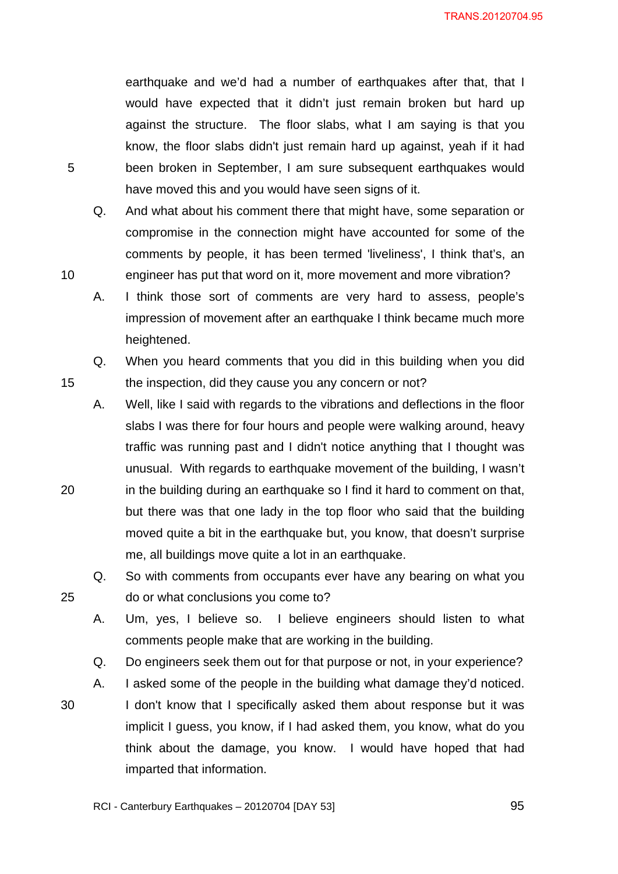earthquake and we'd had a number of earthquakes after that, that I would have expected that it didn't just remain broken but hard up against the structure. The floor slabs, what I am saying is that you know, the floor slabs didn't just remain hard up against, yeah if it had been broken in September, I am sure subsequent earthquakes would have moved this and you would have seen signs of it.

Q. And what about his comment there that might have, some separation or compromise in the connection might have accounted for some of the comments by people, it has been termed 'liveliness', I think that's, an engineer has put that word on it, more movement and more vibration?

A. I think those sort of comments are very hard to assess, people's impression of movement after an earthquake I think became much more heightened.

Q. When you heard comments that you did in this building when you did the inspection, did they cause you any concern or not?

A. Well, like I said with regards to the vibrations and deflections in the floor slabs I was there for four hours and people were walking around, heavy traffic was running past and I didn't notice anything that I thought was unusual. With regards to earthquake movement of the building, I wasn't in the building during an earthquake so I find it hard to comment on that, but there was that one lady in the top floor who said that the building moved quite a bit in the earthquake but, you know, that doesn't surprise me, all buildings move quite a lot in an earthquake.

Q. So with comments from occupants ever have any bearing on what you do or what conclusions you come to?

A. Um, yes, I believe so. I believe engineers should listen to what comments people make that are working in the building.

Q. Do engineers seek them out for that purpose or not, in your experience?

A. I asked some of the people in the building what damage they'd noticed.

30 I don't know that I specifically asked them about response but it was implicit I guess, you know, if I had asked them, you know, what do you think about the damage, you know. I would have hoped that had imparted that information.

5

10

15

25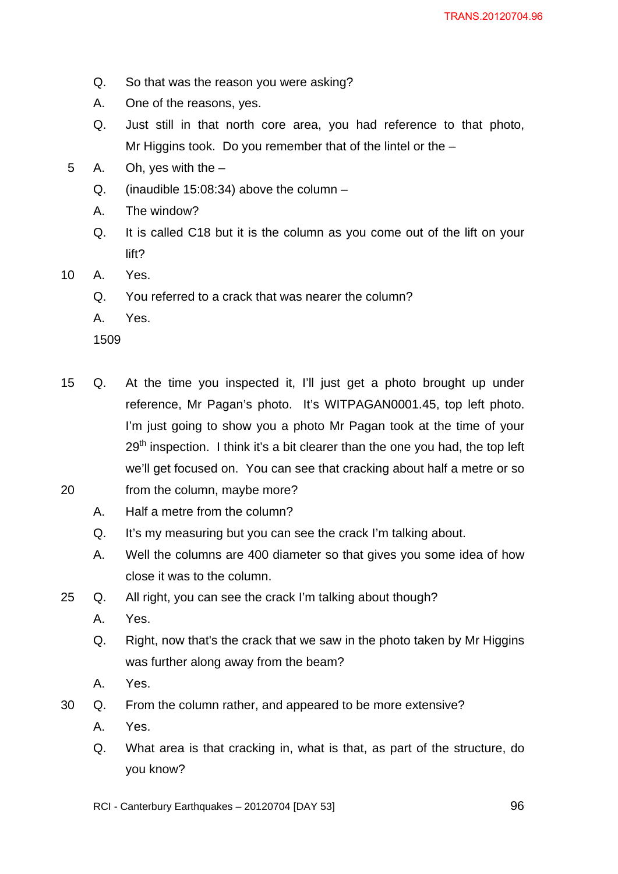- Q. So that was the reason you were asking?
- A. One of the reasons, yes.
- Q. Just still in that north core area, you had reference to that photo, Mr Higgins took. Do you remember that of the lintel or the  $-$
- 5 A. Oh, yes with the
	- Q. (inaudible 15:08:34) above the column –
	- A. The window?
	- Q. It is called C18 but it is the column as you come out of the lift on your lift?
- 10 A. Yes.
	- Q. You referred to a crack that was nearer the column?
	- A. Yes.

- 20 15 Q. At the time you inspected it, I'll just get a photo brought up under reference, Mr Pagan's photo. It's WITPAGAN0001.45, top left photo. I'm just going to show you a photo Mr Pagan took at the time of your  $29<sup>th</sup>$  inspection. I think it's a bit clearer than the one you had, the top left we'll get focused on. You can see that cracking about half a metre or so from the column, maybe more?
	- A. Half a metre from the column?
		- Q. It's my measuring but you can see the crack I'm talking about.
		- A. Well the columns are 400 diameter so that gives you some idea of how close it was to the column.
- 25 Q. All right, you can see the crack I'm talking about though?
	- A. Yes.
	- Q. Right, now that's the crack that we saw in the photo taken by Mr Higgins was further along away from the beam?
	- A. Yes.
- 30 Q. From the column rather, and appeared to be more extensive?
	- A. Yes.
	- Q. What area is that cracking in, what is that, as part of the structure, do you know?
	- RCI Canterbury Earthquakes 20120704 [DAY 53]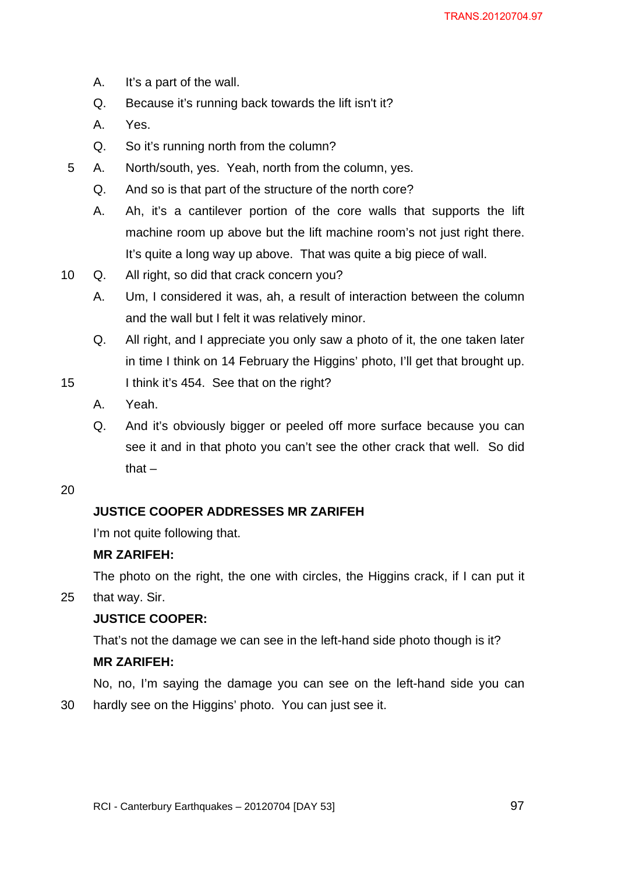- A. It's a part of the wall.
- Q. Because it's running back towards the lift isn't it?
- A. Yes.
- Q. So it's running north from the column?
- 5 A. North/south, yes. Yeah, north from the column, yes.
	- Q. And so is that part of the structure of the north core?
	- A. Ah, it's a cantilever portion of the core walls that supports the lift machine room up above but the lift machine room's not just right there. It's quite a long way up above. That was quite a big piece of wall.
- 10 Q. All right, so did that crack concern you?
	- A. Um, I considered it was, ah, a result of interaction between the column and the wall but I felt it was relatively minor.
	- Q. All right, and I appreciate you only saw a photo of it, the one taken later in time I think on 14 February the Higgins' photo, I'll get that brought up.
- 15 I think it's 454. See that on the right?
	- A. Yeah.
	- Q. And it's obviously bigger or peeled off more surface because you can see it and in that photo you can't see the other crack that well. So did that  $-$

30

# **JUSTICE COOPER ADDRESSES MR ZARIFEH**

I'm not quite following that.

## **MR ZARIFEH:**

The photo on the right, the one with circles, the Higgins crack, if I can put it

25 that way. Sir.

## **JUSTICE COOPER:**

That's not the damage we can see in the left-hand side photo though is it?

## **MR ZARIFEH:**

No, no, I'm saying the damage you can see on the left-hand side you can hardly see on the Higgins' photo. You can just see it.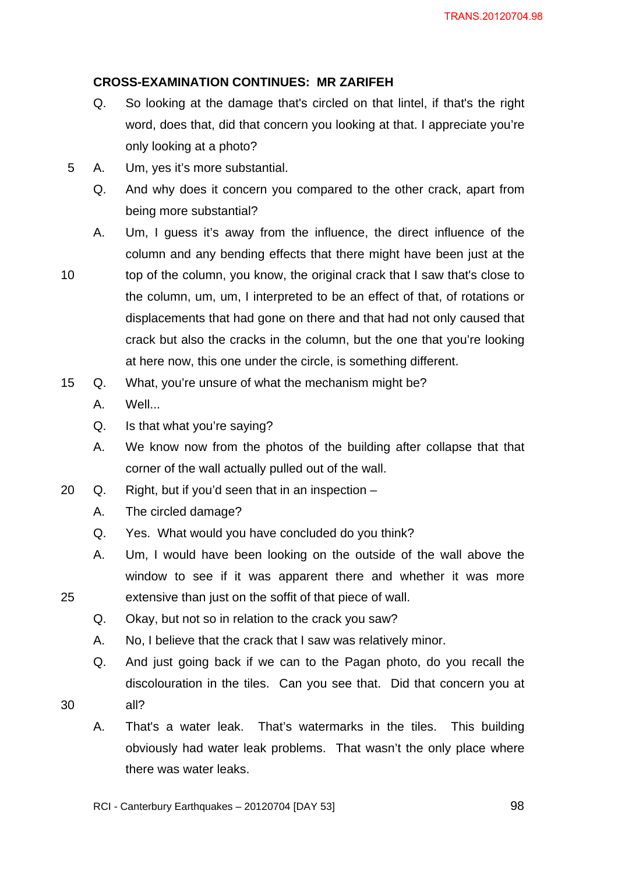## **CROSS-EXAMINATION CONTINUES: MR ZARIFEH**

- Q. So looking at the damage that's circled on that lintel, if that's the right word, does that, did that concern you looking at that. I appreciate you're only looking at a photo?
- 5 A. Um, yes it's more substantial.
	- Q. And why does it concern you compared to the other crack, apart from being more substantial?
	- A. Um, I guess it's away from the influence, the direct influence of the column and any bending effects that there might have been just at the
- 10 top of the column, you know, the original crack that I saw that's close to the column, um, um, I interpreted to be an effect of that, of rotations or displacements that had gone on there and that had not only caused that crack but also the cracks in the column, but the one that you're looking at here now, this one under the circle, is something different.
- 15 Q. What, you're unsure of what the mechanism might be?
	- A. Well...
	- Q. Is that what you're saying?
	- A. We know now from the photos of the building after collapse that that corner of the wall actually pulled out of the wall.
- 20 Q. Right, but if you'd seen that in an inspection
	- A. The circled damage?
	- Q. Yes. What would you have concluded do you think?
	- A. Um, I would have been looking on the outside of the wall above the window to see if it was apparent there and whether it was more extensive than just on the soffit of that piece of wall.
	- Q. Okay, but not so in relation to the crack you saw?
	- A. No, I believe that the crack that I saw was relatively minor.
	- Q. And just going back if we can to the Pagan photo, do you recall the discolouration in the tiles. Can you see that. Did that concern you at all?
- 30

25

A. That's a water leak. That's watermarks in the tiles. This building obviously had water leak problems. That wasn't the only place where there was water leaks.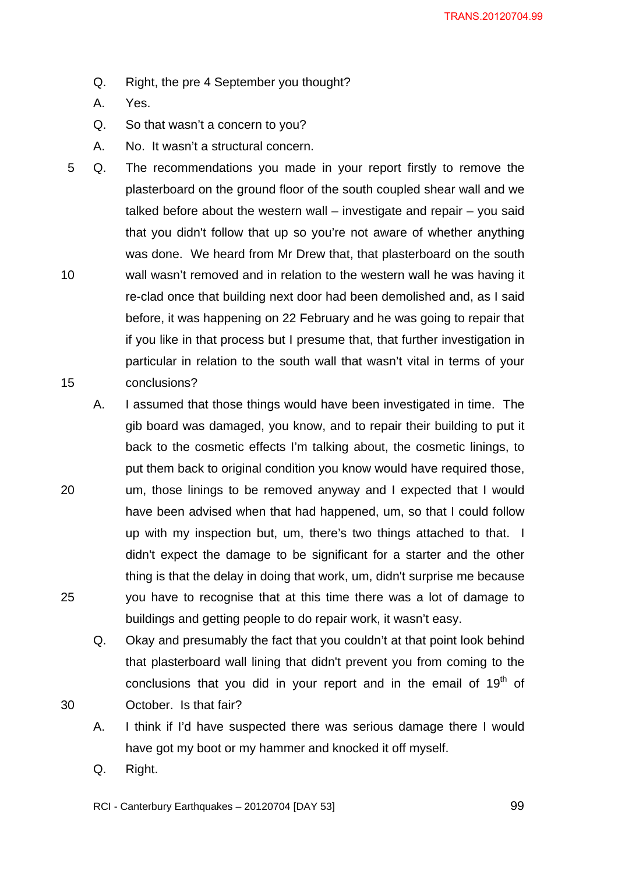- Q. Right, the pre 4 September you thought?
- A. Yes.
- Q. So that wasn't a concern to you?
- A. No. It wasn't a structural concern.
- 10 15 5 Q. The recommendations you made in your report firstly to remove the plasterboard on the ground floor of the south coupled shear wall and we talked before about the western wall  $-$  investigate and repair  $-$  you said that you didn't follow that up so you're not aware of whether anything was done. We heard from Mr Drew that, that plasterboard on the south wall wasn't removed and in relation to the western wall he was having it re-clad once that building next door had been demolished and, as I said before, it was happening on 22 February and he was going to repair that if you like in that process but I presume that, that further investigation in particular in relation to the south wall that wasn't vital in terms of your conclusions?
	- A. I assumed that those things would have been investigated in time. The gib board was damaged, you know, and to repair their building to put it back to the cosmetic effects I'm talking about, the cosmetic linings, to put them back to original condition you know would have required those, um, those linings to be removed anyway and I expected that I would have been advised when that had happened, um, so that I could follow up with my inspection but, um, there's two things attached to that. I didn't expect the damage to be significant for a starter and the other thing is that the delay in doing that work, um, didn't surprise me because you have to recognise that at this time there was a lot of damage to buildings and getting people to do repair work, it wasn't easy.
		- Q. Okay and presumably the fact that you couldn't at that point look behind that plasterboard wall lining that didn't prevent you from coming to the conclusions that you did in your report and in the email of  $19<sup>th</sup>$  of October. Is that fair?
		- A. I think if I'd have suspected there was serious damage there I would have got my boot or my hammer and knocked it off myself.
		- Q. Right.

25

30

RCI - Canterbury Earthquakes – 20120704 [DAY 53]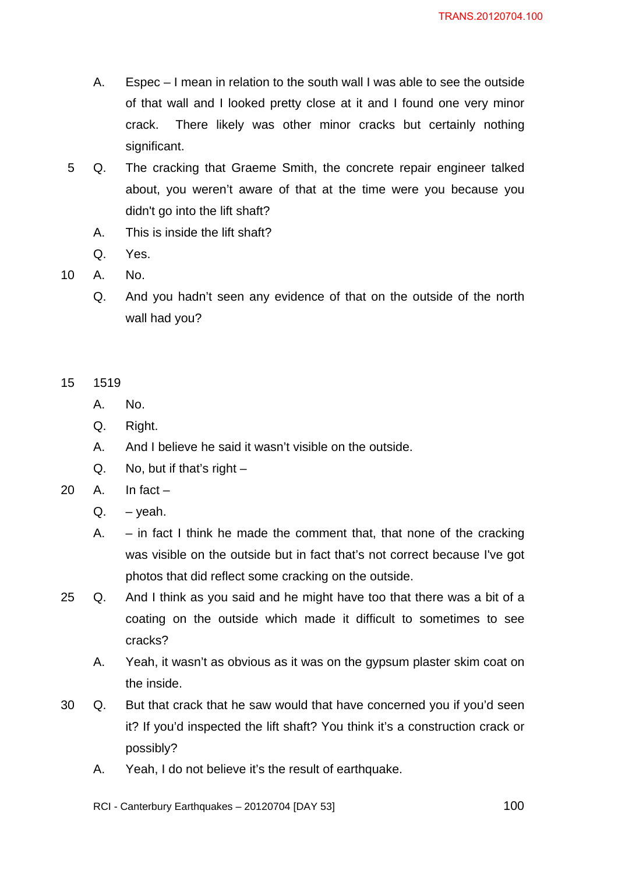- A. Espec I mean in relation to the south wall I was able to see the outside of that wall and I looked pretty close at it and I found one very minor crack. There likely was other minor cracks but certainly nothing significant.
- 5 Q. The cracking that Graeme Smith, the concrete repair engineer talked about, you weren't aware of that at the time were you because you didn't go into the lift shaft?
	- A. This is inside the lift shaft?
	- Q. Yes.
- 10 A. No.
	- Q. And you hadn't seen any evidence of that on the outside of the north wall had you?

- A. No.
- Q. Right.
- A. And I believe he said it wasn't visible on the outside.
- $Q.$  No, but if that's right  $-$
- $20$  A. In fact
	- $Q. \vee$ eah.
	- A.  $-$  in fact I think he made the comment that, that none of the cracking was visible on the outside but in fact that's not correct because I've got photos that did reflect some cracking on the outside.
- 25 Q. And I think as you said and he might have too that there was a bit of a coating on the outside which made it difficult to sometimes to see cracks?
	- A. Yeah, it wasn't as obvious as it was on the gypsum plaster skim coat on the inside.
- 30 Q. But that crack that he saw would that have concerned you if you'd seen it? If you'd inspected the lift shaft? You think it's a construction crack or possibly?
	- A. Yeah, I do not believe it's the result of earthquake.

RCI - Canterbury Earthquakes – 20120704 [DAY 53]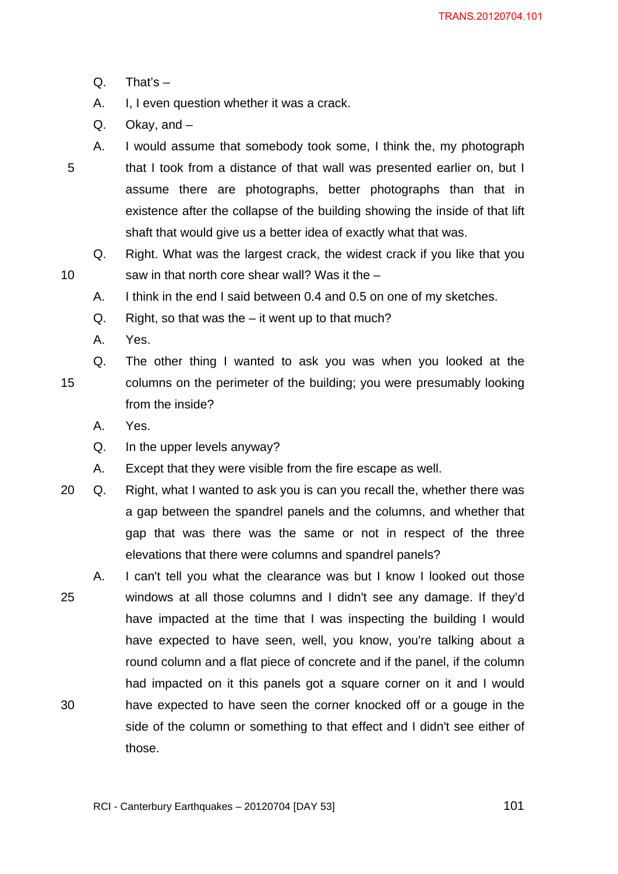Q. That's –

5

- A. I, I even question whether it was a crack.
- Q. Okay, and –
- A. I would assume that somebody took some, I think the, my photograph that I took from a distance of that wall was presented earlier on, but I assume there are photographs, better photographs than that in existence after the collapse of the building showing the inside of that lift shaft that would give us a better idea of exactly what that was.
	- Q. Right. What was the largest crack, the widest crack if you like that you saw in that north core shear wall? Was it the –
	- A. I think in the end I said between 0.4 and 0.5 on one of my sketches.
	- Q. Right, so that was the it went up to that much?
	- A. Yes.
- 15 Q. The other thing I wanted to ask you was when you looked at the columns on the perimeter of the building; you were presumably looking from the inside?
	- A. Yes.
	- Q. In the upper levels anyway?
	- A. Except that they were visible from the fire escape as well.
- 20 Q. Right, what I wanted to ask you is can you recall the, whether there was a gap between the spandrel panels and the columns, and whether that gap that was there was the same or not in respect of the three elevations that there were columns and spandrel panels?
- 25 30 A. I can't tell you what the clearance was but I know I looked out those windows at all those columns and I didn't see any damage. If they'd have impacted at the time that I was inspecting the building I would have expected to have seen, well, you know, you're talking about a round column and a flat piece of concrete and if the panel, if the column had impacted on it this panels got a square corner on it and I would have expected to have seen the corner knocked off or a gouge in the side of the column or something to that effect and I didn't see either of those.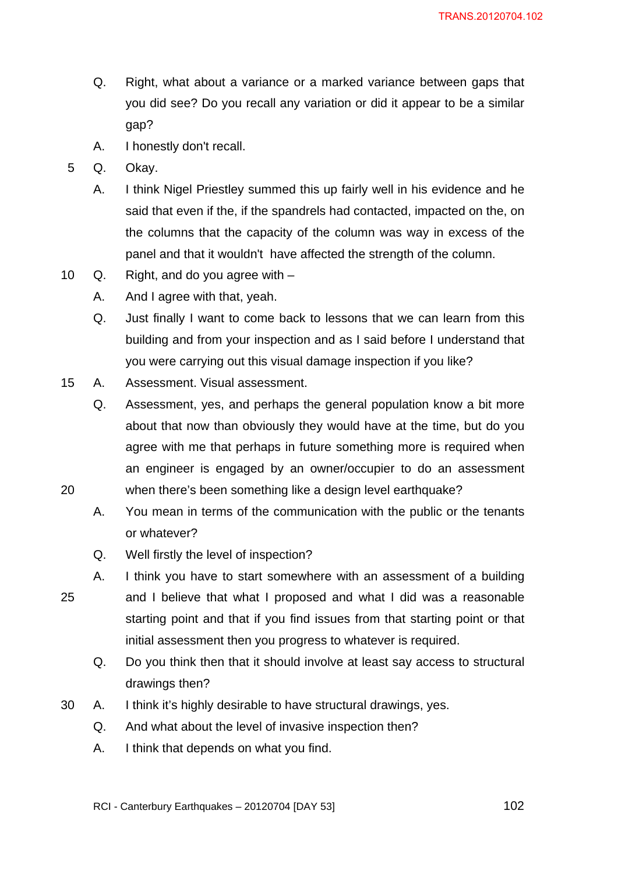- Q. Right, what about a variance or a marked variance between gaps that you did see? Do you recall any variation or did it appear to be a similar gap?
- A. I honestly don't recall.
- 5 Q. Okay.

- A. I think Nigel Priestley summed this up fairly well in his evidence and he said that even if the, if the spandrels had contacted, impacted on the, on the columns that the capacity of the column was way in excess of the panel and that it wouldn't have affected the strength of the column.
- 10 Q. Right, and do you agree with
	- A. And I agree with that, yeah.
	- Q. Just finally I want to come back to lessons that we can learn from this building and from your inspection and as I said before I understand that you were carrying out this visual damage inspection if you like?
- 15 A. Assessment. Visual assessment.
	- Q. Assessment, yes, and perhaps the general population know a bit more about that now than obviously they would have at the time, but do you agree with me that perhaps in future something more is required when an engineer is engaged by an owner/occupier to do an assessment when there's been something like a design level earthquake?
	- A. You mean in terms of the communication with the public or the tenants or whatever?
	- Q. Well firstly the level of inspection?
- 25 A. I think you have to start somewhere with an assessment of a building and I believe that what I proposed and what I did was a reasonable starting point and that if you find issues from that starting point or that initial assessment then you progress to whatever is required.
	- Q. Do you think then that it should involve at least say access to structural drawings then?
- 30 A. I think it's highly desirable to have structural drawings, yes.
	- Q. And what about the level of invasive inspection then?
	- A. I think that depends on what you find.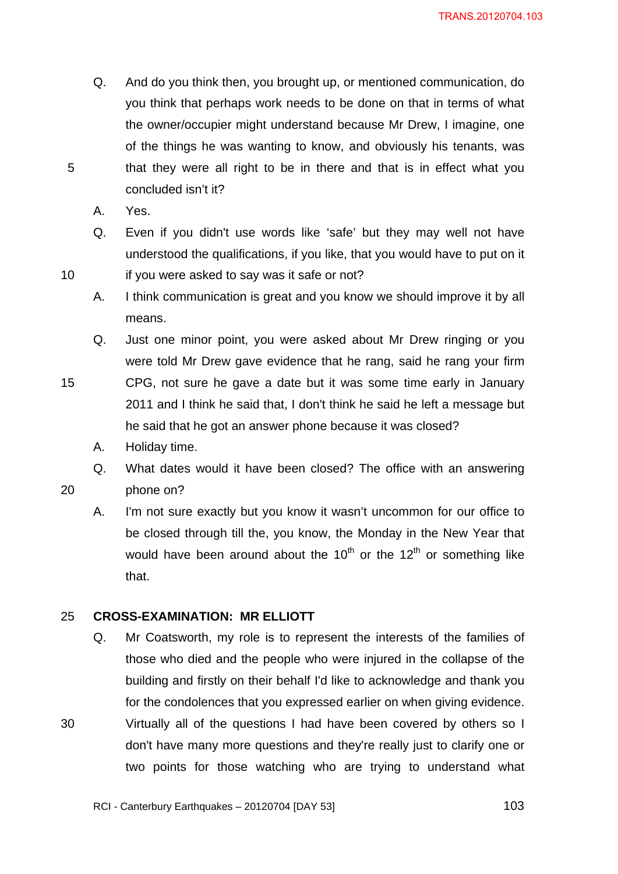- Q. And do you think then, you brought up, or mentioned communication, do you think that perhaps work needs to be done on that in terms of what the owner/occupier might understand because Mr Drew, I imagine, one of the things he was wanting to know, and obviously his tenants, was that they were all right to be in there and that is in effect what you concluded isn't it?
- A. Yes.

10

- Q. Even if you didn't use words like 'safe' but they may well not have understood the qualifications, if you like, that you would have to put on it if you were asked to say was it safe or not?
- A. I think communication is great and you know we should improve it by all means.
- Q. Just one minor point, you were asked about Mr Drew ringing or you were told Mr Drew gave evidence that he rang, said he rang your firm
- 15 CPG, not sure he gave a date but it was some time early in January 2011 and I think he said that, I don't think he said he left a message but he said that he got an answer phone because it was closed?
	- A. Holiday time.
	- Q. What dates would it have been closed? The office with an answering phone on?
- 20

30

A. I'm not sure exactly but you know it wasn't uncommon for our office to be closed through till the, you know, the Monday in the New Year that would have been around about the  $10^{th}$  or the  $12^{th}$  or something like that.

#### 25 **CROSS-EXAMINATION: MR ELLIOTT**

Q. Mr Coatsworth, my role is to represent the interests of the families of those who died and the people who were injured in the collapse of the building and firstly on their behalf I'd like to acknowledge and thank you for the condolences that you expressed earlier on when giving evidence. Virtually all of the questions I had have been covered by others so I don't have many more questions and they're really just to clarify one or two points for those watching who are trying to understand what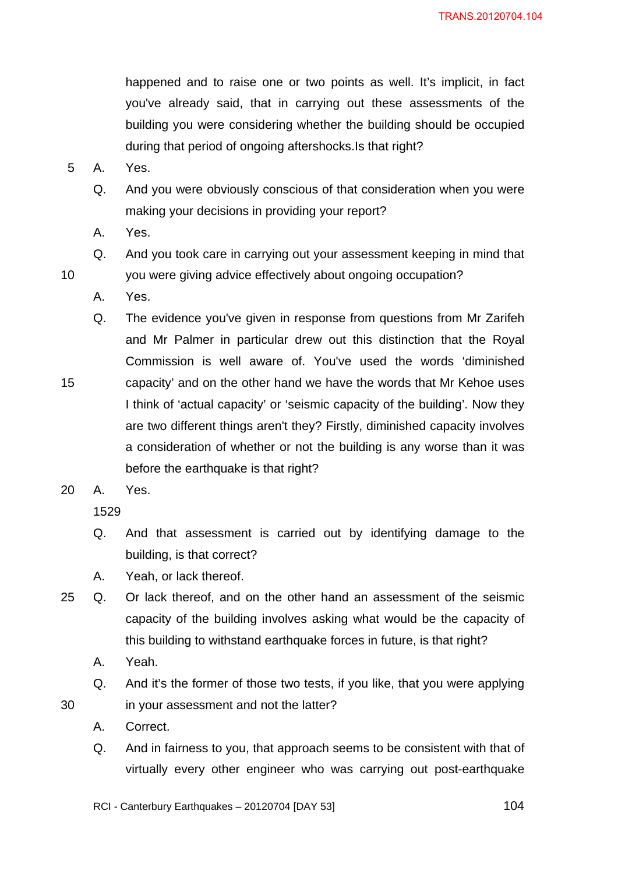happened and to raise one or two points as well. It's implicit, in fact you've already said, that in carrying out these assessments of the building you were considering whether the building should be occupied during that period of ongoing aftershocks.Is that right?

- 5 A. Yes.
	- Q. And you were obviously conscious of that consideration when you were making your decisions in providing your report?
	- A. Yes.
	- Q. And you took care in carrying out your assessment keeping in mind that you were giving advice effectively about ongoing occupation?
	- A. Yes.

10

15

- Q. The evidence you've given in response from questions from Mr Zarifeh and Mr Palmer in particular drew out this distinction that the Royal Commission is well aware of. You've used the words 'diminished capacity' and on the other hand we have the words that Mr Kehoe uses I think of 'actual capacity' or 'seismic capacity of the building'. Now they are two different things aren't they? Firstly, diminished capacity involves a consideration of whether or not the building is any worse than it was before the earthquake is that right?
- 20 A. Yes.

1529

- Q. And that assessment is carried out by identifying damage to the building, is that correct?
- A. Yeah, or lack thereof.
- 25 Q. Or lack thereof, and on the other hand an assessment of the seismic capacity of the building involves asking what would be the capacity of this building to withstand earthquake forces in future, is that right?
	- A. Yeah.

30

- Q. And it's the former of those two tests, if you like, that you were applying in your assessment and not the latter?
- A. Correct.
- Q. And in fairness to you, that approach seems to be consistent with that of virtually every other engineer who was carrying out post-earthquake

RCI - Canterbury Earthquakes – 20120704 [DAY 53]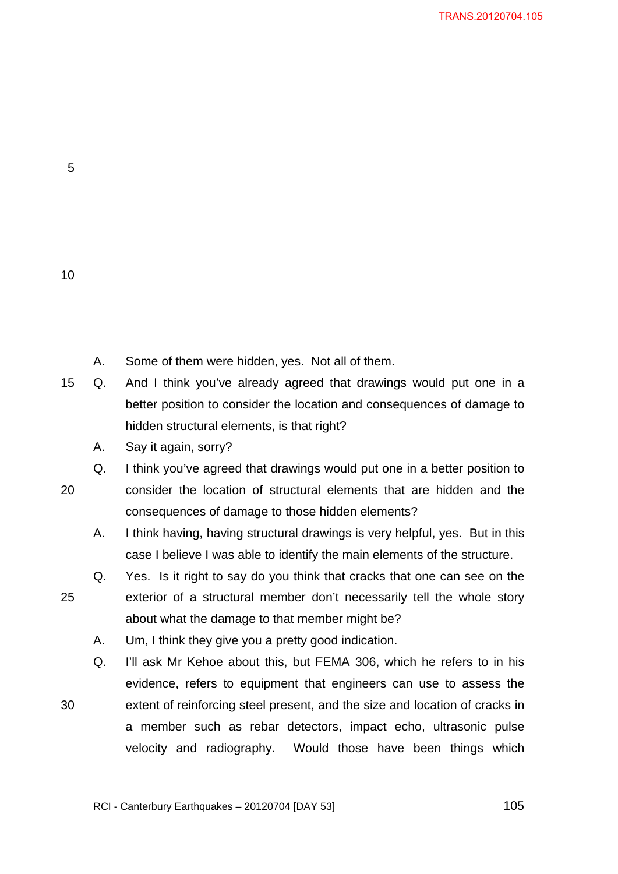10

25

30

- A. Some of them were hidden, yes. Not all of them.
- 15 Q. And I think you've already agreed that drawings would put one in a better position to consider the location and consequences of damage to hidden structural elements, is that right?
	- A. Say it again, sorry?

20 Q. I think you've agreed that drawings would put one in a better position to consider the location of structural elements that are hidden and the consequences of damage to those hidden elements?

A. I think having, having structural drawings is very helpful, yes. But in this case I believe I was able to identify the main elements of the structure.

Q. Yes. Is it right to say do you think that cracks that one can see on the exterior of a structural member don't necessarily tell the whole story about what the damage to that member might be?

A. Um, I think they give you a pretty good indication.

Q. I'll ask Mr Kehoe about this, but FEMA 306, which he refers to in his evidence, refers to equipment that engineers can use to assess the extent of reinforcing steel present, and the size and location of cracks in a member such as rebar detectors, impact echo, ultrasonic pulse velocity and radiography. Would those have been things which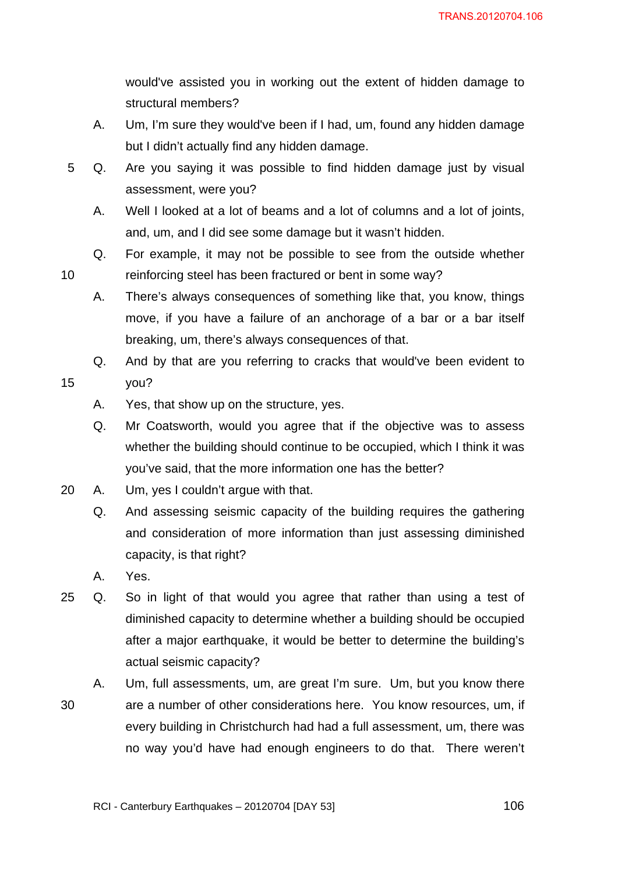would've assisted you in working out the extent of hidden damage to structural members?

- A. Um, I'm sure they would've been if I had, um, found any hidden damage but I didn't actually find any hidden damage.
- 5 Q. Are you saying it was possible to find hidden damage just by visual assessment, were you?
	- A. Well I looked at a lot of beams and a lot of columns and a lot of joints, and, um, and I did see some damage but it wasn't hidden.
	- Q. For example, it may not be possible to see from the outside whether reinforcing steel has been fractured or bent in some way?
	- A. There's always consequences of something like that, you know, things move, if you have a failure of an anchorage of a bar or a bar itself breaking, um, there's always consequences of that.
	- Q. And by that are you referring to cracks that would've been evident to you?
		- A. Yes, that show up on the structure, yes.
		- Q. Mr Coatsworth, would you agree that if the objective was to assess whether the building should continue to be occupied, which I think it was you've said, that the more information one has the better?
- 20 A. Um, yes I couldn't argue with that.
	- Q. And assessing seismic capacity of the building requires the gathering and consideration of more information than just assessing diminished capacity, is that right?
	- A. Yes.

10

- 25 Q. So in light of that would you agree that rather than using a test of diminished capacity to determine whether a building should be occupied after a major earthquake, it would be better to determine the building's actual seismic capacity?
- 30 A. Um, full assessments, um, are great I'm sure. Um, but you know there are a number of other considerations here. You know resources, um, if every building in Christchurch had had a full assessment, um, there was no way you'd have had enough engineers to do that. There weren't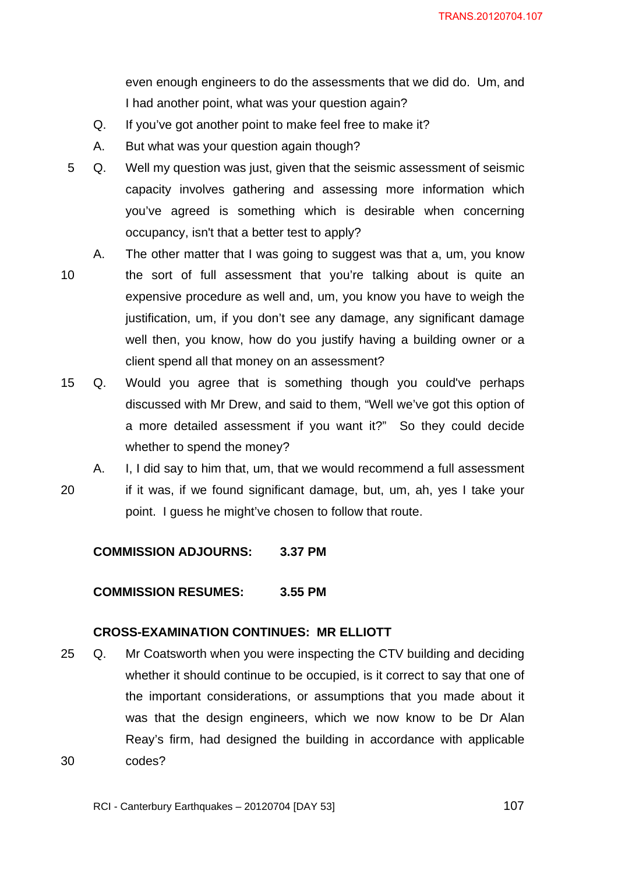even enough engineers to do the assessments that we did do. Um, and I had another point, what was your question again?

- Q. If you've got another point to make feel free to make it?
- A. But what was your question again though?
- 5 Q. Well my question was just, given that the seismic assessment of seismic capacity involves gathering and assessing more information which you've agreed is something which is desirable when concerning occupancy, isn't that a better test to apply?
- 10 A. The other matter that I was going to suggest was that a, um, you know the sort of full assessment that you're talking about is quite an expensive procedure as well and, um, you know you have to weigh the justification, um, if you don't see any damage, any significant damage well then, you know, how do you justify having a building owner or a client spend all that money on an assessment?
- 15 Q. Would you agree that is something though you could've perhaps discussed with Mr Drew, and said to them, "Well we've got this option of a more detailed assessment if you want it?" So they could decide whether to spend the money?
- 20 A. I, I did say to him that, um, that we would recommend a full assessment if it was, if we found significant damage, but, um, ah, yes I take your point. I guess he might've chosen to follow that route.

**COMMISSION ADJOURNS: 3.37 PM** 

## **COMMISSION RESUMES: 3.55 PM**

### **CROSS-EXAMINATION CONTINUES: MR ELLIOTT**

30 25 Q. Mr Coatsworth when you were inspecting the CTV building and deciding whether it should continue to be occupied, is it correct to say that one of the important considerations, or assumptions that you made about it was that the design engineers, which we now know to be Dr Alan Reay's firm, had designed the building in accordance with applicable codes?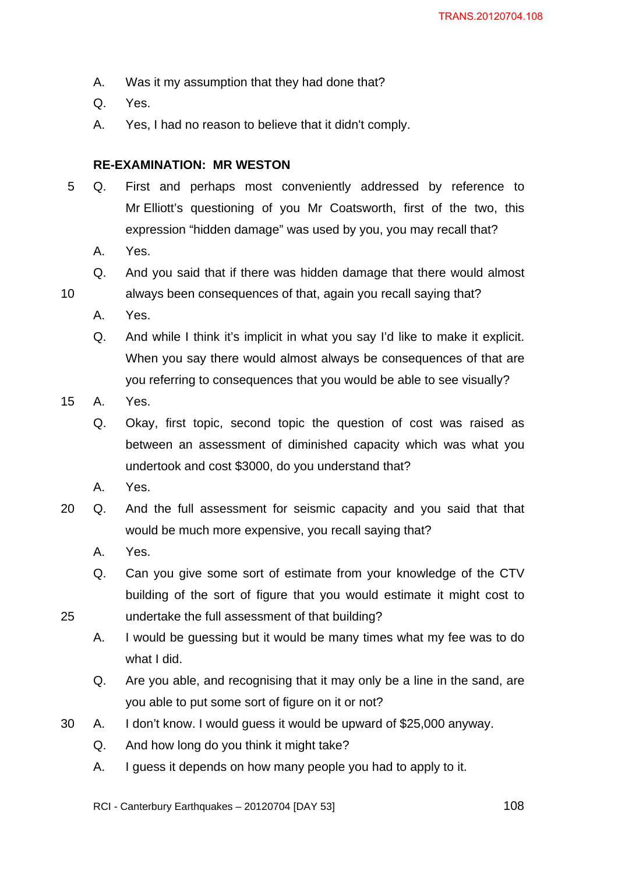- A. Was it my assumption that they had done that?
- Q. Yes.
- A. Yes, I had no reason to believe that it didn't comply.

## **RE-EXAMINATION: MR WESTON**

- 5 Q. First and perhaps most conveniently addressed by reference to Mr Elliott's questioning of you Mr Coatsworth, first of the two, this expression "hidden damage" was used by you, you may recall that?
	- A. Yes.
	- Q. And you said that if there was hidden damage that there would almost always been consequences of that, again you recall saying that?
	- A. Yes.

10

25

- Q. And while I think it's implicit in what you say I'd like to make it explicit. When you say there would almost always be consequences of that are you referring to consequences that you would be able to see visually?
- 15 A. Yes.
	- Q. Okay, first topic, second topic the question of cost was raised as between an assessment of diminished capacity which was what you undertook and cost \$3000, do you understand that?
	- A. Yes.
- 20 Q. And the full assessment for seismic capacity and you said that that would be much more expensive, you recall saying that?
	- A. Yes.
	- Q. Can you give some sort of estimate from your knowledge of the CTV building of the sort of figure that you would estimate it might cost to undertake the full assessment of that building?
	- A. I would be guessing but it would be many times what my fee was to do what I did.
	- Q. Are you able, and recognising that it may only be a line in the sand, are you able to put some sort of figure on it or not?
- 30 A. I don't know. I would guess it would be upward of \$25,000 anyway.
	- Q. And how long do you think it might take?
	- A. I guess it depends on how many people you had to apply to it.

RCI - Canterbury Earthquakes – 20120704 [DAY 53]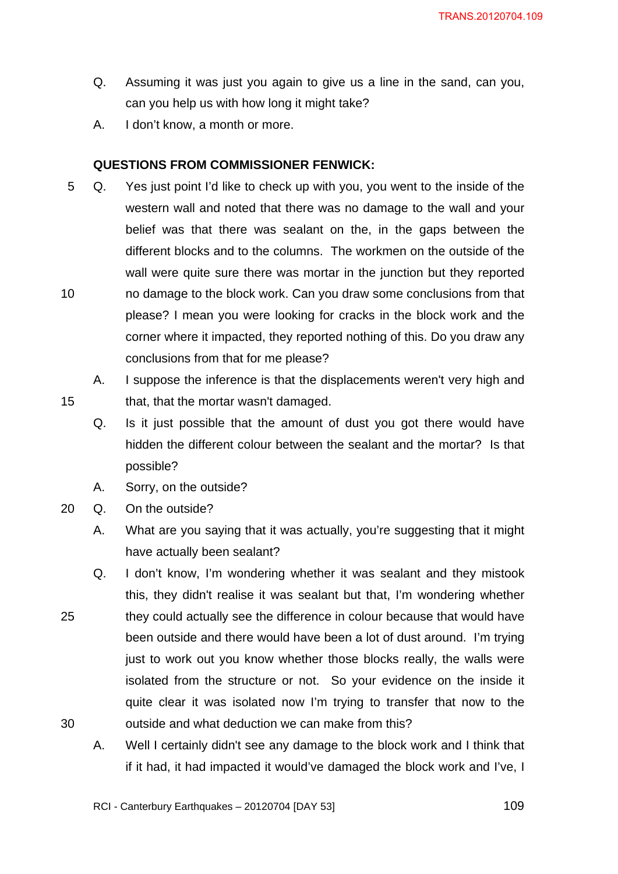- Q. Assuming it was just you again to give us a line in the sand, can you, can you help us with how long it might take?
- A. I don't know, a month or more.

### **QUESTIONS FROM COMMISSIONER FENWICK:**

- <span id="page-108-0"></span>10 5 Q. Yes just point I'd like to check up with you, you went to the inside of the western wall and noted that there was no damage to the wall and your belief was that there was sealant on the, in the gaps between the different blocks and to the columns. The workmen on the outside of the wall were quite sure there was mortar in the junction but they reported no damage to the block work. Can you draw some conclusions from that please? I mean you were looking for cracks in the block work and the corner where it impacted, they reported nothing of this. Do you draw any conclusions from that for me please?
	- A. I suppose the inference is that the displacements weren't very high and that, that the mortar wasn't damaged.
	- Q. Is it just possible that the amount of dust you got there would have hidden the different colour between the sealant and the mortar? Is that possible?
	- A. Sorry, on the outside?
- 20 Q. On the outside?

- A. What are you saying that it was actually, you're suggesting that it might have actually been sealant?
- 25 30 Q. I don't know, I'm wondering whether it was sealant and they mistook this, they didn't realise it was sealant but that, I'm wondering whether they could actually see the difference in colour because that would have been outside and there would have been a lot of dust around. I'm trying just to work out you know whether those blocks really, the walls were isolated from the structure or not. So your evidence on the inside it quite clear it was isolated now I'm trying to transfer that now to the outside and what deduction we can make from this?
	- A. Well I certainly didn't see any damage to the block work and I think that if it had, it had impacted it would've damaged the block work and I've, I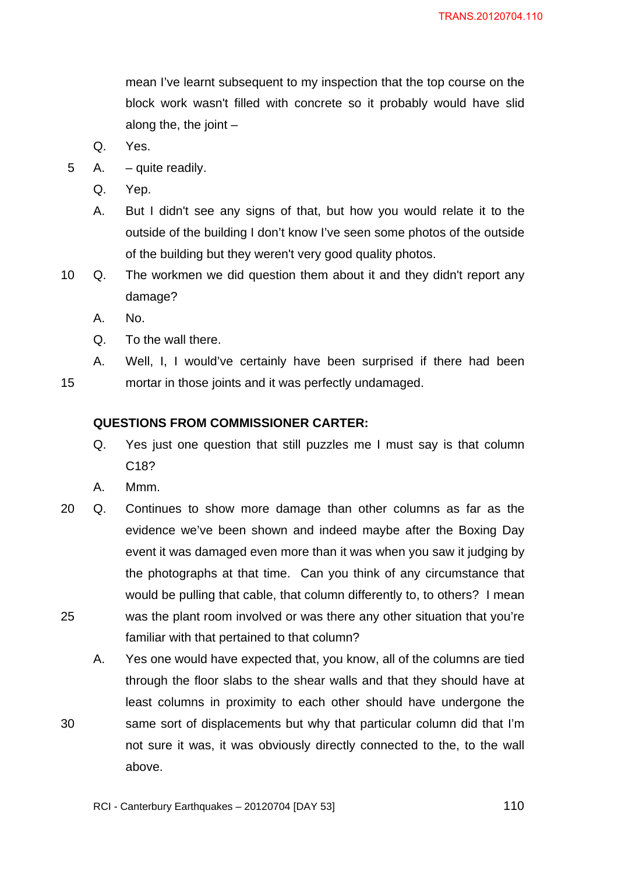mean I've learnt subsequent to my inspection that the top course on the block work wasn't filled with concrete so it probably would have slid along the, the joint  $-$ 

- Q. Yes.
- 5 A. quite readily.
	- Q. Yep.
	- A. But I didn't see any signs of that, but how you would relate it to the outside of the building I don't know I've seen some photos of the outside of the building but they weren't very good quality photos.
- 10 Q. The workmen we did question them about it and they didn't report any damage?
	- A. No.
	- Q. To the wall there.
- <span id="page-109-0"></span>15 A. Well, I, I would've certainly have been surprised if there had been mortar in those joints and it was perfectly undamaged.

#### **QUESTIONS FROM COMMISSIONER CARTER:**

- Q. Yes just one question that still puzzles me I must say is that column C18?
- A. Mmm.

- 25 20 Q. Continues to show more damage than other columns as far as the evidence we've been shown and indeed maybe after the Boxing Day event it was damaged even more than it was when you saw it judging by the photographs at that time. Can you think of any circumstance that would be pulling that cable, that column differently to, to others? I mean was the plant room involved or was there any other situation that you're familiar with that pertained to that column?
	- A. Yes one would have expected that, you know, all of the columns are tied through the floor slabs to the shear walls and that they should have at least columns in proximity to each other should have undergone the same sort of displacements but why that particular column did that I'm not sure it was, it was obviously directly connected to the, to the wall above.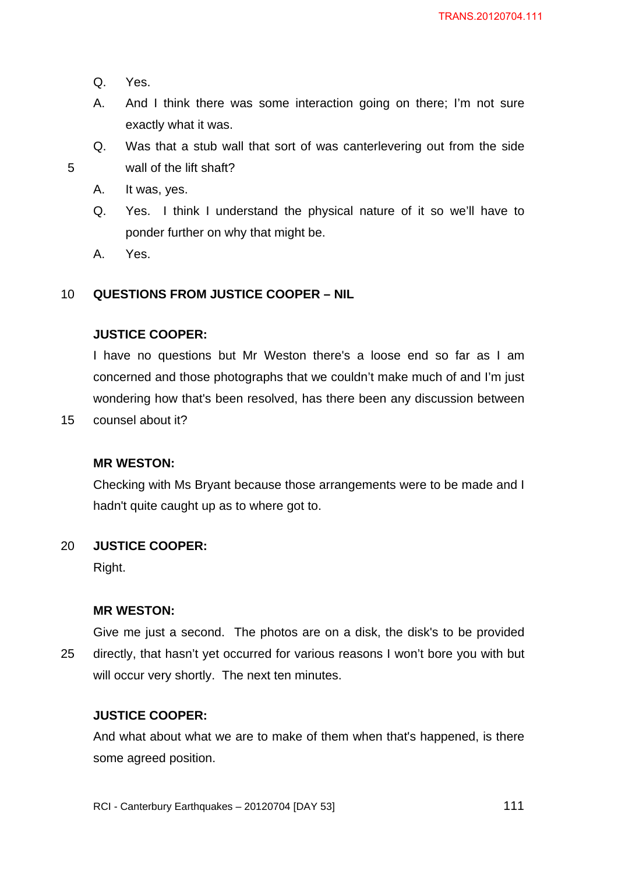Q. Yes.

5

- A. And I think there was some interaction going on there; I'm not sure exactly what it was.
- Q. Was that a stub wall that sort of was canterlevering out from the side wall of the lift shaft?
- A. It was, yes.
- Q. Yes. I think I understand the physical nature of it so we'll have to ponder further on why that might be.
- A. Yes.

#### <span id="page-110-0"></span>10 **QUESTIONS FROM JUSTICE COOPER – NIL**

### **JUSTICE COOPER:**

I have no questions but Mr Weston there's a loose end so far as I am concerned and those photographs that we couldn't make much of and I'm just wondering how that's been resolved, has there been any discussion between

15 counsel about it?

### **MR WESTON:**

Checking with Ms Bryant because those arrangements were to be made and I hadn't quite caught up as to where got to.

#### 20 **JUSTICE COOPER:**

Right.

### **MR WESTON:**

25 Give me just a second. The photos are on a disk, the disk's to be provided directly, that hasn't yet occurred for various reasons I won't bore you with but will occur very shortly. The next ten minutes.

### **JUSTICE COOPER:**

And what about what we are to make of them when that's happened, is there some agreed position.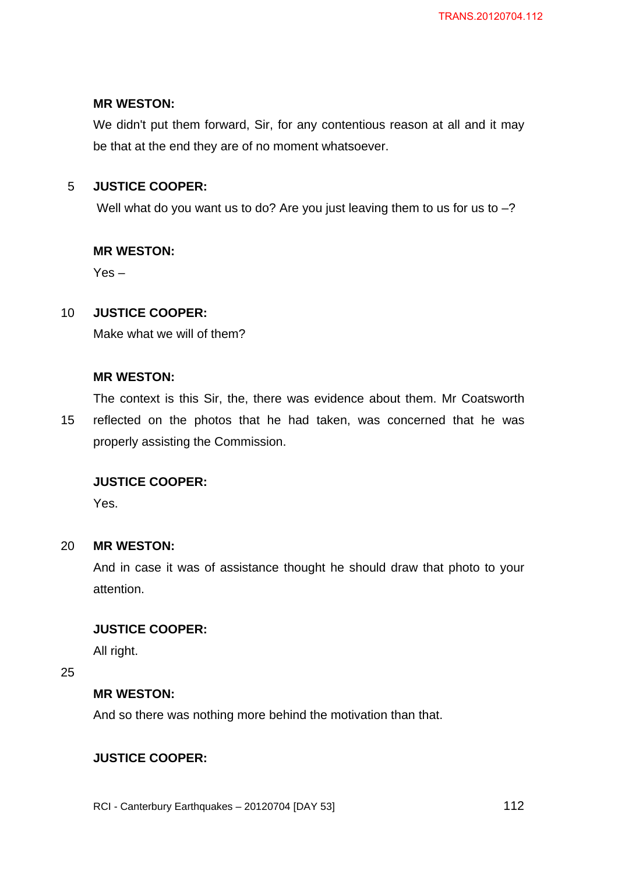## **MR WESTON:**

We didn't put them forward, Sir, for any contentious reason at all and it may be that at the end they are of no moment whatsoever.

#### 5 **JUSTICE COOPER:**

Well what do you want us to do? Are you just leaving them to us for us to  $-$ ?

## **MR WESTON:**

Yes –

#### 10 **JUSTICE COOPER:**

Make what we will of them?

### **MR WESTON:**

The context is this Sir, the, there was evidence about them. Mr Coatsworth

15 reflected on the photos that he had taken, was concerned that he was properly assisting the Commission.

## **JUSTICE COOPER:**

Yes.

#### 20 **MR WESTON:**

And in case it was of assistance thought he should draw that photo to your attention.

## **JUSTICE COOPER:**

All right.

25

### **MR WESTON:**

And so there was nothing more behind the motivation than that.

## **JUSTICE COOPER:**

RCI - Canterbury Earthquakes – 20120704 [DAY 53]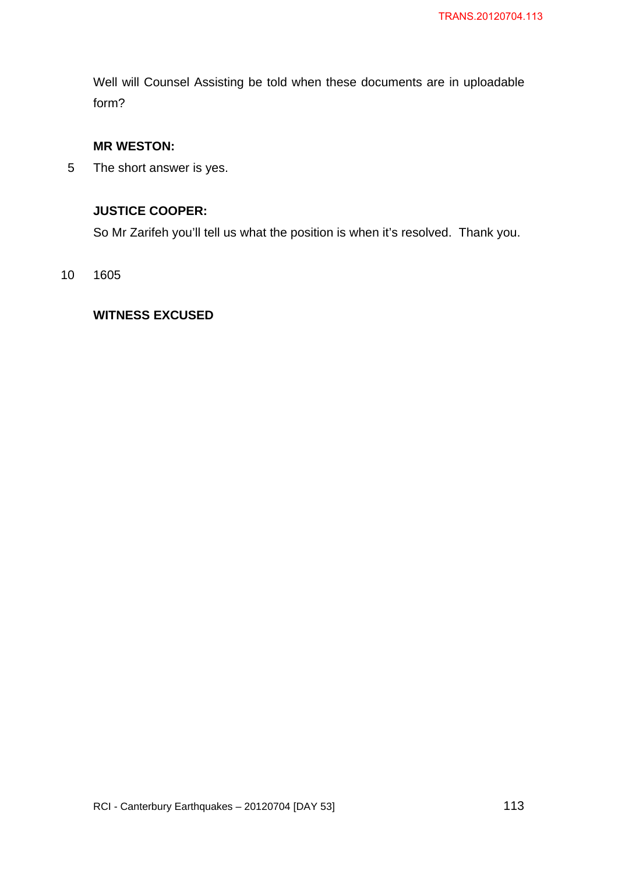Well will Counsel Assisting be told when these documents are in uploadable form?

## **MR WESTON:**

5 The short answer is yes.

## **JUSTICE COOPER:**

So Mr Zarifeh you'll tell us what the position is when it's resolved. Thank you.

#### 10 1605

## **WITNESS EXCUSED**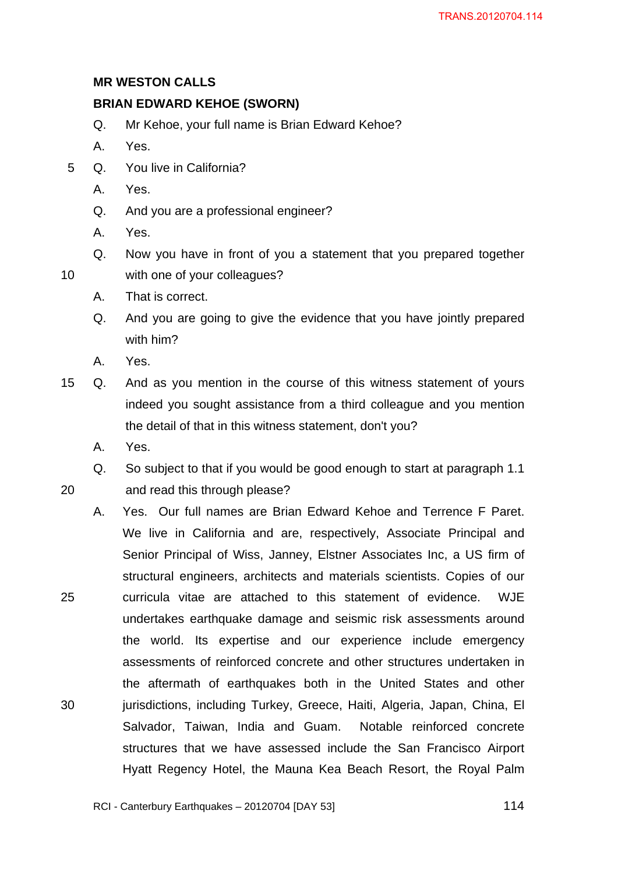## **MR WESTON CALLS**

## <span id="page-113-0"></span>**BRIAN EDWARD KEHOE (SWORN)**

- Q. Mr Kehoe, your full name is Brian Edward Kehoe?
- A. Yes.
- 5 Q. You live in California?
	- A. Yes.
	- Q. And you are a professional engineer?
	- A. Yes.

10

20

25

30

- Q. Now you have in front of you a statement that you prepared together with one of your colleagues?
- A. That is correct.
- Q. And you are going to give the evidence that you have jointly prepared with him?
- A. Yes.
- 15 Q. And as you mention in the course of this witness statement of yours indeed you sought assistance from a third colleague and you mention the detail of that in this witness statement, don't you?
	- A. Yes.

Q. So subject to that if you would be good enough to start at paragraph 1.1 and read this through please?

A. Yes. Our full names are Brian Edward Kehoe and Terrence F Paret. We live in California and are, respectively, Associate Principal and Senior Principal of Wiss, Janney, Elstner Associates Inc, a US firm of structural engineers, architects and materials scientists. Copies of our curricula vitae are attached to this statement of evidence. WJE undertakes earthquake damage and seismic risk assessments around the world. Its expertise and our experience include emergency assessments of reinforced concrete and other structures undertaken in the aftermath of earthquakes both in the United States and other jurisdictions, including Turkey, Greece, Haiti, Algeria, Japan, China, El Salvador, Taiwan, India and Guam. Notable reinforced concrete structures that we have assessed include the San Francisco Airport Hyatt Regency Hotel, the Mauna Kea Beach Resort, the Royal Palm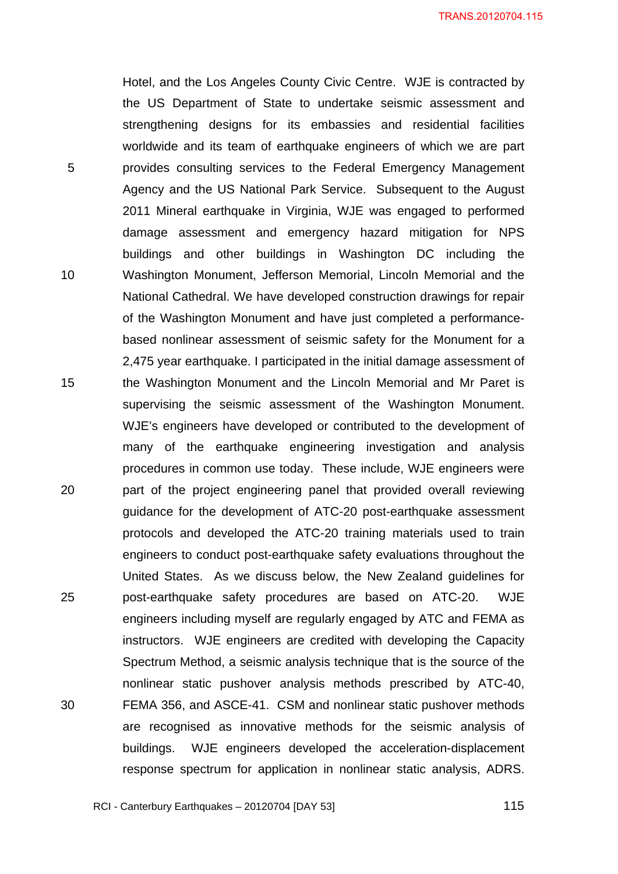Hotel, and the Los Angeles County Civic Centre. WJE is contracted by the US Department of State to undertake seismic assessment and strengthening designs for its embassies and residential facilities worldwide and its team of earthquake engineers of which we are part provides consulting services to the Federal Emergency Management Agency and the US National Park Service. Subsequent to the August 2011 Mineral earthquake in Virginia, WJE was engaged to performed damage assessment and emergency hazard mitigation for NPS buildings and other buildings in Washington DC including the Washington Monument, Jefferson Memorial, Lincoln Memorial and the National Cathedral. We have developed construction drawings for repair of the Washington Monument and have just completed a performancebased nonlinear assessment of seismic safety for the Monument for a 2,475 year earthquake. I participated in the initial damage assessment of the Washington Monument and the Lincoln Memorial and Mr Paret is supervising the seismic assessment of the Washington Monument. WJE's engineers have developed or contributed to the development of many of the earthquake engineering investigation and analysis procedures in common use today. These include, WJE engineers were part of the project engineering panel that provided overall reviewing guidance for the development of ATC-20 post-earthquake assessment protocols and developed the ATC-20 training materials used to train engineers to conduct post-earthquake safety evaluations throughout the United States. As we discuss below, the New Zealand guidelines for post-earthquake safety procedures are based on ATC-20. WJE engineers including myself are regularly engaged by ATC and FEMA as instructors. WJE engineers are credited with developing the Capacity Spectrum Method, a seismic analysis technique that is the source of the nonlinear static pushover analysis methods prescribed by ATC-40, FEMA 356, and ASCE-41. CSM and nonlinear static pushover methods are recognised as innovative methods for the seismic analysis of buildings. WJE engineers developed the acceleration-displacement response spectrum for application in nonlinear static analysis, ADRS.

RCI - Canterbury Earthquakes – 20120704 [DAY 53]

5

10

15

20

25

30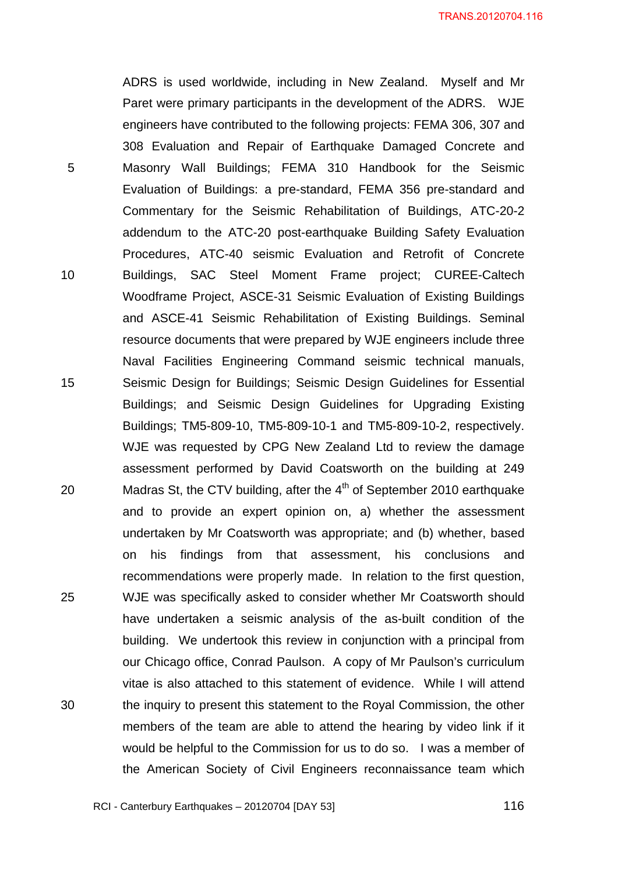ADRS is used worldwide, including in New Zealand. Myself and Mr Paret were primary participants in the development of the ADRS. WJE engineers have contributed to the following projects: FEMA 306, 307 and 308 Evaluation and Repair of Earthquake Damaged Concrete and Masonry Wall Buildings; FEMA 310 Handbook for the Seismic Evaluation of Buildings: a pre-standard, FEMA 356 pre-standard and Commentary for the Seismic Rehabilitation of Buildings, ATC-20-2 addendum to the ATC-20 post-earthquake Building Safety Evaluation Procedures, ATC-40 seismic Evaluation and Retrofit of Concrete Buildings, SAC Steel Moment Frame project; CUREE-Caltech Woodframe Project, ASCE-31 Seismic Evaluation of Existing Buildings and ASCE-41 Seismic Rehabilitation of Existing Buildings. Seminal resource documents that were prepared by WJE engineers include three Naval Facilities Engineering Command seismic technical manuals, Seismic Design for Buildings; Seismic Design Guidelines for Essential Buildings; and Seismic Design Guidelines for Upgrading Existing Buildings; TM5-809-10, TM5-809-10-1 and TM5-809-10-2, respectively. WJE was requested by CPG New Zealand Ltd to review the damage assessment performed by David Coatsworth on the building at 249 Madras St, the CTV building, after the  $4<sup>th</sup>$  of September 2010 earthquake and to provide an expert opinion on, a) whether the assessment undertaken by Mr Coatsworth was appropriate; and (b) whether, based on his findings from that assessment, his conclusions and recommendations were properly made. In relation to the first question, WJE was specifically asked to consider whether Mr Coatsworth should have undertaken a seismic analysis of the as-built condition of the building. We undertook this review in conjunction with a principal from our Chicago office, Conrad Paulson. A copy of Mr Paulson's curriculum vitae is also attached to this statement of evidence. While I will attend the inquiry to present this statement to the Royal Commission, the other members of the team are able to attend the hearing by video link if it would be helpful to the Commission for us to do so. I was a member of the American Society of Civil Engineers reconnaissance team which

5

10

15

20

25

30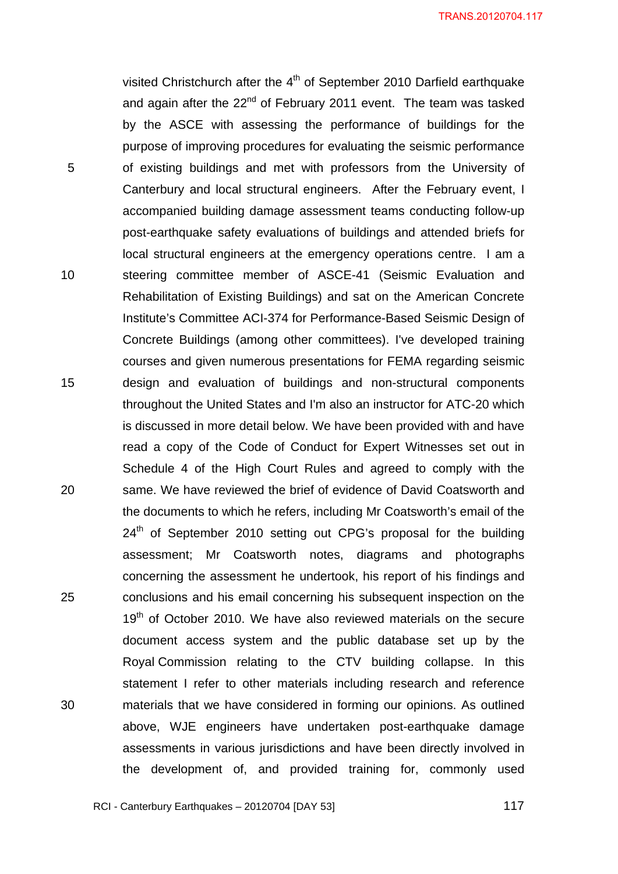visited Christchurch after the 4<sup>th</sup> of September 2010 Darfield earthquake and again after the  $22^{nd}$  of February 2011 event. The team was tasked by the ASCE with assessing the performance of buildings for the purpose of improving procedures for evaluating the seismic performance of existing buildings and met with professors from the University of Canterbury and local structural engineers. After the February event, I accompanied building damage assessment teams conducting follow-up post-earthquake safety evaluations of buildings and attended briefs for local structural engineers at the emergency operations centre. I am a steering committee member of ASCE-41 (Seismic Evaluation and Rehabilitation of Existing Buildings) and sat on the American Concrete Institute's Committee ACI-374 for Performance-Based Seismic Design of Concrete Buildings (among other committees). I've developed training courses and given numerous presentations for FEMA regarding seismic design and evaluation of buildings and non-structural components throughout the United States and I'm also an instructor for ATC-20 which is discussed in more detail below. We have been provided with and have read a copy of the Code of Conduct for Expert Witnesses set out in Schedule 4 of the High Court Rules and agreed to comply with the same. We have reviewed the brief of evidence of David Coatsworth and the documents to which he refers, including Mr Coatsworth's email of the  $24<sup>th</sup>$  of September 2010 setting out CPG's proposal for the building assessment; Mr Coatsworth notes, diagrams and photographs concerning the assessment he undertook, his report of his findings and conclusions and his email concerning his subsequent inspection on the  $19<sup>th</sup>$  of October 2010. We have also reviewed materials on the secure document access system and the public database set up by the Royal Commission relating to the CTV building collapse. In this statement I refer to other materials including research and reference materials that we have considered in forming our opinions. As outlined above, WJE engineers have undertaken post-earthquake damage assessments in various jurisdictions and have been directly involved in the development of, and provided training for, commonly used

5

10

15

20

25

30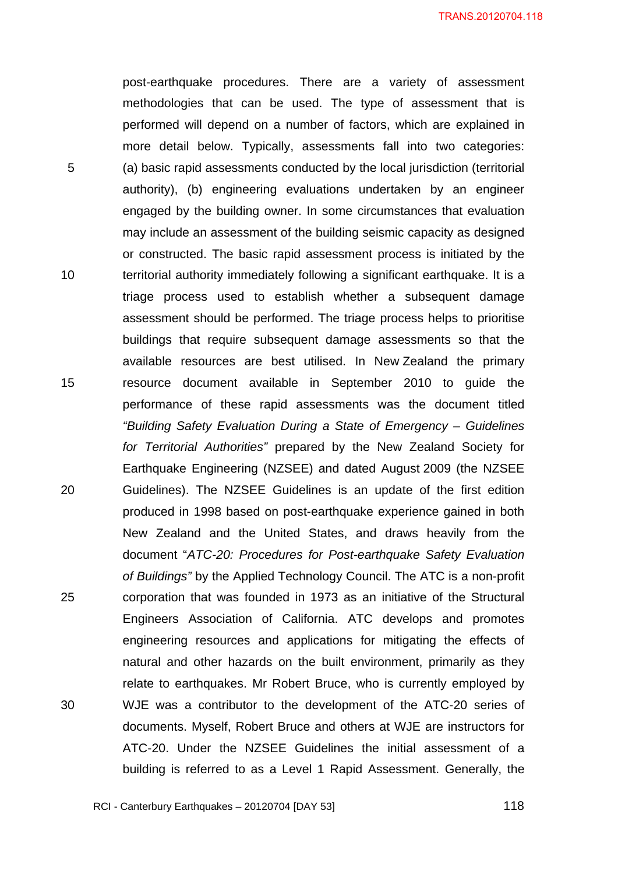post-earthquake procedures. There are a variety of assessment methodologies that can be used. The type of assessment that is performed will depend on a number of factors, which are explained in more detail below. Typically, assessments fall into two categories: (a) basic rapid assessments conducted by the local jurisdiction (territorial authority), (b) engineering evaluations undertaken by an engineer engaged by the building owner. In some circumstances that evaluation may include an assessment of the building seismic capacity as designed or constructed. The basic rapid assessment process is initiated by the territorial authority immediately following a significant earthquake. It is a triage process used to establish whether a subsequent damage assessment should be performed. The triage process helps to prioritise buildings that require subsequent damage assessments so that the available resources are best utilised. In New Zealand the primary resource document available in September 2010 to guide the performance of these rapid assessments was the document titled *"Building Safety Evaluation During a State of Emergency – Guidelines for Territorial Authorities"* prepared by the New Zealand Society for Earthquake Engineering (NZSEE) and dated August 2009 (the NZSEE Guidelines). The NZSEE Guidelines is an update of the first edition produced in 1998 based on post-earthquake experience gained in both New Zealand and the United States, and draws heavily from the document "*ATC-20: Procedures for Post-earthquake Safety Evaluation of Buildings"* by the Applied Technology Council. The ATC is a non-profit corporation that was founded in 1973 as an initiative of the Structural Engineers Association of California. ATC develops and promotes engineering resources and applications for mitigating the effects of natural and other hazards on the built environment, primarily as they relate to earthquakes. Mr Robert Bruce, who is currently employed by WJE was a contributor to the development of the ATC-20 series of documents. Myself, Robert Bruce and others at WJE are instructors for ATC-20. Under the NZSEE Guidelines the initial assessment of a building is referred to as a Level 1 Rapid Assessment. Generally, the

RCI - Canterbury Earthquakes – 20120704 [DAY 53]

5

10

15

20

25

30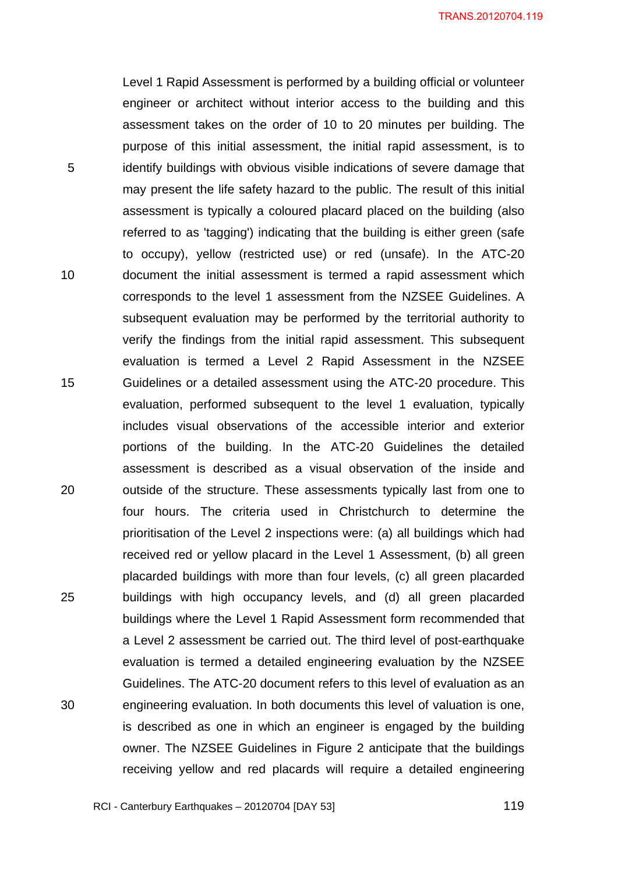Level 1 Rapid Assessment is performed by a building official or volunteer engineer or architect without interior access to the building and this assessment takes on the order of 10 to 20 minutes per building. The purpose of this initial assessment, the initial rapid assessment, is to identify buildings with obvious visible indications of severe damage that may present the life safety hazard to the public. The result of this initial assessment is typically a coloured placard placed on the building (also referred to as 'tagging') indicating that the building is either green (safe to occupy), yellow (restricted use) or red (unsafe). In the ATC-20 document the initial assessment is termed a rapid assessment which corresponds to the level 1 assessment from the NZSEE Guidelines. A subsequent evaluation may be performed by the territorial authority to verify the findings from the initial rapid assessment. This subsequent evaluation is termed a Level 2 Rapid Assessment in the NZSEE Guidelines or a detailed assessment using the ATC-20 procedure. This evaluation, performed subsequent to the level 1 evaluation, typically includes visual observations of the accessible interior and exterior portions of the building. In the ATC-20 Guidelines the detailed assessment is described as a visual observation of the inside and outside of the structure. These assessments typically last from one to four hours. The criteria used in Christchurch to determine the prioritisation of the Level 2 inspections were: (a) all buildings which had received red or yellow placard in the Level 1 Assessment, (b) all green placarded buildings with more than four levels, (c) all green placarded buildings with high occupancy levels, and (d) all green placarded buildings where the Level 1 Rapid Assessment form recommended that a Level 2 assessment be carried out. The third level of post-earthquake evaluation is termed a detailed engineering evaluation by the NZSEE Guidelines. The ATC-20 document refers to this level of evaluation as an engineering evaluation. In both documents this level of valuation is one, is described as one in which an engineer is engaged by the building owner. The NZSEE Guidelines in Figure 2 anticipate that the buildings receiving yellow and red placards will require a detailed engineering

RCI - Canterbury Earthquakes – 20120704 [DAY 53]

5

10

15

20

25

30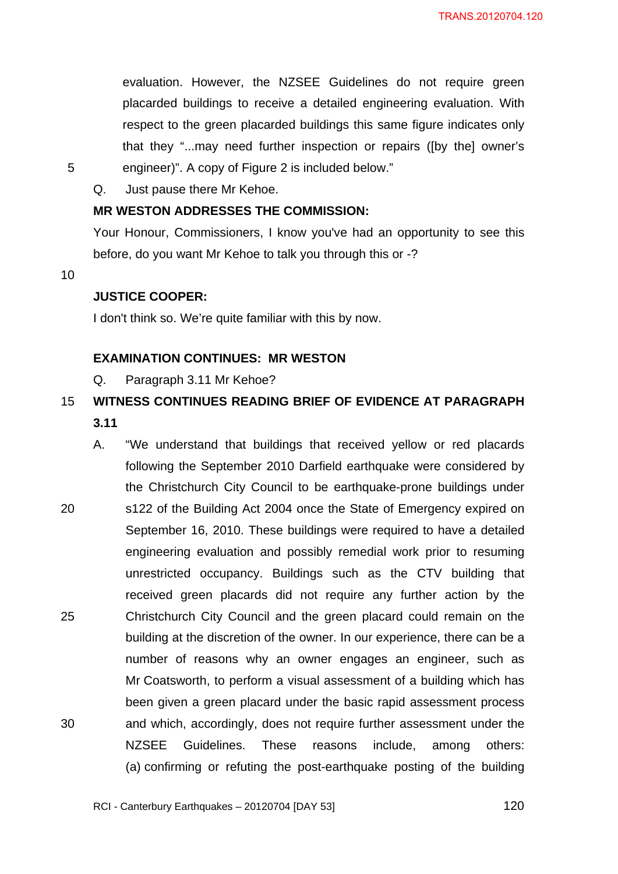evaluation. However, the NZSEE Guidelines do not require green placarded buildings to receive a detailed engineering evaluation. With respect to the green placarded buildings this same figure indicates only that they "...may need further inspection or repairs ([by the] owner's engineer)". A copy of Figure 2 is included below."

Q. Just pause there Mr Kehoe.

## **MR WESTON ADDRESSES THE COMMISSION:**

Your Honour, Commissioners, I know you've had an opportunity to see this before, do you want Mr Kehoe to talk you through this or -?

10

5

### **JUSTICE COOPER:**

I don't think so. We're quite familiar with this by now.

## **EXAMINATION CONTINUES: MR WESTON**

Q. Paragraph 3.11 Mr Kehoe?

#### 15 **WITNESS CONTINUES READING BRIEF OF EVIDENCE AT PARAGRAPH 3.11**

20 25 30 A. "We understand that buildings that received yellow or red placards following the September 2010 Darfield earthquake were considered by the Christchurch City Council to be earthquake-prone buildings under s122 of the Building Act 2004 once the State of Emergency expired on September 16, 2010. These buildings were required to have a detailed engineering evaluation and possibly remedial work prior to resuming unrestricted occupancy. Buildings such as the CTV building that received green placards did not require any further action by the Christchurch City Council and the green placard could remain on the building at the discretion of the owner. In our experience, there can be a number of reasons why an owner engages an engineer, such as Mr Coatsworth, to perform a visual assessment of a building which has been given a green placard under the basic rapid assessment process and which, accordingly, does not require further assessment under the NZSEE Guidelines. These reasons include, among others: (a) confirming or refuting the post-earthquake posting of the building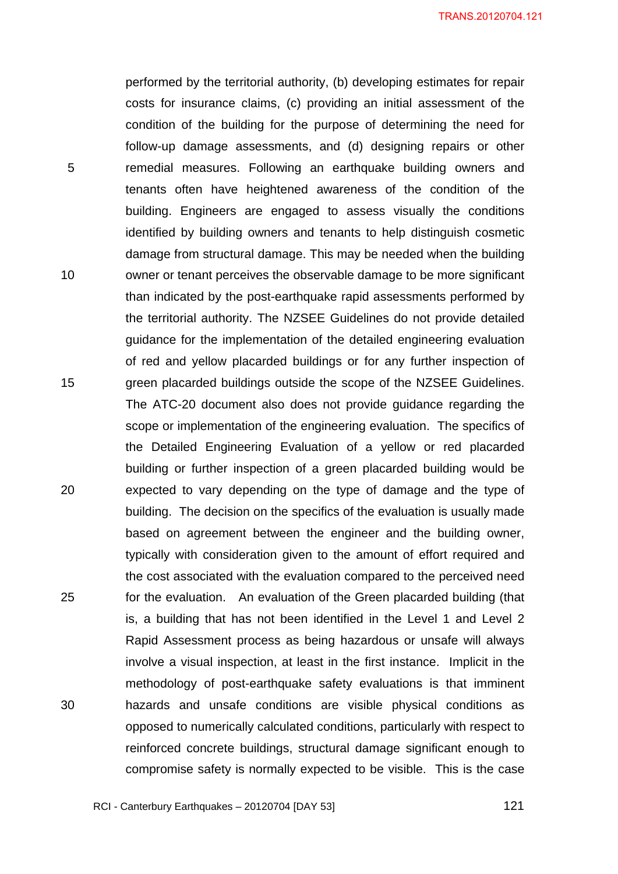performed by the territorial authority, (b) developing estimates for repair costs for insurance claims, (c) providing an initial assessment of the condition of the building for the purpose of determining the need for follow-up damage assessments, and (d) designing repairs or other remedial measures. Following an earthquake building owners and tenants often have heightened awareness of the condition of the building. Engineers are engaged to assess visually the conditions identified by building owners and tenants to help distinguish cosmetic damage from structural damage. This may be needed when the building owner or tenant perceives the observable damage to be more significant than indicated by the post-earthquake rapid assessments performed by the territorial authority. The NZSEE Guidelines do not provide detailed guidance for the implementation of the detailed engineering evaluation of red and yellow placarded buildings or for any further inspection of green placarded buildings outside the scope of the NZSEE Guidelines. The ATC-20 document also does not provide guidance regarding the scope or implementation of the engineering evaluation. The specifics of the Detailed Engineering Evaluation of a yellow or red placarded building or further inspection of a green placarded building would be expected to vary depending on the type of damage and the type of building. The decision on the specifics of the evaluation is usually made based on agreement between the engineer and the building owner, typically with consideration given to the amount of effort required and the cost associated with the evaluation compared to the perceived need for the evaluation. An evaluation of the Green placarded building (that is, a building that has not been identified in the Level 1 and Level 2 Rapid Assessment process as being hazardous or unsafe will always involve a visual inspection, at least in the first instance. Implicit in the methodology of post-earthquake safety evaluations is that imminent hazards and unsafe conditions are visible physical conditions as opposed to numerically calculated conditions, particularly with respect to reinforced concrete buildings, structural damage significant enough to compromise safety is normally expected to be visible. This is the case

RCI - Canterbury Earthquakes – 20120704 [DAY 53]

5

10

15

20

25

30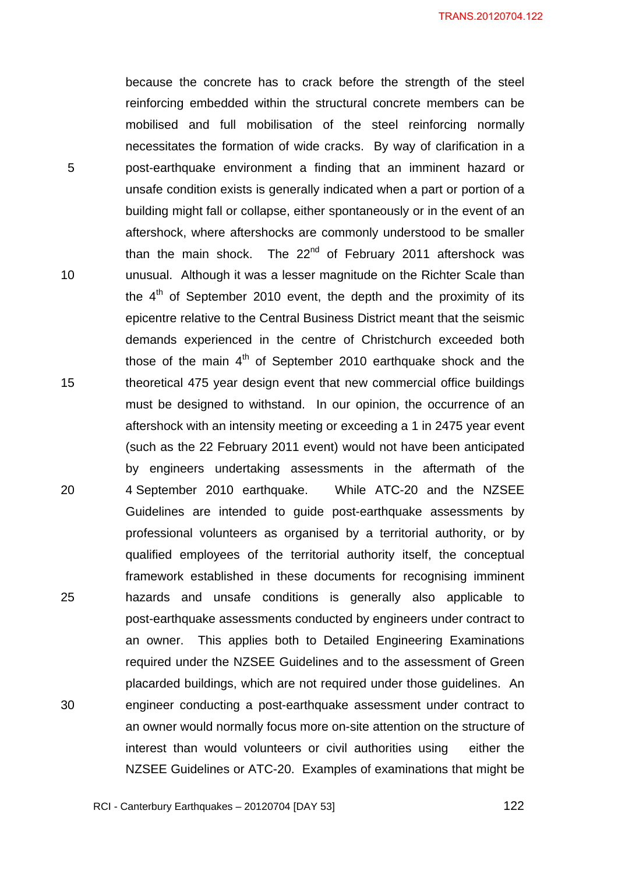TRANS.20120704.122

because the concrete has to crack before the strength of the steel reinforcing embedded within the structural concrete members can be mobilised and full mobilisation of the steel reinforcing normally necessitates the formation of wide cracks. By way of clarification in a post-earthquake environment a finding that an imminent hazard or unsafe condition exists is generally indicated when a part or portion of a building might fall or collapse, either spontaneously or in the event of an aftershock, where aftershocks are commonly understood to be smaller than the main shock. The 22<sup>nd</sup> of February 2011 aftershock was unusual. Although it was a lesser magnitude on the Richter Scale than the  $4<sup>th</sup>$  of September 2010 event, the depth and the proximity of its epicentre relative to the Central Business District meant that the seismic demands experienced in the centre of Christchurch exceeded both those of the main  $4<sup>th</sup>$  of September 2010 earthquake shock and the theoretical 475 year design event that new commercial office buildings must be designed to withstand. In our opinion, the occurrence of an aftershock with an intensity meeting or exceeding a 1 in 2475 year event (such as the 22 February 2011 event) would not have been anticipated by engineers undertaking assessments in the aftermath of the 4 September 2010 earthquake. While ATC-20 and the NZSEE Guidelines are intended to guide post-earthquake assessments by professional volunteers as organised by a territorial authority, or by qualified employees of the territorial authority itself, the conceptual framework established in these documents for recognising imminent hazards and unsafe conditions is generally also applicable to post-earthquake assessments conducted by engineers under contract to an owner. This applies both to Detailed Engineering Examinations required under the NZSEE Guidelines and to the assessment of Green placarded buildings, which are not required under those guidelines. An engineer conducting a post-earthquake assessment under contract to an owner would normally focus more on-site attention on the structure of interest than would volunteers or civil authorities using either the NZSEE Guidelines or ATC-20. Examples of examinations that might be

RCI - Canterbury Earthquakes – 20120704 [DAY 53]

5

10

15

20

25

30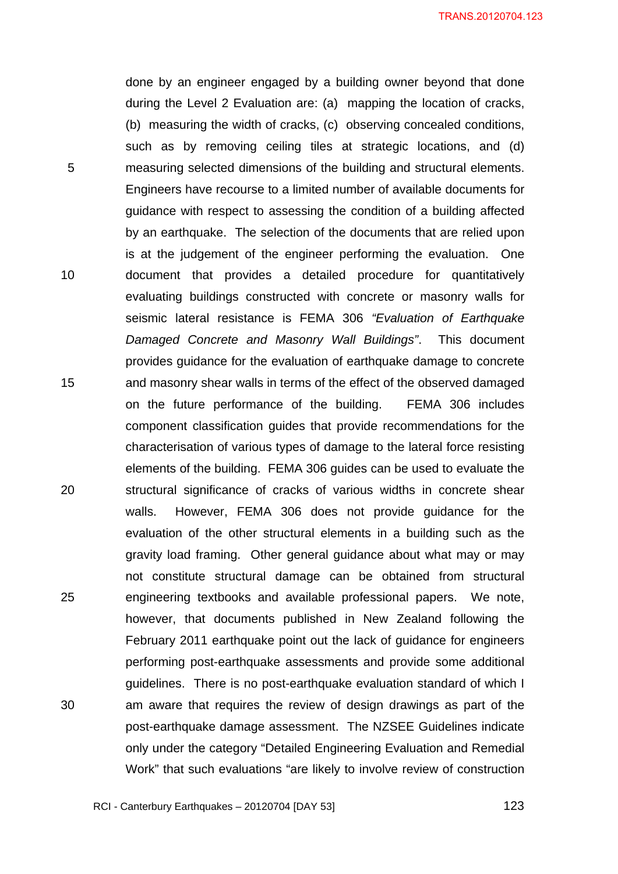done by an engineer engaged by a building owner beyond that done during the Level 2 Evaluation are: (a) mapping the location of cracks, (b) measuring the width of cracks, (c) observing concealed conditions, such as by removing ceiling tiles at strategic locations, and (d) measuring selected dimensions of the building and structural elements. Engineers have recourse to a limited number of available documents for guidance with respect to assessing the condition of a building affected by an earthquake. The selection of the documents that are relied upon is at the judgement of the engineer performing the evaluation. One document that provides a detailed procedure for quantitatively evaluating buildings constructed with concrete or masonry walls for seismic lateral resistance is FEMA 306 *"Evaluation of Earthquake Damaged Concrete and Masonry Wall Buildings"*. This document provides guidance for the evaluation of earthquake damage to concrete and masonry shear walls in terms of the effect of the observed damaged on the future performance of the building. FEMA 306 includes component classification guides that provide recommendations for the characterisation of various types of damage to the lateral force resisting elements of the building. FEMA 306 guides can be used to evaluate the structural significance of cracks of various widths in concrete shear walls. However, FEMA 306 does not provide guidance for the evaluation of the other structural elements in a building such as the gravity load framing. Other general guidance about what may or may not constitute structural damage can be obtained from structural engineering textbooks and available professional papers. We note, however, that documents published in New Zealand following the February 2011 earthquake point out the lack of guidance for engineers performing post-earthquake assessments and provide some additional guidelines. There is no post-earthquake evaluation standard of which I am aware that requires the review of design drawings as part of the post-earthquake damage assessment. The NZSEE Guidelines indicate only under the category "Detailed Engineering Evaluation and Remedial Work" that such evaluations "are likely to involve review of construction

5

10

15

20

25

30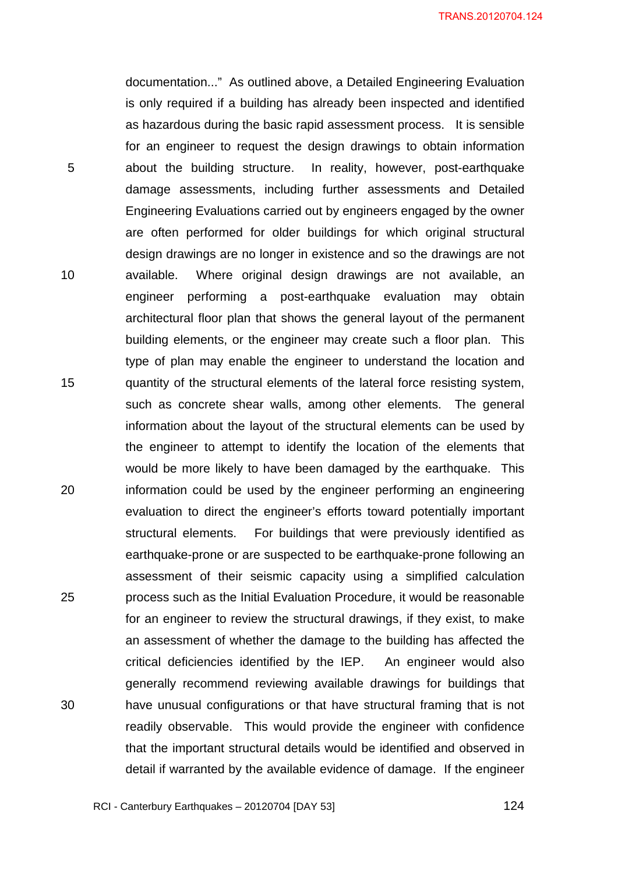documentation..." As outlined above, a Detailed Engineering Evaluation is only required if a building has already been inspected and identified as hazardous during the basic rapid assessment process. It is sensible for an engineer to request the design drawings to obtain information about the building structure. In reality, however, post-earthquake damage assessments, including further assessments and Detailed Engineering Evaluations carried out by engineers engaged by the owner are often performed for older buildings for which original structural design drawings are no longer in existence and so the drawings are not available. Where original design drawings are not available, an engineer performing a post-earthquake evaluation may obtain architectural floor plan that shows the general layout of the permanent building elements, or the engineer may create such a floor plan. This type of plan may enable the engineer to understand the location and quantity of the structural elements of the lateral force resisting system, such as concrete shear walls, among other elements. The general information about the layout of the structural elements can be used by the engineer to attempt to identify the location of the elements that would be more likely to have been damaged by the earthquake. This information could be used by the engineer performing an engineering evaluation to direct the engineer's efforts toward potentially important structural elements. For buildings that were previously identified as earthquake-prone or are suspected to be earthquake-prone following an assessment of their seismic capacity using a simplified calculation process such as the Initial Evaluation Procedure, it would be reasonable for an engineer to review the structural drawings, if they exist, to make an assessment of whether the damage to the building has affected the critical deficiencies identified by the IEP. An engineer would also generally recommend reviewing available drawings for buildings that have unusual configurations or that have structural framing that is not readily observable. This would provide the engineer with confidence that the important structural details would be identified and observed in detail if warranted by the available evidence of damage. If the engineer

5

10

15

20

25

30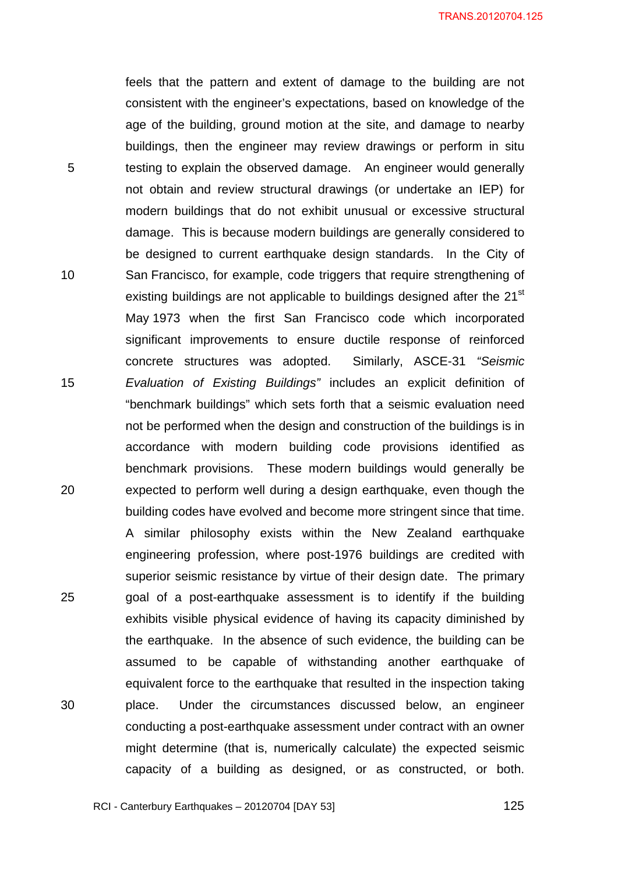TRANS.20120704.125

feels that the pattern and extent of damage to the building are not consistent with the engineer's expectations, based on knowledge of the age of the building, ground motion at the site, and damage to nearby buildings, then the engineer may review drawings or perform in situ testing to explain the observed damage. An engineer would generally not obtain and review structural drawings (or undertake an IEP) for modern buildings that do not exhibit unusual or excessive structural damage. This is because modern buildings are generally considered to be designed to current earthquake design standards. In the City of San Francisco, for example, code triggers that require strengthening of existing buildings are not applicable to buildings designed after the 21<sup>st</sup> May 1973 when the first San Francisco code which incorporated significant improvements to ensure ductile response of reinforced concrete structures was adopted. Similarly, ASCE-31 *"Seismic Evaluation of Existing Buildings"* includes an explicit definition of "benchmark buildings" which sets forth that a seismic evaluation need not be performed when the design and construction of the buildings is in accordance with modern building code provisions identified as benchmark provisions. These modern buildings would generally be expected to perform well during a design earthquake, even though the building codes have evolved and become more stringent since that time. A similar philosophy exists within the New Zealand earthquake engineering profession, where post-1976 buildings are credited with superior seismic resistance by virtue of their design date. The primary goal of a post-earthquake assessment is to identify if the building exhibits visible physical evidence of having its capacity diminished by the earthquake. In the absence of such evidence, the building can be assumed to be capable of withstanding another earthquake of equivalent force to the earthquake that resulted in the inspection taking place. Under the circumstances discussed below, an engineer conducting a post-earthquake assessment under contract with an owner might determine (that is, numerically calculate) the expected seismic capacity of a building as designed, or as constructed, or both.

5

10

15

20

25

30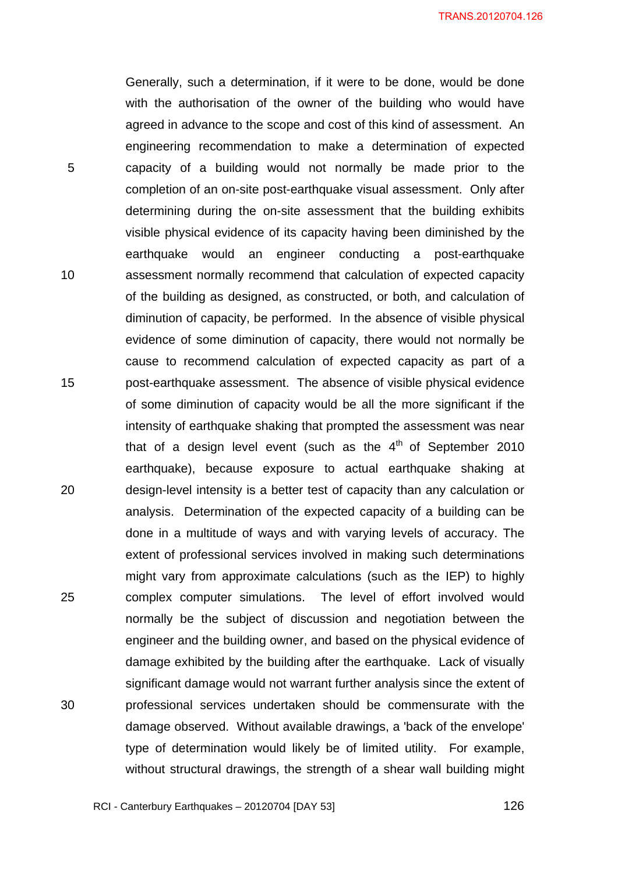Generally, such a determination, if it were to be done, would be done with the authorisation of the owner of the building who would have agreed in advance to the scope and cost of this kind of assessment. An engineering recommendation to make a determination of expected capacity of a building would not normally be made prior to the completion of an on-site post-earthquake visual assessment. Only after determining during the on-site assessment that the building exhibits visible physical evidence of its capacity having been diminished by the earthquake would an engineer conducting a post-earthquake assessment normally recommend that calculation of expected capacity of the building as designed, as constructed, or both, and calculation of diminution of capacity, be performed. In the absence of visible physical evidence of some diminution of capacity, there would not normally be cause to recommend calculation of expected capacity as part of a post-earthquake assessment. The absence of visible physical evidence of some diminution of capacity would be all the more significant if the intensity of earthquake shaking that prompted the assessment was near that of a design level event (such as the  $4<sup>th</sup>$  of September 2010 earthquake), because exposure to actual earthquake shaking at design-level intensity is a better test of capacity than any calculation or analysis. Determination of the expected capacity of a building can be done in a multitude of ways and with varying levels of accuracy. The extent of professional services involved in making such determinations might vary from approximate calculations (such as the IEP) to highly complex computer simulations. The level of effort involved would normally be the subject of discussion and negotiation between the engineer and the building owner, and based on the physical evidence of damage exhibited by the building after the earthquake. Lack of visually significant damage would not warrant further analysis since the extent of professional services undertaken should be commensurate with the damage observed. Without available drawings, a 'back of the envelope' type of determination would likely be of limited utility. For example, without structural drawings, the strength of a shear wall building might

5

10

15

20

25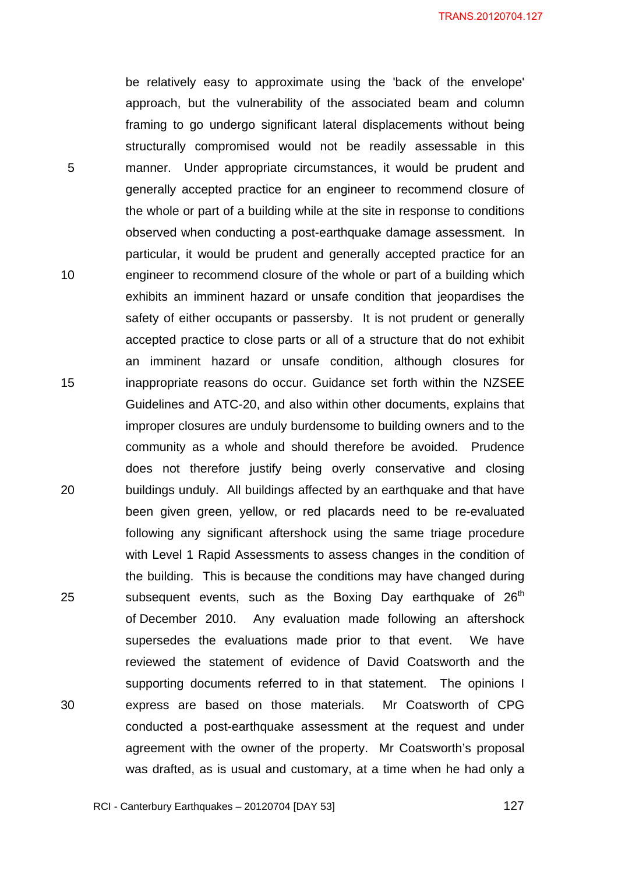be relatively easy to approximate using the 'back of the envelope' approach, but the vulnerability of the associated beam and column framing to go undergo significant lateral displacements without being structurally compromised would not be readily assessable in this manner. Under appropriate circumstances, it would be prudent and generally accepted practice for an engineer to recommend closure of the whole or part of a building while at the site in response to conditions observed when conducting a post-earthquake damage assessment. In particular, it would be prudent and generally accepted practice for an engineer to recommend closure of the whole or part of a building which exhibits an imminent hazard or unsafe condition that jeopardises the safety of either occupants or passersby. It is not prudent or generally accepted practice to close parts or all of a structure that do not exhibit an imminent hazard or unsafe condition, although closures for inappropriate reasons do occur. Guidance set forth within the NZSEE Guidelines and ATC-20, and also within other documents, explains that improper closures are unduly burdensome to building owners and to the community as a whole and should therefore be avoided. Prudence does not therefore justify being overly conservative and closing buildings unduly. All buildings affected by an earthquake and that have been given green, yellow, or red placards need to be re-evaluated following any significant aftershock using the same triage procedure with Level 1 Rapid Assessments to assess changes in the condition of the building. This is because the conditions may have changed during subsequent events, such as the Boxing Day earthquake of  $26<sup>th</sup>$ of December 2010. Any evaluation made following an aftershock supersedes the evaluations made prior to that event. We have reviewed the statement of evidence of David Coatsworth and the supporting documents referred to in that statement. The opinions I express are based on those materials. Mr Coatsworth of CPG conducted a post-earthquake assessment at the request and under agreement with the owner of the property. Mr Coatsworth's proposal was drafted, as is usual and customary, at a time when he had only a

5

10

15

20

25

30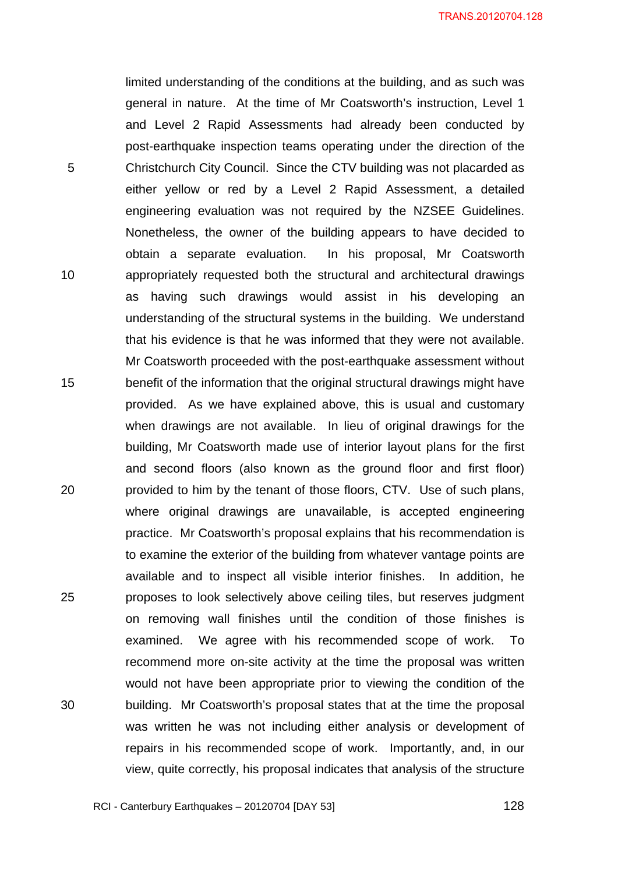limited understanding of the conditions at the building, and as such was general in nature. At the time of Mr Coatsworth's instruction, Level 1 and Level 2 Rapid Assessments had already been conducted by post-earthquake inspection teams operating under the direction of the Christchurch City Council. Since the CTV building was not placarded as either yellow or red by a Level 2 Rapid Assessment, a detailed engineering evaluation was not required by the NZSEE Guidelines. Nonetheless, the owner of the building appears to have decided to obtain a separate evaluation. In his proposal, Mr Coatsworth appropriately requested both the structural and architectural drawings as having such drawings would assist in his developing an understanding of the structural systems in the building. We understand that his evidence is that he was informed that they were not available. Mr Coatsworth proceeded with the post-earthquake assessment without benefit of the information that the original structural drawings might have provided. As we have explained above, this is usual and customary when drawings are not available. In lieu of original drawings for the building, Mr Coatsworth made use of interior layout plans for the first and second floors (also known as the ground floor and first floor) provided to him by the tenant of those floors, CTV. Use of such plans, where original drawings are unavailable, is accepted engineering practice. Mr Coatsworth's proposal explains that his recommendation is to examine the exterior of the building from whatever vantage points are available and to inspect all visible interior finishes. In addition, he proposes to look selectively above ceiling tiles, but reserves judgment on removing wall finishes until the condition of those finishes is examined. We agree with his recommended scope of work. To recommend more on-site activity at the time the proposal was written would not have been appropriate prior to viewing the condition of the building. Mr Coatsworth's proposal states that at the time the proposal was written he was not including either analysis or development of repairs in his recommended scope of work. Importantly, and, in our view, quite correctly, his proposal indicates that analysis of the structure

RCI - Canterbury Earthquakes – 20120704 [DAY 53]

5

10

15

20

25

30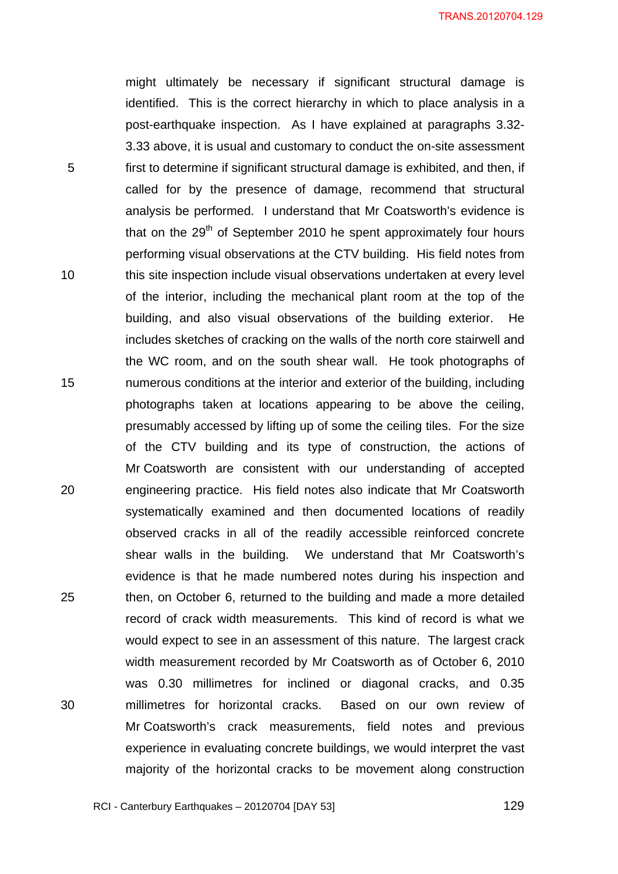TRANS.20120704.129

might ultimately be necessary if significant structural damage is identified. This is the correct hierarchy in which to place analysis in a post-earthquake inspection. As I have explained at paragraphs 3.32- 3.33 above, it is usual and customary to conduct the on-site assessment first to determine if significant structural damage is exhibited, and then, if called for by the presence of damage, recommend that structural analysis be performed. I understand that Mr Coatsworth's evidence is that on the  $29<sup>th</sup>$  of September 2010 he spent approximately four hours performing visual observations at the CTV building. His field notes from this site inspection include visual observations undertaken at every level of the interior, including the mechanical plant room at the top of the building, and also visual observations of the building exterior. He includes sketches of cracking on the walls of the north core stairwell and the WC room, and on the south shear wall. He took photographs of numerous conditions at the interior and exterior of the building, including photographs taken at locations appearing to be above the ceiling, presumably accessed by lifting up of some the ceiling tiles. For the size of the CTV building and its type of construction, the actions of Mr Coatsworth are consistent with our understanding of accepted engineering practice. His field notes also indicate that Mr Coatsworth systematically examined and then documented locations of readily observed cracks in all of the readily accessible reinforced concrete shear walls in the building. We understand that Mr Coatsworth's evidence is that he made numbered notes during his inspection and then, on October 6, returned to the building and made a more detailed record of crack width measurements. This kind of record is what we would expect to see in an assessment of this nature. The largest crack width measurement recorded by Mr Coatsworth as of October 6, 2010 was 0.30 millimetres for inclined or diagonal cracks, and 0.35 millimetres for horizontal cracks. Based on our own review of Mr Coatsworth's crack measurements, field notes and previous experience in evaluating concrete buildings, we would interpret the vast majority of the horizontal cracks to be movement along construction

RCI - Canterbury Earthquakes – 20120704 [DAY 53]

5

10

15

20

25

30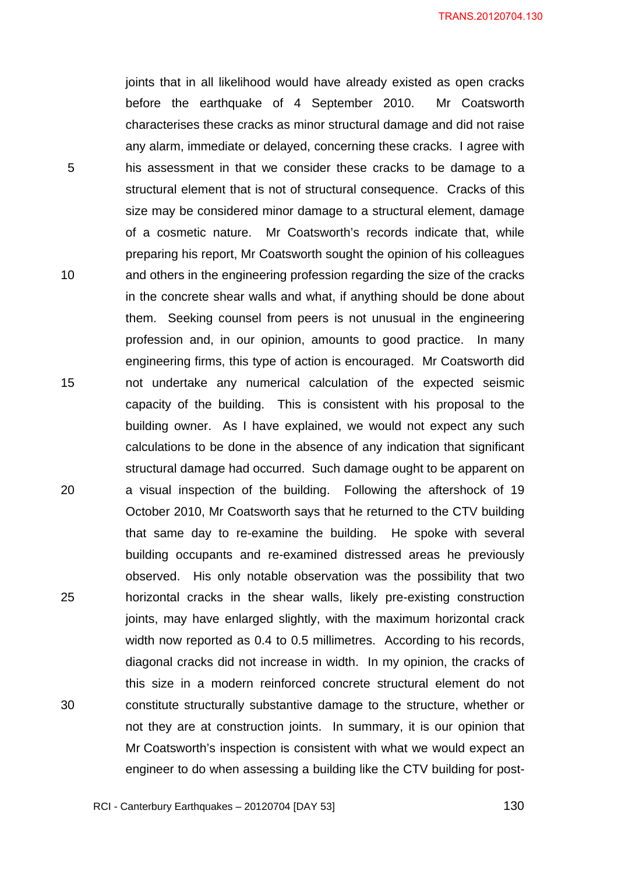joints that in all likelihood would have already existed as open cracks before the earthquake of 4 September 2010. Mr Coatsworth characterises these cracks as minor structural damage and did not raise any alarm, immediate or delayed, concerning these cracks. I agree with his assessment in that we consider these cracks to be damage to a structural element that is not of structural consequence. Cracks of this size may be considered minor damage to a structural element, damage of a cosmetic nature. Mr Coatsworth's records indicate that, while preparing his report, Mr Coatsworth sought the opinion of his colleagues and others in the engineering profession regarding the size of the cracks in the concrete shear walls and what, if anything should be done about them. Seeking counsel from peers is not unusual in the engineering profession and, in our opinion, amounts to good practice. In many engineering firms, this type of action is encouraged. Mr Coatsworth did not undertake any numerical calculation of the expected seismic capacity of the building. This is consistent with his proposal to the building owner. As I have explained, we would not expect any such calculations to be done in the absence of any indication that significant structural damage had occurred. Such damage ought to be apparent on a visual inspection of the building. Following the aftershock of 19 October 2010, Mr Coatsworth says that he returned to the CTV building that same day to re-examine the building. He spoke with several building occupants and re-examined distressed areas he previously observed. His only notable observation was the possibility that two horizontal cracks in the shear walls, likely pre-existing construction joints, may have enlarged slightly, with the maximum horizontal crack width now reported as 0.4 to 0.5 millimetres. According to his records, diagonal cracks did not increase in width. In my opinion, the cracks of this size in a modern reinforced concrete structural element do not constitute structurally substantive damage to the structure, whether or not they are at construction joints. In summary, it is our opinion that Mr Coatsworth's inspection is consistent with what we would expect an engineer to do when assessing a building like the CTV building for post-

RCI - Canterbury Earthquakes – 20120704 [DAY 53]

5

10

15

20

25

30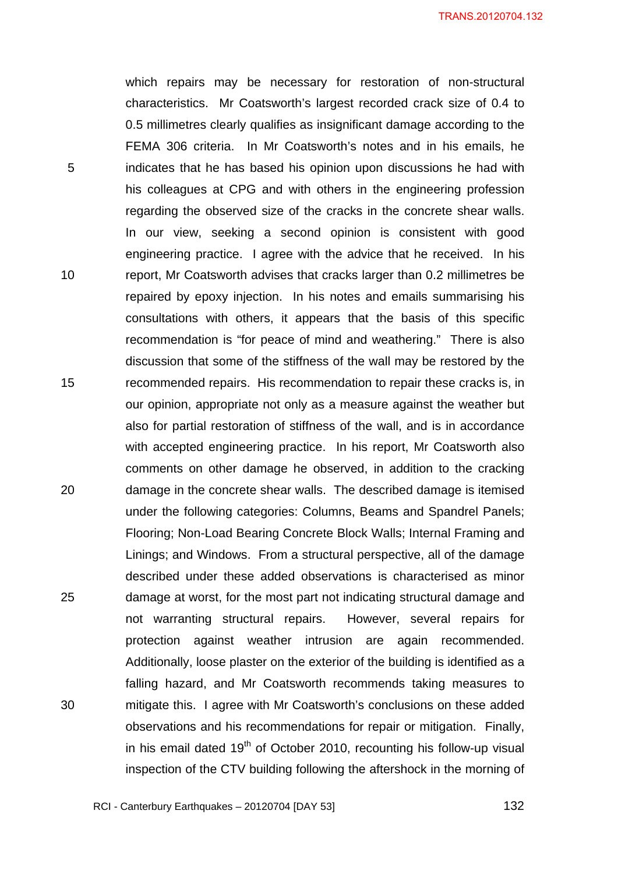which repairs may be necessary for restoration of non-structural characteristics. Mr Coatsworth's largest recorded crack size of 0.4 to 0.5 millimetres clearly qualifies as insignificant damage according to the FEMA 306 criteria. In Mr Coatsworth's notes and in his emails, he indicates that he has based his opinion upon discussions he had with his colleagues at CPG and with others in the engineering profession regarding the observed size of the cracks in the concrete shear walls. In our view, seeking a second opinion is consistent with good engineering practice. I agree with the advice that he received. In his report, Mr Coatsworth advises that cracks larger than 0.2 millimetres be repaired by epoxy injection. In his notes and emails summarising his consultations with others, it appears that the basis of this specific recommendation is "for peace of mind and weathering." There is also discussion that some of the stiffness of the wall may be restored by the recommended repairs. His recommendation to repair these cracks is, in our opinion, appropriate not only as a measure against the weather but also for partial restoration of stiffness of the wall, and is in accordance with accepted engineering practice. In his report, Mr Coatsworth also comments on other damage he observed, in addition to the cracking damage in the concrete shear walls. The described damage is itemised under the following categories: Columns, Beams and Spandrel Panels; Flooring; Non-Load Bearing Concrete Block Walls; Internal Framing and Linings; and Windows. From a structural perspective, all of the damage described under these added observations is characterised as minor damage at worst, for the most part not indicating structural damage and not warranting structural repairs. However, several repairs for protection against weather intrusion are again recommended. Additionally, loose plaster on the exterior of the building is identified as a falling hazard, and Mr Coatsworth recommends taking measures to mitigate this. I agree with Mr Coatsworth's conclusions on these added observations and his recommendations for repair or mitigation. Finally, in his email dated  $19<sup>th</sup>$  of October 2010, recounting his follow-up visual inspection of the CTV building following the aftershock in the morning of

RCI - Canterbury Earthquakes – 20120704 [DAY 53]

5

10

15

20

25

30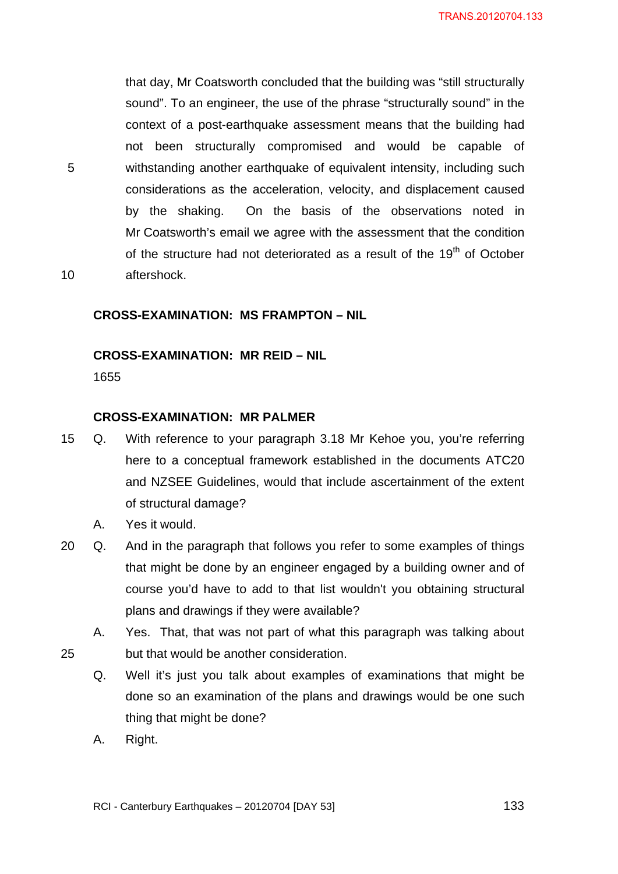that day, Mr Coatsworth concluded that the building was "still structurally sound". To an engineer, the use of the phrase "structurally sound" in the context of a post-earthquake assessment means that the building had not been structurally compromised and would be capable of withstanding another earthquake of equivalent intensity, including such considerations as the acceleration, velocity, and displacement caused by the shaking. On the basis of the observations noted in Mr Coatsworth's email we agree with the assessment that the condition of the structure had not deteriorated as a result of the 19<sup>th</sup> of October aftershock.

<span id="page-132-0"></span>10

25

5

## **CROSS-EXAMINATION: MS FRAMPTON – NIL**

## <span id="page-132-1"></span>**CROSS-EXAMINATION: MR REID – NIL**

1655

### **CROSS-EXAMINATION: MR PALMER**

- <span id="page-132-2"></span>15 Q. With reference to your paragraph 3.18 Mr Kehoe you, you're referring here to a conceptual framework established in the documents ATC20 and NZSEE Guidelines, would that include ascertainment of the extent of structural damage?
	- A. Yes it would.
- 20 Q. And in the paragraph that follows you refer to some examples of things that might be done by an engineer engaged by a building owner and of course you'd have to add to that list wouldn't you obtaining structural plans and drawings if they were available?
	- A. Yes. That, that was not part of what this paragraph was talking about but that would be another consideration.
		- Q. Well it's just you talk about examples of examinations that might be done so an examination of the plans and drawings would be one such thing that might be done?
		- A. Right.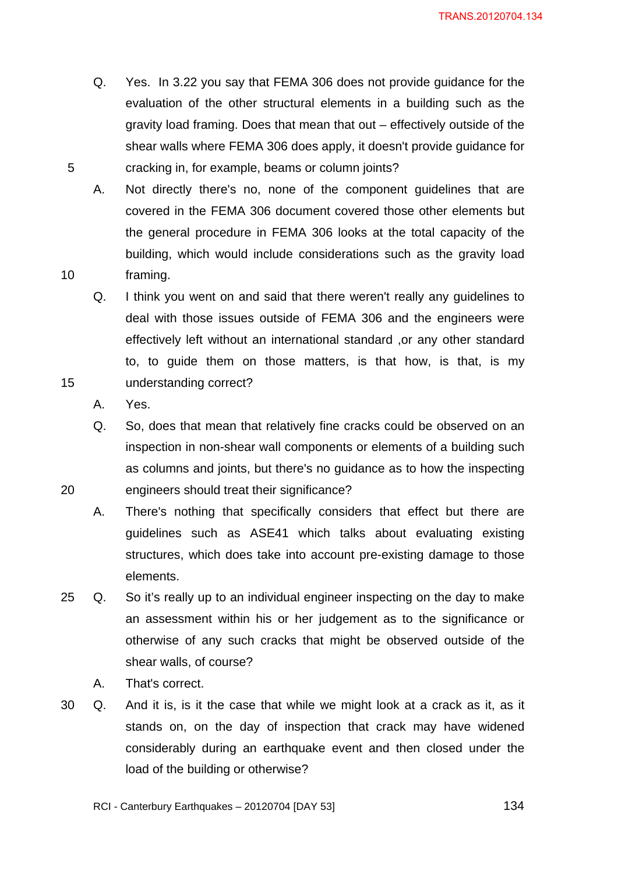- Q. Yes. In 3.22 you say that FEMA 306 does not provide guidance for the evaluation of the other structural elements in a building such as the gravity load framing. Does that mean that out – effectively outside of the shear walls where FEMA 306 does apply, it doesn't provide guidance for cracking in, for example, beams or column joints?
- A. Not directly there's no, none of the component guidelines that are covered in the FEMA 306 document covered those other elements but the general procedure in FEMA 306 looks at the total capacity of the building, which would include considerations such as the gravity load framing.
- Q. I think you went on and said that there weren't really any guidelines to deal with those issues outside of FEMA 306 and the engineers were effectively left without an international standard ,or any other standard to, to guide them on those matters, is that how, is that, is my understanding correct?
- A. Yes.

5

10

15

20

Q. So, does that mean that relatively fine cracks could be observed on an inspection in non-shear wall components or elements of a building such as columns and joints, but there's no guidance as to how the inspecting engineers should treat their significance?

- A. There's nothing that specifically considers that effect but there are guidelines such as ASE41 which talks about evaluating existing structures, which does take into account pre-existing damage to those elements.
- 25 Q. So it's really up to an individual engineer inspecting on the day to make an assessment within his or her judgement as to the significance or otherwise of any such cracks that might be observed outside of the shear walls, of course?
	- A. That's correct.
- 30 Q. And it is, is it the case that while we might look at a crack as it, as it stands on, on the day of inspection that crack may have widened considerably during an earthquake event and then closed under the load of the building or otherwise?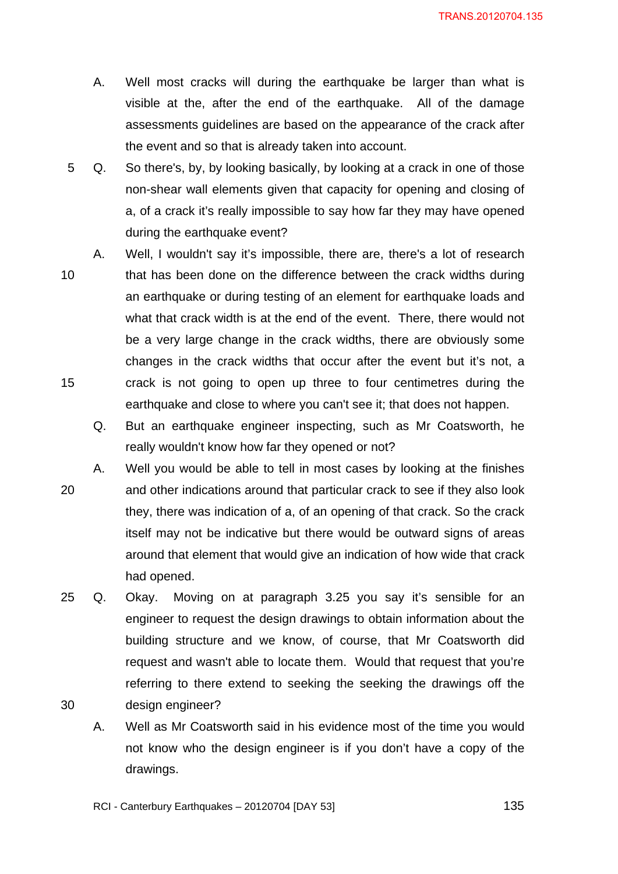- A. Well most cracks will during the earthquake be larger than what is visible at the, after the end of the earthquake. All of the damage assessments guidelines are based on the appearance of the crack after the event and so that is already taken into account.
- 5 Q. So there's, by, by looking basically, by looking at a crack in one of those non-shear wall elements given that capacity for opening and closing of a, of a crack it's really impossible to say how far they may have opened during the earthquake event?
- 10 15 A. Well, I wouldn't say it's impossible, there are, there's a lot of research that has been done on the difference between the crack widths during an earthquake or during testing of an element for earthquake loads and what that crack width is at the end of the event. There, there would not be a very large change in the crack widths, there are obviously some changes in the crack widths that occur after the event but it's not, a crack is not going to open up three to four centimetres during the earthquake and close to where you can't see it; that does not happen.
	- Q. But an earthquake engineer inspecting, such as Mr Coatsworth, he really wouldn't know how far they opened or not?
- 20 A. Well you would be able to tell in most cases by looking at the finishes and other indications around that particular crack to see if they also look they, there was indication of a, of an opening of that crack. So the crack itself may not be indicative but there would be outward signs of areas around that element that would give an indication of how wide that crack had opened.
- 30 25 Q. Okay. Moving on at paragraph 3.25 you say it's sensible for an engineer to request the design drawings to obtain information about the building structure and we know, of course, that Mr Coatsworth did request and wasn't able to locate them. Would that request that you're referring to there extend to seeking the seeking the drawings off the design engineer?
	- A. Well as Mr Coatsworth said in his evidence most of the time you would not know who the design engineer is if you don't have a copy of the drawings.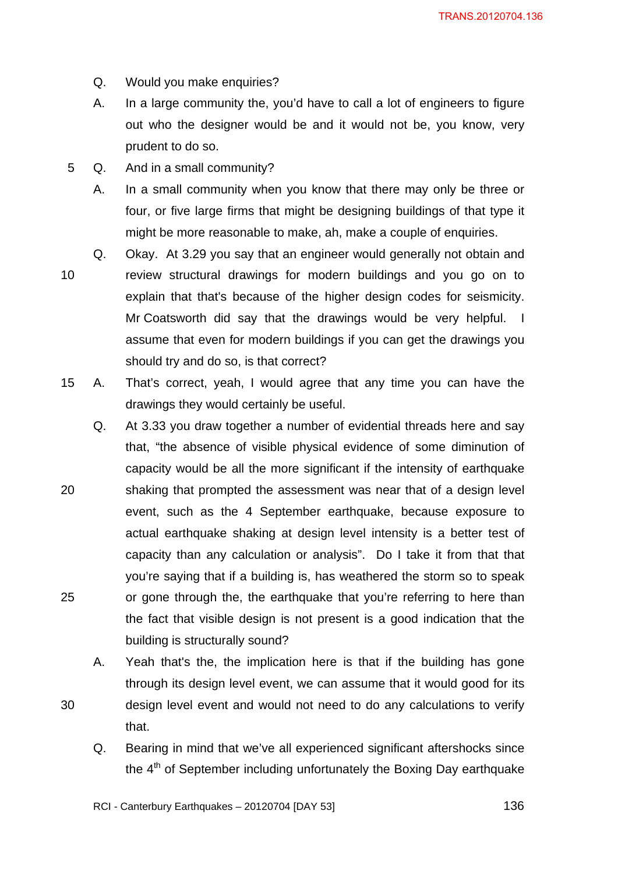- Q. Would you make enquiries?
- A. In a large community the, you'd have to call a lot of engineers to figure out who the designer would be and it would not be, you know, very prudent to do so.
- 5 Q. And in a small community?
	- A. In a small community when you know that there may only be three or four, or five large firms that might be designing buildings of that type it might be more reasonable to make, ah, make a couple of enquiries.
- 10 Q. Okay. At 3.29 you say that an engineer would generally not obtain and review structural drawings for modern buildings and you go on to explain that that's because of the higher design codes for seismicity. Mr Coatsworth did say that the drawings would be very helpful. I assume that even for modern buildings if you can get the drawings you should try and do so, is that correct?
- 15 A. That's correct, yeah, I would agree that any time you can have the drawings they would certainly be useful.
- 20 25 Q. At 3.33 you draw together a number of evidential threads here and say that, "the absence of visible physical evidence of some diminution of capacity would be all the more significant if the intensity of earthquake shaking that prompted the assessment was near that of a design level event, such as the 4 September earthquake, because exposure to actual earthquake shaking at design level intensity is a better test of capacity than any calculation or analysis". Do I take it from that that you're saying that if a building is, has weathered the storm so to speak or gone through the, the earthquake that you're referring to here than the fact that visible design is not present is a good indication that the building is structurally sound?
	- A. Yeah that's the, the implication here is that if the building has gone through its design level event, we can assume that it would good for its design level event and would not need to do any calculations to verify that.
		- Q. Bearing in mind that we've all experienced significant aftershocks since the  $4<sup>th</sup>$  of September including unfortunately the Boxing Day earthquake

RCI - Canterbury Earthquakes – 20120704 [DAY 53]

30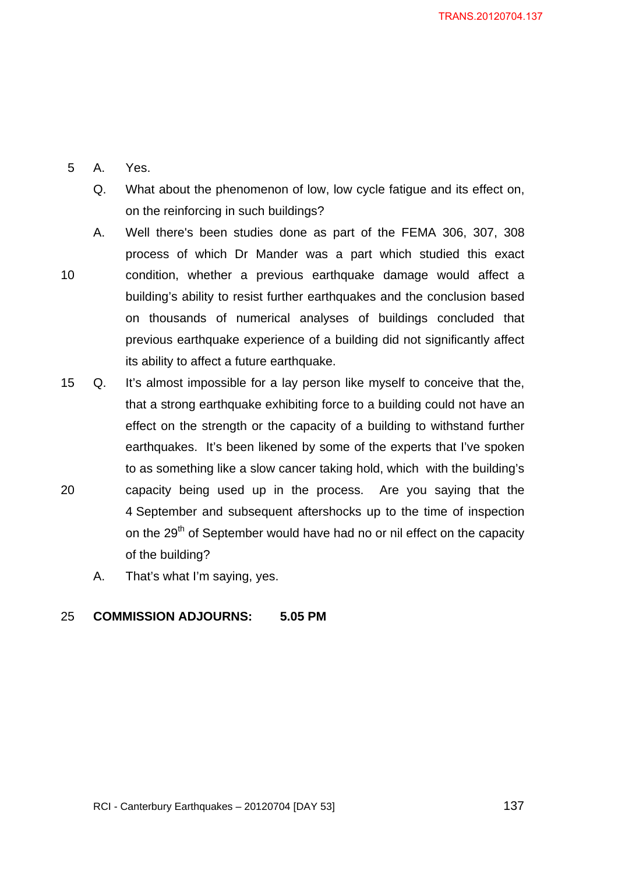### 5 A. Yes.

- Q. What about the phenomenon of low, low cycle fatigue and its effect on, on the reinforcing in such buildings?
- 10 A. Well there's been studies done as part of the FEMA 306, 307, 308 process of which Dr Mander was a part which studied this exact condition, whether a previous earthquake damage would affect a building's ability to resist further earthquakes and the conclusion based on thousands of numerical analyses of buildings concluded that previous earthquake experience of a building did not significantly affect its ability to affect a future earthquake.
- 20 15 Q. It's almost impossible for a lay person like myself to conceive that the, that a strong earthquake exhibiting force to a building could not have an effect on the strength or the capacity of a building to withstand further earthquakes. It's been likened by some of the experts that I've spoken to as something like a slow cancer taking hold, which with the building's capacity being used up in the process. Are you saying that the 4 September and subsequent aftershocks up to the time of inspection on the 29<sup>th</sup> of September would have had no or nil effect on the capacity of the building?
	- A. That's what I'm saying, yes.

#### 25 **COMMISSION ADJOURNS: 5.05 PM**